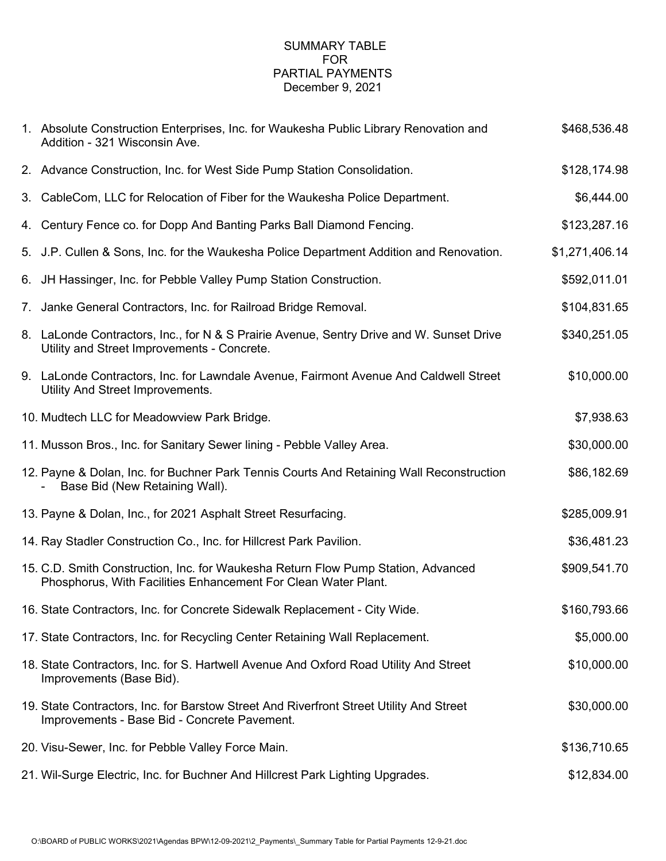# SUMMARY TABLE FOR PARTIAL PAYMENTS December 9, 2021

| 1. Absolute Construction Enterprises, Inc. for Waukesha Public Library Renovation and<br>Addition - 321 Wisconsin Ave.                              | \$468,536.48   |
|-----------------------------------------------------------------------------------------------------------------------------------------------------|----------------|
| 2. Advance Construction, Inc. for West Side Pump Station Consolidation.                                                                             | \$128,174.98   |
| 3. CableCom, LLC for Relocation of Fiber for the Waukesha Police Department.                                                                        | \$6,444.00     |
| 4. Century Fence co. for Dopp And Banting Parks Ball Diamond Fencing.                                                                               | \$123,287.16   |
| 5. J.P. Cullen & Sons, Inc. for the Waukesha Police Department Addition and Renovation.                                                             | \$1,271,406.14 |
| 6. JH Hassinger, Inc. for Pebble Valley Pump Station Construction.                                                                                  | \$592,011.01   |
| 7. Janke General Contractors, Inc. for Railroad Bridge Removal.                                                                                     | \$104,831.65   |
| 8. LaLonde Contractors, Inc., for N & S Prairie Avenue, Sentry Drive and W. Sunset Drive<br>Utility and Street Improvements - Concrete.             | \$340,251.05   |
| 9. LaLonde Contractors, Inc. for Lawndale Avenue, Fairmont Avenue And Caldwell Street<br>Utility And Street Improvements.                           | \$10,000.00    |
| 10. Mudtech LLC for Meadowview Park Bridge.                                                                                                         | \$7,938.63     |
| 11. Musson Bros., Inc. for Sanitary Sewer lining - Pebble Valley Area.                                                                              | \$30,000.00    |
| 12. Payne & Dolan, Inc. for Buchner Park Tennis Courts And Retaining Wall Reconstruction<br>Base Bid (New Retaining Wall).                          | \$86,182.69    |
| 13. Payne & Dolan, Inc., for 2021 Asphalt Street Resurfacing.                                                                                       | \$285,009.91   |
| 14. Ray Stadler Construction Co., Inc. for Hillcrest Park Pavilion.                                                                                 | \$36,481.23    |
| 15. C.D. Smith Construction, Inc. for Waukesha Return Flow Pump Station, Advanced<br>Phosphorus, With Facilities Enhancement For Clean Water Plant. | \$909,541.70   |
| 16. State Contractors, Inc. for Concrete Sidewalk Replacement - City Wide.                                                                          | \$160,793.66   |
| 17. State Contractors, Inc. for Recycling Center Retaining Wall Replacement.                                                                        | \$5,000.00     |
| 18. State Contractors, Inc. for S. Hartwell Avenue And Oxford Road Utility And Street<br>Improvements (Base Bid).                                   | \$10,000.00    |
| 19. State Contractors, Inc. for Barstow Street And Riverfront Street Utility And Street<br>Improvements - Base Bid - Concrete Pavement.             | \$30,000.00    |
| 20. Visu-Sewer, Inc. for Pebble Valley Force Main.                                                                                                  | \$136,710.65   |
| 21. Wil-Surge Electric, Inc. for Buchner And Hillcrest Park Lighting Upgrades.                                                                      | \$12,834.00    |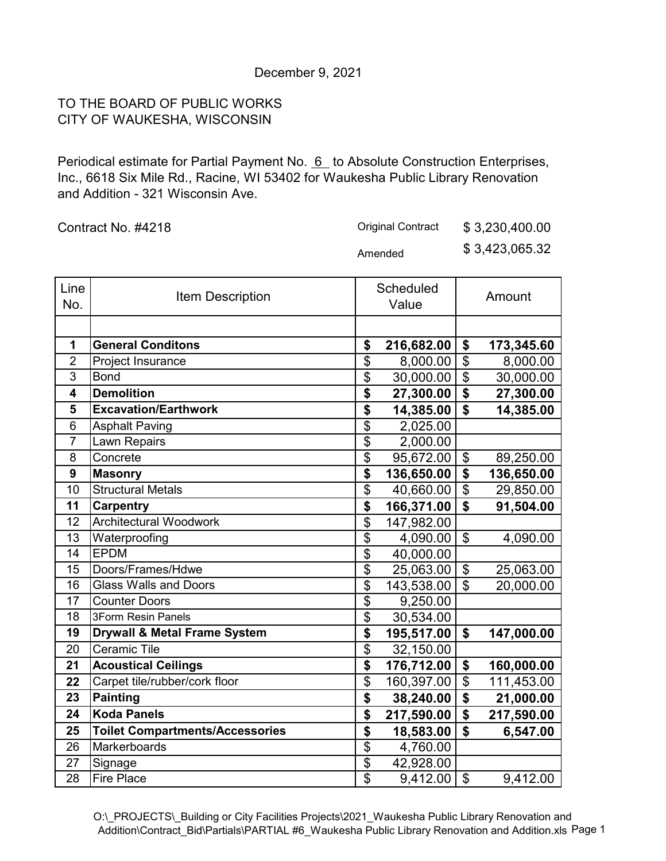# December 9, 2021

# TO THE BOARD OF PUBLIC WORKS CITY OF WAUKESHA, WISCONSIN

Periodical estimate for Partial Payment No. 6 to Absolute Construction Enterprises, Inc., 6618 Six Mile Rd., Racine, WI 53402 for Waukesha Public Library Renovation and Addition - 321 Wisconsin Ave.

Contract No. #4218

Original Contract \$ 3,230,400.00

Amended \$ 3,423,065.32

| Line<br>No.    | <b>Item Description</b>                 |                                      | Scheduled<br>Value |                                      | Amount     |
|----------------|-----------------------------------------|--------------------------------------|--------------------|--------------------------------------|------------|
|                |                                         |                                      |                    |                                      |            |
| 1              | <b>General Conditons</b>                | \$                                   | 216,682.00         | \$                                   | 173,345.60 |
| $\overline{2}$ | Project Insurance                       | \$                                   | 8,000.00           | $\overline{\$}$                      | 8,000.00   |
| 3              | <b>Bond</b>                             | \$                                   | 30,000.00          | $\overline{\$}$                      | 30,000.00  |
| 4              | <b>Demolition</b>                       | \$                                   | 27,300.00          | $\overline{\boldsymbol{\mathsf{s}}}$ | 27,300.00  |
| 5              | <b>Excavation/Earthwork</b>             | $\overline{\boldsymbol{\mathsf{s}}}$ | 14,385.00          | $\mathbf{\hat{z}}$                   | 14,385.00  |
| 6              | <b>Asphalt Paving</b>                   | \$                                   | 2,025.00           |                                      |            |
| $\overline{7}$ | Lawn Repairs                            | $\overline{\$}$                      | 2,000.00           |                                      |            |
| 8              | Concrete                                | $\overline{\$}$                      | 95,672.00          | \$                                   | 89,250.00  |
| 9              | <b>Masonry</b>                          | \$                                   | 136,650.00         | $\overline{\boldsymbol{\mathsf{s}}}$ | 136,650.00 |
| 10             | <b>Structural Metals</b>                | $\overline{\$}$                      | 40,660.00          | $\overline{\$}$                      | 29,850.00  |
| 11             | <b>Carpentry</b>                        | \$                                   | 166,371.00         | \$                                   | 91,504.00  |
| 12             | <b>Architectural Woodwork</b>           | \$                                   | 147,982.00         |                                      |            |
| 13             | Waterproofing                           | $\overline{\$}$                      | 4,090.00           | $\mathfrak{S}$                       | 4,090.00   |
| 14             | <b>EPDM</b>                             | \$                                   | 40,000.00          |                                      |            |
| 15             | Doors/Frames/Hdwe                       | \$                                   | 25,063.00          | $\boldsymbol{\mathsf{S}}$            | 25,063.00  |
| 16             | <b>Glass Walls and Doors</b>            | \$                                   | 143,538.00         | \$                                   | 20,000.00  |
| 17             | <b>Counter Doors</b>                    | $\overline{\$}$                      | 9,250.00           |                                      |            |
| 18             | <b>3Form Resin Panels</b>               | $\overline{\mathfrak{s}}$            | 30,534.00          |                                      |            |
| 19             | <b>Drywall &amp; Metal Frame System</b> | \$                                   | 195,517.00         | \$                                   | 147,000.00 |
| 20             | <b>Ceramic Tile</b>                     | \$                                   | 32,150.00          |                                      |            |
| 21             | <b>Acoustical Ceilings</b>              | \$                                   | 176,712.00         | \$                                   | 160,000.00 |
| 22             | Carpet tile/rubber/cork floor           | $\overline{\$}$                      | 160,397.00         | $\overline{\$}$                      | 111,453.00 |
| 23             | <b>Painting</b>                         | \$                                   | 38,240.00          | \$                                   | 21,000.00  |
| 24             | <b>Koda Panels</b>                      | $\overline{\boldsymbol{\mathsf{s}}}$ | 217,590.00         | $\overline{\mathbf{S}}$              | 217,590.00 |
| 25             | <b>Toilet Compartments/Accessories</b>  | \$                                   | 18,583.00          | \$                                   | 6,547.00   |
| 26             | Markerboards                            | $\overline{\$}$                      | 4,760.00           |                                      |            |
| 27             | Signage                                 | $\overline{\$}$                      | 42,928.00          |                                      |            |
| 28             | <b>Fire Place</b>                       | $\overline{\$}$                      | 9,412.00           | $\boldsymbol{\mathsf{S}}$            | 9,412.00   |

O:\\_PROJECTS\\_Building or City Facilities Projects\2021\_Waukesha Public Library Renovation and Addition\Contract\_Bid\Partials\PARTIAL #6\_Waukesha Public Library Renovation and Addition.xls Page 1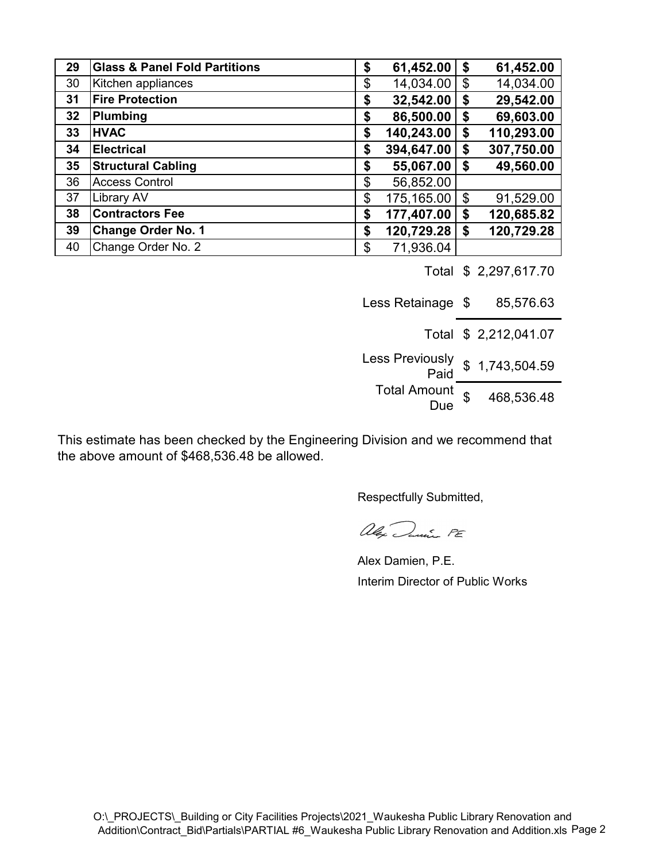| 29 | <b>Glass &amp; Panel Fold Partitions</b> | \$<br>61,452.00  | \$<br>61,452.00  |
|----|------------------------------------------|------------------|------------------|
| 30 | Kitchen appliances                       | \$<br>14,034.00  | \$<br>14,034.00  |
| 31 | <b>Fire Protection</b>                   | \$<br>32,542.00  | \$<br>29,542.00  |
| 32 | Plumbing                                 | \$<br>86,500.00  | \$<br>69,603.00  |
| 33 | <b>HVAC</b>                              | \$<br>140,243.00 | \$<br>110,293.00 |
| 34 | <b>Electrical</b>                        | \$<br>394,647.00 | \$<br>307,750.00 |
| 35 | <b>Structural Cabling</b>                | \$<br>55,067.00  | \$<br>49,560.00  |
| 36 | <b>Access Control</b>                    | \$<br>56,852.00  |                  |
| 37 | <b>Library AV</b>                        | \$<br>175,165.00 | \$<br>91,529.00  |
| 38 | <b>Contractors Fee</b>                   | \$<br>177,407.00 | \$<br>120,685.82 |
| 39 | <b>Change Order No. 1</b>                | \$<br>120,729.28 | \$<br>120,729.28 |
| 40 | Change Order No. 2                       | \$<br>71,936.04  |                  |

Total \$ 2,297,617.70

Less Retainage \$ 85,576.63

- Total \$ 2,212,041.07
- Less Previously Paid \$ 1,743,504.59 Total Amount  $\frac{50}{100}$  \$ 468,536.48

This estimate has been checked by the Engineering Division and we recommend that the above amount of \$468,536.48 be allowed.

alex Juni PE

Alex Damien, P.E. Interim Director of Public Works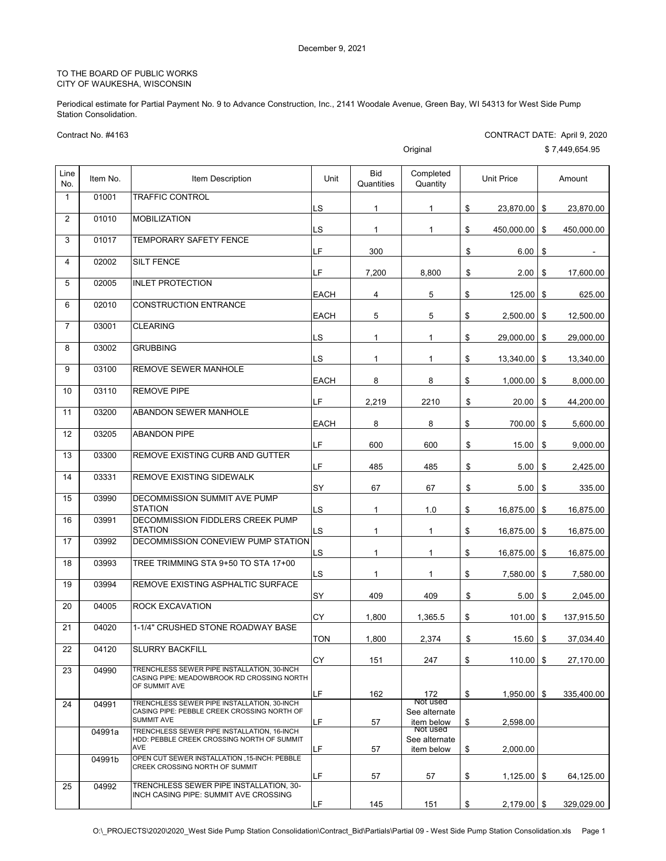Periodical estimate for Partial Payment No. 9 to Advance Construction, Inc., 2141 Woodale Avenue, Green Bay, WI 54313 for West Side Pump Station Consolidation.

CONTRACT DATE: April 9, 2020

Contract No. #4163

|                |          |                                                                                                                 |             |                          | Original                                |                     |    | \$7,449,654.95 |
|----------------|----------|-----------------------------------------------------------------------------------------------------------------|-------------|--------------------------|-----------------------------------------|---------------------|----|----------------|
| Line<br>No.    | Item No. | Item Description                                                                                                | Unit        | <b>Bid</b><br>Quantities | Completed<br>Quantity                   | <b>Unit Price</b>   |    | Amount         |
| $\mathbf{1}$   | 01001    | <b>TRAFFIC CONTROL</b>                                                                                          | LS          | 1                        | 1                                       | \$<br>23,870.00     | \$ | 23,870.00      |
| $\overline{2}$ | 01010    | <b>MOBILIZATION</b>                                                                                             | LS          | $\mathbf{1}$             | $\mathbf{1}$                            | \$<br>450,000.00    | \$ | 450,000.00     |
| 3              | 01017    | TEMPORARY SAFETY FENCE                                                                                          | LF          | 300                      |                                         | \$<br>6.00          | \$ |                |
| 4              | 02002    | <b>SILT FENCE</b>                                                                                               | LF          | 7,200                    | 8,800                                   | \$<br>2.00          | \$ | 17.600.00      |
| 5              | 02005    | <b>INLET PROTECTION</b>                                                                                         | <b>EACH</b> | 4                        | 5                                       | \$<br>125.00        | \$ | 625.00         |
| 6              | 02010    | <b>CONSTRUCTION ENTRANCE</b>                                                                                    |             |                          |                                         |                     |    |                |
| $\overline{7}$ | 03001    | <b>CLEARING</b>                                                                                                 | <b>EACH</b> | 5                        | 5                                       | \$<br>2,500.00      | \$ | 12,500.00      |
| 8              | 03002    | <b>GRUBBING</b>                                                                                                 | LS          | $\mathbf{1}$             | $\mathbf{1}$                            | \$<br>29,000.00     | \$ | 29,000.00      |
| 9              | 03100    | REMOVE SEWER MANHOLE                                                                                            | LS          | $\mathbf{1}$             | $\mathbf{1}$                            | \$<br>13,340.00     | \$ | 13,340.00      |
| 10             | 03110    | <b>REMOVE PIPE</b>                                                                                              | EACH        | 8                        | 8                                       | \$<br>1,000.00      | \$ | 8,000.00       |
| 11             | 03200    | <b>ABANDON SEWER MANHOLE</b>                                                                                    | LF          | 2,219                    | 2210                                    | \$<br>20.00         | \$ | 44,200.00      |
| 12             | 03205    | <b>ABANDON PIPE</b>                                                                                             | <b>EACH</b> | 8                        | 8                                       | \$<br>700.00        | \$ | 5,600.00       |
| 13             | 03300    | REMOVE EXISTING CURB AND GUTTER                                                                                 | LF          | 600                      | 600                                     | \$<br>15.00         | \$ | 9,000.00       |
|                | 03331    | REMOVE EXISTING SIDEWALK                                                                                        | LF          | 485                      | 485                                     | \$<br>5.00          | \$ | 2,425.00       |
| 14             |          |                                                                                                                 | SY          | 67                       | 67                                      | \$<br>5.00          | \$ | 335.00         |
| 15             | 03990    | DECOMMISSION SUMMIT AVE PUMP<br><b>STATION</b>                                                                  | LS          | $\mathbf{1}$             | 1.0                                     | \$<br>16,875.00     | \$ | 16,875.00      |
| 16             | 03991    | DECOMMISSION FIDDLERS CREEK PUMP<br><b>STATION</b>                                                              | LS          | $\mathbf{1}$             | 1                                       | \$<br>16,875.00     | \$ | 16,875.00      |
| 17             | 03992    | DECOMMISSION CONEVIEW PUMP STATION                                                                              | LS          | $\mathbf{1}$             | $\mathbf{1}$                            | \$<br>16,875.00     | \$ | 16,875.00      |
| 18             | 03993    | TREE TRIMMING STA 9+50 TO STA 17+00                                                                             | LS          | $\mathbf{1}$             | $\mathbf{1}$                            | \$<br>7,580.00      | \$ | 7,580.00       |
| 19             | 03994    | REMOVE EXISTING ASPHALTIC SURFACE                                                                               | SY          | 409                      | 409                                     | \$<br>5.00          | \$ | 2,045.00       |
| 20             | 04005    | <b>ROCK EXCAVATION</b>                                                                                          | CY          | 1,800                    | 1,365.5                                 | \$<br>101.00        | \$ | 137,915.50     |
| 21             | 04020    | 1-1/4" CRUSHED STONE ROADWAY BASE                                                                               | TON         | 1,800                    | 2.374                                   | \$<br>15.60         | \$ | 37,034.40      |
| 22             | 04120    | <b>SLURRY BACKFILL</b>                                                                                          | CY          | 151                      | 247                                     | \$<br>110.00        | \$ | 27,170.00      |
| 23             | 04990    | TRENCHLESS SEWER PIPE INSTALLATION, 30-INCH<br>CASING PIPE: MEADOWBROOK RD CROSSING NORTH                       |             |                          |                                         |                     |    |                |
|                |          | OF SUMMIT AVE                                                                                                   | LF          | 162                      | 172                                     | \$<br>1,950.00      | S  | 335.400.00     |
| 24             | 04991    | TRENCHLESS SEWER PIPE INSTALLATION, 30-INCH<br>CASING PIPE: PEBBLE CREEK CROSSING NORTH OF<br><b>SUMMIT AVE</b> | LF          | 57                       | Not used<br>See alternate<br>item below | \$<br>2,598.00      |    |                |
|                | 04991a   | TRENCHLESS SEWER PIPE INSTALLATION. 16-INCH.<br>HDD: PEBBLE CREEK CROSSING NORTH OF SUMMIT<br>AVE               | LF          | 57                       | Not used<br>See alternate<br>item below | \$<br>2,000.00      |    |                |
|                | 04991b   | OPEN CUT SEWER INSTALLATION , 15-INCH: PEBBLE<br>CREEK CROSSING NORTH OF SUMMIT                                 |             |                          |                                         |                     |    |                |
| 25             | 04992    | TRENCHLESS SEWER PIPE INSTALLATION, 30-                                                                         | LF          | 57                       | 57                                      | \$<br>1,125.00      | \$ | 64,125.00      |
|                |          | INCH CASING PIPE: SUMMIT AVE CROSSING                                                                           | LF          | 145                      | 151                                     | \$<br>$2,179.00$ \$ |    | 329,029.00     |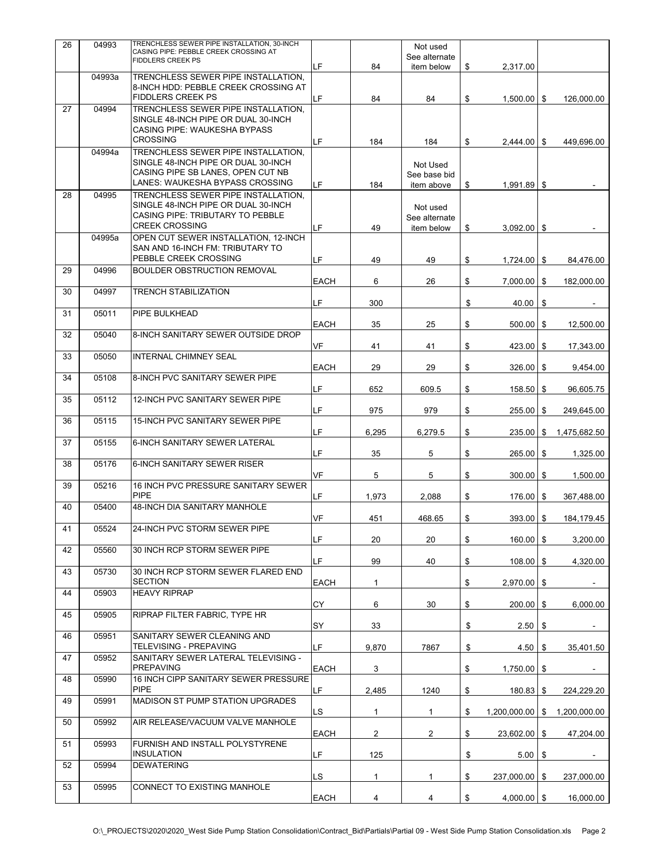| 26 | 04993  | TRENCHLESS SEWER PIPE INSTALLATION, 30-INCH<br>CASING PIPE: PEBBLE CREEK CROSSING AT<br><b>FIDDLERS CREEK PS</b>                        |             |                | Not used<br>See alternate               |                       |      |              |
|----|--------|-----------------------------------------------------------------------------------------------------------------------------------------|-------------|----------------|-----------------------------------------|-----------------------|------|--------------|
|    | 04993a | TRENCHLESS SEWER PIPE INSTALLATION,                                                                                                     | LF          | 84             | item below                              | \$<br>2,317.00        |      |              |
|    |        | 8-INCH HDD: PEBBLE CREEK CROSSING AT<br><b>FIDDLERS CREEK PS</b>                                                                        | LF          | 84             | 84                                      | \$<br>$1,500.00$   \$ |      | 126,000.00   |
| 27 | 04994  | TRENCHLESS SEWER PIPE INSTALLATION,<br>SINGLE 48-INCH PIPE OR DUAL 30-INCH<br>CASING PIPE: WAUKESHA BYPASS                              |             |                |                                         |                       |      |              |
|    | 04994a | <b>CROSSING</b><br>TRENCHLESS SEWER PIPE INSTALLATION.                                                                                  | LF.         | 184            | 184                                     | \$<br>$2,444.00$ \$   |      | 449,696.00   |
|    |        | SINGLE 48-INCH PIPE OR DUAL 30-INCH<br>CASING PIPE SB LANES, OPEN CUT NB<br>LANES: WAUKESHA BYPASS CROSSING                             | LF.         | 184            | Not Used<br>See base bid<br>item above  | \$<br>$1,991.89$ \$   |      |              |
| 28 | 04995  | TRENCHLESS SEWER PIPE INSTALLATION,<br>SINGLE 48-INCH PIPE OR DUAL 30-INCH<br>CASING PIPE: TRIBUTARY TO PEBBLE<br><b>CREEK CROSSING</b> | LF          | 49             | Not used<br>See alternate<br>item below | \$<br>$3,092.00$ \ \$ |      |              |
|    | 04995a | OPEN CUT SEWER INSTALLATION, 12-INCH<br>SAN AND 16-INCH FM: TRIBUTARY TO<br>PEBBLE CREEK CROSSING                                       | LF          | 49             | 49                                      | \$<br>$1,724.00$ \ \$ |      | 84,476.00    |
| 29 | 04996  | <b>BOULDER OBSTRUCTION REMOVAL</b>                                                                                                      | EACH        | 6              | 26                                      | \$<br>$7,000.00$ \$   |      | 182,000.00   |
| 30 | 04997  | <b>TRENCH STABILIZATION</b>                                                                                                             | LF.         | 300            |                                         | \$<br>40.00           | \$   |              |
| 31 | 05011  | PIPE BULKHEAD                                                                                                                           | EACH        | 35             | 25                                      | \$<br>$500.00$ \$     |      | 12,500.00    |
| 32 | 05040  | 8-INCH SANITARY SEWER OUTSIDE DROP                                                                                                      | VF          | 41             | 41                                      | \$<br>423.00 \$       |      | 17,343.00    |
| 33 | 05050  | <b>INTERNAL CHIMNEY SEAL</b>                                                                                                            | <b>EACH</b> | 29             | 29                                      | \$<br>$326.00$ \$     |      | 9,454.00     |
| 34 | 05108  | 8-INCH PVC SANITARY SEWER PIPE                                                                                                          | LF          | 652            | 609.5                                   | \$<br>158.50          | - \$ | 96,605.75    |
| 35 | 05112  | <b>12-INCH PVC SANITARY SEWER PIPE</b>                                                                                                  | LF          | 975            | 979                                     | \$<br>255.00          | \$   | 249,645.00   |
| 36 | 05115  | <b>15-INCH PVC SANITARY SEWER PIPE</b>                                                                                                  | LF          | 6,295          | 6,279.5                                 | \$<br>235.00          | \$   | 1,475,682.50 |
| 37 | 05155  | 6-INCH SANITARY SEWER LATERAL                                                                                                           | LF          | 35             | 5                                       | \$<br>265.00          | \$   | 1,325.00     |
| 38 | 05176  | 6-INCH SANITARY SEWER RISER                                                                                                             | <b>VF</b>   | 5              | 5                                       | \$<br>$300.00$ \$     |      | 1,500.00     |
| 39 | 05216  | 16 INCH PVC PRESSURE SANITARY SEWER<br><b>PIPE</b>                                                                                      | LF          | 1.973          | 2,088                                   | \$<br>176.00 \$       |      | 367,488.00   |
| 40 | 05400  | 48-INCH DIA SANITARY MANHOLE                                                                                                            | VF          | 451            | 468.65                                  | \$<br>$393.00$ \$     |      | 184,179.45   |
| 41 | 05524  | 24-INCH PVC STORM SEWER PIPE                                                                                                            | LF          | 20             | 20                                      | \$<br>$160.00$ \$     |      | 3,200.00     |
| 42 | 05560  | 30 INCH RCP STORM SEWER PIPE                                                                                                            | LF.         | 99             | 40                                      | \$<br>108.00          | \$   | 4,320.00     |
| 43 | 05730  | 30 INCH RCP STORM SEWER FLARED END<br><b>SECTION</b>                                                                                    | EACH        | $\mathbf{1}$   |                                         | \$<br>2,970.00        | \$   | $\sim$       |
| 44 | 05903  | <b>HEAVY RIPRAP</b>                                                                                                                     | СY          | 6              | 30                                      | \$<br>200.00          | \$   | 6,000.00     |
| 45 | 05905  | RIPRAP FILTER FABRIC, TYPE HR                                                                                                           | SY          | 33             |                                         | \$<br>2.50            | \$   |              |
| 46 | 05951  | SANITARY SEWER CLEANING AND<br>TELEVISING - PREPAVING                                                                                   | LF          | 9,870          | 7867                                    | \$<br>4.50            | \$   | 35,401.50    |
| 47 | 05952  | SANITARY SEWER LATERAL TELEVISING -<br><b>PREPAVING</b>                                                                                 | EACH        | 3              |                                         | \$<br>1,750.00        | -\$  | $\sim$       |
| 48 | 05990  | 16 INCH CIPP SANITARY SEWER PRESSURE<br><b>PIPE</b>                                                                                     | LF          | 2,485          | 1240                                    | \$<br>180.83          | \$   | 224,229.20   |
| 49 | 05991  | MADISON ST PUMP STATION UPGRADES                                                                                                        | LS          | $\mathbf{1}$   | 1                                       | \$<br>1,200,000.00    | \$   | 1,200,000.00 |
| 50 | 05992  | AIR RELEASE/VACUUM VALVE MANHOLE                                                                                                        | EACH        | $\overline{2}$ | $\overline{2}$                          | \$<br>23,602.00 \$    |      | 47,204.00    |
| 51 | 05993  | FURNISH AND INSTALL POLYSTYRENE<br><b>INSULATION</b>                                                                                    | LF          | 125            |                                         | \$<br>5.00            | \$   |              |
| 52 | 05994  | <b>DEWATERING</b>                                                                                                                       | LS          | $\mathbf{1}$   | $\mathbf{1}$                            | \$<br>$237,000.00$ \$ |      | 237,000.00   |
| 53 | 05995  | CONNECT TO EXISTING MANHOLE                                                                                                             | EACH        | $\overline{4}$ | 4                                       | \$<br>$4,000.00$ \$   |      | 16,000.00    |
|    |        |                                                                                                                                         |             |                |                                         |                       |      |              |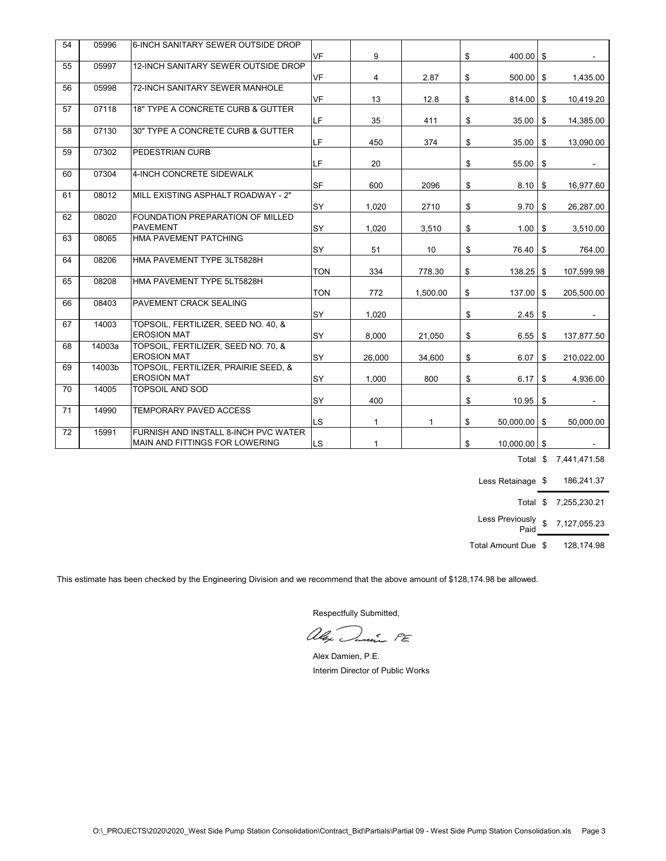| 54 | 05996  | 6-INCH SANITARY SEWER OUTSIDE DROP                        |            |              |          |                      |                  |
|----|--------|-----------------------------------------------------------|------------|--------------|----------|----------------------|------------------|
|    |        |                                                           | VF         | 9            |          | \$<br>$400.00$ \$    |                  |
| 55 | 05997  | 12-INCH SANITARY SEWER OUTSIDE DROP                       |            |              |          |                      |                  |
|    |        |                                                           | <b>VF</b>  | 4            | 2.87     | \$<br>$500.00$ \$    | 1,435.00         |
| 56 | 05998  | 72-INCH SANITARY SEWER MANHOLE                            | <b>VF</b>  |              |          |                      |                  |
| 57 | 07118  | 18" TYPE A CONCRETE CURB & GUTTER                         |            | 13           | 12.8     | \$<br>$814.00$ \$    | 10,419.20        |
|    |        |                                                           | LF         | 35           | 411      | \$<br>35.00          | \$<br>14,385.00  |
| 58 | 07130  | 30" TYPE A CONCRETE CURB & GUTTER                         |            |              |          |                      |                  |
|    |        |                                                           | LF         | 450          | 374      | \$<br>35.00          | \$<br>13,090.00  |
| 59 | 07302  | PEDESTRIAN CURB                                           |            |              |          |                      |                  |
|    |        |                                                           | LF         | 20           |          | \$<br>55.00          | \$               |
| 60 | 07304  | 4-INCH CONCRETE SIDEWALK                                  |            |              |          |                      |                  |
|    |        |                                                           | <b>SF</b>  | 600          | 2096     | \$<br>$8.10$ \ \$    | 16,977.60        |
| 61 | 08012  | MILL EXISTING ASPHALT ROADWAY - 2"                        |            |              |          |                      |                  |
|    |        |                                                           | <b>SY</b>  | 1,020        | 2710     | \$<br>9.70           | \$<br>26,287.00  |
| 62 | 08020  | FOUNDATION PREPARATION OF MILLED                          |            |              |          |                      |                  |
|    |        | <b>PAVEMENT</b>                                           | <b>SY</b>  | 1,020        | 3,510    | \$<br>1.00           | \$<br>3,510.00   |
| 63 | 08065  | HMA PAVEMENT PATCHING                                     |            |              |          |                      |                  |
|    |        |                                                           | <b>SY</b>  | 51           | 10       | \$<br>76.40          | \$<br>764.00     |
| 64 | 08206  | HMA PAVEMENT TYPE 3LT5828H                                |            |              |          |                      |                  |
|    |        |                                                           | <b>TON</b> | 334          | 778.30   | \$<br>138.25         | \$<br>107,599.98 |
| 65 | 08208  | HMA PAVEMENT TYPE 5LT5828H                                |            |              |          |                      |                  |
|    |        |                                                           | <b>TON</b> | 772          | 1,500.00 | \$<br>$137.00$ \$    | 205,500.00       |
| 66 | 08403  | PAVEMENT CRACK SEALING                                    |            |              |          |                      |                  |
|    |        |                                                           | SY         | 1,020        |          | \$<br>$2.45$ \$      |                  |
| 67 | 14003  | TOPSOIL, FERTILIZER, SEED NO. 40, &<br><b>EROSION MAT</b> |            |              |          |                      |                  |
| 68 | 14003a | TOPSOIL, FERTILIZER, SEED NO. 70, &                       | SY         | 8,000        | 21,050   | \$<br>6.55           | \$<br>137,877.50 |
|    |        | <b>EROSION MAT</b>                                        | <b>SY</b>  |              |          | \$<br>6.07           |                  |
| 69 | 14003b | TOPSOIL, FERTILIZER, PRAIRIE SEED, &                      |            | 26,000       | 34,600   |                      | \$<br>210,022.00 |
|    |        | <b>EROSION MAT</b>                                        | SY         | 1,000        | 800      | \$<br>6.17           | \$<br>4,936.00   |
| 70 | 14005  | <b>TOPSOIL AND SOD</b>                                    |            |              |          |                      |                  |
|    |        |                                                           | SY         | 400          |          | \$<br>$10.95$ \$     |                  |
| 71 | 14990  | TEMPORARY PAVED ACCESS                                    |            |              |          |                      |                  |
|    |        |                                                           | LS.        | $\mathbf{1}$ | 1        | \$<br>$50,000.00$ \$ | 50,000.00        |
| 72 | 15991  | FURNISH AND INSTALL 8-INCH PVC WATER                      |            |              |          |                      |                  |
|    |        | IMAIN AND FITTINGS FOR LOWERING                           | LS.        | $\mathbf{1}$ |          | \$<br>$10.000.00$ S  |                  |

Total \$ 7,441,471.58

Less Retainage \$ 186,241.37

Total \$ 7,255,230.21

Less Previously Paid \$ 7,127,055.23

Total Amount Due \$ 128,174.98

This estimate has been checked by the Engineering Division and we recommend that the above amount of \$128,174.98 be allowed.

alex Danie PE

Alex Damien, P.E. Interim Director of Public Works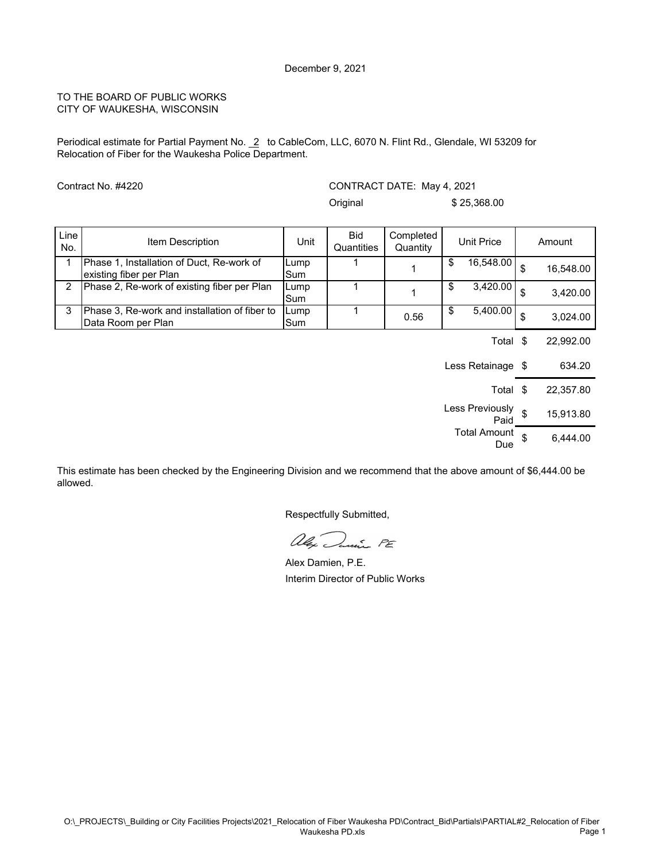Periodical estimate for Partial Payment No. 2 to CableCom, LLC, 6070 N. Flint Rd., Glendale, WI 53209 for Relocation of Fiber for the Waukesha Police Department.

Contract No. #4220

CONTRACT DATE: May 4, 2021 Original \$ 25,368.00

| <b>Line</b><br>No. | Item Description                                                     | Unit        | Bid<br>Quantities | Completed<br>Quantity |     | <b>Unit Price</b> | Amount          |
|--------------------|----------------------------------------------------------------------|-------------|-------------------|-----------------------|-----|-------------------|-----------------|
|                    | Phase 1, Installation of Duct, Re-work of<br>existing fiber per Plan | Lump<br>Sum |                   |                       | \$. | 16,548.00         | \$<br>16,548.00 |
| 2                  | Phase 2, Re-work of existing fiber per Plan                          | Lump<br>Sum |                   |                       | \$. | 3,420.00          | \$<br>3,420.00  |
| 3                  | Phase 3, Re-work and installation of fiber to<br>Data Room per Plan  | Lump<br>Sum |                   | 0.56                  | \$. | 5,400.00          | \$<br>3.024.00  |
|                    |                                                                      |             |                   |                       |     | Total             | 22,992.00       |

Less Retainage \$634.20 Total \$ 22,357.80 Less Previously s  $\frac{94819}{96}$  \$ 15,913.80 Total Amount  $$ 6,444.00$ 

This estimate has been checked by the Engineering Division and we recommend that the above amount of \$6,444.00 be allowed.

alex Danie PE

Alex Damien, P.E. Interim Director of Public Works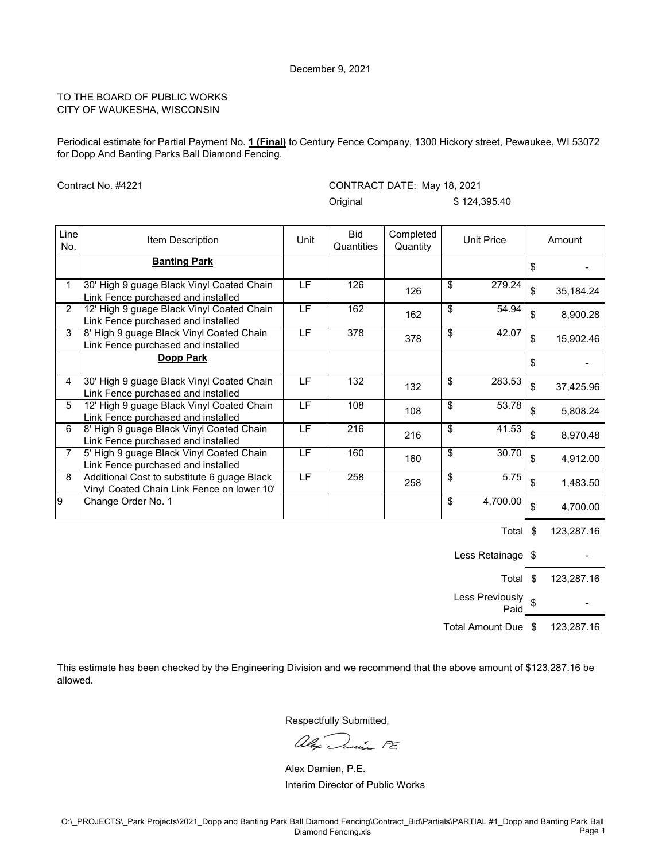Periodical estimate for Partial Payment No. **1 (Final)** to Century Fence Company, 1300 Hickory street, Pewaukee, WI 53072 for Dopp And Banting Parks Ball Diamond Fencing.

Contract No. #4221

CONTRACT DATE: May 18, 2021

Original \$ 124,395.40

| Line<br>No.    | Item Description                                                                          | Unit            | <b>Bid</b><br>Quantities | Completed<br>Quantity | <b>Unit Price</b>        | Amount          |
|----------------|-------------------------------------------------------------------------------------------|-----------------|--------------------------|-----------------------|--------------------------|-----------------|
|                | <b>Banting Park</b>                                                                       |                 |                          |                       |                          | \$              |
|                | 30' High 9 guage Black Vinyl Coated Chain<br>Link Fence purchased and installed           | LF.             | 126                      | 126                   | \$<br>279.24             | \$<br>35,184.24 |
| $\overline{2}$ | 12' High 9 guage Black Vinyl Coated Chain<br>Link Fence purchased and installed           | $\overline{LF}$ | 162                      | 162                   | \$<br>54.94              | \$<br>8,900.28  |
| 3              | 8' High 9 guage Black Vinyl Coated Chain<br>Link Fence purchased and installed            | LF.             | 378                      | 378                   | \$<br>$\overline{42.07}$ | \$<br>15,902.46 |
|                | Dopp Park                                                                                 |                 |                          |                       |                          | \$              |
| 4              | 30' High 9 guage Black Vinyl Coated Chain<br>Link Fence purchased and installed           | LF.             | 132                      | 132                   | \$<br>283.53             | \$<br>37,425.96 |
| 5              | 12' High 9 guage Black Vinyl Coated Chain<br>Link Fence purchased and installed           | LF.             | 108                      | 108                   | \$<br>53.78              | \$<br>5,808.24  |
| 6              | 8' High 9 guage Black Vinyl Coated Chain<br>Link Fence purchased and installed            | LF.             | 216                      | 216                   | \$<br>41.53              | \$<br>8,970.48  |
| $\overline{7}$ | 5' High 9 guage Black Vinyl Coated Chain<br>Link Fence purchased and installed            | LF.             | 160                      | 160                   | \$<br>30.70              | \$<br>4,912.00  |
| 8              | Additional Cost to substitute 6 guage Black<br>Vinyl Coated Chain Link Fence on lower 10' | LF              | 258                      | 258                   | \$<br>5.75               | \$<br>1,483.50  |
| 9              | Change Order No. 1                                                                        |                 |                          |                       | \$<br>4,700.00           | \$<br>4,700.00  |

Total \$ 123,287.16

Less Retainage  $\,$ \$ -Total \$ 123,287.16 Less Previously <sub>\$</sub> Paid **\$** 

Total Amount Due \$ 123,287.16

This estimate has been checked by the Engineering Division and we recommend that the above amount of \$123,287.16 be allowed.

alex Danie PE

Alex Damien, P.E. Interim Director of Public Works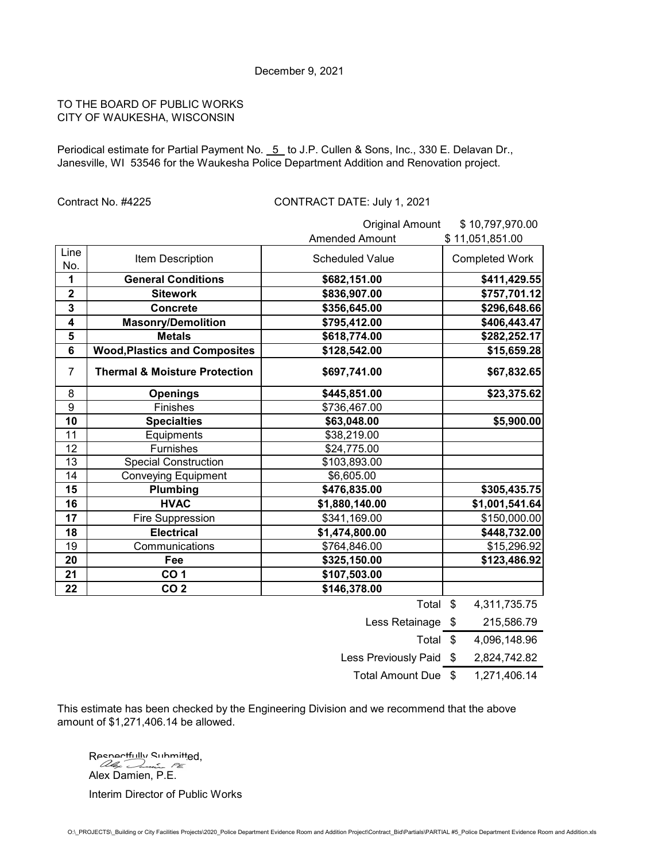Periodical estimate for Partial Payment No. 5 to J.P. Cullen & Sons, Inc., 330 E. Delavan Dr., Janesville, WI 53546 for the Waukesha Police Department Addition and Renovation project.

# Contract No. #4225 CONTRACT DATE: July 1, 2021

|                         |                                          | <b>Original Amount</b> | \$10,797,970.00       |
|-------------------------|------------------------------------------|------------------------|-----------------------|
|                         |                                          | <b>Amended Amount</b>  | \$11,051,851.00       |
| Line                    | Item Description                         | <b>Scheduled Value</b> | <b>Completed Work</b> |
| No.                     |                                          |                        |                       |
| 1                       | <b>General Conditions</b>                | \$682,151.00           | \$411,429.55          |
| $\overline{\mathbf{2}}$ | <b>Sitework</b>                          | \$836,907.00           | \$757,701.12          |
| 3                       | <b>Concrete</b>                          | \$356,645.00           | \$296,648.66          |
| 4                       | <b>Masonry/Demolition</b>                | \$795,412.00           | \$406,443.47          |
| 5                       | <b>Metals</b>                            | \$618,774.00           | \$282,252.17          |
| 6                       | <b>Wood, Plastics and Composites</b>     | \$128,542.00           | \$15,659.28           |
| 7                       | <b>Thermal &amp; Moisture Protection</b> | \$697,741.00           | \$67,832.65           |
| 8                       | <b>Openings</b>                          | \$445,851.00           | \$23,375.62           |
| 9                       | <b>Finishes</b>                          | \$736,467.00           |                       |
| 10                      | <b>Specialties</b>                       | \$63,048.00            | \$5,900.00            |
| 11                      | Equipments                               | \$38,219.00            |                       |
| $\overline{12}$         | Furnishes                                | \$24,775.00            |                       |
| 13                      | <b>Special Construction</b>              | \$103,893.00           |                       |
| 14                      | <b>Conveying Equipment</b>               | \$6,605.00             |                       |
| 15                      | Plumbing                                 | \$476,835.00           | \$305,435.75          |
| 16                      | <b>HVAC</b>                              | \$1,880,140.00         | \$1,001,541.64        |
| 17                      | <b>Fire Suppression</b>                  | \$341,169.00           | \$150,000.00          |
| 18                      | <b>Electrical</b>                        | \$1,474,800.00         | \$448,732.00          |
| 19                      | Communications                           | \$764,846.00           | \$15,296.92           |
| 20                      | Fee                                      | \$325,150.00           | \$123,486.92          |
| 21                      | CO <sub>1</sub>                          | \$107,503.00           |                       |
| 22                      | CO <sub>2</sub>                          | \$146,378.00           |                       |
|                         |                                          | Total \$               | 4,311,735.75          |
|                         |                                          | $I = 0$                | $0.4E$ FOR $70$       |

Less Retainage \$ 215,586.79 Total \$ 4,096,148.96 Less Previously Paid \$ 2,824,742.82

Total Amount Due \$ 1,271,406.14

This estimate has been checked by the Engineering Division and we recommend that the above amount of \$1,271,406.14 be allowed.

 $R$ penortfully Submitted, Alex Damien, P.E. Interim Director of Public Works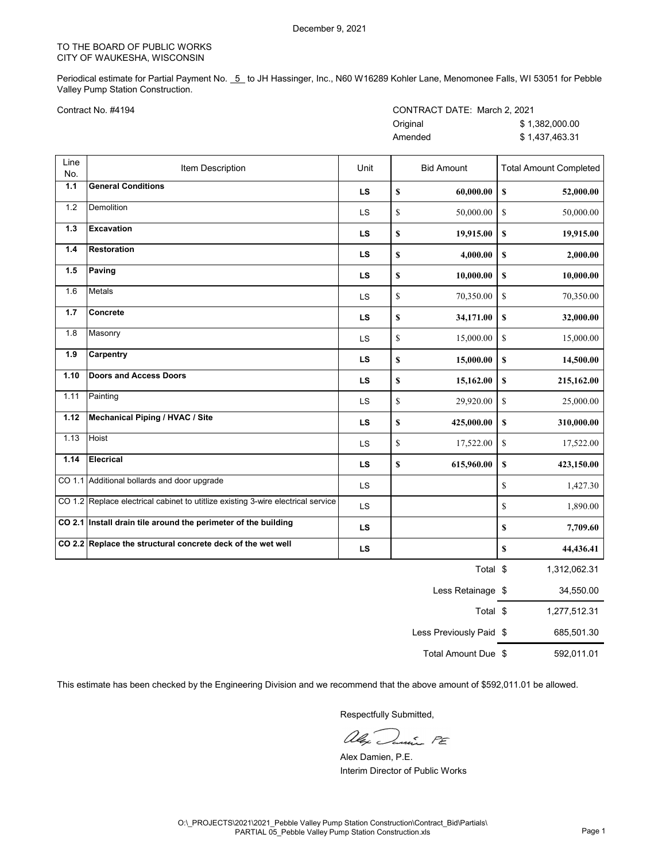Periodical estimate for Partial Payment No. 5 to JH Hassinger, Inc., N60 W16289 Kohler Lane, Menomonee Falls, WI 53051 for Pebble Valley Pump Station Construction.

| CONTRACT DATE: March 2, 2021 |                |
|------------------------------|----------------|
| Original                     | \$1.382.000.00 |
| Amended                      | \$1.437.463.31 |

| Line<br>No. | Item Description                                                                 | Unit      | <b>Bid Amount</b>        | <b>Total Amount Completed</b> |
|-------------|----------------------------------------------------------------------------------|-----------|--------------------------|-------------------------------|
| $1.1$       | <b>General Conditions</b>                                                        | <b>LS</b> | \$<br>60,000.00          | $\mathbb S$<br>52,000.00      |
| 1.2         | Demolition                                                                       | LS        | \$<br>50,000.00          | $\mathbb{S}$<br>50,000.00     |
| $1.3$       | <b>Excavation</b>                                                                | <b>LS</b> | \$<br>19,915.00          | \$<br>19,915.00               |
| 1.4         | <b>Restoration</b>                                                               | <b>LS</b> | \$<br>4,000.00           | $\mathbb S$<br>2,000.00       |
| 1.5         | Paving                                                                           | <b>LS</b> | \$<br>10,000.00          | $\mathbb S$<br>10,000.00      |
| 1.6         | Metals                                                                           | LS        | \$<br>70,350.00          | $\mathbf S$<br>70,350.00      |
| $1.7$       | Concrete                                                                         | <b>LS</b> | \$<br>34,171.00          | $\mathbb S$<br>32,000.00      |
| 1.8         | Masonry                                                                          | LS        | $\mathbb S$<br>15,000.00 | \$<br>15,000.00               |
| 1.9         | Carpentry                                                                        | <b>LS</b> | \$<br>15,000.00          | $\mathbb S$<br>14,500.00      |
| 1.10        | <b>Doors and Access Doors</b>                                                    | LS        | \$<br>15,162.00          | \$<br>215,162.00              |
| 1.11        | Painting                                                                         | LS        | \$<br>29,920.00          | $\mathbb S$<br>25,000.00      |
| 1.12        | <b>Mechanical Piping / HVAC / Site</b>                                           | <b>LS</b> | \$<br>425,000.00         | \$<br>310,000.00              |
| 1.13        | Hoist                                                                            | LS        | \$<br>17,522.00          | $\mathbb S$<br>17,522.00      |
| 1.14        | <b>Elecrical</b>                                                                 | <b>LS</b> | \$<br>615,960.00         | $\mathbb S$<br>423,150.00     |
|             | CO 1.1 Additional bollards and door upgrade                                      | <b>LS</b> |                          | \$<br>1,427.30                |
|             | CO 1.2 Replace electrical cabinet to utitlize existing 3-wire electrical service | LS        |                          | \$<br>1,890.00                |
|             | CO 2.1 Install drain tile around the perimeter of the building                   | <b>LS</b> |                          | \$<br>7,709.60                |
|             | CO 2.2 Replace the structural concrete deck of the wet well                      | LS        |                          | \$<br>44,436.41               |
|             |                                                                                  |           | Total \$                 | 1,312,062.31                  |
|             |                                                                                  |           | Less Retainage \$        | 34,550.00                     |
|             |                                                                                  |           | Total \$                 | 1,277,512.31                  |
|             |                                                                                  |           | Less Previously Paid \$  | 685,501.30                    |

Total Amount Due \$ 592,011.01

This estimate has been checked by the Engineering Division and we recommend that the above amount of \$592,011.01 be allowed.

alex.  $\frac{c}{2}$   $P_{E}$ 

Alex Damien, P.E. Interim Director of Public Works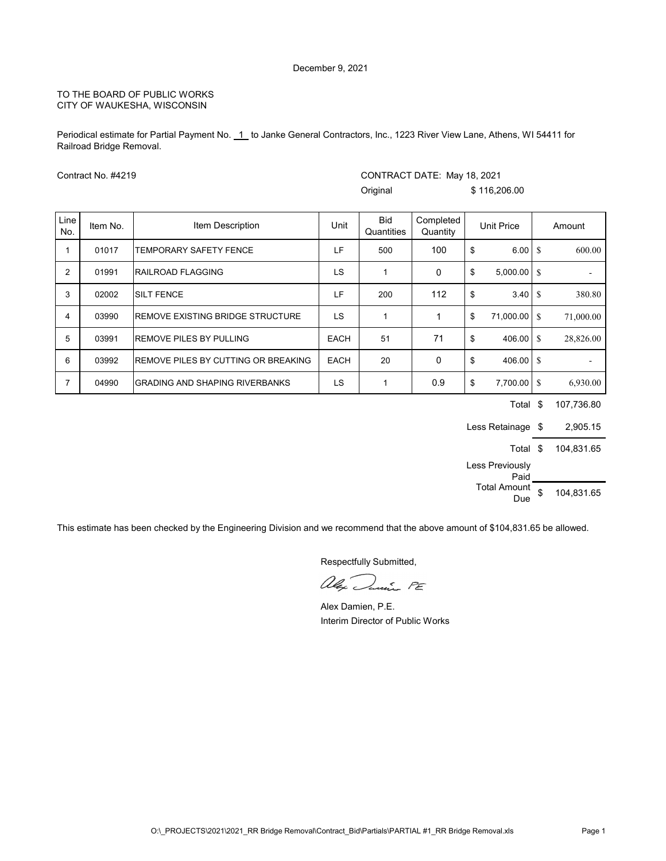Periodical estimate for Partial Payment No. 1 to Janke General Contractors, Inc., 1223 River View Lane, Athens, WI 54411 for Railroad Bridge Removal.

|                | Contract No. #4219 |                                            |             | CONTRACT DATE: May 18, 2021 |                       |    |                    |            |
|----------------|--------------------|--------------------------------------------|-------------|-----------------------------|-----------------------|----|--------------------|------------|
|                |                    |                                            |             | Original                    |                       |    | \$116,206.00       |            |
| Line<br>No.    | Item No.           | Item Description                           | Unit        | <b>Bid</b><br>Quantities    | Completed<br>Quantity |    | Unit Price         | Amount     |
| 1              | 01017              | <b>TEMPORARY SAFETY FENCE</b>              | LF          | 500                         | 100                   | \$ | 6.00 S             | 600.00     |
| 2              | 01991              | <b>RAILROAD FLAGGING</b>                   | LS          | 1                           | 0                     | \$ | 5,000.00 \$        |            |
| 3              | 02002              | <b>SILT FENCE</b>                          | LF          | 200                         | 112                   | \$ | $3.40 \mid$ \$     | 380.80     |
| 4              | 03990              | IREMOVE EXISTING BRIDGE STRUCTURE          | LS          | 1                           | 1                     | \$ | 71,000.00 \$       | 71,000.00  |
| 5              | 03991              | <b>REMOVE PILES BY PULLING</b>             | <b>EACH</b> | 51                          | 71                    | \$ |                    | 28,826.00  |
| 6              | 03992              | <b>REMOVE PILES BY CUTTING OR BREAKING</b> | <b>EACH</b> | 20                          | $\mathbf 0$           | \$ | $406.00$ $\degree$ |            |
| $\overline{7}$ | 04990              | <b>GRADING AND SHAPING RIVERBANKS</b>      | LS          | 1                           | 0.9                   | \$ | 7,700.00 \$        | 6,930.00   |
|                |                    |                                            |             |                             |                       |    | Total \$           | 107,736.80 |

Less Retainage \$2,905.15 Total \$ 104,831.65 Less Previously Paid Total Amount  $$ 104,831.65$ 

This estimate has been checked by the Engineering Division and we recommend that the above amount of \$104,831.65 be allowed.

alex Danie PE

Alex Damien, P.E. Interim Director of Public Works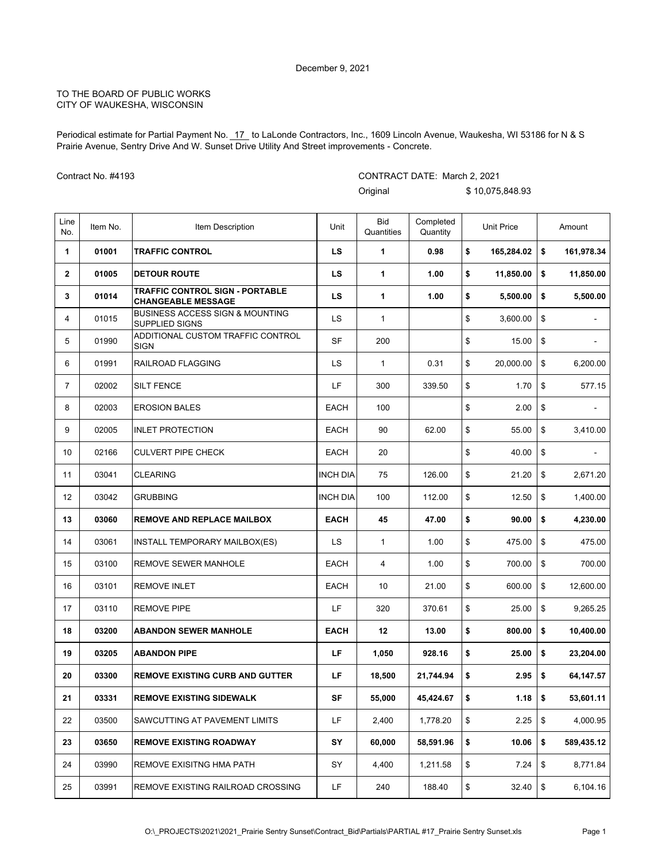Periodical estimate for Partial Payment No. 17\_to LaLonde Contractors, Inc., 1609 Lincoln Avenue, Waukesha, WI 53186 for N & S Prairie Avenue, Sentry Drive And W. Sunset Drive Utility And Street improvements - Concrete.

CONTRACT DATE: March 2, 2021

Contract No. #4193

|                |          |                                                                     |                 | Original                 |                       | \$10,075,848.93             |                  |
|----------------|----------|---------------------------------------------------------------------|-----------------|--------------------------|-----------------------|-----------------------------|------------------|
| Line<br>No.    | Item No. | Item Description                                                    | Unit            | <b>Bid</b><br>Quantities | Completed<br>Quantity | <b>Unit Price</b>           | Amount           |
| 1              | 01001    | <b>TRAFFIC CONTROL</b>                                              | LS.             | 1                        | 0.98                  | \$<br>165,284.02            | \$<br>161,978.34 |
| $\mathbf{2}$   | 01005    | <b>DETOUR ROUTE</b>                                                 | LS.             | $\mathbf{1}$             | 1.00                  | \$<br>11,850.00             | \$<br>11,850.00  |
| 3              | 01014    | <b>TRAFFIC CONTROL SIGN - PORTABLE</b><br><b>CHANGEABLE MESSAGE</b> | LS              | 1                        | 1.00                  | \$<br>5,500.00              | \$<br>5,500.00   |
| 4              | 01015    | <b>BUSINESS ACCESS SIGN &amp; MOUNTING</b><br>SUPPLIED SIGNS        | <b>LS</b>       | 1                        |                       | \$<br>3,600.00              | \$               |
| 5              | 01990    | ADDITIONAL CUSTOM TRAFFIC CONTROL<br><b>SIGN</b>                    | <b>SF</b>       | 200                      |                       | \$<br>15.00                 | \$               |
| 6              | 01991    | RAILROAD FLAGGING                                                   | LS              | 1                        | 0.31                  | \$<br>20,000.00             | \$<br>6,200.00   |
| $\overline{7}$ | 02002    | <b>SILT FENCE</b>                                                   | LF              | 300                      | 339.50                | \$<br>1.70                  | \$<br>577.15     |
| 8              | 02003    | <b>EROSION BALES</b>                                                | <b>EACH</b>     | 100                      |                       | \$<br>2.00                  | \$<br>÷          |
| 9              | 02005    | <b>INLET PROTECTION</b>                                             | <b>EACH</b>     | 90                       | 62.00                 | \$<br>55.00                 | \$<br>3,410.00   |
| 10             | 02166    | <b>CULVERT PIPE CHECK</b>                                           | <b>EACH</b>     | 20                       |                       | \$<br>40.00                 | \$               |
| 11             | 03041    | <b>CLEARING</b>                                                     | <b>INCH DIA</b> | 75                       | 126.00                | \$<br>21.20                 | \$<br>2,671.20   |
| 12             | 03042    | <b>GRUBBING</b>                                                     | <b>INCH DIA</b> | 100                      | 112.00                | \$<br>12.50                 | \$<br>1,400.00   |
| 13             | 03060    | <b>REMOVE AND REPLACE MAILBOX</b>                                   | <b>EACH</b>     | 45                       | 47.00                 | \$<br>90.00                 | \$<br>4,230.00   |
| 14             | 03061    | INSTALL TEMPORARY MAILBOX(ES)                                       | LS              | 1                        | 1.00                  | \$<br>475.00                | \$<br>475.00     |
| 15             | 03100    | REMOVE SEWER MANHOLE                                                | <b>EACH</b>     | 4                        | 1.00                  | \$<br>700.00                | \$<br>700.00     |
| 16             | 03101    | <b>REMOVE INLET</b>                                                 | <b>EACH</b>     | 10                       | 21.00                 | \$<br>600.00                | \$<br>12,600.00  |
| 17             | 03110    | <b>REMOVE PIPE</b>                                                  | LF              | 320                      | 370.61                | \$<br>25.00                 | \$<br>9,265.25   |
| 18             | 03200    | <b>ABANDON SEWER MANHOLE</b>                                        | <b>EACH</b>     | 12                       | 13.00                 | \$<br>800.00                | \$<br>10,400.00  |
| 19             | 03205    | <b>ABANDON PIPE</b>                                                 | LF              | 1,050                    | 928.16                | \$<br>25.00                 | \$<br>23,204.00  |
| 20             | 03300    | <b>REMOVE EXISTING CURB AND GUTTER</b>                              | LF              | 18,500                   | 21,744.94             | \$<br>$2.95 \, \times \, 5$ | 64,147.57        |
| 21             | 03331    | <b>REMOVE EXISTING SIDEWALK</b>                                     | <b>SF</b>       | 55,000                   | 45,424.67             | \$<br>1.18                  | \$<br>53,601.11  |
| 22             | 03500    | SAWCUTTING AT PAVEMENT LIMITS                                       | LF              | 2,400                    | 1,778.20              | \$<br>2.25                  | \$<br>4,000.95   |
| 23             | 03650    | <b>REMOVE EXISTING ROADWAY</b>                                      | SY              | 60,000                   | 58,591.96             | \$<br>10.06                 | \$<br>589,435.12 |
| 24             | 03990    | REMOVE EXISITNG HMA PATH                                            | SY              | 4,400                    | 1,211.58              | \$<br>7.24                  | \$<br>8,771.84   |
| 25             | 03991    | REMOVE EXISTING RAILROAD CROSSING                                   | LF              | 240                      | 188.40                | \$<br>$32.40$ \$            | 6,104.16         |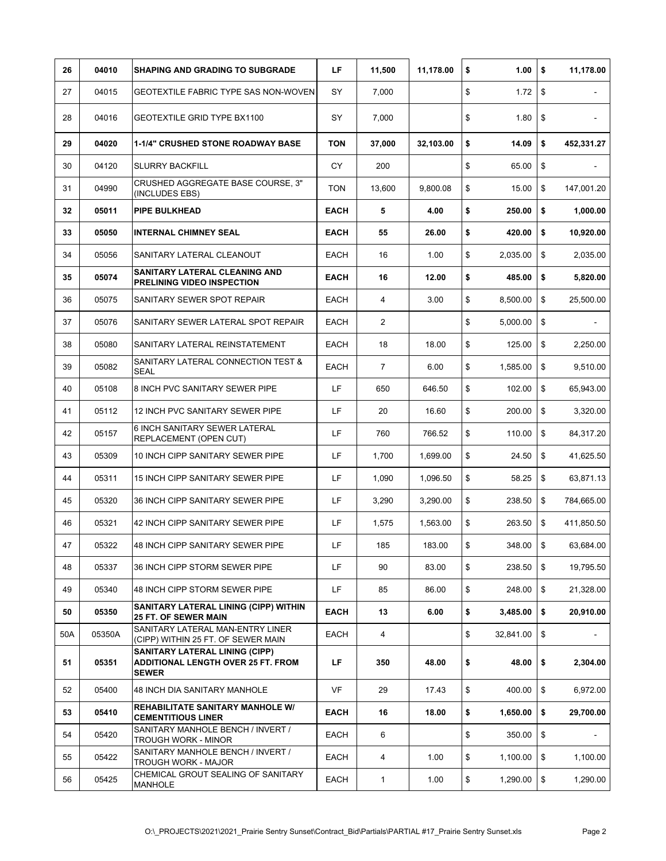| 26  | 04010  | <b>SHAPING AND GRADING TO SUBGRADE</b>                                                             | LF          | 11,500         | 11,178.00 | \$<br>1.00      | \$<br>11,178.00  |
|-----|--------|----------------------------------------------------------------------------------------------------|-------------|----------------|-----------|-----------------|------------------|
| 27  | 04015  | GEOTEXTILE FABRIC TYPE SAS NON-WOVEN                                                               | SY          | 7,000          |           | \$<br>1.72      | \$               |
| 28  | 04016  | GEOTEXTILE GRID TYPE BX1100                                                                        | SY          | 7,000          |           | \$<br>1.80      | \$               |
| 29  | 04020  | <b>1-1/4" CRUSHED STONE ROADWAY BASE</b>                                                           | <b>TON</b>  | 37,000         | 32,103.00 | \$<br>14.09     | \$<br>452,331.27 |
| 30  | 04120  | <b>SLURRY BACKFILL</b>                                                                             | CY          | 200            |           | \$<br>65.00     | \$               |
| 31  | 04990  | CRUSHED AGGREGATE BASE COURSE, 3"<br>(INCLUDES EBS)                                                | <b>TON</b>  | 13,600         | 9.800.08  | \$<br>15.00     | \$<br>147,001.20 |
| 32  | 05011  | <b>PIPE BULKHEAD</b>                                                                               | EACH        | 5              | 4.00      | \$<br>250.00    | \$<br>1,000.00   |
| 33  | 05050  | <b>INTERNAL CHIMNEY SEAL</b>                                                                       | <b>EACH</b> | 55             | 26.00     | \$<br>420.00    | \$<br>10,920.00  |
| 34  | 05056  | SANITARY LATERAL CLEANOUT                                                                          | EACH        | 16             | 1.00      | \$<br>2,035.00  | \$<br>2,035.00   |
| 35  | 05074  | <b>SANITARY LATERAL CLEANING AND</b><br><b>PRELINING VIDEO INSPECTION</b>                          | <b>EACH</b> | 16             | 12.00     | \$<br>485.00    | \$<br>5,820.00   |
| 36  | 05075  | SANITARY SEWER SPOT REPAIR                                                                         | <b>EACH</b> | 4              | 3.00      | \$<br>8,500.00  | \$<br>25,500.00  |
| 37  | 05076  | SANITARY SEWER LATERAL SPOT REPAIR                                                                 | EACH        | 2              |           | \$<br>5,000.00  | \$               |
| 38  | 05080  | SANITARY LATERAL REINSTATEMENT                                                                     | <b>EACH</b> | 18             | 18.00     | \$<br>125.00    | \$<br>2,250.00   |
| 39  | 05082  | SANITARY LATERAL CONNECTION TEST &<br><b>SEAL</b>                                                  | EACH        | $\overline{7}$ | 6.00      | \$<br>1,585.00  | \$<br>9,510.00   |
| 40  | 05108  | 8 INCH PVC SANITARY SEWER PIPE                                                                     | LF          | 650            | 646.50    | \$<br>102.00    | \$<br>65,943.00  |
| 41  | 05112  | 12 INCH PVC SANITARY SEWER PIPE                                                                    | LF          | 20             | 16.60     | \$<br>200.00    | \$<br>3,320.00   |
| 42  | 05157  | 6 INCH SANITARY SEWER LATERAL<br><b>REPLACEMENT (OPEN CUT)</b>                                     | LF          | 760            | 766.52    | \$<br>110.00    | \$<br>84,317.20  |
| 43  | 05309  | 10 INCH CIPP SANITARY SEWER PIPE                                                                   | LF          | 1,700          | 1,699.00  | \$<br>24.50     | \$<br>41,625.50  |
| 44  | 05311  | 15 INCH CIPP SANITARY SEWER PIPE                                                                   | LF          | 1,090          | 1,096.50  | \$<br>58.25     | \$<br>63,871.13  |
| 45  | 05320  | 36 INCH CIPP SANITARY SEWER PIPE                                                                   | LF          | 3,290          | 3,290.00  | \$<br>238.50    | \$<br>784,665.00 |
| 46  | 05321  | 42 INCH CIPP SANITARY SEWER PIPE                                                                   | LF          | 1,575          | 1,563.00  | \$<br>263.50    | \$<br>411,850.50 |
| 47  | 05322  | 48 INCH CIPP SANITARY SEWER PIPE                                                                   | LF          | 185            | 183.00    | \$<br>348.00    | \$<br>63,684.00  |
| 48  | 05337  | 36 INCH CIPP STORM SEWER PIPE                                                                      | LF          | 90             | 83.00     | \$<br>238.50    | \$<br>19,795.50  |
| 49  | 05340  | 48 INCH CIPP STORM SEWER PIPE                                                                      | LF.         | 85             | 86.00     | \$<br>248.00    | \$<br>21,328.00  |
| 50  | 05350  | SANITARY LATERAL LINING (CIPP) WITHIN<br><b>25 FT. OF SEWER MAIN</b>                               | <b>EACH</b> | 13             | 6.00      | \$<br>3,485.00  | \$<br>20,910.00  |
| 50A | 05350A | SANITARY LATERAL MAN-ENTRY LINER<br>(CIPP) WITHIN 25 FT. OF SEWER MAIN                             | EACH        | 4              |           | \$<br>32,841.00 | \$               |
| 51  | 05351  | <b>SANITARY LATERAL LINING (CIPP)</b><br><b>ADDITIONAL LENGTH OVER 25 FT. FROM</b><br><b>SEWER</b> | LF          | 350            | 48.00     | \$<br>48.00     | \$<br>2,304.00   |
| 52  | 05400  | 48 INCH DIA SANITARY MANHOLE                                                                       | VF          | 29             | 17.43     | \$<br>400.00    | \$<br>6,972.00   |
| 53  | 05410  | REHABILITATE SANITARY MANHOLE W/<br><b>CEMENTITIOUS LINER</b>                                      | <b>EACH</b> | 16             | 18.00     | \$<br>1,650.00  | \$<br>29,700.00  |
| 54  | 05420  | SANITARY MANHOLE BENCH / INVERT /<br><b>TROUGH WORK - MINOR</b>                                    | EACH        | 6              |           | \$<br>350.00    | \$               |
| 55  | 05422  | SANITARY MANHOLE BENCH / INVERT /<br>TROUGH WORK - MAJOR                                           | EACH        | 4              | 1.00      | \$<br>1,100.00  | \$<br>1,100.00   |
| 56  | 05425  | CHEMICAL GROUT SEALING OF SANITARY<br>MANHOLE                                                      | EACH        | 1              | 1.00      | \$<br>1,290.00  | \$<br>1,290.00   |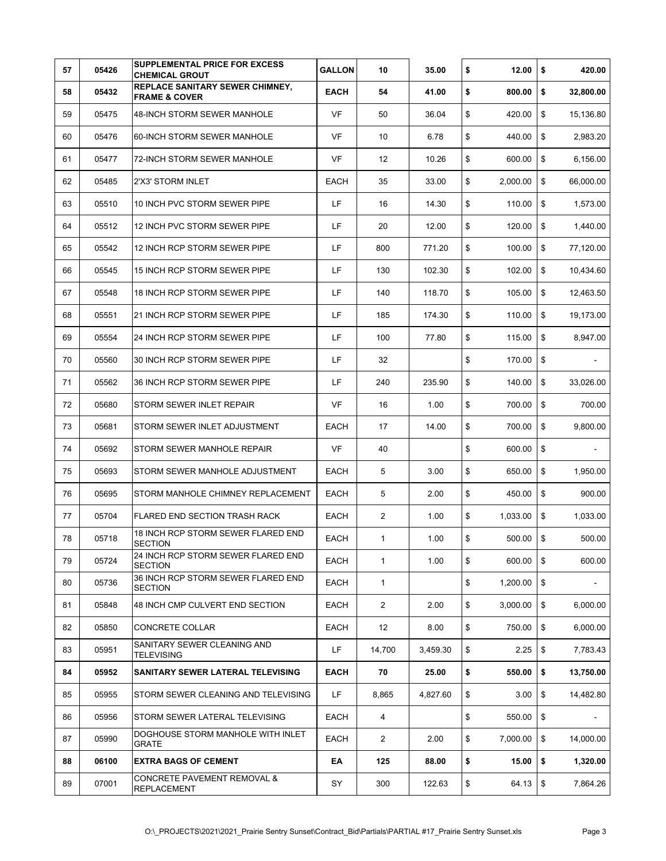| 57 | 05426 | SUPPLEMENTAL PRICE FOR EXCESS<br><b>CHEMICAL GROUT</b>             | <b>GALLON</b> | 10             | 35.00    | \$<br>12.00    | \$                        | 420.00    |
|----|-------|--------------------------------------------------------------------|---------------|----------------|----------|----------------|---------------------------|-----------|
| 58 | 05432 | <b>REPLACE SANITARY SEWER CHIMNEY,</b><br><b>FRAME &amp; COVER</b> | EACH          | 54             | 41.00    | \$<br>800.00   | \$                        | 32,800.00 |
| 59 | 05475 | 48-INCH STORM SEWER MANHOLE                                        | <b>VF</b>     | 50             | 36.04    | \$<br>420.00   | \$                        | 15,136.80 |
| 60 | 05476 | 60-INCH STORM SEWER MANHOLE                                        | <b>VF</b>     | 10             | 6.78     | \$<br>440.00   | \$                        | 2,983.20  |
| 61 | 05477 | 72-INCH STORM SEWER MANHOLE                                        | <b>VF</b>     | 12             | 10.26    | \$<br>600.00   | \$                        | 6,156.00  |
| 62 | 05485 | 2'X3' STORM INLET                                                  | EACH          | 35             | 33.00    | \$<br>2,000.00 | \$                        | 66,000.00 |
| 63 | 05510 | 10 INCH PVC STORM SEWER PIPE                                       | LF            | 16             | 14.30    | \$<br>110.00   | \$                        | 1,573.00  |
| 64 | 05512 | 12 INCH PVC STORM SEWER PIPE                                       | LF            | 20             | 12.00    | \$<br>120.00   | \$                        | 1,440.00  |
| 65 | 05542 | 12 INCH RCP STORM SEWER PIPE                                       | LF            | 800            | 771.20   | \$<br>100.00   | \$                        | 77,120.00 |
| 66 | 05545 | 15 INCH RCP STORM SEWER PIPE                                       | LF            | 130            | 102.30   | \$<br>102.00   | \$                        | 10,434.60 |
| 67 | 05548 | <b>18 INCH RCP STORM SEWER PIPE</b>                                | LF            | 140            | 118.70   | \$<br>105.00   | \$                        | 12,463.50 |
| 68 | 05551 | 21 INCH RCP STORM SEWER PIPE                                       | LF            | 185            | 174.30   | \$<br>110.00   | \$                        | 19.173.00 |
| 69 | 05554 | 24 INCH RCP STORM SEWER PIPE                                       | LF            | 100            | 77.80    | \$<br>115.00   | \$                        | 8,947.00  |
| 70 | 05560 | 30 INCH RCP STORM SEWER PIPE                                       | LF            | 32             |          | \$<br>170.00   | \$                        |           |
| 71 | 05562 | 36 INCH RCP STORM SEWER PIPE                                       | LF            | 240            | 235.90   | \$<br>140.00   | \$                        | 33,026.00 |
| 72 | 05680 | STORM SEWER INLET REPAIR                                           | <b>VF</b>     | 16             | 1.00     | \$<br>700.00   | \$                        | 700.00    |
| 73 | 05681 | STORM SEWER INLET ADJUSTMENT                                       | <b>EACH</b>   | 17             | 14.00    | \$<br>700.00   | \$                        | 9,800.00  |
| 74 | 05692 | STORM SEWER MANHOLE REPAIR                                         | <b>VF</b>     | 40             |          | \$<br>600.00   | $\boldsymbol{\mathsf{s}}$ |           |
| 75 | 05693 | STORM SEWER MANHOLE ADJUSTMENT                                     | EACH          | 5              | 3.00     | \$<br>650.00   | \$                        | 1,950.00  |
| 76 | 05695 | STORM MANHOLE CHIMNEY REPLACEMENT                                  | EACH          | 5              | 2.00     | \$<br>450.00   | \$                        | 900.00    |
| 77 | 05704 | <b>FLARED END SECTION TRASH RACK</b>                               | <b>EACH</b>   | 2              | 1.00     | \$<br>1,033.00 | \$                        | 1,033.00  |
| 78 | 05718 | 18 INCH RCP STORM SEWER FLARED END<br><b>SECTION</b>               | EACH          | 1              | 1.00     | \$<br>500.00   | \$                        | 500.00    |
| 79 | 05724 | 24 INCH RCP STORM SEWER FLARED END<br><b>SECTION</b>               | <b>EACH</b>   | $\mathbf{1}$   | 1.00     | \$<br>600.00   | \$                        | 600.00    |
| 80 | 05736 | 36 INCH RCP STORM SEWER FLARED END<br><b>SECTION</b>               | EACH          | $\mathbf{1}$   |          | \$<br>1,200.00 | \$                        |           |
| 81 | 05848 | 48 INCH CMP CULVERT END SECTION                                    | EACH          | $\overline{2}$ | 2.00     | \$<br>3,000.00 | $\boldsymbol{\mathsf{s}}$ | 6,000.00  |
| 82 | 05850 | CONCRETE COLLAR                                                    | EACH          | 12             | 8.00     | \$<br>750.00   | \$                        | 6,000.00  |
| 83 | 05951 | SANITARY SEWER CLEANING AND<br><b>TELEVISING</b>                   | LF            | 14,700         | 3,459.30 | \$<br>2.25     | \$                        | 7,783.43  |
| 84 | 05952 | SANITARY SEWER LATERAL TELEVISING                                  | <b>EACH</b>   | 70             | 25.00    | \$<br>550.00   | \$                        | 13,750.00 |
| 85 | 05955 | STORM SEWER CLEANING AND TELEVISING                                | LF            | 8,865          | 4,827.60 | \$<br>3.00     | \$                        | 14,482.80 |
| 86 | 05956 | STORM SEWER LATERAL TELEVISING                                     | EACH          | $\overline{4}$ |          | \$<br>550.00   | \$                        |           |
| 87 | 05990 | DOGHOUSE STORM MANHOLE WITH INLET<br>GRATE                         | EACH          | $\overline{2}$ | 2.00     | \$<br>7,000.00 | \$                        | 14,000.00 |
| 88 | 06100 | <b>EXTRA BAGS OF CEMENT</b>                                        | EA            | 125            | 88.00    | \$<br>15.00    | \$                        | 1,320.00  |
| 89 | 07001 | <b>CONCRETE PAVEMENT REMOVAL &amp;</b><br><b>REPLACEMENT</b>       | SY            | 300            | 122.63   | \$<br>64.13    | \$                        | 7,864.26  |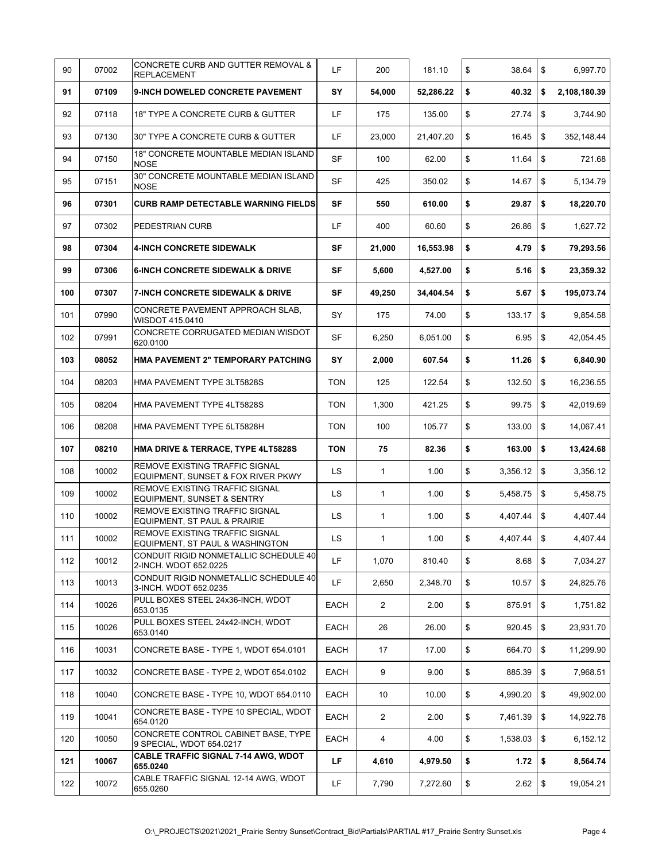| 90  | 07002 | CONCRETE CURB AND GUTTER REMOVAL &<br><b>REPLACEMENT</b>                | LF         | 200            | 181.10    | \$<br>38.64    | \$<br>6,997.70     |
|-----|-------|-------------------------------------------------------------------------|------------|----------------|-----------|----------------|--------------------|
| 91  | 07109 | 9-INCH DOWELED CONCRETE PAVEMENT                                        | SY         | 54,000         | 52,286.22 | \$<br>40.32    | \$<br>2,108,180.39 |
| 92  | 07118 | 18" TYPE A CONCRETE CURB & GUTTER                                       | LF         | 175            | 135.00    | \$<br>27.74    | \$<br>3,744.90     |
| 93  | 07130 | 30" TYPE A CONCRETE CURB & GUTTER                                       | LF         | 23,000         | 21,407.20 | \$<br>16.45    | \$<br>352,148.44   |
| 94  | 07150 | 18" CONCRETE MOUNTABLE MEDIAN ISLAND<br><b>NOSE</b>                     | <b>SF</b>  | 100            | 62.00     | \$<br>11.64    | \$<br>721.68       |
| 95  | 07151 | 30" CONCRETE MOUNTABLE MEDIAN ISLAND<br><b>NOSE</b>                     | <b>SF</b>  | 425            | 350.02    | \$<br>14.67    | \$<br>5,134.79     |
| 96  | 07301 | <b>CURB RAMP DETECTABLE WARNING FIELDS</b>                              | SF         | 550            | 610.00    | \$<br>29.87    | \$<br>18,220.70    |
| 97  | 07302 | PEDESTRIAN CURB                                                         | LF         | 400            | 60.60     | \$<br>26.86    | \$<br>1,627.72     |
| 98  | 07304 | <b>4-INCH CONCRETE SIDEWALK</b>                                         | SF         | 21,000         | 16,553.98 | \$<br>4.79     | \$<br>79,293.56    |
| 99  | 07306 | <b>6-INCH CONCRETE SIDEWALK &amp; DRIVE</b>                             | SF         | 5,600          | 4,527.00  | \$<br>5.16     | \$<br>23,359.32    |
| 100 | 07307 | <b>7-INCH CONCRETE SIDEWALK &amp; DRIVE</b>                             | <b>SF</b>  | 49,250         | 34,404.54 | \$<br>5.67     | \$<br>195,073.74   |
| 101 | 07990 | CONCRETE PAVEMENT APPROACH SLAB,<br>WISDOT 415.0410                     | SY         | 175            | 74.00     | \$<br>133.17   | \$<br>9,854.58     |
| 102 | 07991 | CONCRETE CORRUGATED MEDIAN WISDOT<br>620.0100                           | SF         | 6,250          | 6,051.00  | \$<br>6.95     | \$<br>42,054.45    |
| 103 | 08052 | HMA PAVEMENT 2" TEMPORARY PATCHING                                      | SY         | 2,000          | 607.54    | \$<br>11.26    | \$<br>6,840.90     |
| 104 | 08203 | HMA PAVEMENT TYPE 3LT5828S                                              | <b>TON</b> | 125            | 122.54    | \$<br>132.50   | \$<br>16,236.55    |
| 105 | 08204 | HMA PAVEMENT TYPE 4LT5828S                                              | TON        | 1,300          | 421.25    | \$<br>99.75    | \$<br>42,019.69    |
| 106 | 08208 | HMA PAVEMENT TYPE 5LT5828H                                              | TON        | 100            | 105.77    | \$<br>133.00   | \$<br>14,067.41    |
| 107 | 08210 | HMA DRIVE & TERRACE, TYPE 4LT5828S                                      | <b>TON</b> | 75             | 82.36     | \$<br>163.00   | \$<br>13,424.68    |
| 108 | 10002 | REMOVE EXISTING TRAFFIC SIGNAL<br>EQUIPMENT, SUNSET & FOX RIVER PKWY    | LS         | 1              | 1.00      | \$<br>3,356.12 | \$<br>3,356.12     |
| 109 | 10002 | REMOVE EXISTING TRAFFIC SIGNAL<br><b>EQUIPMENT, SUNSET &amp; SENTRY</b> | LS         | 1              | 1.00      | \$<br>5,458.75 | \$<br>5,458.75     |
| 110 | 10002 | REMOVE EXISTING TRAFFIC SIGNAL<br>EQUIPMENT, ST PAUL & PRAIRIE          | LS         | 1              | 1.00      | \$<br>4,407.44 | \$<br>4,407.44     |
| 111 | 10002 | REMOVE EXISTING TRAFFIC SIGNAL<br>EQUIPMENT, ST PAUL & WASHINGTON       | LS         | 1              | 1.00      | \$<br>4,407.44 | \$<br>4,407.44     |
| 112 | 10012 | CONDUIT RIGID NONMETALLIC SCHEDULE 40<br>2-INCH. WDOT 652.0225          | LF         | 1,070          | 810.40    | \$<br>8.68     | \$<br>7,034.27     |
| 113 | 10013 | CONDUIT RIGID NONMETALLIC SCHEDULE 40<br>3-INCH. WDOT 652.0235          | LF         | 2,650          | 2,348.70  | \$<br>10.57    | \$<br>24,825.76    |
| 114 | 10026 | PULL BOXES STEEL 24x36-INCH, WDOT<br>653.0135                           | EACH       | $\overline{2}$ | 2.00      | \$<br>875.91   | \$<br>1,751.82     |
| 115 | 10026 | PULL BOXES STEEL 24x42-INCH, WDOT<br>653.0140                           | EACH       | 26             | 26.00     | \$<br>920.45   | \$<br>23,931.70    |
| 116 | 10031 | CONCRETE BASE - TYPE 1, WDOT 654.0101                                   | EACH       | 17             | 17.00     | \$<br>664.70   | \$<br>11,299.90    |
| 117 | 10032 | CONCRETE BASE - TYPE 2, WDOT 654.0102                                   | EACH       | 9              | 9.00      | \$<br>885.39   | \$<br>7,968.51     |
| 118 | 10040 | CONCRETE BASE - TYPE 10, WDOT 654.0110                                  | EACH       | 10             | 10.00     | \$<br>4,990.20 | \$<br>49,902.00    |
| 119 | 10041 | CONCRETE BASE - TYPE 10 SPECIAL, WDOT<br>654.0120                       | EACH       | $\overline{2}$ | 2.00      | \$<br>7,461.39 | \$<br>14,922.78    |
| 120 | 10050 | CONCRETE CONTROL CABINET BASE, TYPE<br>9 SPECIAL, WDOT 654.0217         | EACH       | 4              | 4.00      | \$<br>1,538.03 | \$<br>6,152.12     |
| 121 | 10067 | <b>CABLE TRAFFIC SIGNAL 7-14 AWG, WDOT</b><br>655.0240                  | LF         | 4,610          | 4,979.50  | \$<br>1.72     | \$<br>8,564.74     |
| 122 | 10072 | CABLE TRAFFIC SIGNAL 12-14 AWG, WDOT<br>655.0260                        | LF         | 7,790          | 7,272.60  | \$<br>2.62     | \$<br>19,054.21    |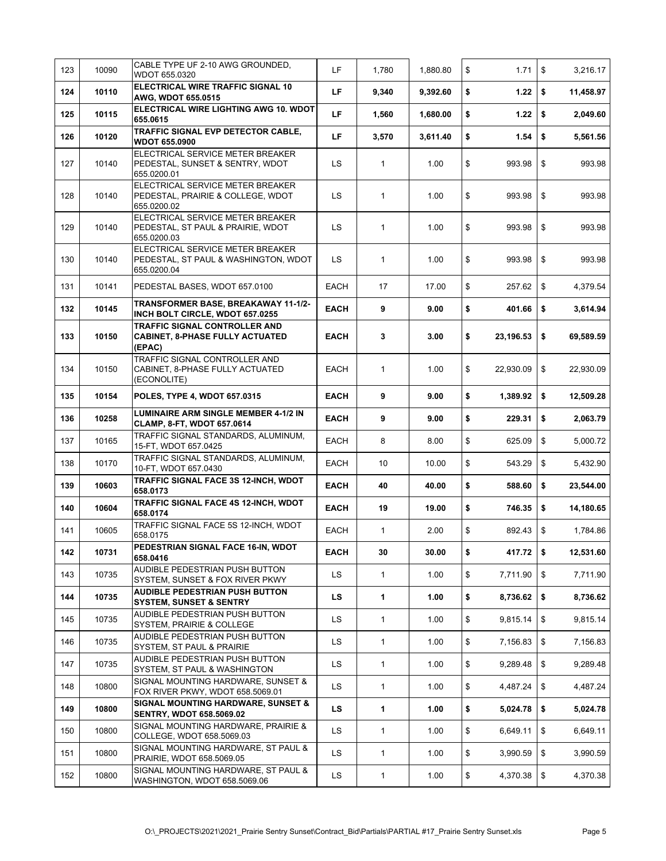| 123 | 10090 | CABLE TYPE UF 2-10 AWG GROUNDED.<br>WDOT 655.0320                                       | <b>LF</b>   | 1,780        | 1,880.80 | \$<br>1.71        | \$<br>3,216.17  |
|-----|-------|-----------------------------------------------------------------------------------------|-------------|--------------|----------|-------------------|-----------------|
| 124 | 10110 | ELECTRICAL WIRE TRAFFIC SIGNAL 10<br>AWG, WDOT 655.0515                                 | LF          | 9,340        | 9,392.60 | \$<br>1.22        | \$<br>11,458.97 |
| 125 | 10115 | ELECTRICAL WIRE LIGHTING AWG 10. WDOT<br>655.0615                                       | LF.         | 1,560        | 1,680.00 | \$<br>1.22        | \$<br>2,049.60  |
| 126 | 10120 | TRAFFIC SIGNAL EVP DETECTOR CABLE,<br><b>WDOT 655.0900</b>                              | LF.         | 3,570        | 3,611.40 | \$<br>1.54        | \$<br>5,561.56  |
| 127 | 10140 | ELECTRICAL SERVICE METER BREAKER<br>PEDESTAL, SUNSET & SENTRY, WDOT<br>655.0200.01      | LS          | $\mathbf{1}$ | 1.00     | \$<br>993.98      | \$<br>993.98    |
| 128 | 10140 | ELECTRICAL SERVICE METER BREAKER<br>PEDESTAL, PRAIRIE & COLLEGE, WDOT<br>655.0200.02    | LS.         | 1            | 1.00     | \$<br>993.98      | \$<br>993.98    |
| 129 | 10140 | ELECTRICAL SERVICE METER BREAKER<br>PEDESTAL, ST PAUL & PRAIRIE, WDOT<br>655.0200.03    | LS          | $\mathbf{1}$ | 1.00     | \$<br>993.98      | \$<br>993.98    |
| 130 | 10140 | ELECTRICAL SERVICE METER BREAKER<br>PEDESTAL, ST PAUL & WASHINGTON, WDOT<br>655.0200.04 | LS          | $\mathbf{1}$ | 1.00     | \$<br>993.98      | \$<br>993.98    |
| 131 | 10141 | PEDESTAL BASES, WDOT 657.0100                                                           | EACH        | 17           | 17.00    | \$<br>257.62      | \$<br>4,379.54  |
| 132 | 10145 | TRANSFORMER BASE, BREAKAWAY 11-1/2-<br>INCH BOLT CIRCLE, WDOT 657.0255                  | <b>EACH</b> | 9            | 9.00     | \$<br>401.66      | \$<br>3,614.94  |
| 133 | 10150 | TRAFFIC SIGNAL CONTROLLER AND<br><b>CABINET, 8-PHASE FULLY ACTUATED</b><br>(EPAC)       | <b>EACH</b> | 3            | 3.00     | \$<br>23,196.53   | \$<br>69,589.59 |
| 134 | 10150 | TRAFFIC SIGNAL CONTROLLER AND<br>CABINET, 8-PHASE FULLY ACTUATED<br>(ECONOLITE)         | EACH        | 1            | 1.00     | \$<br>22,930.09   | \$<br>22,930.09 |
| 135 | 10154 | <b>POLES, TYPE 4, WDOT 657.0315</b>                                                     | <b>EACH</b> | 9            | 9.00     | \$<br>1,389.92    | \$<br>12,509.28 |
| 136 | 10258 | <b>LUMINAIRE ARM SINGLE MEMBER 4-1/2 IN</b><br>CLAMP, 8-FT, WDOT 657.0614               | <b>EACH</b> | 9            | 9.00     | \$<br>229.31      | \$<br>2,063.79  |
| 137 | 10165 | TRAFFIC SIGNAL STANDARDS, ALUMINUM,<br>15-FT, WDOT 657.0425                             | EACH        | 8            | 8.00     | \$<br>625.09      | \$<br>5,000.72  |
| 138 | 10170 | TRAFFIC SIGNAL STANDARDS, ALUMINUM,<br>10-FT, WDOT 657.0430                             | EACH        | 10           | 10.00    | \$<br>543.29      | \$<br>5,432.90  |
| 139 | 10603 | TRAFFIC SIGNAL FACE 3S 12-INCH, WDOT<br>658.0173                                        | <b>EACH</b> | 40           | 40.00    | \$<br>588.60      | \$<br>23,544.00 |
| 140 | 10604 | TRAFFIC SIGNAL FACE 4S 12-INCH, WDOT<br>658.0174                                        | <b>EACH</b> | 19           | 19.00    | \$<br>746.35      | \$<br>14,180.65 |
| 141 | 10605 | TRAFFIC SIGNAL FACE 5S 12-INCH, WDOT<br>658.0175                                        | EACH        | 1            | 2.00     | \$<br>892.43      | \$<br>1,784.86  |
| 142 | 10731 | PEDESTRIAN SIGNAL FACE 16-IN, WDOT<br>658.0416                                          | <b>EACH</b> | 30           | 30.00    | \$<br>$417.72$ \$ | 12,531.60       |
| 143 | 10735 | AUDIBLE PEDESTRIAN PUSH BUTTON<br>SYSTEM, SUNSET & FOX RIVER PKWY                       | LS          | $\mathbf{1}$ | 1.00     | \$<br>7,711.90    | \$<br>7,711.90  |
| 144 | 10735 | <b>AUDIBLE PEDESTRIAN PUSH BUTTON</b><br><b>SYSTEM, SUNSET &amp; SENTRY</b>             | LS          | 1            | 1.00     | \$<br>8,736.62    | \$<br>8,736.62  |
| 145 | 10735 | AUDIBLE PEDESTRIAN PUSH BUTTON<br>SYSTEM, PRAIRIE & COLLEGE                             | <b>LS</b>   | 1            | 1.00     | \$<br>9,815.14    | \$<br>9,815.14  |
| 146 | 10735 | AUDIBLE PEDESTRIAN PUSH BUTTON<br>SYSTEM, ST PAUL & PRAIRIE                             | LS          | 1            | 1.00     | \$<br>7,156.83    | \$<br>7,156.83  |
| 147 | 10735 | AUDIBLE PEDESTRIAN PUSH BUTTON<br>SYSTEM, ST PAUL & WASHINGTON                          | <b>LS</b>   | 1            | 1.00     | \$<br>9,289.48    | \$<br>9,289.48  |
| 148 | 10800 | SIGNAL MOUNTING HARDWARE, SUNSET &<br>FOX RIVER PKWY, WDOT 658.5069.01                  | LS          | 1            | 1.00     | \$<br>4,487.24    | \$<br>4,487.24  |
| 149 | 10800 | <b>SIGNAL MOUNTING HARDWARE, SUNSET &amp;</b><br><b>SENTRY, WDOT 658.5069.02</b>        | LS.         | 1            | 1.00     | \$<br>5,024.78    | \$<br>5,024.78  |
| 150 | 10800 | SIGNAL MOUNTING HARDWARE, PRAIRIE &<br>COLLEGE, WDOT 658.5069.03                        | <b>LS</b>   | 1            | 1.00     | \$<br>6,649.11    | \$<br>6,649.11  |
| 151 | 10800 | SIGNAL MOUNTING HARDWARE, ST PAUL &<br>PRAIRIE, WDOT 658.5069.05                        | <b>LS</b>   | 1            | 1.00     | \$<br>3,990.59    | \$<br>3,990.59  |
| 152 | 10800 | SIGNAL MOUNTING HARDWARE, ST PAUL &<br>WASHINGTON, WDOT 658.5069.06                     | <b>LS</b>   | $\mathbf{1}$ | 1.00     | \$<br>4,370.38    | \$<br>4,370.38  |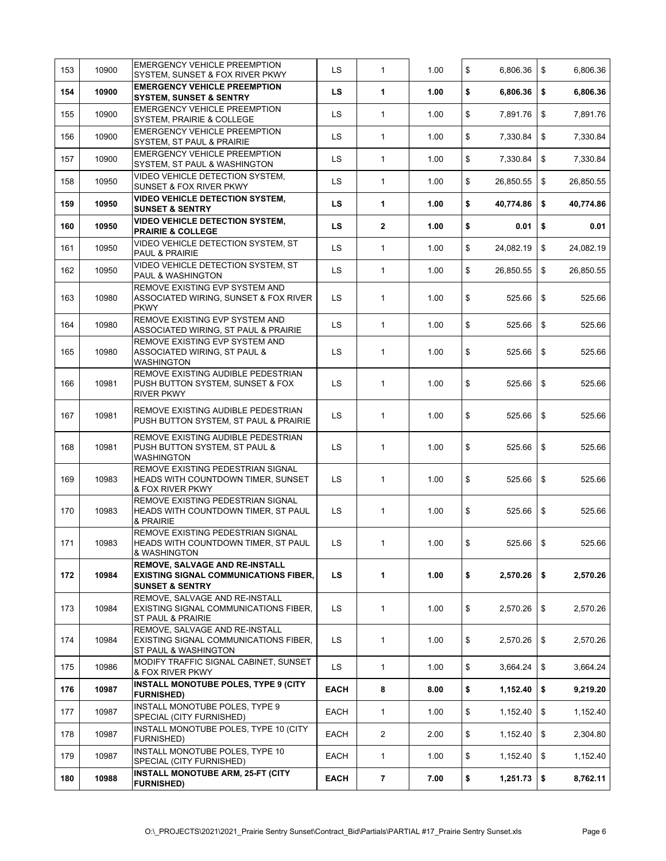| 153 | 10900 | <b>EMERGENCY VEHICLE PREEMPTION</b><br>SYSTEM, SUNSET & FOX RIVER PKWY                                              | LS          | 1                        | 1.00 | \$<br>6,806.36      | \$<br>6,806.36  |
|-----|-------|---------------------------------------------------------------------------------------------------------------------|-------------|--------------------------|------|---------------------|-----------------|
| 154 | 10900 | <b>EMERGENCY VEHICLE PREEMPTION</b><br><b>SYSTEM, SUNSET &amp; SENTRY</b>                                           | <b>LS</b>   | 1                        | 1.00 | \$<br>6,806.36      | \$<br>6,806.36  |
| 155 | 10900 | <b>EMERGENCY VEHICLE PREEMPTION</b><br><b>SYSTEM, PRAIRIE &amp; COLLEGE</b>                                         | LS          | 1                        | 1.00 | \$<br>7,891.76      | \$<br>7,891.76  |
| 156 | 10900 | <b>EMERGENCY VEHICLE PREEMPTION</b><br>SYSTEM, ST PAUL & PRAIRIE                                                    | LS          | $\mathbf{1}$             | 1.00 | \$<br>7,330.84      | \$<br>7,330.84  |
| 157 | 10900 | <b>EMERGENCY VEHICLE PREEMPTION</b><br>SYSTEM, ST PAUL & WASHINGTON                                                 | LS          | 1                        | 1.00 | \$<br>7,330.84      | \$<br>7,330.84  |
| 158 | 10950 | VIDEO VEHICLE DETECTION SYSTEM.<br><b>SUNSET &amp; FOX RIVER PKWY</b>                                               | LS          | 1                        | 1.00 | \$<br>26,850.55     | \$<br>26,850.55 |
| 159 | 10950 | <b>VIDEO VEHICLE DETECTION SYSTEM,</b><br><b>SUNSET &amp; SENTRY</b>                                                | <b>LS</b>   | 1                        | 1.00 | \$<br>40,774.86     | \$<br>40,774.86 |
| 160 | 10950 | <b>VIDEO VEHICLE DETECTION SYSTEM,</b><br><b>PRAIRIE &amp; COLLEGE</b>                                              | <b>LS</b>   | $\mathbf{2}$             | 1.00 | \$<br>0.01          | \$<br>0.01      |
| 161 | 10950 | VIDEO VEHICLE DETECTION SYSTEM, ST<br>PAUL & PRAIRIE                                                                | LS          | 1                        | 1.00 | \$<br>24,082.19     | \$<br>24,082.19 |
| 162 | 10950 | VIDEO VEHICLE DETECTION SYSTEM, ST<br>PAUL & WASHINGTON                                                             | LS          | 1                        | 1.00 | \$<br>26,850.55     | \$<br>26,850.55 |
| 163 | 10980 | REMOVE EXISTING EVP SYSTEM AND<br>ASSOCIATED WIRING, SUNSET & FOX RIVER<br><b>PKWY</b>                              | LS          | 1                        | 1.00 | \$<br>525.66        | \$<br>525.66    |
| 164 | 10980 | REMOVE EXISTING EVP SYSTEM AND<br>ASSOCIATED WIRING, ST PAUL & PRAIRIE                                              | LS          | $\mathbf{1}$             | 1.00 | \$<br>525.66        | \$<br>525.66    |
| 165 | 10980 | REMOVE EXISTING EVP SYSTEM AND<br>ASSOCIATED WIRING, ST PAUL &<br><b>WASHINGTON</b>                                 | LS          | $\mathbf{1}$             | 1.00 | \$<br>525.66        | \$<br>525.66    |
| 166 | 10981 | REMOVE EXISTING AUDIBLE PEDESTRIAN<br>PUSH BUTTON SYSTEM, SUNSET & FOX<br><b>RIVER PKWY</b>                         | LS.         | $\mathbf{1}$             | 1.00 | \$<br>525.66        | \$<br>525.66    |
| 167 | 10981 | REMOVE EXISTING AUDIBLE PEDESTRIAN<br>PUSH BUTTON SYSTEM, ST PAUL & PRAIRIE                                         | LS.         | 1                        | 1.00 | \$<br>525.66        | \$<br>525.66    |
| 168 | 10981 | REMOVE EXISTING AUDIBLE PEDESTRIAN<br>PUSH BUTTON SYSTEM, ST PAUL &<br><b>WASHINGTON</b>                            | LS          | 1                        | 1.00 | \$<br>525.66        | \$<br>525.66    |
| 169 | 10983 | REMOVE EXISTING PEDESTRIAN SIGNAL<br>HEADS WITH COUNTDOWN TIMER, SUNSET<br>& FOX RIVER PKWY                         | LS          | 1                        | 1.00 | \$<br>525.66        | \$<br>525.66    |
| 170 | 10983 | REMOVE EXISTING PEDESTRIAN SIGNAL<br>HEADS WITH COUNTDOWN TIMER, ST PAUL<br>& PRAIRIE                               | LS          | 1                        | 1.00 | \$<br>525.66        | \$<br>525.66    |
| 171 | 10983 | REMOVE EXISTING PEDESTRIAN SIGNAL<br>HEADS WITH COUNTDOWN TIMER, ST PAUL<br>& WASHINGTON                            | LS.         | $\mathbf{1}$             | 1.00 | \$<br>$525.66$ \ \$ | 525.66          |
| 172 | 10984 | <b>REMOVE, SALVAGE AND RE-INSTALL</b><br><b>EXISTING SIGNAL COMMUNICATIONS FIBER,</b><br><b>SUNSET &amp; SENTRY</b> | <b>LS</b>   | 1                        | 1.00 | \$<br>2,570.26      | \$<br>2,570.26  |
| 173 | 10984 | REMOVE, SALVAGE AND RE-INSTALL<br>EXISTING SIGNAL COMMUNICATIONS FIBER,<br>ST PAUL & PRAIRIE                        | LS          | 1                        | 1.00 | \$<br>2,570.26      | \$<br>2,570.26  |
| 174 | 10984 | REMOVE, SALVAGE AND RE-INSTALL<br>EXISTING SIGNAL COMMUNICATIONS FIBER,<br>ST PAUL & WASHINGTON                     | LS          | 1                        | 1.00 | \$<br>2,570.26      | \$<br>2,570.26  |
| 175 | 10986 | MODIFY TRAFFIC SIGNAL CABINET, SUNSET<br>& FOX RIVER PKWY                                                           | LS          | 1                        | 1.00 | \$<br>3,664.24      | \$<br>3,664.24  |
| 176 | 10987 | INSTALL MONOTUBE POLES, TYPE 9 (CITY<br><b>FURNISHED)</b>                                                           | <b>EACH</b> | 8                        | 8.00 | \$<br>1,152.40      | \$<br>9,219.20  |
| 177 | 10987 | INSTALL MONOTUBE POLES, TYPE 9<br>SPECIAL (CITY FURNISHED)                                                          | EACH        | 1                        | 1.00 | \$<br>1,152.40      | \$<br>1,152.40  |
| 178 | 10987 | INSTALL MONOTUBE POLES, TYPE 10 (CITY<br><b>FURNISHED)</b>                                                          | EACH        | $\overline{2}$           | 2.00 | \$<br>1,152.40      | \$<br>2,304.80  |
| 179 | 10987 | <b>INSTALL MONOTUBE POLES, TYPE 10</b><br>SPECIAL (CITY FURNISHED)                                                  | EACH        | 1                        | 1.00 | \$<br>1,152.40      | \$<br>1,152.40  |
| 180 | 10988 | <b>INSTALL MONOTUBE ARM, 25-FT (CITY</b><br><b>FURNISHED)</b>                                                       | <b>EACH</b> | $\overline{\phantom{a}}$ | 7.00 | \$<br>1,251.73      | \$<br>8,762.11  |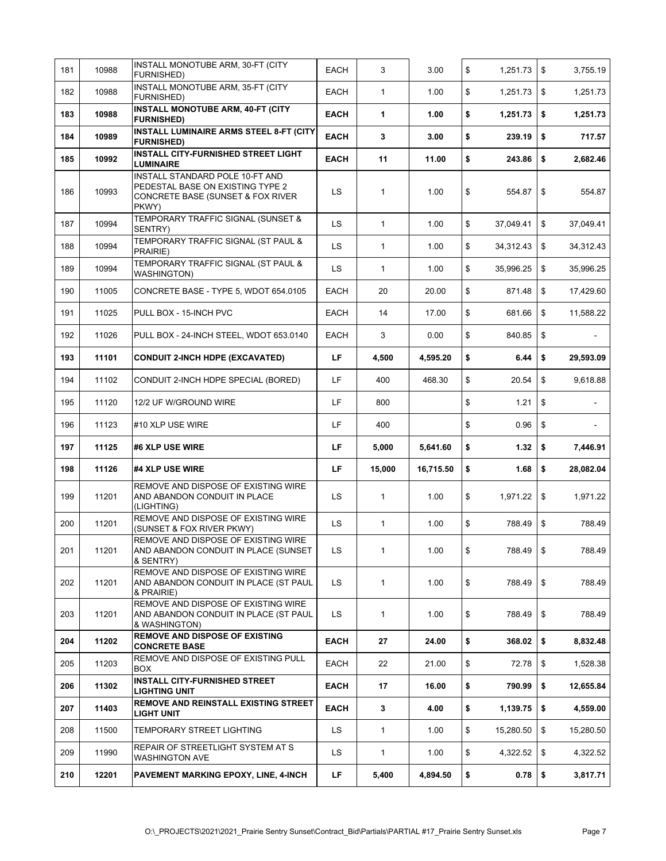| 181 | 10988 | INSTALL MONOTUBE ARM, 30-FT (CITY<br><b>FURNISHED)</b>                                                            | EACH        | 3            | 3.00      | \$<br>1,251.73  | \$         | 3,755.19  |
|-----|-------|-------------------------------------------------------------------------------------------------------------------|-------------|--------------|-----------|-----------------|------------|-----------|
| 182 | 10988 | INSTALL MONOTUBE ARM, 35-FT (CITY<br><b>FURNISHED)</b>                                                            | EACH        | $\mathbf{1}$ | 1.00      | \$<br>1,251.73  | \$         | 1,251.73  |
| 183 | 10988 | INSTALL MONOTUBE ARM, 40-FT (CITY<br><b>FURNISHED)</b>                                                            | <b>EACH</b> | 1            | 1.00      | \$<br>1,251.73  | \$         | 1,251.73  |
| 184 | 10989 | INSTALL LUMINAIRE ARMS STEEL 8-FT (CITY<br><b>FURNISHED)</b>                                                      | <b>EACH</b> | 3            | 3.00      | \$<br>239.19    | \$         | 717.57    |
| 185 | 10992 | INSTALL CITY-FURNISHED STREET LIGHT<br><b>LUMINAIRE</b>                                                           | <b>EACH</b> | 11           | 11.00     | \$<br>243.86    | \$         | 2,682.46  |
| 186 | 10993 | INSTALL STANDARD POLE 10-FT AND<br>PEDESTAL BASE ON EXISTING TYPE 2<br>CONCRETE BASE (SUNSET & FOX RIVER<br>PKWY) | LS.         | 1            | 1.00      | \$<br>554.87    | \$         | 554.87    |
| 187 | 10994 | TEMPORARY TRAFFIC SIGNAL (SUNSET &<br>SENTRY)                                                                     | LS.         | 1            | 1.00      | \$<br>37,049.41 | \$         | 37,049.41 |
| 188 | 10994 | TEMPORARY TRAFFIC SIGNAL (ST PAUL &<br>PRAIRIE)                                                                   | LS.         | $\mathbf{1}$ | 1.00      | \$<br>34,312.43 | \$         | 34,312.43 |
| 189 | 10994 | TEMPORARY TRAFFIC SIGNAL (ST PAUL &<br><b>WASHINGTON)</b>                                                         | LS          | $\mathbf{1}$ | 1.00      | \$<br>35,996.25 | \$         | 35,996.25 |
| 190 | 11005 | CONCRETE BASE - TYPE 5, WDOT 654.0105                                                                             | EACH        | 20           | 20.00     | \$<br>871.48    | \$         | 17,429.60 |
| 191 | 11025 | PULL BOX - 15-INCH PVC                                                                                            | EACH        | 14           | 17.00     | \$<br>681.66    | \$         | 11,588.22 |
| 192 | 11026 | PULL BOX - 24-INCH STEEL, WDOT 653.0140                                                                           | EACH        | 3            | 0.00      | \$<br>840.85    | \$         |           |
| 193 | 11101 | <b>CONDUIT 2-INCH HDPE (EXCAVATED)</b>                                                                            | LF.         | 4,500        | 4,595.20  | \$<br>6.44      | \$         | 29,593.09 |
| 194 | 11102 | CONDUIT 2-INCH HDPE SPECIAL (BORED)                                                                               | LF          | 400          | 468.30    | \$<br>20.54     | \$         | 9,618.88  |
| 195 | 11120 | 12/2 UF W/GROUND WIRE                                                                                             | LF          | 800          |           | \$<br>1.21      | \$         |           |
| 196 | 11123 | #10 XLP USE WIRE                                                                                                  | LF          | 400          |           | \$<br>0.96      | \$         |           |
| 197 | 11125 | #6 XLP USE WIRE                                                                                                   | LF          | 5,000        | 5,641.60  | \$<br>1.32      | \$         | 7,446.91  |
| 198 | 11126 | #4 XLP USE WIRE                                                                                                   | LF          | 15,000       | 16,715.50 | \$<br>1.68      | \$         | 28,082.04 |
| 199 | 11201 | REMOVE AND DISPOSE OF EXISTING WIRE<br>AND ABANDON CONDUIT IN PLACE<br>(LIGHTING)                                 | LS.         | 1            | 1.00      | \$<br>1,971.22  | \$         | 1,971.22  |
| 200 | 11201 | REMOVE AND DISPOSE OF EXISTING WIRE<br>(SUNSET & FOX RIVER PKWY)                                                  | LS          | $\mathbf{1}$ | 1.00      | \$<br>788.49    | \$         | 788.49    |
| 201 | 11201 | REMOVE AND DISPOSE OF EXISTING WIRE<br>AND ABANDON CONDUIT IN PLACE (SUNSET<br>& SENTRY)                          | LS          | $\mathbf{1}$ | 1.00      | \$<br>788.49    | $\sqrt{3}$ | 788.49    |
| 202 | 11201 | REMOVE AND DISPOSE OF EXISTING WIRE<br>AND ABANDON CONDUIT IN PLACE (ST PAUL<br>& PRAIRIE)                        | <b>LS</b>   | $\mathbf{1}$ | 1.00      | \$<br>788.49    | \$         | 788.49    |
| 203 | 11201 | REMOVE AND DISPOSE OF EXISTING WIRE<br>AND ABANDON CONDUIT IN PLACE (ST PAUL<br>& WASHINGTON)                     | LS.         | $\mathbf{1}$ | 1.00      | \$<br>788.49    | \$         | 788.49    |
| 204 | 11202 | <b>REMOVE AND DISPOSE OF EXISTING</b><br><b>CONCRETE BASE</b>                                                     | <b>EACH</b> | 27           | 24.00     | \$<br>368.02    | \$         | 8,832.48  |
| 205 | 11203 | REMOVE AND DISPOSE OF EXISTING PULL<br><b>BOX</b>                                                                 | EACH        | 22           | 21.00     | \$<br>72.78     | \$         | 1,528.38  |
| 206 | 11302 | <b>INSTALL CITY-FURNISHED STREET</b><br><b>LIGHTING UNIT</b>                                                      | <b>EACH</b> | 17           | 16.00     | \$<br>790.99    | \$         | 12,655.84 |
| 207 | 11403 | REMOVE AND REINSTALL EXISTING STREET<br><b>LIGHT UNIT</b>                                                         | <b>EACH</b> | 3            | 4.00      | \$<br>1,139.75  | \$         | 4,559.00  |
| 208 | 11500 | TEMPORARY STREET LIGHTING                                                                                         | LS          | 1            | 1.00      | \$<br>15,280.50 | \$         | 15,280.50 |
| 209 |       | REPAIR OF STREETLIGHT SYSTEM AT S                                                                                 | LS.         | 1            | 1.00      | \$<br>4,322.52  | \$         | 4,322.52  |
|     | 11990 | <b>WASHINGTON AVE</b>                                                                                             |             |              |           |                 |            |           |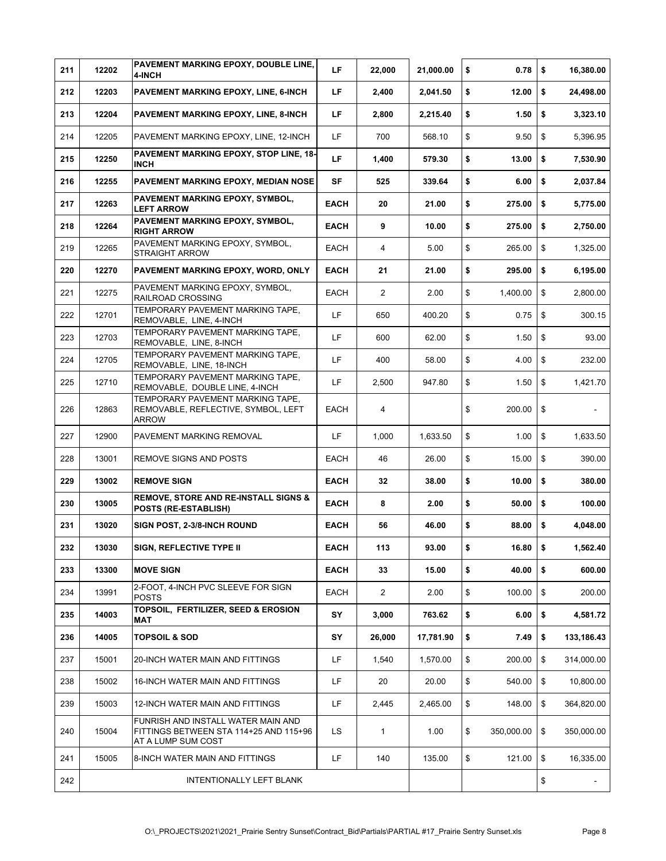| 211 | 12202 | PAVEMENT MARKING EPOXY, DOUBLE LINE,<br>4-INCH                                                     | LF.         | 22,000         | 21,000.00 | \$  | 0.78       | \$<br>16,380.00  |
|-----|-------|----------------------------------------------------------------------------------------------------|-------------|----------------|-----------|-----|------------|------------------|
| 212 | 12203 | PAVEMENT MARKING EPOXY, LINE, 6-INCH                                                               | LF          | 2,400          | 2,041.50  | \$  | 12.00      | \$<br>24,498.00  |
| 213 | 12204 | <b>PAVEMENT MARKING EPOXY, LINE, 8-INCH</b>                                                        | LF          | 2,800          | 2,215.40  | \$  | 1.50       | \$<br>3,323.10   |
| 214 | 12205 | PAVEMENT MARKING EPOXY, LINE, 12-INCH                                                              | LF.         | 700            | 568.10    | \$  | 9.50       | \$<br>5,396.95   |
| 215 | 12250 | PAVEMENT MARKING EPOXY, STOP LINE, 18-<br><b>INCH</b>                                              | LF          | 1,400          | 579.30    | \$  | 13.00      | \$<br>7,530.90   |
| 216 | 12255 | PAVEMENT MARKING EPOXY, MEDIAN NOSE                                                                | <b>SF</b>   | 525            | 339.64    | \$  | 6.00       | \$<br>2,037.84   |
| 217 | 12263 | PAVEMENT MARKING EPOXY, SYMBOL,<br><b>LEFT ARROW</b>                                               | <b>EACH</b> | 20             | 21.00     | \$  | 275.00     | \$<br>5,775.00   |
| 218 | 12264 | PAVEMENT MARKING EPOXY, SYMBOL,<br><b>RIGHT ARROW</b>                                              | <b>EACH</b> | 9              | 10.00     | \$  | 275.00     | \$<br>2,750.00   |
| 219 | 12265 | PAVEMENT MARKING EPOXY, SYMBOL,<br><b>STRAIGHT ARROW</b>                                           | EACH        | 4              | 5.00      | \$  | 265.00     | \$<br>1,325.00   |
| 220 | 12270 | PAVEMENT MARKING EPOXY, WORD, ONLY                                                                 | <b>EACH</b> | 21             | 21.00     | \$  | 295.00     | \$<br>6,195.00   |
| 221 | 12275 | PAVEMENT MARKING EPOXY, SYMBOL,<br>RAILROAD CROSSING                                               | EACH        | $\overline{2}$ | 2.00      | \$  | 1,400.00   | \$<br>2,800.00   |
| 222 | 12701 | TEMPORARY PAVEMENT MARKING TAPE,<br>REMOVABLE, LINE, 4-INCH                                        | LF          | 650            | 400.20    | \$  | 0.75       | \$<br>300.15     |
| 223 | 12703 | TEMPORARY PAVEMENT MARKING TAPE,<br>REMOVABLE, LINE, 8-INCH                                        | LF          | 600            | 62.00     | \$  | 1.50       | \$<br>93.00      |
| 224 | 12705 | TEMPORARY PAVEMENT MARKING TAPE,<br>REMOVABLE, LINE, 18-INCH                                       | LF          | 400            | 58.00     | \$  | 4.00       | \$<br>232.00     |
| 225 | 12710 | TEMPORARY PAVEMENT MARKING TAPE,<br>REMOVABLE, DOUBLE LINE, 4-INCH                                 | LF          | 2,500          | 947.80    | \$  | 1.50       | \$<br>1,421.70   |
| 226 | 12863 | TEMPORARY PAVEMENT MARKING TAPE.<br>REMOVABLE, REFLECTIVE, SYMBOL, LEFT<br><b>ARROW</b>            | EACH        | 4              |           | \$  | 200.00     | \$               |
| 227 | 12900 | PAVEMENT MARKING REMOVAL                                                                           | LF.         | 1,000          | 1,633.50  | \$  | 1.00       | \$<br>1,633.50   |
| 228 | 13001 | REMOVE SIGNS AND POSTS                                                                             | EACH        | 46             | 26.00     | \$  | 15.00      | \$<br>390.00     |
| 229 | 13002 | <b>REMOVE SIGN</b>                                                                                 | <b>EACH</b> | 32             | 38.00     | \$  | 10.00      | \$<br>380.00     |
| 230 | 13005 | REMOVE, STORE AND RE-INSTALL SIGNS &<br>POSTS (RE-ESTABLISH)                                       | <b>EACH</b> | 8              | 2.00      | \$  | 50.00      | \$<br>100.00     |
| 231 | 13020 | SIGN POST, 2-3/8-INCH ROUND                                                                        | <b>EACH</b> | 56             | 46.00     | \$  | 88.00      | \$<br>4,048.00   |
| 232 | 13030 | SIGN, REFLECTIVE TYPE II                                                                           | <b>EACH</b> | 113            | 93.00     | \$. | $16.80$ \$ | 1,562.40         |
| 233 | 13300 | <b>MOVE SIGN</b>                                                                                   | <b>EACH</b> | 33             | 15.00     | \$  | 40.00      | \$<br>600.00     |
| 234 | 13991 | 2-FOOT, 4-INCH PVC SLEEVE FOR SIGN<br><b>POSTS</b>                                                 | EACH        | $\overline{2}$ | 2.00      | \$  | 100.00     | \$<br>200.00     |
| 235 | 14003 | TOPSOIL. FERTILIZER. SEED & EROSION<br>MAT                                                         | SY          | 3,000          | 763.62    | \$  | 6.00       | \$<br>4,581.72   |
| 236 | 14005 | <b>TOPSOIL &amp; SOD</b>                                                                           | SY          | 26,000         | 17,781.90 | \$  | 7.49       | \$<br>133,186.43 |
| 237 | 15001 | 20-INCH WATER MAIN AND FITTINGS                                                                    | LF          | 1,540          | 1,570.00  | \$  | 200.00     | \$<br>314,000.00 |
| 238 | 15002 | 16-INCH WATER MAIN AND FITTINGS                                                                    | LF          | 20             | 20.00     | \$  | 540.00     | \$<br>10,800.00  |
| 239 | 15003 | 12-INCH WATER MAIN AND FITTINGS                                                                    | LF.         | 2,445          | 2,465.00  | \$  | 148.00     | \$<br>364,820.00 |
| 240 | 15004 | FUNRISH AND INSTALL WATER MAIN AND<br>FITTINGS BETWEEN STA 114+25 AND 115+96<br>AT A LUMP SUM COST | <b>LS</b>   | 1              | 1.00      | \$  | 350,000.00 | \$<br>350,000.00 |
| 241 | 15005 | 8-INCH WATER MAIN AND FITTINGS                                                                     | LF.         | 140            | 135.00    | \$  | 121.00     | \$<br>16,335.00  |
| 242 |       | INTENTIONALLY LEFT BLANK                                                                           |             |                |           |     |            | \$               |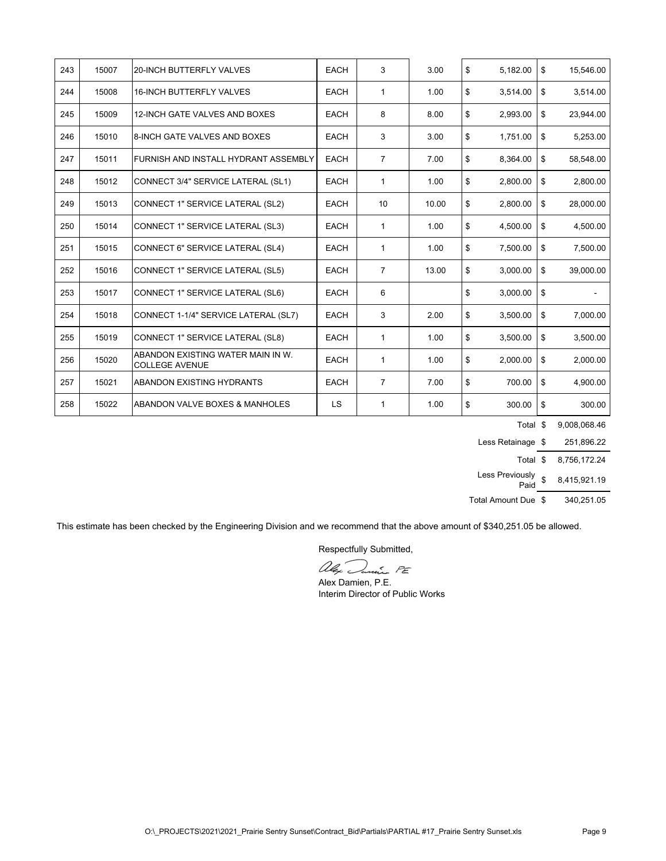| 243 | 15007 | <b>20-INCH BUTTERFLY VALVES</b>                            | <b>EACH</b> | 3              | 3.00  | \$<br>5,182.00 | \$<br>15,546.00 |
|-----|-------|------------------------------------------------------------|-------------|----------------|-------|----------------|-----------------|
| 244 | 15008 | 16-INCH BUTTERFLY VALVES                                   | <b>EACH</b> | 1              | 1.00  | \$<br>3,514.00 | \$<br>3,514.00  |
| 245 | 15009 | 12-INCH GATE VALVES AND BOXES                              | <b>EACH</b> | 8              | 8.00  | \$<br>2,993.00 | \$<br>23,944.00 |
| 246 | 15010 | 8-INCH GATE VALVES AND BOXES                               | <b>EACH</b> | 3              | 3.00  | \$<br>1,751.00 | \$<br>5,253.00  |
| 247 | 15011 | <b>IFURNISH AND INSTALL HYDRANT ASSEMBLY</b>               | <b>EACH</b> | $\overline{7}$ | 7.00  | \$<br>8,364.00 | \$<br>58,548.00 |
| 248 | 15012 | CONNECT 3/4" SERVICE LATERAL (SL1)                         | <b>EACH</b> | $\mathbf{1}$   | 1.00  | \$<br>2,800.00 | \$<br>2,800.00  |
| 249 | 15013 | CONNECT 1" SERVICE LATERAL (SL2)                           | <b>EACH</b> | 10             | 10.00 | \$<br>2,800.00 | \$<br>28,000.00 |
| 250 | 15014 | CONNECT 1" SERVICE LATERAL (SL3)                           | <b>EACH</b> | $\mathbf{1}$   | 1.00  | \$<br>4,500.00 | \$<br>4,500.00  |
| 251 | 15015 | CONNECT 6" SERVICE LATERAL (SL4)                           | <b>EACH</b> | $\mathbf{1}$   | 1.00  | \$<br>7,500.00 | \$<br>7,500.00  |
| 252 | 15016 | CONNECT 1" SERVICE LATERAL (SL5)                           | <b>EACH</b> | $\overline{7}$ | 13.00 | \$<br>3,000.00 | \$<br>39,000.00 |
| 253 | 15017 | CONNECT 1" SERVICE LATERAL (SL6)                           | <b>EACH</b> | 6              |       | \$<br>3,000.00 | \$              |
| 254 | 15018 | CONNECT 1-1/4" SERVICE LATERAL (SL7)                       | <b>EACH</b> | 3              | 2.00  | \$<br>3,500.00 | \$<br>7,000.00  |
| 255 | 15019 | CONNECT 1" SERVICE LATERAL (SL8)                           | <b>EACH</b> | $\mathbf{1}$   | 1.00  | \$<br>3,500.00 | \$<br>3,500.00  |
| 256 | 15020 | ABANDON EXISTING WATER MAIN IN W.<br><b>COLLEGE AVENUE</b> | <b>EACH</b> | $\mathbf{1}$   | 1.00  | \$<br>2,000.00 | \$<br>2,000.00  |
| 257 | 15021 | <b>ABANDON EXISTING HYDRANTS</b>                           | <b>EACH</b> | $\overline{7}$ | 7.00  | \$<br>700.00   | \$<br>4,900.00  |
| 258 | 15022 | ABANDON VALVE BOXES & MANHOLES                             | <b>LS</b>   | 1              | 1.00  | \$<br>300.00   | \$<br>300.00    |

Total \$ 9,008,068.46

Less Retainage  $$251,896.22$ 

Total \$ 8,756,172.24

Less Previously Paid \$ 8,415,921.19

Total Amount Due  $$340,251.05$ 

This estimate has been checked by the Engineering Division and we recommend that the above amount of \$340,251.05 be allowed.

Respectfully Submitted,

alex Junie PE

Alex Damien, P.E. Interim Director of Public Works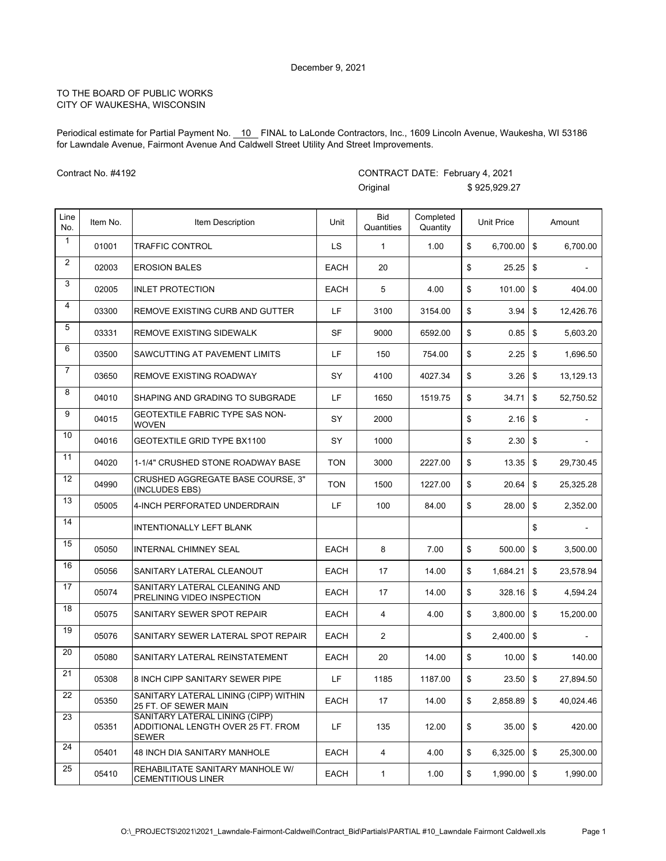Periodical estimate for Partial Payment No. \_10\_ FINAL to LaLonde Contractors, Inc., 1609 Lincoln Avenue, Waukesha, WI 53186 for Lawndale Avenue, Fairmont Avenue And Caldwell Street Utility And Street Improvements.

CONTRACT DATE: February 4, 2021

Contract No. #4192

|                         |          |                                                                               |             | Original                 |                       | \$925,929.27      |                |           |
|-------------------------|----------|-------------------------------------------------------------------------------|-------------|--------------------------|-----------------------|-------------------|----------------|-----------|
| Line<br>No.             | Item No. | Item Description                                                              | Unit        | <b>Bid</b><br>Quantities | Completed<br>Quantity | <b>Unit Price</b> |                | Amount    |
| $\mathbf{1}$            | 01001    | <b>TRAFFIC CONTROL</b>                                                        | LS          | $\mathbf{1}$             | 1.00                  | \$<br>6,700.00    | \$             | 6,700.00  |
| $\overline{2}$          | 02003    | <b>EROSION BALES</b>                                                          | <b>EACH</b> | 20                       |                       | \$<br>25.25       | \$             |           |
| 3                       | 02005    | <b>INLET PROTECTION</b>                                                       | <b>EACH</b> | 5                        | 4.00                  | \$<br>101.00      | \$             | 404.00    |
| $\overline{\mathbf{4}}$ | 03300    | REMOVE EXISTING CURB AND GUTTER                                               | LF          | 3100                     | 3154.00               | \$<br>3.94        | \$             | 12,426.76 |
| 5                       | 03331    | REMOVE EXISTING SIDEWALK                                                      | <b>SF</b>   | 9000                     | 6592.00               | \$<br>0.85        | \$             | 5,603.20  |
| 6                       | 03500    | SAWCUTTING AT PAVEMENT LIMITS                                                 | LF          | 150                      | 754.00                | \$<br>2.25        | \$             | 1,696.50  |
| $\overline{7}$          | 03650    | REMOVE EXISTING ROADWAY                                                       | SY          | 4100                     | 4027.34               | \$<br>3.26        | \$             | 13,129.13 |
| 8                       | 04010    | SHAPING AND GRADING TO SUBGRADE                                               | LF          | 1650                     | 1519.75               | \$<br>34.71       | \$             | 52,750.52 |
| 9                       | 04015    | <b>GEOTEXTILE FABRIC TYPE SAS NON-</b><br>WOVEN                               | SY          | 2000                     |                       | \$                |                |           |
| 10                      | 04016    | <b>GEOTEXTILE GRID TYPE BX1100</b>                                            | SY          | 1000                     |                       | \$<br>2.30        | \$             |           |
| 11                      | 04020    | 1-1/4" CRUSHED STONE ROADWAY BASE                                             | <b>TON</b>  | 3000                     | 2227.00               | \$<br>13.35       | $\mathfrak{S}$ | 29,730.45 |
| 12                      | 04990    | CRUSHED AGGREGATE BASE COURSE, 3"<br>(INCLUDES EBS)                           | <b>TON</b>  | 1500                     | 1227.00               | \$<br>20.64       | \$             | 25,325.28 |
| 13                      | 05005    | 4-INCH PERFORATED UNDERDRAIN                                                  | LF          | 100                      | 84.00                 | \$<br>28.00       | \$             | 2,352.00  |
| 14                      |          | <b>INTENTIONALLY LEFT BLANK</b>                                               |             |                          |                       |                   | \$             |           |
| 15                      | 05050    | INTERNAL CHIMNEY SEAL                                                         | <b>EACH</b> | 8                        | 7.00                  | \$<br>500.00      | \$             | 3,500.00  |
| 16                      | 05056    | SANITARY LATERAL CLEANOUT                                                     | <b>EACH</b> | 17                       | 14.00                 | \$<br>1,684.21    | \$             | 23,578.94 |
| 17                      | 05074    | SANITARY LATERAL CLEANING AND<br>PRELINING VIDEO INSPECTION                   | <b>EACH</b> | 17                       | 14.00                 | \$<br>328.16      | \$             | 4,594.24  |
| 18                      | 05075    | SANITARY SEWER SPOT REPAIR                                                    | <b>EACH</b> | 4                        | 4.00                  | \$<br>3,800.00    | \$             | 15,200.00 |
| 19                      | 05076    | SANITARY SEWER LATERAL SPOT REPAIR                                            | EACH        | $\overline{2}$           |                       | \$<br>2,400.00    | \$             |           |
| 20                      | 05080    | SANITARY LATERAL REINSTATEMENT                                                | <b>EACH</b> | 20                       | 14.00                 | \$<br>10.00       | \$             | 140.00    |
| 21                      | 05308    | 8 INCH CIPP SANITARY SEWER PIPE                                               | LF          | 1185                     | 1187.00               | \$<br>$23.50$ \$  |                | 27,894.50 |
| 22                      | 05350    | SANITARY LATERAL LINING (CIPP) WITHIN<br>25 FT. OF SEWER MAIN                 | EACH        | 17                       | 14.00                 | \$<br>2,858.89    | \$             | 40,024.46 |
| 23                      | 05351    | SANITARY LATERAL LINING (CIPP)<br>ADDITIONAL LENGTH OVER 25 FT. FROM<br>SEWER | LF          | 135                      | 12.00                 | \$<br>35.00       | \$             | 420.00    |
| 24                      | 05401    | <b>48 INCH DIA SANITARY MANHOLE</b>                                           | EACH        | 4                        | 4.00                  | \$<br>6,325.00    | \$             | 25,300.00 |
| 25                      | 05410    | REHABILITATE SANITARY MANHOLE W/<br><b>CEMENTITIOUS LINER</b>                 | EACH        | 1                        | 1.00                  | \$<br>1,990.00    | \$             | 1,990.00  |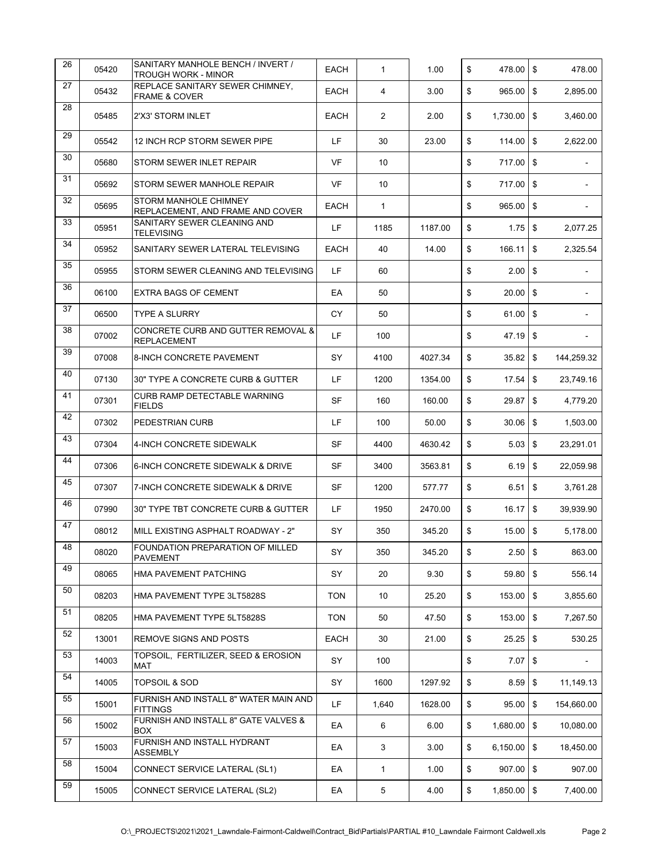| 26 | 05420 | SANITARY MANHOLE BENCH / INVERT /<br><b>TROUGH WORK - MINOR</b> | <b>EACH</b> | $\mathbf{1}$   | 1.00    | \$<br>478.00        | $\sqrt{3}$                | 478.00         |
|----|-------|-----------------------------------------------------------------|-------------|----------------|---------|---------------------|---------------------------|----------------|
| 27 | 05432 | REPLACE SANITARY SEWER CHIMNEY,<br>FRAME & COVER                | <b>EACH</b> | 4              | 3.00    | \$<br>965.00        | \$                        | 2,895.00       |
| 28 | 05485 | 2'X3' STORM INLET                                               | <b>EACH</b> | $\overline{2}$ | 2.00    | \$<br>$1,730.00$ \$ |                           | 3,460.00       |
| 29 | 05542 | 12 INCH RCP STORM SEWER PIPE                                    | LF          | 30             | 23.00   | \$<br>114.00        | $\sqrt{3}$                | 2,622.00       |
| 30 | 05680 | STORM SEWER INLET REPAIR                                        | <b>VF</b>   | 10             |         | \$<br>717.00 \$     |                           |                |
| 31 | 05692 | STORM SEWER MANHOLE REPAIR                                      | VF          | 10             |         | \$<br>717.00        | \$                        |                |
| 32 | 05695 | STORM MANHOLE CHIMNEY<br>REPLACEMENT, AND FRAME AND COVER       | <b>EACH</b> | $\mathbf{1}$   |         | \$<br>965.00        | \$                        |                |
| 33 | 05951 | SANITARY SEWER CLEANING AND<br><b>TELEVISING</b>                | LF          | 1185           | 1187.00 | \$<br>$1.75$ \$     |                           | 2,077.25       |
| 34 | 05952 | SANITARY SEWER LATERAL TELEVISING                               | EACH        | 40             | 14.00   | \$<br>166.11        | \$                        | 2,325.54       |
| 35 | 05955 | STORM SEWER CLEANING AND TELEVISING                             | LF.         | 60             |         | \$<br>2.00          | \$                        | $\blacksquare$ |
| 36 | 06100 | <b>EXTRA BAGS OF CEMENT</b>                                     | EA          | 50             |         | \$<br>20.00         | \$                        |                |
| 37 | 06500 | <b>TYPE A SLURRY</b>                                            | CY          | 50             |         | \$<br>61.00         | \$                        |                |
| 38 | 07002 | CONCRETE CURB AND GUTTER REMOVAL &<br><b>REPLACEMENT</b>        | LF          | 100            |         | \$<br>47.19         | \$                        |                |
| 39 | 07008 | 8-INCH CONCRETE PAVEMENT                                        | SY          | 4100           | 4027.34 | \$<br>$35.82$ \$    |                           | 144,259.32     |
| 40 | 07130 | 30" TYPE A CONCRETE CURB & GUTTER                               | LF          | 1200           | 1354.00 | \$<br>17.54         | \$                        | 23,749.16      |
| 41 | 07301 | CURB RAMP DETECTABLE WARNING<br><b>FIELDS</b>                   | SF          | 160            | 160.00  | \$<br>29.87         | \$                        | 4,779.20       |
| 42 | 07302 | PEDESTRIAN CURB                                                 | LF          | 100            | 50.00   | \$<br>$30.06$ \$    |                           | 1,503.00       |
| 43 | 07304 | 4-INCH CONCRETE SIDEWALK                                        | SF          | 4400           | 4630.42 | \$<br>5.03          | \$                        | 23,291.01      |
| 44 | 07306 | 6-INCH CONCRETE SIDEWALK & DRIVE                                | SF          | 3400           | 3563.81 | \$<br>6.19          | \$                        | 22,059.98      |
| 45 | 07307 | 7-INCH CONCRETE SIDEWALK & DRIVE                                | SF          | 1200           | 577.77  | \$<br>6.51          | $\sqrt[6]{3}$             | 3,761.28       |
| 46 | 07990 | 30" TYPE TBT CONCRETE CURB & GUTTER                             | LF.         | 1950           | 2470.00 | \$<br>16.17         | \$                        | 39,939.90      |
| 47 | 08012 | MILL EXISTING ASPHALT ROADWAY - 2"                              | SY          | 350            | 345.20  | \$<br>15.00         | \$                        | 5,178.00       |
| 48 | 08020 | FOUNDATION PREPARATION OF MILLED<br><b>PAVEMENT</b>             | SY          | 350            | 345.20  | \$<br>$2.50$ \$     |                           | 863.00         |
| 49 | 08065 | HMA PAVEMENT PATCHING                                           | SY          | 20             | 9.30    | \$<br>59.80         | $\sqrt{3}$                | 556.14         |
| 50 | 08203 | HMA PAVEMENT TYPE 3LT5828S                                      | <b>TON</b>  | 10             | 25.20   | \$<br>153.00        | \$                        | 3,855.60       |
| 51 | 08205 | HMA PAVEMENT TYPE 5LT5828S                                      | <b>TON</b>  | 50             | 47.50   | \$<br>153.00 \$     |                           | 7,267.50       |
| 52 | 13001 | REMOVE SIGNS AND POSTS                                          | EACH        | 30             | 21.00   | \$<br>25.25         | \$                        | 530.25         |
| 53 | 14003 | TOPSOIL, FERTILIZER, SEED & EROSION<br>MAT                      | SY          | 100            |         | \$<br>7.07          | \$                        | $\sim$         |
| 54 | 14005 | <b>TOPSOIL &amp; SOD</b>                                        | SY          | 1600           | 1297.92 | \$<br>8.59          | \$                        | 11,149.13      |
| 55 | 15001 | FURNISH AND INSTALL 8" WATER MAIN AND<br><b>FITTINGS</b>        | LF          | 1,640          | 1628.00 | \$<br>95.00         | \$                        | 154,660.00     |
| 56 | 15002 | FURNISH AND INSTALL 8" GATE VALVES &<br><b>BOX</b>              | EA          | 6              | 6.00    | \$<br>1,680.00      | \$                        | 10,080.00      |
| 57 | 15003 | FURNISH AND INSTALL HYDRANT<br><b>ASSEMBLY</b>                  | EA          | 3              | 3.00    | \$<br>6,150.00      | $\boldsymbol{\mathsf{S}}$ | 18,450.00      |
| 58 | 15004 | CONNECT SERVICE LATERAL (SL1)                                   | EA          | $\mathbf{1}$   | 1.00    | \$<br>907.00        | $\sqrt{3}$                | 907.00         |
| 59 | 15005 | CONNECT SERVICE LATERAL (SL2)                                   | EA          | 5              | 4.00    | \$<br>1,850.00      | \$                        | 7,400.00       |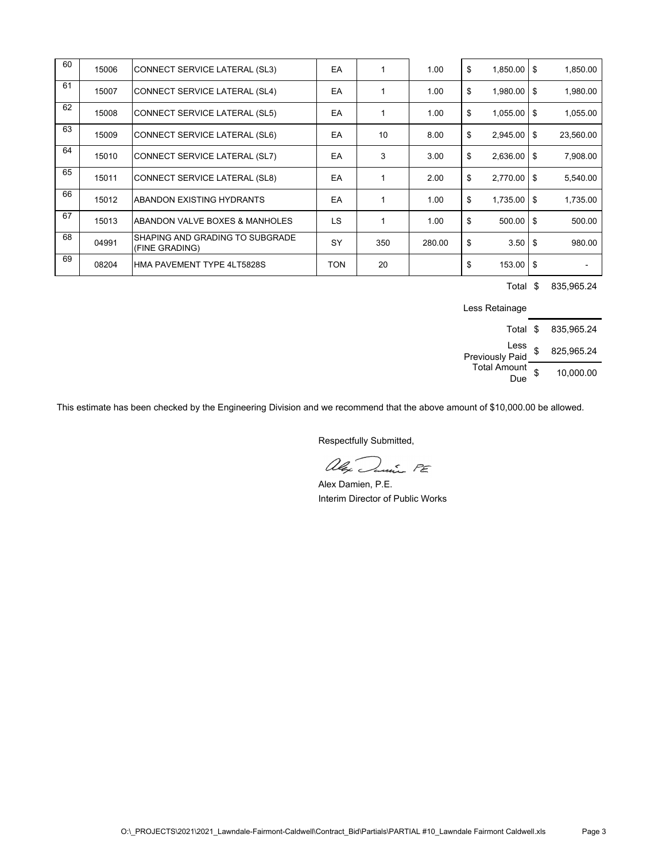| 60 | 15006 | CONNECT SERVICE LATERAL (SL3)                     | EA         |     | 1.00   | \$<br>$1,850.00$ \ \$ | 1,850.00  |
|----|-------|---------------------------------------------------|------------|-----|--------|-----------------------|-----------|
| 61 | 15007 | CONNECT SERVICE LATERAL (SL4)                     | EA         |     | 1.00   | \$<br>$1,980.00$ \$   | 1,980.00  |
| 62 | 15008 | CONNECT SERVICE LATERAL (SL5)                     | EA         |     | 1.00   | \$<br>$1,055.00$ \ \$ | 1,055.00  |
| 63 | 15009 | CONNECT SERVICE LATERAL (SL6)                     | EA         | 10  | 8.00   | \$<br>$2,945.00$ \ \$ | 23,560.00 |
| 64 | 15010 | CONNECT SERVICE LATERAL (SL7)                     | EA         | 3   | 3.00   | \$<br>$2,636.00$ \ \$ | 7,908.00  |
| 65 | 15011 | CONNECT SERVICE LATERAL (SL8)                     | EA         |     | 2.00   | \$<br>$2,770.00$ \ \$ | 5,540.00  |
| 66 | 15012 | ABANDON EXISTING HYDRANTS                         | EA         |     | 1.00   | \$<br>$1,735.00$ \ \$ | 1,735.00  |
| 67 | 15013 | ABANDON VALVE BOXES & MANHOLES                    | LS         |     | 1.00   | \$<br>$500.00$ \ \$   | 500.00    |
| 68 | 04991 | SHAPING AND GRADING TO SUBGRADE<br>(FINE GRADING) | SY         | 350 | 280.00 | \$<br>$3.50$   \$     | 980.00    |
| 69 | 08204 | HMA PAVEMENT TYPE 4LT5828S                        | <b>TON</b> | 20  |        | \$<br>$153.00$ \ \$   |           |

Total \$ 835,965.24

Less Retainage

| Total \$                   | 835.965.24       |
|----------------------------|------------------|
| Less<br>Previously Paid    | \$<br>825,965.24 |
| <b>Total Amount</b><br>Due | \$<br>10,000.00  |

This estimate has been checked by the Engineering Division and we recommend that the above amount of \$10,000.00 be allowed.

alex Dunie FE

Alex Damien, P.E. Interim Director of Public Works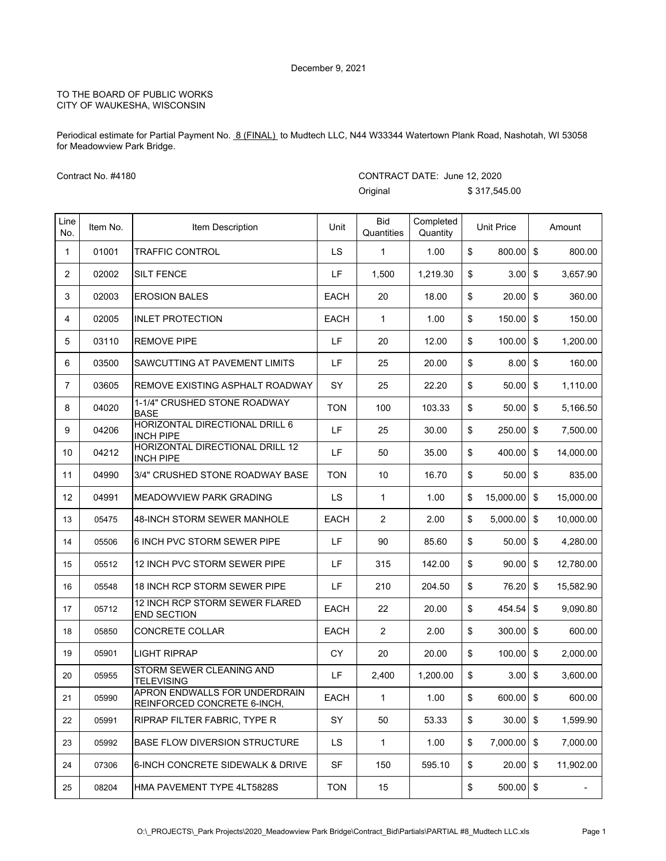Periodical estimate for Partial Payment No. 8 (FINAL) to Mudtech LLC, N44 W33344 Watertown Plank Road, Nashotah, WI 53058 for Meadowview Park Bridge.

CONTRACT DATE: June 12, 2020

Contract No. #4180

|                |          |                                                              |             | Original                 |                       | \$317,545.00      |                         |                          |
|----------------|----------|--------------------------------------------------------------|-------------|--------------------------|-----------------------|-------------------|-------------------------|--------------------------|
| Line<br>No.    | Item No. | Item Description                                             | Unit        | <b>Bid</b><br>Quantities | Completed<br>Quantity | <b>Unit Price</b> |                         | Amount                   |
| 1              | 01001    | <b>TRAFFIC CONTROL</b>                                       | LS          | 1                        | 1.00                  | \$<br>800.00      | $\sqrt[6]{\frac{1}{2}}$ | 800.00                   |
| 2              | 02002    | <b>SILT FENCE</b>                                            | LF          | 1,500                    | 1,219.30              | \$<br>3.00        | $\sqrt[6]{\frac{1}{2}}$ | 3,657.90                 |
| 3              | 02003    | <b>EROSION BALES</b>                                         | <b>EACH</b> | 20                       | 18.00                 | \$<br>20.00       | $\sqrt[6]{3}$           | 360.00                   |
| 4              | 02005    | <b>INLET PROTECTION</b>                                      | <b>EACH</b> | $\mathbf{1}$             | 1.00                  | \$<br>150.00      | \$                      | 150.00                   |
| 5              | 03110    | <b>REMOVE PIPE</b>                                           | LF          | 20                       | 12.00                 | \$<br>100.00      | $\sqrt[6]{3}$           | 1,200.00                 |
| 6              | 03500    | SAWCUTTING AT PAVEMENT LIMITS                                | LF          | 25                       | 20.00                 | \$<br>8.00        | $\sqrt[6]{3}$           | 160.00                   |
| $\overline{7}$ | 03605    | REMOVE EXISTING ASPHALT ROADWAY                              | SY          | 25                       | 22.20                 | \$<br>50.00       | $\sqrt[6]{\frac{1}{2}}$ | 1,110.00                 |
| 8              | 04020    | 1-1/4" CRUSHED STONE ROADWAY<br><b>BASE</b>                  | <b>TON</b>  | 100                      | 103.33                | \$<br>50.00       | $\sqrt[6]{3}$           | 5,166.50                 |
| 9              | 04206    | HORIZONTAL DIRECTIONAL DRILL 6<br><b>INCH PIPE</b>           | LF          | 25                       | 30.00                 | \$<br>250.00      | $\mathsf{\$}$           | 7,500.00                 |
| 10             | 04212    | <b>HORIZONTAL DIRECTIONAL DRILL 12</b><br><b>INCH PIPE</b>   | LF          | 50                       | 35.00                 | \$<br>400.00      | \$                      | 14,000.00                |
| 11             | 04990    | 3/4" CRUSHED STONE ROADWAY BASE                              | <b>TON</b>  | 10                       | 16.70                 | \$<br>50.00       | \$                      | 835.00                   |
| 12             | 04991    | <b>MEADOWVIEW PARK GRADING</b>                               | LS          | $\mathbf{1}$             | 1.00                  | \$<br>15,000.00   | \$                      | 15,000.00                |
| 13             | 05475    | 48-INCH STORM SEWER MANHOLE                                  | <b>EACH</b> | $\overline{2}$           | 2.00                  | \$<br>5,000.00    | \$                      | 10,000.00                |
| 14             | 05506    | 6 INCH PVC STORM SEWER PIPE                                  | LF          | 90                       | 85.60                 | \$<br>50.00       | $\sqrt[6]{\frac{1}{2}}$ | 4,280.00                 |
| 15             | 05512    | 12 INCH PVC STORM SEWER PIPE                                 | LF          | 315                      | 142.00                | \$<br>90.00       | $\sqrt[6]{3}$           | 12,780.00                |
| 16             | 05548    | 18 INCH RCP STORM SEWER PIPE                                 | LF          | 210                      | 204.50                | \$<br>76.20       | $\mathfrak{s}$          | 15,582.90                |
| 17             | 05712    | 12 INCH RCP STORM SEWER FLARED<br><b>END SECTION</b>         | <b>EACH</b> | 22                       | 20.00                 | \$<br>454.54      | $\sqrt[6]{3}$           | 9,090.80                 |
| 18             | 05850    | <b>CONCRETE COLLAR</b>                                       | <b>EACH</b> | $\overline{2}$           | 2.00                  | \$<br>300.00      | $\sqrt[6]{3}$           | 600.00                   |
| 19             | 05901    | LIGHT RIPRAP                                                 | CY          | 20                       | 20.00                 | \$<br>100.00      | \$                      | 2,000.00                 |
| 20             | 05955    | STORM SEWER CLEANING AND<br><b>TELEVISING</b>                | LF          | 2,400                    | 1,200.00              | \$<br>$3.00$ \$   |                         | 3,600.00                 |
| 21             | 05990    | APRON ENDWALLS FOR UNDERDRAIN<br>REINFORCED CONCRETE 6-INCH, | EACH        | $\mathbf{1}$             | 1.00                  | \$<br>600.00      | $\sqrt[6]{3}$           | 600.00                   |
| 22             | 05991    | RIPRAP FILTER FABRIC, TYPE R                                 | SY          | 50                       | 53.33                 | \$<br>$30.00$ \$  |                         | 1,599.90                 |
| 23             | 05992    | <b>BASE FLOW DIVERSION STRUCTURE</b>                         | LS          | 1                        | 1.00                  | \$<br>7,000.00    | \$                      | 7,000.00                 |
| 24             | 07306    | 6-INCH CONCRETE SIDEWALK & DRIVE                             | <b>SF</b>   | 150                      | 595.10                | \$<br>$20.00$ \$  |                         | 11,902.00                |
| 25             | 08204    | HMA PAVEMENT TYPE 4LT5828S                                   | <b>TON</b>  | 15                       |                       | \$<br>$500.00$ \$ |                         | $\overline{\phantom{a}}$ |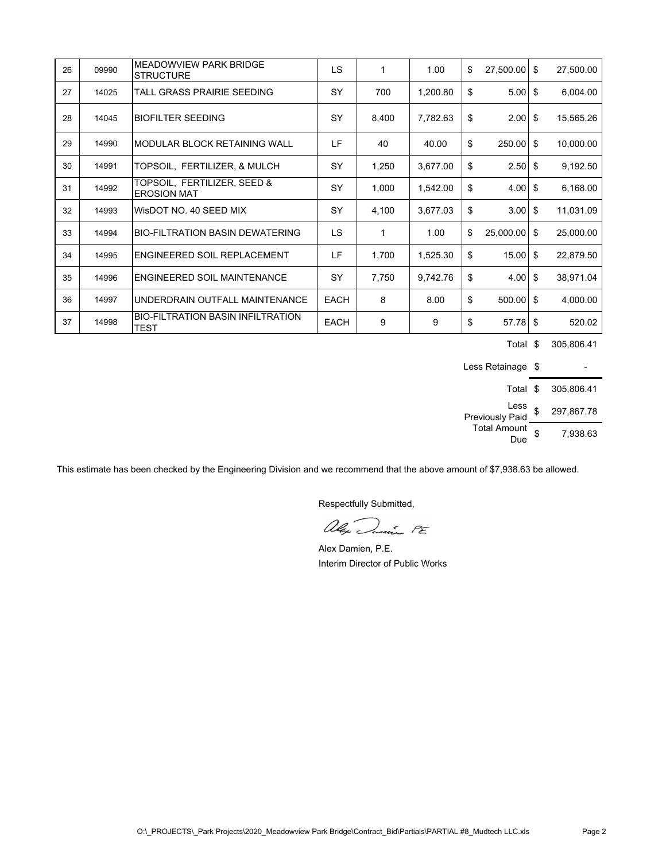| 26 | 09990 | MEADOWVIEW PARK BRIDGE<br><b>STRUCTURE</b>              | LS          | 1     | 1.00     | \$<br>27,500.00      | - \$ | 27,500.00 |
|----|-------|---------------------------------------------------------|-------------|-------|----------|----------------------|------|-----------|
| 27 | 14025 | TALL GRASS PRAIRIE SEEDING                              | SY          | 700   | 1,200.80 | \$<br>$5.00$ \$      |      | 6,004.00  |
| 28 | 14045 | <b>BIOFILTER SEEDING</b>                                | SY          | 8,400 | 7,782.63 | \$<br>$2.00$ \$      |      | 15,565.26 |
| 29 | 14990 | <b>MODULAR BLOCK RETAINING WALL</b>                     | LF          | 40    | 40.00    | \$<br>$250.00$ \$    |      | 10,000.00 |
| 30 | 14991 | TOPSOIL, FERTILIZER, & MULCH                            | SY          | 1,250 | 3,677.00 | \$<br>$2.50$ \$      |      | 9,192.50  |
| 31 | 14992 | TOPSOIL, FERTILIZER, SEED &<br><b>EROSION MAT</b>       | SY          | 1,000 | 1,542.00 | \$<br>$4.00$ \$      |      | 6,168.00  |
| 32 | 14993 | WisDOT NO. 40 SEED MIX                                  | SY          | 4,100 | 3,677.03 | \$<br>$3.00$ \$      |      | 11,031.09 |
| 33 | 14994 | <b>BIO-FILTRATION BASIN DEWATERING</b>                  | LS          | 1     | 1.00     | \$<br>$25,000.00$ \$ |      | 25,000.00 |
| 34 | 14995 | ENGINEERED SOIL REPLACEMENT                             | LF          | 1,700 | 1,525.30 | \$<br>$15.00$ \$     |      | 22,879.50 |
| 35 | 14996 | ENGINEERED SOIL MAINTENANCE                             | SY          | 7,750 | 9,742.76 | \$<br>$4.00$ \$      |      | 38,971.04 |
| 36 | 14997 | UNDERDRAIN OUTFALL MAINTENANCE                          | <b>EACH</b> | 8     | 8.00     | \$<br>$500.00$ \$    |      | 4,000.00  |
| 37 | 14998 | <b>BIO-FILTRATION BASIN INFILTRATION</b><br><b>TEST</b> | <b>EACH</b> | 9     | 9        | \$<br>$57.78$ \$     |      | 520.02    |

Total \$ 305,806.41

Less Retainage \$ Total \$ 305,806.41 Less Eess \$ 297,867.78 Total Amount  $D = \begin{bmatrix} 6 & 7 & 9 & 38 & 63 \\ 0 & 2 & 7 & 9 & 6 \end{bmatrix}$ 

This estimate has been checked by the Engineering Division and we recommend that the above amount of \$7,938.63 be allowed.

alex Danie PE

Alex Damien, P.E. Interim Director of Public Works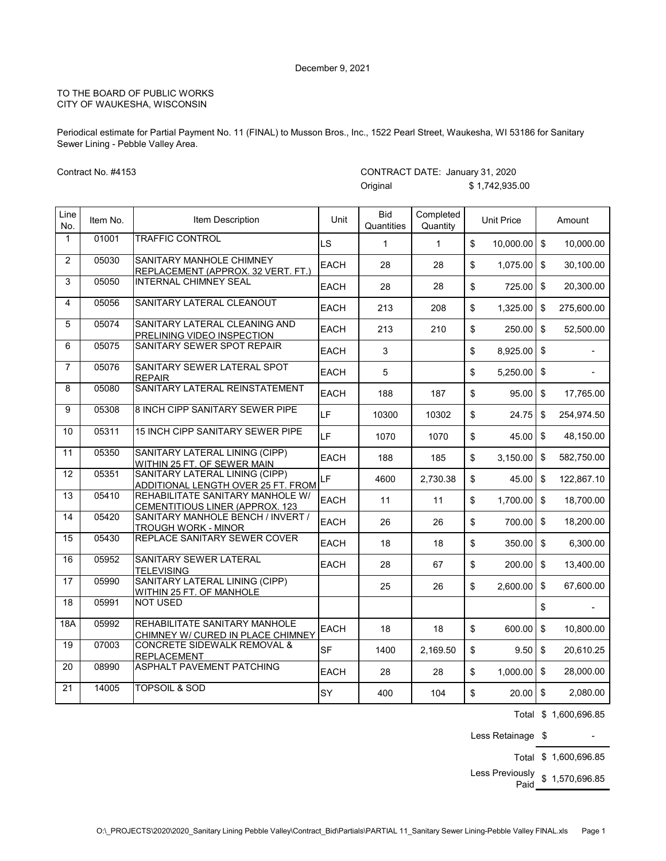Periodical estimate for Partial Payment No. 11 (FINAL) to Musson Bros., Inc., 1522 Pearl Street, Waukesha, WI 53186 for Sanitary Sewer Lining - Pebble Valley Area.

Contract No. #4153

|                  |          |                                                                      |             | Unginai                  |                       |                         | $1, 1, 7$ $ , 000.00$ |                           |            |
|------------------|----------|----------------------------------------------------------------------|-------------|--------------------------|-----------------------|-------------------------|-----------------------|---------------------------|------------|
| Line<br>No.      | Item No. | Item Description                                                     | Unit        | <b>Bid</b><br>Quantities | Completed<br>Quantity |                         | <b>Unit Price</b>     |                           | Amount     |
| $\mathbf{1}$     | 01001    | <b>TRAFFIC CONTROL</b>                                               | LS          | $\mathbf{1}$             | $\mathbf{1}$          | \$                      | 10,000.00             | \$                        | 10,000.00  |
| 2                | 05030    | SANITARY MANHOLE CHIMNEY<br>REPLACEMENT (APPROX. 32 VERT. FT.)       | <b>EACH</b> | 28                       | 28                    | \$                      | 1,075.00              | $\mathbf{\hat{S}}$        | 30,100.00  |
| 3                | 05050    | <b>INTERNAL CHIMNEY SEAL</b>                                         | <b>EACH</b> | 28                       | 28                    | \$                      | 725.00                | $\mathfrak s$             | 20,300.00  |
| 4                | 05056    | SANITARY LATERAL CLEANOUT                                            | EACH        | 213                      | 208                   | \$                      | 1,325.00              | $\boldsymbol{\mathsf{S}}$ | 275,600.00 |
| 5                | 05074    | SANITARY LATERAL CLEANING AND<br>PRELINING VIDEO INSPECTION          | <b>EACH</b> | 213                      | 210                   | \$                      | 250.00                | \$                        | 52,500.00  |
| 6                | 05075    | SANITARY SEWER SPOT REPAIR                                           | <b>EACH</b> | 3                        |                       | \$                      | 8,925.00              | $\boldsymbol{\mathsf{S}}$ |            |
| $\overline{7}$   | 05076    | SANITARY SEWER LATERAL SPOT<br><b>REPAIR</b>                         | <b>EACH</b> | 5                        |                       | \$                      | 5,250.00              | $\boldsymbol{\mathsf{S}}$ |            |
| 8                | 05080    | SANITARY LATERAL REINSTATEMENT                                       | <b>EACH</b> | 188                      | 187                   | \$                      | 95.00                 | $\mathsf{\$}$             | 17,765.00  |
| 9                | 05308    | 8 INCH CIPP SANITARY SEWER PIPE                                      | LF          | 10300                    | 10302                 | \$                      | 24.75                 | $\boldsymbol{\mathsf{S}}$ | 254,974.50 |
| 10               | 05311    | 15 INCH CIPP SANITARY SEWER PIPE                                     | LF          | 1070                     | 1070                  | \$                      | 45.00                 | \$                        | 48,150.00  |
| 11               | 05350    | SANITARY LATERAL LINING (CIPP)<br>WITHIN 25 FT. OF SEWER MAIN        | <b>EACH</b> | 188                      | 185                   | \$                      | 3,150.00              | $\boldsymbol{\mathsf{S}}$ | 582,750.00 |
| $\overline{12}$  | 05351    | SANITARY LATERAL LINING (CIPP)<br>ADDITIONAL LENGTH OVER 25 FT. FROM | LF          | 4600                     | 2,730.38              | \$                      | 45.00                 | \$                        | 122,867.10 |
| 13               | 05410    | REHABILITATE SANITARY MANHOLE W/<br>CEMENTITIOUS LINER (APPROX. 123  | <b>EACH</b> | 11                       | 11                    | \$                      | 1,700.00              | \$                        | 18,700.00  |
| 14               | 05420    | SANITARY MANHOLE BENCH / INVERT /<br><b>TROUGH WORK - MINOR</b>      | <b>EACH</b> | 26                       | 26                    | \$                      | 700.00                | $\mathfrak s$             | 18,200.00  |
| 15               | 05430    | REPLACE SANITARY SEWER COVER                                         | <b>EACH</b> | 18                       | 18                    | $\sqrt[6]{\frac{1}{2}}$ | 350.00                | $\mathbb{S}$              | 6,300.00   |
| 16               | 05952    | SANITARY SEWER LATERAL<br><b>TELEVISING</b>                          | <b>EACH</b> | 28                       | 67                    | \$                      | 200.00                | $\mathsf{\$}$             | 13,400.00  |
| 17               | 05990    | SANITARY LATERAL LINING (CIPP)<br>WITHIN 25 FT. OF MANHOLE           |             | 25                       | 26                    | $\sqrt[6]{\frac{1}{2}}$ | 2,600.00              | $\boldsymbol{\mathsf{S}}$ | 67,600.00  |
| 18               | 05991    | <b>NOT USED</b>                                                      |             |                          |                       |                         |                       | \$                        |            |
| $\overline{18A}$ | 05992    | REHABILITATE SANITARY MANHOLE<br>CHIMNEY W/ CURED IN PLACE CHIMNEY   | <b>EACH</b> | 18                       | 18                    | \$                      | 600.00                | $\boldsymbol{\mathsf{S}}$ | 10,800.00  |
| 19               | 07003    | CONCRETE SIDEWALK REMOVAL &<br><b>REPLACEMENT</b>                    | <b>SF</b>   | 1400                     | 2,169.50              | \$                      | 9.50                  | $\mathfrak s$             | 20,610.25  |
| 20               | 08990    | ASPHALT PAVEMENT PATCHING                                            | <b>EACH</b> | 28                       | 28                    | \$                      | 1,000.00              | $\boldsymbol{\mathsf{S}}$ | 28,000.00  |
| 21               | 14005    | <b>TOPSOIL &amp; SOD</b>                                             | SY          | 400                      | 104                   | \$                      | 20.00                 | $\mathsf{\$}$             | 2,080.00   |

#### CONTRACT DATE: January 31, 2020 Original  $\binom{6}{1}$   $\binom{1}{4}$   $\binom{1}{1}$   $\binom{1}{2}$   $\binom{1}{3}$   $\binom{1}{1}$   $\binom{1}{1}$   $\binom{1}{2}$   $\binom{1}{3}$   $\binom{1}{4}$   $\binom{1}{5}$   $\binom{1}{1}$   $\binom{1}{1}$   $\binom{1}{1}$   $\binom{1}{1}$   $\binom{1}{1}$   $\binom{1}{1}$   $\binom{1}{1}$   $\binom{1}{1}$   $\binom$

Total \$ 1,600,696.85

Less Retainage  $\,$ \$ -

Total \$ 1,600,696.85

Less Previously \$ 1,570,696.85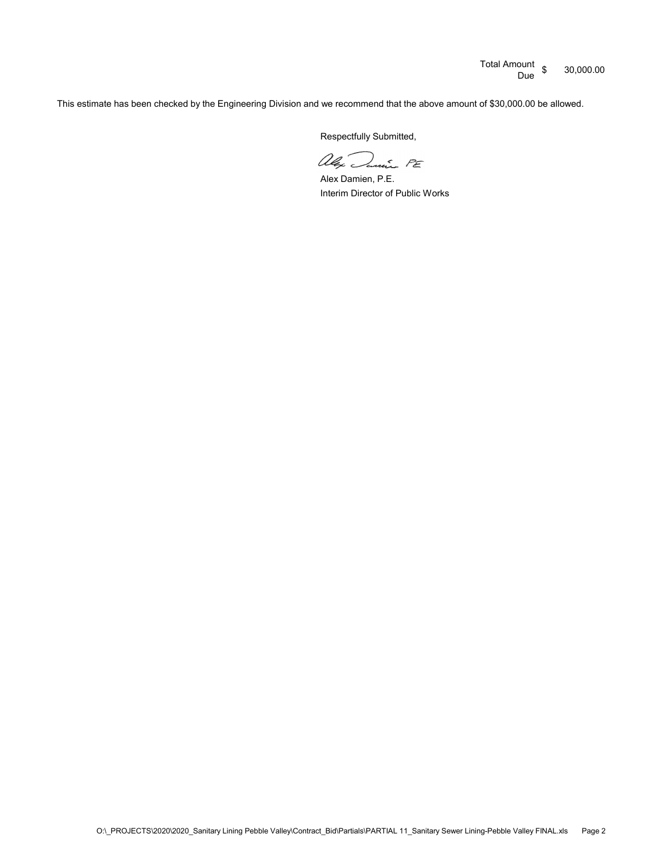Total Amount \$ 30,000.00

This estimate has been checked by the Engineering Division and we recommend that the above amount of \$30,000.00 be allowed.

alex Danie PE

Alex Damien, P.E. Interim Director of Public Works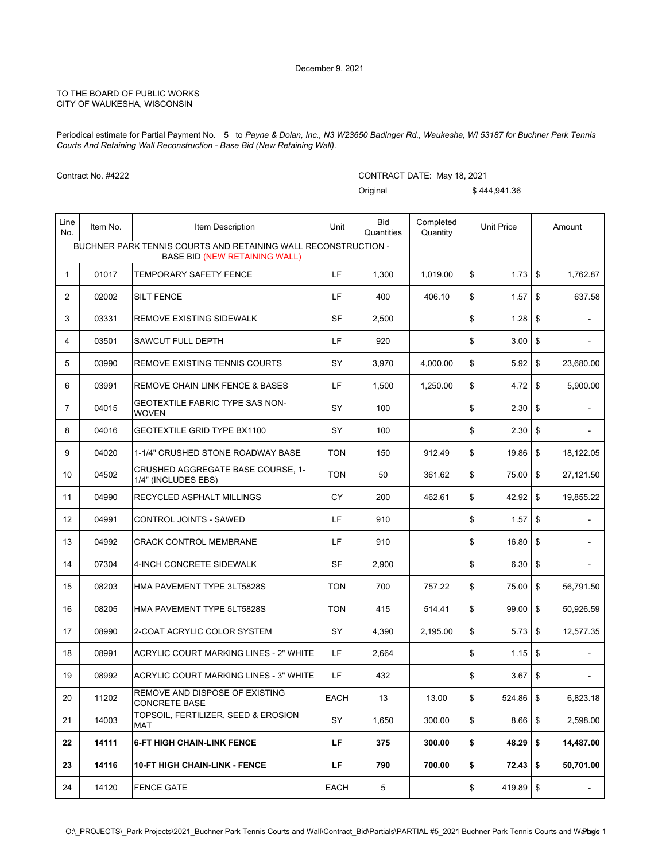Periodical estimate for Partial Payment No. 5 to Payne & Dolan, Inc., N3 W23650 Badinger Rd., Waukesha, WI 53187 for Buchner Park Tennis *Courts And Retaining Wall Reconstruction - Base Bid (New Retaining Wall).*

|                | Contract No. #4222 |                                                                                                        |            | CONTRACT DATE: May 18, 2021 |                       |    |                   |            |                          |  |  |
|----------------|--------------------|--------------------------------------------------------------------------------------------------------|------------|-----------------------------|-----------------------|----|-------------------|------------|--------------------------|--|--|
|                |                    |                                                                                                        |            | Original                    |                       |    | \$444.941.36      |            |                          |  |  |
| Line<br>No.    | Item No.           | Item Description                                                                                       | Unit       | <b>Bid</b><br>Quantities    | Completed<br>Quantity |    | <b>Unit Price</b> |            | Amount                   |  |  |
|                |                    | BUCHNER PARK TENNIS COURTS AND RETAINING WALL RECONSTRUCTION -<br><b>BASE BID (NEW RETAINING WALL)</b> |            |                             |                       |    |                   |            |                          |  |  |
| $\mathbf{1}$   | 01017              | TEMPORARY SAFETY FENCE                                                                                 | LF         | 1,300                       | 1,019.00              | \$ | $1.73$ \$         |            | 1,762.87                 |  |  |
| 2              | 02002              | <b>SILT FENCE</b>                                                                                      | LF         | 400                         | 406.10                | \$ | 1.57              | \$         | 637.58                   |  |  |
| 3              | 03331              | REMOVE EXISTING SIDEWALK                                                                               | <b>SF</b>  | 2,500                       |                       | \$ | 1.28              | \$         | $\overline{\phantom{a}}$ |  |  |
| 4              | 03501              | SAWCUT FULL DEPTH                                                                                      | LF         | 920                         |                       | \$ | 3.00              | \$         | $\overline{a}$           |  |  |
| 5              | 03990              | <b>REMOVE EXISTING TENNIS COURTS</b>                                                                   | SY         | 3,970                       | 4,000.00              | \$ | 5.92              | \$         | 23,680.00                |  |  |
| 6              | 03991              | <b>REMOVE CHAIN LINK FENCE &amp; BASES</b>                                                             | LF         | 1,500                       | 1,250.00              | \$ | 4.72              | \$         | 5,900.00                 |  |  |
| $\overline{7}$ | 04015              | GEOTEXTILE FABRIC TYPE SAS NON-<br><b>WOVEN</b>                                                        | SY         | 100                         |                       | \$ | 2.30              | \$         |                          |  |  |
| 8              | 04016              | <b>GEOTEXTILE GRID TYPE BX1100</b>                                                                     | SY         | 100                         |                       | \$ | 2.30              | \$         | $\overline{\phantom{a}}$ |  |  |
| 9              | 04020              | 1-1/4" CRUSHED STONE ROADWAY BASE                                                                      | <b>TON</b> | 150                         | 912.49                | \$ | 19.86             | \$         | 18,122.05                |  |  |
| 10             | 04502              | <b>CRUSHED AGGREGATE BASE COURSE, 1-</b><br>1/4" (INCLUDES EBS)                                        | <b>TON</b> | 50                          | 361.62                | \$ | 75.00             | \$         | 27,121.50                |  |  |
| 11             | 04990              | RECYCLED ASPHALT MILLINGS                                                                              | CY.        | 200                         | 462.61                | \$ | 42.92             | \$         | 19,855.22                |  |  |
| 12             | 04991              | CONTROL JOINTS - SAWED                                                                                 | LF         | 910                         |                       | \$ | 1.57              | \$         |                          |  |  |
| 13             | 04992              | <b>CRACK CONTROL MEMBRANE</b>                                                                          | LF         | 910                         |                       | \$ | 16.80             | \$         | $\blacksquare$           |  |  |
| 14             | 07304              | 4-INCH CONCRETE SIDEWALK                                                                               | SF         | 2,900                       |                       | \$ | 6.30              | \$         | $\overline{a}$           |  |  |
| 15             | 08203              | HMA PAVEMENT TYPE 3LT5828S                                                                             | <b>TON</b> | 700                         | 757.22                | \$ | 75.00             | \$         | 56,791.50                |  |  |
| 16             | 08205              | HMA PAVEMENT TYPE 5LT5828S                                                                             | <b>TON</b> | 415                         | 514.41                | \$ | 99.00             | \$         | 50,926.59                |  |  |
| 17             | 08990              | 2-COAT ACRYLIC COLOR SYSTEM                                                                            | SY         | 4,390                       | 2,195.00              | \$ | 5.73              | \$         | 12,577.35                |  |  |
| 18             | 08991              | ACRYLIC COURT MARKING LINES - 2" WHITE                                                                 | LF         | 2,664                       |                       | \$ |                   |            |                          |  |  |
| 19             | 08992              | ACRYLIC COURT MARKING LINES - 3" WHITE                                                                 | LF         | 432                         |                       | \$ | 3.67              | \$         |                          |  |  |
| 20             | 11202              | REMOVE AND DISPOSE OF EXISTING<br><b>CONCRETE BASE</b>                                                 | EACH       | 13                          | 13.00                 | \$ | 524.86            | $\sqrt{3}$ | 6,823.18                 |  |  |
| 21             | 14003              | TOPSOIL, FERTILIZER, SEED & EROSION<br>MAT                                                             | SY         | 1,650                       | 300.00                | \$ | 8.66              | \$         | 2,598.00                 |  |  |
| 22             | 14111              | <b>6-FT HIGH CHAIN-LINK FENCE</b>                                                                      | LF         | 375                         | 300.00                | \$ | 48.29             | \$         | 14,487.00                |  |  |
| 23             | 14116              | <b>10-FT HIGH CHAIN-LINK - FENCE</b>                                                                   | LF         | 790                         | 700.00                | \$ | 72.43             | \$         | 50,701.00                |  |  |
| 24             | 14120              | <b>FENCE GATE</b>                                                                                      | EACH       | 5                           |                       | \$ | 419.89 \$         |            |                          |  |  |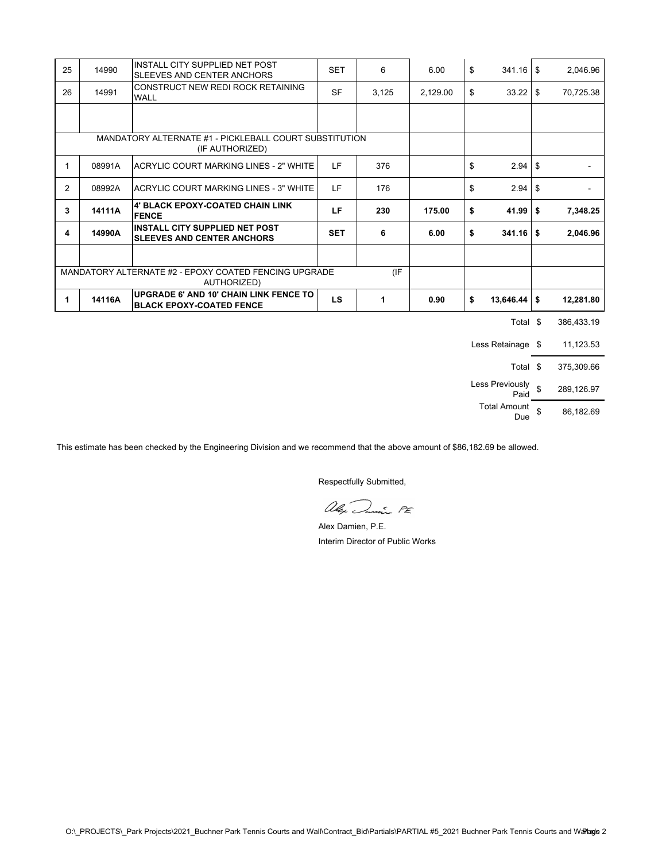| 25             | 14990  | <b>INSTALL CITY SUPPLIED NET POST</b><br>SLEEVES AND CENTER ANCHORS              | <b>SET</b> | 6     | 6.00     | \$<br>341.16                   | <b>S</b> | 2,046.96   |
|----------------|--------|----------------------------------------------------------------------------------|------------|-------|----------|--------------------------------|----------|------------|
| 26             | 14991  | CONSTRUCT NEW REDI ROCK RETAINING<br><b>WALL</b>                                 | <b>SF</b>  | 3,125 | 2,129.00 | \$<br>33.22                    | \$       | 70,725.38  |
|                |        |                                                                                  |            |       |          |                                |          |            |
|                |        |                                                                                  |            |       |          |                                |          |            |
|                |        | MANDATORY ALTERNATE #1 - PICKLEBALL COURT SUBSTITUTION<br>(IF AUTHORIZED)        |            |       |          |                                |          |            |
| 1              | 08991A | ACRYLIC COURT MARKING LINES - 2" WHITE                                           | LF         | 376   |          | \$<br>2.94                     | -\$      |            |
| $\overline{2}$ | 08992A | <b>ACRYLIC COURT MARKING LINES - 3" WHITE</b>                                    | LF         | 176   |          | \$<br>2.94                     | \$       |            |
| 3              | 14111A | 4' BLACK EPOXY-COATED CHAIN LINK<br><b>FENCE</b>                                 | LF         | 230   | 175.00   | \$<br>41.99                    | \$       | 7,348.25   |
| 4              | 14990A | <b>INSTALL CITY SUPPLIED NET POST</b><br><b>SLEEVES AND CENTER ANCHORS</b>       | <b>SET</b> | 6     | 6.00     | \$<br>341.16                   | l \$     | 2,046.96   |
|                |        |                                                                                  |            |       |          |                                |          |            |
|                |        | MANDATORY ALTERNATE #2 - EPOXY COATED FENCING UPGRADE<br>AUTHORIZED)             |            | (IF)  |          |                                |          |            |
| 1              | 14116A | <b>UPGRADE 6' AND 10' CHAIN LINK FENCE TO</b><br><b>BLACK EPOXY-COATED FENCE</b> | LS         | 1     | 0.90     | \$<br>$13,646.44$ \$           |          | 12,281.80  |
|                |        |                                                                                  |            |       |          | Total \$                       |          | 386,433.19 |
|                |        |                                                                                  |            |       |          | Less Retainage \$              |          | 11,123.53  |
|                |        |                                                                                  |            |       |          | Total \$                       |          | 375,309.66 |
|                |        |                                                                                  |            |       |          | Less Previously $\int$<br>Paid |          | 289,126.97 |
|                |        |                                                                                  |            |       |          | <b>Total Amount</b><br>Due     | \$       | 86,182.69  |

This estimate has been checked by the Engineering Division and we recommend that the above amount of \$86,182.69 be allowed.

alex Danie PE

Alex Damien, P.E. Interim Director of Public Works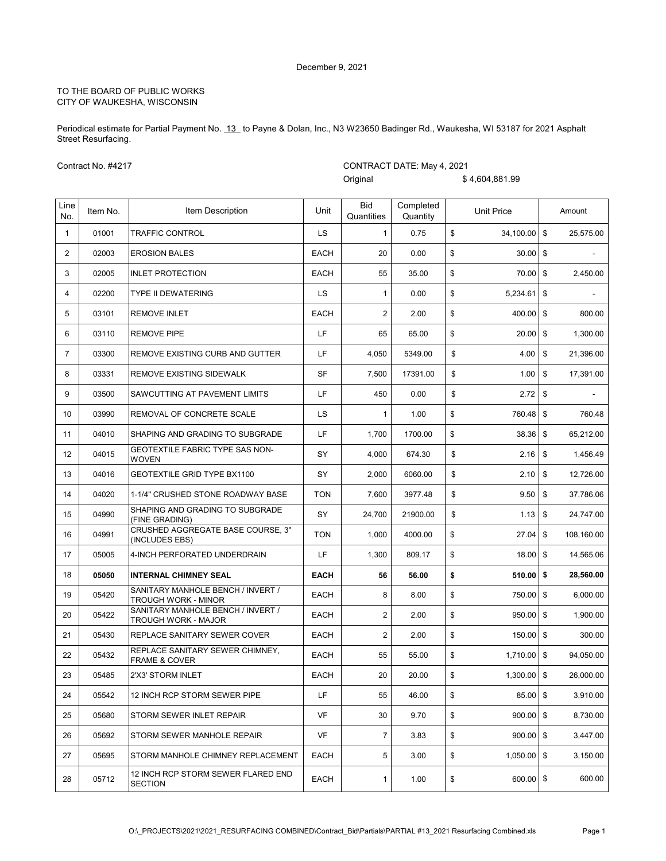Periodical estimate for Partial Payment No. 13 to Payne & Dolan, Inc., N3 W23650 Badinger Rd., Waukesha, WI 53187 for 2021 Asphalt Street Resurfacing.

Contract No. #4217

CONTRACT DATE: May 4, 2021

Original \$ 4,604,881.99

| Line           |          |                                                                 |             | <b>Bid</b>     | Completed |                      |                 |
|----------------|----------|-----------------------------------------------------------------|-------------|----------------|-----------|----------------------|-----------------|
| No.            | Item No. | Item Description                                                | Unit        | Quantities     | Quantity  | Unit Price           | Amount          |
| $\mathbf{1}$   | 01001    | <b>TRAFFIC CONTROL</b>                                          | <b>LS</b>   | $\mathbf{1}$   | 0.75      | \$<br>$34,100.00$ \$ | 25,575.00       |
| $\overline{2}$ | 02003    | <b>EROSION BALES</b>                                            | <b>EACH</b> | 20             | 0.00      | \$<br>30.00          | \$              |
| 3              | 02005    | <b>INLET PROTECTION</b>                                         | <b>EACH</b> | 55             | 35.00     | \$<br>70.00          | \$<br>2,450.00  |
| 4              | 02200    | <b>TYPE II DEWATERING</b>                                       | LS.         | $\mathbf{1}$   | 0.00      | \$<br>$5,234.61$ \$  |                 |
| 5              | 03101    | <b>REMOVE INLET</b>                                             | <b>EACH</b> | $\overline{2}$ | 2.00      | \$<br>400.00         | \$<br>800.00    |
| 6              | 03110    | <b>REMOVE PIPE</b>                                              | LF          | 65             | 65.00     | \$<br>20.00          | \$<br>1,300.00  |
| $\overline{7}$ | 03300    | REMOVE EXISTING CURB AND GUTTER                                 | LF          | 4,050          | 5349.00   | \$<br>4.00           | \$<br>21,396.00 |
| 8              | 03331    | REMOVE EXISTING SIDEWALK                                        | <b>SF</b>   | 7,500          | 17391.00  | \$<br>1.00           | \$<br>17,391.00 |
| 9              | 03500    | SAWCUTTING AT PAVEMENT LIMITS                                   | LF          | 450            | 0.00      | \$<br>2.72           | \$              |
| 10             | 03990    | REMOVAL OF CONCRETE SCALE                                       | LS          | $\mathbf{1}$   | 1.00      | \$<br>760.48         | \$<br>760.48    |
| 11             | 04010    | SHAPING AND GRADING TO SUBGRADE                                 | LF          | 1,700          | 1700.00   | \$<br>38.36          | \$<br>65,212.00 |
| 12             | 04015    | <b>GEOTEXTILE FABRIC TYPE SAS NON-</b><br><b>WOVEN</b>          | SY          | 4,000          | 674.30    | \$<br>2.16           | \$<br>1,456.49  |
| 13             | 04016    | <b>GEOTEXTILE GRID TYPE BX1100</b>                              | SY          | 2,000          | 6060.00   | \$<br>2.10           | \$<br>12,726.00 |
| 14             | 04020    | 1-1/4" CRUSHED STONE ROADWAY BASE                               | <b>TON</b>  | 7,600          | 3977.48   | \$<br>9.50           | \$<br>37,786.06 |
| 15             | 04990    | SHAPING AND GRADING TO SUBGRADE<br>(FINE GRADING)               | SY          | 24,700         | 21900.00  | \$<br>1.13           | \$<br>24,747.00 |
| 16             | 04991    | CRUSHED AGGREGATE BASE COURSE, 3"<br>(INCLUDES EBS)             | <b>TON</b>  | 1,000          | 4000.00   | \$<br>27.04 \$       | 108,160.00      |
| 17             | 05005    | 4-INCH PERFORATED UNDERDRAIN                                    | LF          | 1,300          | 809.17    | \$<br>18.00          | \$<br>14,565.06 |
| 18             | 05050    | <b>INTERNAL CHIMNEY SEAL</b>                                    | <b>EACH</b> | 56             | 56.00     | \$<br>510.00         | \$<br>28,560.00 |
| 19             | 05420    | SANITARY MANHOLE BENCH / INVERT /<br>TROUGH WORK - MINOR        | <b>EACH</b> | 8              | 8.00      | \$<br>750.00         | \$<br>6,000.00  |
| 20             | 05422    | SANITARY MANHOLE BENCH / INVERT /<br><b>TROUGH WORK - MAJOR</b> | <b>EACH</b> | $\overline{2}$ | 2.00      | \$<br>950.00         | \$<br>1,900.00  |
| 21             | 05430    | REPLACE SANITARY SEWER COVER                                    | <b>EACH</b> | $\overline{2}$ | 2.00      | \$<br>$150.00$ \$    | 300.00          |
| 22             | 05432    | REPLACE SANITARY SEWER CHIMNEY,<br><b>FRAME &amp; COVER</b>     | EACH        | 55             | 55.00     | \$<br>$1,710.00$ \$  | 94,050.00       |
| 23             | 05485    | 2'X3' STORM INLET                                               | EACH        | 20             | 20.00     | \$<br>$1,300.00$ \$  | 26,000.00       |
| 24             | 05542    | 12 INCH RCP STORM SEWER PIPE                                    | LF          | 55             | 46.00     | \$<br>85.00 \$       | 3,910.00        |
| 25             | 05680    | STORM SEWER INLET REPAIR                                        | VF          | 30             | 9.70      | \$<br>$900.00$ \$    | 8,730.00        |
| 26             | 05692    | STORM SEWER MANHOLE REPAIR                                      | VF          | $\overline{7}$ | 3.83      | \$<br>$900.00$ \$    | 3.447.00        |
| 27             | 05695    | STORM MANHOLE CHIMNEY REPLACEMENT                               | EACH        | 5              | 3.00      | \$<br>$1,050.00$ \$  | 3,150.00        |
| 28             | 05712    | 12 INCH RCP STORM SEWER FLARED END<br><b>SECTION</b>            | EACH        | $\mathbf{1}$   | 1.00      | \$<br>600.00 \$      | 600.00          |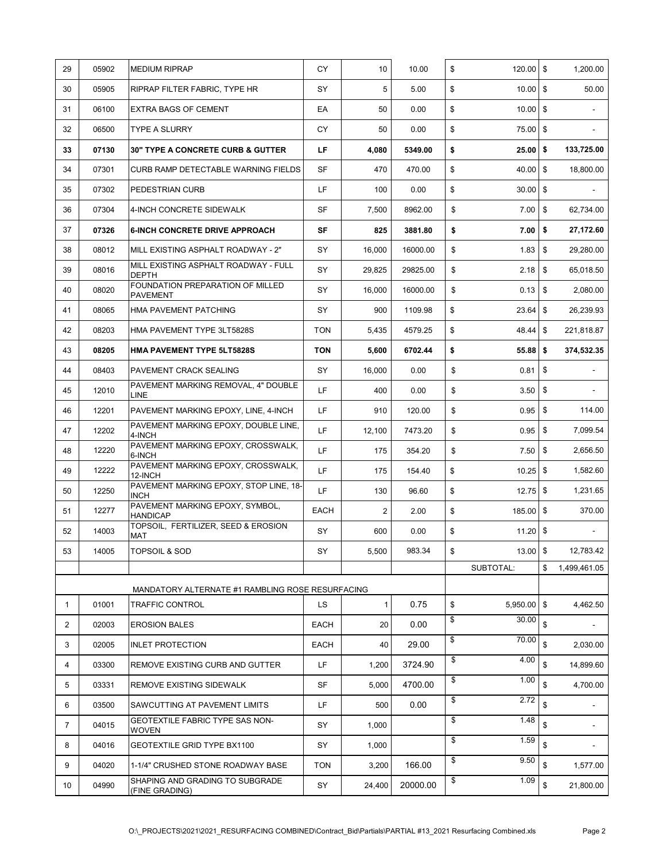| 29           | 05902 | <b>MEDIUM RIPRAP</b>                                  | СY         | 10             | 10.00    | \$<br>120.00        | <b>\$</b>          | 1,200.00                 |
|--------------|-------|-------------------------------------------------------|------------|----------------|----------|---------------------|--------------------|--------------------------|
| 30           | 05905 | RIPRAP FILTER FABRIC, TYPE HR                         | SY         | 5              | 5.00     | \$<br>10.00         | \$                 | 50.00                    |
| 31           | 06100 | <b>EXTRA BAGS OF CEMENT</b>                           | EA         | 50             | 0.00     | \$<br>$10.00$ \$    |                    |                          |
| 32           | 06500 | <b>TYPE A SLURRY</b>                                  | СY         | 50             | 0.00     | \$<br>75.00         | \$                 |                          |
| 33           | 07130 | <b>30" TYPE A CONCRETE CURB &amp; GUTTER</b>          | LF.        | 4,080          | 5349.00  | \$<br>25.00         | -\$                | 133,725.00               |
| 34           | 07301 | CURB RAMP DETECTABLE WARNING FIELDS                   | SF         | 470            | 470.00   | \$<br>40.00         | \$                 | 18,800.00                |
| 35           | 07302 | PEDESTRIAN CURB                                       | LF.        | 100            | 0.00     | \$<br>30.00         | l \$               |                          |
| 36           | 07304 | 4-INCH CONCRETE SIDEWALK                              | <b>SF</b>  | 7,500          | 8962.00  | \$<br>7.00          | \$                 | 62.734.00                |
| 37           | 07326 | <b>6-INCH CONCRETE DRIVE APPROACH</b>                 | SF         | 825            | 3881.80  | \$<br>7.00          | \$                 | 27,172.60                |
| 38           | 08012 | MILL EXISTING ASPHALT ROADWAY - 2"                    | SY         | 16,000         | 16000.00 | \$<br>1.83          | \$                 | 29,280.00                |
| 39           | 08016 | MILL EXISTING ASPHALT ROADWAY - FULL<br><b>DEPTH</b>  | SY         | 29,825         | 29825.00 | \$<br>2.18          | \$                 | 65,018.50                |
| 40           | 08020 | FOUNDATION PREPARATION OF MILLED<br><b>PAVEMENT</b>   | SY         | 16,000         | 16000.00 | \$<br>0.13          | \$                 | 2,080.00                 |
| 41           | 08065 | HMA PAVEMENT PATCHING                                 | SY         | 900            | 1109.98  | \$<br>23.64         | \$                 | 26,239.93                |
| 42           | 08203 | HMA PAVEMENT TYPE 3LT5828S                            | <b>TON</b> | 5,435          | 4579.25  | \$<br>48.44         | <b>\$</b>          | 221,818.87               |
| 43           | 08205 | HMA PAVEMENT TYPE 5LT5828S                            | <b>TON</b> | 5,600          | 6702.44  | \$<br>55.88         | <b>S</b>           | 374,532.35               |
| 44           | 08403 | PAVEMENT CRACK SEALING                                | SY         | 16,000         | 0.00     | \$<br>0.81          | \$                 |                          |
| 45           | 12010 | PAVEMENT MARKING REMOVAL, 4" DOUBLE<br>LINE           | LF         | 400            | 0.00     | \$<br>3.50          | \$                 |                          |
| 46           | 12201 | PAVEMENT MARKING EPOXY, LINE, 4-INCH                  | LF         | 910            | 120.00   | \$<br>0.95          | \$                 | 114.00                   |
| 47           | 12202 | PAVEMENT MARKING EPOXY, DOUBLE LINE,<br>4-INCH        | LF         | 12,100         | 7473.20  | \$<br>0.95          | \$                 | 7,099.54                 |
| 48           | 12220 | PAVEMENT MARKING EPOXY, CROSSWALK,<br>6-INCH          | LF         | 175            | 354.20   | \$<br>7.50          | \$                 | 2,656.50                 |
| 49           | 12222 | PAVEMENT MARKING EPOXY, CROSSWALK,<br>12-INCH         | LF         | 175            | 154.40   | \$<br>10.25         | \$                 | 1,582.60                 |
| 50           | 12250 | PAVEMENT MARKING EPOXY, STOP LINE, 18-<br><b>INCH</b> | LF         | 130            | 96.60    | \$<br>12.75         | \$                 | 1,231.65                 |
| 51           | 12277 | PAVEMENT MARKING EPOXY, SYMBOL.<br><b>HANDICAP</b>    | EACH       | $\overline{2}$ | 2.00     | \$<br>185.00        | \$                 | 370.00                   |
| 52           | 14003 | TOPSOIL, FERTILIZER, SEED & EROSION<br>MAT            | SY         | 600            | 0.00     | \$<br>11.20         | \$                 | $\blacksquare$           |
| 53           | 14005 | <b>TOPSOIL &amp; SOD</b>                              | SY         | 5,500          | 983.34   | \$<br>13.00 \$      |                    | 12,783.42                |
|              |       |                                                       |            |                |          | SUBTOTAL:           | \$                 | 1,499,461.05             |
|              |       | MANDATORY ALTERNATE #1 RAMBLING ROSE RESURFACING      |            |                |          |                     |                    |                          |
| $\mathbf{1}$ | 01001 | <b>TRAFFIC CONTROL</b>                                | LS         | 1              | 0.75     | \$<br>$5,950.00$ \$ |                    | 4,462.50                 |
| 2            | 02003 | <b>EROSION BALES</b>                                  | EACH       | 20             | 0.00     | \$<br>30.00         | \$                 |                          |
| 3            | 02005 | <b>INLET PROTECTION</b>                               | EACH       | 40             | 29.00    | \$<br>70.00         | $\mathbf{\hat{s}}$ | 2.030.00                 |
| 4            | 03300 | REMOVE EXISTING CURB AND GUTTER                       | LF.        | 1,200          | 3724.90  | \$<br>4.00          | \$                 | 14,899.60                |
| 5            | 03331 | REMOVE EXISTING SIDEWALK                              | SF         | 5,000          | 4700.00  | \$<br>1.00          | \$                 | 4,700.00                 |
| 6            | 03500 | SAWCUTTING AT PAVEMENT LIMITS                         | LF.        | 500            | 0.00     | \$<br>2.72          | \$                 | $\blacksquare$           |
| 7            | 04015 | GEOTEXTILE FABRIC TYPE SAS NON-<br><b>WOVEN</b>       | SY         | 1,000          |          | \$<br>1.48          | \$                 |                          |
| 8            | 04016 | GEOTEXTILE GRID TYPE BX1100                           | SY         | 1,000          |          | \$<br>1.59          | \$                 | $\overline{\phantom{a}}$ |
| 9            | 04020 | 1-1/4" CRUSHED STONE ROADWAY BASE                     | <b>TON</b> | 3,200          | 166.00   | \$<br>9.50          | \$                 | 1,577.00                 |
| 10           | 04990 | SHAPING AND GRADING TO SUBGRADE<br>(FINE GRADING)     | SY         | 24,400         | 20000.00 | \$<br>1.09          | \$                 | 21,800.00                |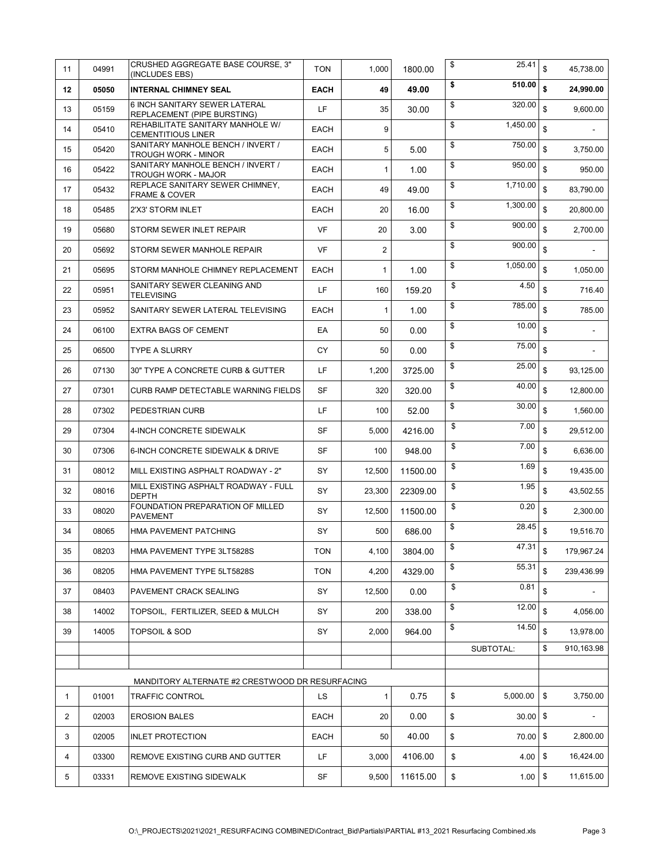| 11 | 04991 | CRUSHED AGGREGATE BASE COURSE, 3"<br>(INCLUDES EBS)                | <b>TON</b>  | 1,000            | 1800.00  | \$<br>25.41                 | $\mathbf{\$}$  | 45,738.00  |
|----|-------|--------------------------------------------------------------------|-------------|------------------|----------|-----------------------------|----------------|------------|
| 12 | 05050 | <b>INTERNAL CHIMNEY SEAL</b>                                       | <b>EACH</b> | 49               | 49.00    | \$<br>510.00                | \$             | 24,990.00  |
| 13 | 05159 | 6 INCH SANITARY SEWER LATERAL<br>REPLACEMENT (PIPE BURSTING)       | LF          | 35               | 30.00    | \$<br>320.00                | \$             | 9,600.00   |
| 14 | 05410 | REHABILITATE SANITARY MANHOLE W/<br><b>CEMENTITIOUS LINER</b>      | <b>EACH</b> | 9                |          | \$<br>1,450.00              | $\mathbb{S}$   |            |
| 15 | 05420 | SANITARY MANHOLE BENCH / INVERT /<br><b>TROUGH WORK - MINOR</b>    | EACH        | 5                | 5.00     | \$<br>750.00                | $\mathfrak s$  | 3,750.00   |
| 16 | 05422 | SANITARY MANHOLE BENCH / INVERT /<br><b>TROUGH WORK - MAJOR</b>    | <b>EACH</b> | $\mathbf{1}$     | 1.00     | \$<br>950.00                | $\mathbb{S}$   | 950.00     |
| 17 | 05432 | REPLACE SANITARY SEWER CHIMNEY,<br>FRAME & COVER                   | <b>EACH</b> | 49               | 49.00    | \$<br>1,710.00              | $\mathfrak s$  | 83,790.00  |
| 18 | 05485 | 2'X3' STORM INLET                                                  | EACH        | 20               | 16.00    | \$<br>1,300.00              | $\mathbf{\$}$  | 20,800.00  |
| 19 | 05680 | STORM SEWER INLET REPAIR                                           | <b>VF</b>   | 20               | 3.00     | \$<br>900.00                | \$             | 2,700.00   |
| 20 | 05692 | STORM SEWER MANHOLE REPAIR                                         | VF          | $\boldsymbol{2}$ |          | \$<br>900.00                | \$             |            |
| 21 | 05695 | STORM MANHOLE CHIMNEY REPLACEMENT                                  | <b>EACH</b> | $\mathbf{1}$     | 1.00     | \$<br>1,050.00              | $\mathbb{S}$   | 1,050.00   |
| 22 | 05951 | SANITARY SEWER CLEANING AND<br><b>TELEVISING</b>                   | LF          | 160              | 159.20   | \$<br>4.50                  | \$             | 716.40     |
| 23 | 05952 | SANITARY SEWER LATERAL TELEVISING                                  | <b>EACH</b> | $\mathbf{1}$     | 1.00     | \$<br>785.00                | $\mathbf{\$}$  | 785.00     |
| 24 | 06100 | <b>EXTRA BAGS OF CEMENT</b>                                        | EA          | 50               | 0.00     | \$<br>10.00                 | $\mathfrak{s}$ |            |
| 25 | 06500 | <b>TYPE A SLURRY</b>                                               | <b>CY</b>   | 50               | 0.00     | \$<br>75.00                 | $\mathbb{S}$   |            |
| 26 | 07130 | 30" TYPE A CONCRETE CURB & GUTTER                                  | LF.         | 1,200            | 3725.00  | \$<br>25.00                 | $\mathbf{\$}$  | 93,125.00  |
| 27 | 07301 | CURB RAMP DETECTABLE WARNING FIELDS                                | <b>SF</b>   | 320              | 320.00   | \$<br>40.00                 | $\mathsf{\$}$  | 12,800.00  |
| 28 | 07302 | PEDESTRIAN CURB                                                    | LF.         | 100              | 52.00    | \$<br>30.00                 | $\mathbf{\$}$  | 1,560.00   |
| 29 | 07304 | 4-INCH CONCRETE SIDEWALK                                           | SF          | 5,000            | 4216.00  | \$<br>7.00                  | $\mathbf{\$}$  | 29,512.00  |
| 30 | 07306 | 6-INCH CONCRETE SIDEWALK & DRIVE                                   | SF          | 100              | 948.00   | \$<br>7.00                  | $\mathbb{S}$   | 6,636.00   |
| 31 | 08012 | MILL EXISTING ASPHALT ROADWAY - 2"                                 | SY          | 12,500           | 11500.00 | \$<br>1.69                  | \$             | 19,435.00  |
| 32 | 08016 | MILL EXISTING ASPHALT ROADWAY - FULL<br><b>DEPTH</b>               | SY          | 23,300           | 22309.00 | \$<br>1.95                  | \$             | 43,502.55  |
| 33 | 08020 | FOUNDATION PREPARATION OF MILLED<br><b>PAVEMENT</b>                | SY          | 12,500           | 11500.00 | \$<br>0.20                  | \$             | 2,300.00   |
| 34 | 08065 | HMA PAVEMENT PATCHING                                              | SY          | 500              | 686.00   | \$<br>28.45                 | \$             | 19,516.70  |
| 35 | 08203 | HMA PAVEMENT TYPE 3LT5828S                                         | <b>TON</b>  | 4,100            | 3804.00  | \$<br>$\overline{47.31}$ \$ |                | 179,967.24 |
| 36 | 08205 | HMA PAVEMENT TYPE 5LT5828S                                         | <b>TON</b>  | 4,200            | 4329.00  | \$<br>55.31                 | $\mathbf{\$}$  | 239,436.99 |
| 37 | 08403 | PAVEMENT CRACK SEALING                                             | SY          | 12,500           | 0.00     | \$<br>0.81                  | \$             |            |
| 38 | 14002 | TOPSOIL, FERTILIZER, SEED & MULCH                                  | SY          | 200              | 338.00   | \$<br>12.00                 | $\mathbf{\$}$  | 4,056.00   |
| 39 | 14005 | <b>TOPSOIL &amp; SOD</b>                                           | SY          | 2,000            | 964.00   | \$<br>14.50                 | $\mathsf{\$}$  | 13,978.00  |
|    |       |                                                                    |             |                  |          | SUBTOTAL:                   | \$             | 910.163.98 |
|    |       |                                                                    |             |                  |          |                             |                |            |
| 1  | 01001 | MANDITORY ALTERNATE #2 CRESTWOOD DR RESURFACING<br>TRAFFIC CONTROL | LS          | $\mathbf{1}$     | 0.75     | \$<br>5,000.00              | \$             | 3,750.00   |
| 2  | 02003 | <b>EROSION BALES</b>                                               | <b>EACH</b> | 20               | 0.00     | \$<br>30.00                 | \$             |            |
| 3  | 02005 | <b>INLET PROTECTION</b>                                            | <b>EACH</b> | 50               | 40.00    | \$<br>70.00                 | \$             | 2,800.00   |
| 4  | 03300 | REMOVE EXISTING CURB AND GUTTER                                    | LF          | 3,000            | 4106.00  | \$<br>4.00                  | \$             | 16,424.00  |
| 5  | 03331 | REMOVE EXISTING SIDEWALK                                           | SF          | 9,500            | 11615.00 | \$<br>1.00                  | \$             | 11,615.00  |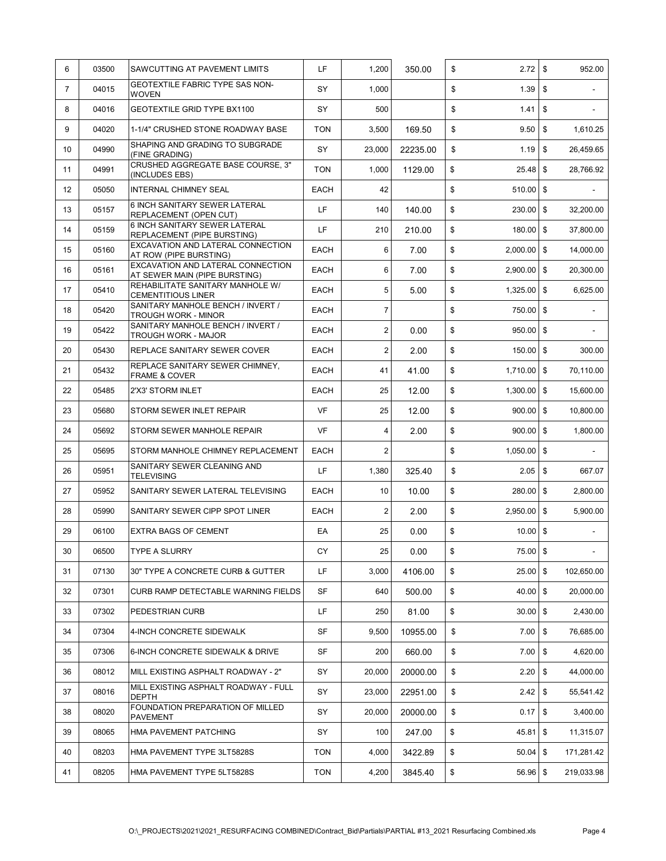| 6              | 03500 | SAWCUTTING AT PAVEMENT LIMITS                                      | LF          | 1,200           | 350.00   | \$<br>2.72          | \$         | 952.00                   |
|----------------|-------|--------------------------------------------------------------------|-------------|-----------------|----------|---------------------|------------|--------------------------|
| $\overline{7}$ | 04015 | GEOTEXTILE FABRIC TYPE SAS NON-<br><b>WOVEN</b>                    | SY          | 1,000           |          | \$<br>1.39          | \$         | $\overline{\phantom{a}}$ |
| 8              | 04016 | <b>GEOTEXTILE GRID TYPE BX1100</b>                                 | SY          | 500             |          | \$<br>1.41          | \$         |                          |
| 9              | 04020 | 1-1/4" CRUSHED STONE ROADWAY BASE                                  | <b>TON</b>  | 3,500           | 169.50   | \$<br>9.50          | \$         | 1,610.25                 |
| 10             | 04990 | SHAPING AND GRADING TO SUBGRADE<br>(FINE GRADING)                  | SY          | 23,000          | 22235.00 | \$<br>1.19          | \$         | 26,459.65                |
| 11             | 04991 | CRUSHED AGGREGATE BASE COURSE, 3"<br>(INCLUDES EBS)                | <b>TON</b>  | 1,000           | 1129.00  | \$<br>$25.48$ \$    |            | 28,766.92                |
| 12             | 05050 | <b>INTERNAL CHIMNEY SEAL</b>                                       | EACH        | 42              |          | \$<br>$510.00$ \$   |            |                          |
| 13             | 05157 | 6 INCH SANITARY SEWER LATERAL<br><b>REPLACEMENT (OPEN CUT)</b>     | LF          | 140             | 140.00   | \$<br>230.00        | $\sqrt{3}$ | 32,200.00                |
| 14             | 05159 | 6 INCH SANITARY SEWER LATERAL<br>REPLACEMENT (PIPE BURSTING)       | LF.         | 210             | 210.00   | \$<br>$180.00$ \$   |            | 37,800.00                |
| 15             | 05160 | EXCAVATION AND LATERAL CONNECTION<br>AT ROW (PIPE BURSTING)        | EACH        | 6               | 7.00     | \$<br>2,000.00      | $\sqrt{3}$ | 14,000.00                |
| 16             | 05161 | EXCAVATION AND LATERAL CONNECTION<br>AT SEWER MAIN (PIPE BURSTING) | <b>EACH</b> | 6               | 7.00     | \$<br>2,900.00      | \$         | 20,300.00                |
| 17             | 05410 | REHABILITATE SANITARY MANHOLE W/<br><b>CEMENTITIOUS LINER</b>      | <b>EACH</b> | 5               | 5.00     | \$<br>1,325.00      | \$         | 6,625.00                 |
| 18             | 05420 | SANITARY MANHOLE BENCH / INVERT /<br><b>TROUGH WORK - MINOR</b>    | <b>EACH</b> | $\overline{7}$  |          | \$<br>750.00        | \$         |                          |
| 19             | 05422 | SANITARY MANHOLE BENCH / INVERT /<br><b>TROUGH WORK - MAJOR</b>    | EACH        | $\overline{2}$  | 0.00     | \$<br>$950.00$ \$   |            |                          |
| 20             | 05430 | <b>REPLACE SANITARY SEWER COVER</b>                                | <b>EACH</b> | $\overline{2}$  | 2.00     | \$<br>150.00        | l \$       | 300.00                   |
| 21             | 05432 | REPLACE SANITARY SEWER CHIMNEY,<br>FRAME & COVER                   | EACH        | 41              | 41.00    | \$<br>1,710.00 \$   |            | 70,110.00                |
| 22             | 05485 | 2'X3' STORM INLET                                                  | <b>EACH</b> | 25              | 12.00    | \$<br>$1,300.00$ \$ |            | 15,600.00                |
| 23             | 05680 | STORM SEWER INLET REPAIR                                           | <b>VF</b>   | 25              | 12.00    | \$<br>$900.00$ \$   |            | 10,800.00                |
| 24             | 05692 | STORM SEWER MANHOLE REPAIR                                         | <b>VF</b>   | 4               | 2.00     | \$<br>900.00 \$     |            | 1,800.00                 |
| 25             | 05695 | STORM MANHOLE CHIMNEY REPLACEMENT                                  | EACH        | 2               |          | \$<br>$1,050.00$ \$ |            |                          |
| 26             | 05951 | SANITARY SEWER CLEANING AND<br><b>TELEVISING</b>                   | LF          | 1,380           | 325.40   | \$<br>2.05          | <b>\$</b>  | 667.07                   |
| 27             | 05952 | SANITARY SEWER LATERAL TELEVISING                                  | EACH        | 10 <sup>°</sup> | 10.00    | \$<br>280.00        | \$         | 2,800.00                 |
| 28             | 05990 | SANITARY SEWER CIPP SPOT LINER                                     | EACH        | $\overline{2}$  | 2.00     | \$<br>2,950.00      | \$         | 5,900.00                 |
| 29             | 06100 | <b>EXTRA BAGS OF CEMENT</b>                                        | EA          | 25              | 0.00     | \$<br>$10.00$ \$    |            |                          |
| 30             | 06500 | <b>TYPE A SLURRY</b>                                               | СY          | 25              | 0.00     | \$<br>75.00 \$      |            |                          |
| 31             | 07130 | 30" TYPE A CONCRETE CURB & GUTTER                                  | LF          | 3,000           | 4106.00  | \$<br>25.00         | \$         | 102,650.00               |
| 32             | 07301 | CURB RAMP DETECTABLE WARNING FIELDS                                | SF          | 640             | 500.00   | \$<br>40.00         | \$         | 20,000.00                |
| 33             | 07302 | PEDESTRIAN CURB                                                    | LF          | 250             | 81.00    | \$<br>30.00         | \$         | 2,430.00                 |
| 34             | 07304 | 4-INCH CONCRETE SIDEWALK                                           | SF          | 9,500           | 10955.00 | \$<br>7.00          | \$         | 76,685.00                |
| 35             | 07306 | 6-INCH CONCRETE SIDEWALK & DRIVE                                   | SF          | 200             | 660.00   | \$<br>7.00          | \$         | 4,620.00                 |
| 36             | 08012 | MILL EXISTING ASPHALT ROADWAY - 2"                                 | SY          | 20,000          | 20000.00 | \$<br>2.20          | \$         | 44,000.00                |
| 37             | 08016 | MILL EXISTING ASPHALT ROADWAY - FULL<br><b>DEPTH</b>               | SY          | 23,000          | 22951.00 | \$<br>2.42          | \$         | 55,541.42                |
| 38             | 08020 | FOUNDATION PREPARATION OF MILLED<br><b>PAVEMENT</b>                | SY          | 20,000          | 20000.00 | \$<br>0.17          | \$         | 3,400.00                 |
| 39             | 08065 | HMA PAVEMENT PATCHING                                              | SY          | 100             | 247.00   | \$<br>45.81         | \$         | 11,315.07                |
| 40             | 08203 | HMA PAVEMENT TYPE 3LT5828S                                         | <b>TON</b>  | 4,000           | 3422.89  | \$<br>50.04         | \$         | 171,281.42               |
| 41             | 08205 | HMA PAVEMENT TYPE 5LT5828S                                         | <b>TON</b>  | 4,200           | 3845.40  | \$<br>56.96         | \$         | 219,033.98               |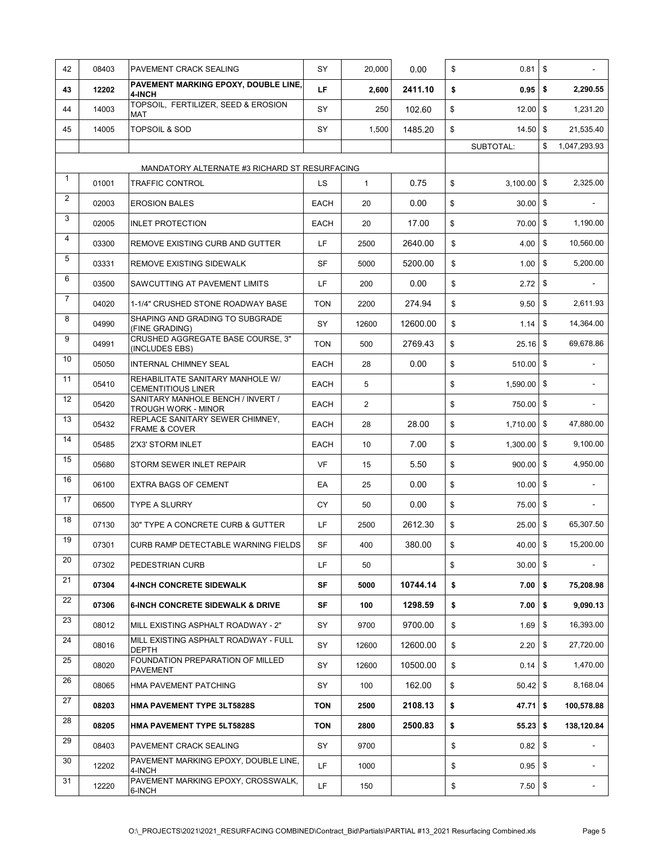| 42             | 08403 | PAVEMENT CRACK SEALING                                        | SY          | 20.000       | 0.00     | \$<br>0.81          | \$         |                          |
|----------------|-------|---------------------------------------------------------------|-------------|--------------|----------|---------------------|------------|--------------------------|
| 43             | 12202 | PAVEMENT MARKING EPOXY, DOUBLE LINE,<br>4-INCH                | LF          | 2,600        | 2411.10  | \$<br>0.95          | \$         | 2,290.55                 |
| 44             | 14003 | TOPSOIL, FERTILIZER, SEED & EROSION<br>MAT                    | SY          | 250          | 102.60   | \$<br>12.00         | \$         | 1,231.20                 |
| 45             | 14005 | <b>TOPSOIL &amp; SOD</b>                                      | SY          | 1,500        | 1485.20  | \$<br>$14.50$ \$    |            | 21,535.40                |
|                |       |                                                               |             |              |          | SUBTOTAL:           | \$         | 1,047,293.93             |
|                |       | MANDATORY ALTERNATE #3 RICHARD ST RESURFACING                 |             |              |          |                     |            |                          |
| $\mathbf{1}$   | 01001 | <b>TRAFFIC CONTROL</b>                                        | LS          | $\mathbf{1}$ | 0.75     | \$<br>$3,100.00$ \$ |            | 2,325.00                 |
| 2              | 02003 | <b>EROSION BALES</b>                                          | <b>EACH</b> | 20           | 0.00     | \$<br>30.00         | \$         |                          |
| 3              | 02005 | <b>INLET PROTECTION</b>                                       | <b>EACH</b> | 20           | 17.00    | \$<br>70.00         | \$         | 1,190.00                 |
| $\overline{4}$ | 03300 | REMOVE EXISTING CURB AND GUTTER                               | LF.         | 2500         | 2640.00  | \$<br>4.00          | \$         | 10,560.00                |
| 5              | 03331 | REMOVE EXISTING SIDEWALK                                      | <b>SF</b>   | 5000         | 5200.00  | \$<br>1.00          | \$         | 5,200.00                 |
| 6              | 03500 | SAWCUTTING AT PAVEMENT LIMITS                                 | LF          | 200          | 0.00     | \$<br>2.72          | \$         |                          |
| $\overline{7}$ | 04020 | 1-1/4" CRUSHED STONE ROADWAY BASE                             | <b>TON</b>  | 2200         | 274.94   | \$<br>9.50          | \$         | 2,611.93                 |
| 8              | 04990 | SHAPING AND GRADING TO SUBGRADE<br>(FINE GRADING)             | SY          | 12600        | 12600.00 | \$<br>1.14          | \$         | 14.364.00                |
| 9              | 04991 | <b>CRUSHED AGGREGATE BASE COURSE. 3"</b><br>(INCLUDES EBS)    | <b>TON</b>  | 500          | 2769.43  | \$<br>25.16         | \$         | 69,678.86                |
| 10             | 05050 | <b>INTERNAL CHIMNEY SEAL</b>                                  | <b>EACH</b> | 28           | 0.00     | \$<br>510.00 \$     |            | $\overline{\phantom{0}}$ |
| 11             | 05410 | REHABILITATE SANITARY MANHOLE W/<br><b>CEMENTITIOUS LINER</b> | EACH        | 5            |          | \$<br>1,590.00      | \$         |                          |
| 12             | 05420 | SANITARY MANHOLE BENCH / INVERT /<br>TROUGH WORK - MINOR      | <b>EACH</b> | 2            |          | \$<br>750.00        | \$         |                          |
| 13             | 05432 | REPLACE SANITARY SEWER CHIMNEY,<br><b>FRAME &amp; COVER</b>   | <b>EACH</b> | 28           | 28.00    | \$<br>1,710.00      | \$         | 47,880.00                |
| 14             | 05485 | 2'X3' STORM INLET                                             | <b>EACH</b> | 10           | 7.00     | \$<br>1,300.00      | \$         | 9,100.00                 |
| 15             | 05680 | STORM SEWER INLET REPAIR                                      | VF          | 15           | 5.50     | \$<br>900.00        | \$         | 4,950.00                 |
| 16             | 06100 | <b>EXTRA BAGS OF CEMENT</b>                                   | EA          | 25           | 0.00     | \$<br>$10.00$ \$    |            |                          |
| 17             | 06500 | <b>TYPE A SLURRY</b>                                          | СY          | 50           | 0.00     | \$<br>75.00 \$      |            |                          |
| 18             | 07130 | 30" TYPE A CONCRETE CURB & GUTTER                             | LF          | 2500         | 2612.30  | \$<br>25.00         | $\sqrt{3}$ | 65,307.50                |
| 19             | 07301 | CURB RAMP DETECTABLE WARNING FIELDS                           | <b>SF</b>   | 400          | 380.00   | \$<br>40.00 \$      |            | 15,200.00                |
| 20             | 07302 | PEDESTRIAN CURB                                               | LF          | 50           |          | \$<br>$30.00$ \$    |            |                          |
| 21             | 07304 | <b>4-INCH CONCRETE SIDEWALK</b>                               | SF          | 5000         | 10744.14 | \$<br>$7.00$ \$     |            | 75,208.98                |
| 22             | 07306 | <b>6-INCH CONCRETE SIDEWALK &amp; DRIVE</b>                   | SF          | 100          | 1298.59  | \$<br>$7.00$   \$   |            | 9,090.13                 |
| 23             | 08012 | MILL EXISTING ASPHALT ROADWAY - 2"                            | SY          | 9700         | 9700.00  | \$<br>$1.69$ \$     |            | 16,393.00                |
| 24             | 08016 | MILL EXISTING ASPHALT ROADWAY - FULL<br><b>DEPTH</b>          | SY          | 12600        | 12600.00 | \$<br>2.20          | \$         | 27,720.00                |
| 25             | 08020 | FOUNDATION PREPARATION OF MILLED<br><b>PAVEMENT</b>           | SY          | 12600        | 10500.00 | \$<br>$0.14$ \$     |            | 1,470.00                 |
| 26             | 08065 | HMA PAVEMENT PATCHING                                         | SY          | 100          | 162.00   | \$<br>50.42 \$      |            | 8,168.04                 |
| 27             | 08203 | <b>HMA PAVEMENT TYPE 3LT5828S</b>                             | <b>TON</b>  | 2500         | 2108.13  | \$<br>$47.71$ \$    |            | 100,578.88               |
| 28             | 08205 | <b>HMA PAVEMENT TYPE 5LT5828S</b>                             | <b>TON</b>  | 2800         | 2500.83  | \$<br>$55.23$ \$    |            | 138,120.84               |
| 29             | 08403 | PAVEMENT CRACK SEALING                                        | SY          | 9700         |          | \$                  |            |                          |
| 30             | 12202 | PAVEMENT MARKING EPOXY, DOUBLE LINE,<br>4-INCH                | LF          | 1000         |          | \$<br>$0.95$ \$     |            |                          |
| 31             | 12220 | PAVEMENT MARKING EPOXY, CROSSWALK,<br>6-INCH                  | LF          | 150          |          | \$<br>$7.50$ \$     |            |                          |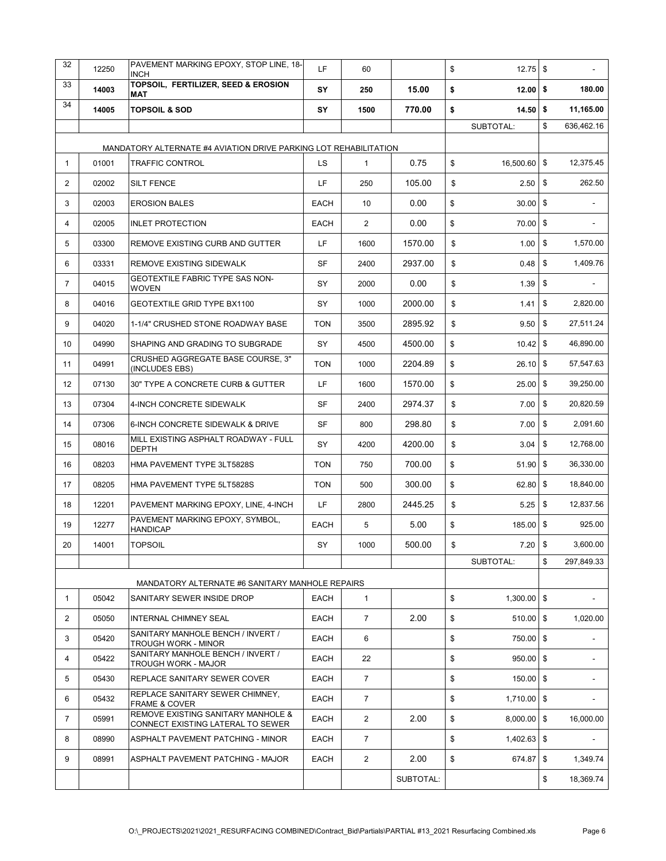| 32             | 12250 | PAVEMENT MARKING EPOXY, STOP LINE, 18-<br><b>INCH</b>                   | LF          | 60             |           | \$<br>$12.75$ \$    |                  |
|----------------|-------|-------------------------------------------------------------------------|-------------|----------------|-----------|---------------------|------------------|
| 33             | 14003 | TOPSOIL, FERTILIZER, SEED & EROSION<br><b>MAT</b>                       | SY          | 250            | 15.00     | \$<br>$12.00$ \$    | 180.00           |
| 34             | 14005 | <b>TOPSOIL &amp; SOD</b>                                                | SY          | 1500           | 770.00    | \$<br>$14.50$ \$    | 11,165.00        |
|                |       |                                                                         |             |                |           | SUBTOTAL:           | \$<br>636.462.16 |
|                |       | MANDATORY ALTERNATE #4 AVIATION DRIVE PARKING LOT REHABILITATION        |             |                |           |                     |                  |
| $\mathbf{1}$   | 01001 | <b>TRAFFIC CONTROL</b>                                                  | LS          | $\mathbf{1}$   | 0.75      | \$<br>16,500.60 \$  | 12,375.45        |
| 2              | 02002 | <b>SILT FENCE</b>                                                       | LF          | 250            | 105.00    | \$<br>$2.50$ \$     | 262.50           |
| 3              | 02003 | <b>EROSION BALES</b>                                                    | <b>EACH</b> | 10             | 0.00      | \$<br>$30.00$ \$    |                  |
| 4              | 02005 | <b>INLET PROTECTION</b>                                                 | <b>EACH</b> | 2              | 0.00      | \$<br>$70.00$ \$    |                  |
| 5              | 03300 | REMOVE EXISTING CURB AND GUTTER                                         | LF          | 1600           | 1570.00   | \$<br>1.00          | \$<br>1,570.00   |
| 6              | 03331 | REMOVE EXISTING SIDEWALK                                                | SF          | 2400           | 2937.00   | \$<br>0.48          | \$<br>1,409.76   |
| $\overline{7}$ | 04015 | <b>GEOTEXTILE FABRIC TYPE SAS NON-</b><br><b>WOVEN</b>                  | SY          | 2000           | 0.00      | \$<br>1.39          | \$               |
| 8              | 04016 | GEOTEXTILE GRID TYPE BX1100                                             | SY          | 1000           | 2000.00   | \$<br>1.41          | \$<br>2,820.00   |
| 9              | 04020 | 1-1/4" CRUSHED STONE ROADWAY BASE                                       | <b>TON</b>  | 3500           | 2895.92   | \$<br>9.50          | \$<br>27,511.24  |
| 10             | 04990 | SHAPING AND GRADING TO SUBGRADE                                         | SY          | 4500           | 4500.00   | \$<br>$10.42$ \$    | 46,890.00        |
| 11             | 04991 | CRUSHED AGGREGATE BASE COURSE, 3"<br>(INCLUDES EBS)                     | <b>TON</b>  | 1000           | 2204.89   | \$<br>$26.10$ \$    | 57,547.63        |
| 12             | 07130 | 30" TYPE A CONCRETE CURB & GUTTER                                       | LF          | 1600           | 1570.00   | \$<br>25.00         | \$<br>39,250.00  |
| 13             | 07304 | 4-INCH CONCRETE SIDEWALK                                                | <b>SF</b>   | 2400           | 2974.37   | \$<br>7.00          | \$<br>20,820.59  |
| 14             | 07306 | 6-INCH CONCRETE SIDEWALK & DRIVE                                        | SF          | 800            | 298.80    | \$<br>7.00          | \$<br>2,091.60   |
| 15             | 08016 | MILL EXISTING ASPHALT ROADWAY - FULL<br><b>DEPTH</b>                    | SY          | 4200           | 4200.00   | \$<br>$3.04$ \$     | 12,768.00        |
| 16             | 08203 | HMA PAVEMENT TYPE 3LT5828S                                              | <b>TON</b>  | 750            | 700.00    | \$<br>$51.90$ \$    | 36,330.00        |
| 17             | 08205 | HMA PAVEMENT TYPE 5LT5828S                                              | <b>TON</b>  | 500            | 300.00    | \$<br>62.80 \$      | 18,840.00        |
| 18             | 12201 | PAVEMENT MARKING EPOXY, LINE, 4-INCH                                    | LF.         | 2800           | 2445.25   | \$<br>5.25          | \$<br>12,837.56  |
| 19             | 12277 | PAVEMENT MARKING EPOXY. SYMBOL.<br><b>HANDICAP</b>                      | <b>EACH</b> | 5              | 5.00      | \$<br>185.00        | \$<br>925.00     |
| 20             | 14001 | <b>TOPSOIL</b>                                                          | SY          | 1000           | 500.00    | \$<br>$7.20$ \$     | 3,600.00         |
|                |       |                                                                         |             |                |           | SUBTOTAL:           | \$<br>297,849.33 |
|                |       | MANDATORY ALTERNATE #6 SANITARY MANHOLE REPAIRS                         |             |                |           |                     |                  |
| $\mathbf{1}$   | 05042 | SANITARY SEWER INSIDE DROP                                              | <b>EACH</b> | $\mathbf{1}$   |           | \$<br>$1,300.00$ \$ |                  |
| 2              | 05050 | INTERNAL CHIMNEY SEAL                                                   | <b>EACH</b> | $\overline{7}$ | 2.00      | \$<br>$510.00$ \$   | 1,020.00         |
| 3              | 05420 | SANITARY MANHOLE BENCH / INVERT /<br><b>TROUGH WORK - MINOR</b>         | <b>EACH</b> | 6              |           | \$<br>750.00 \$     |                  |
| 4              | 05422 | SANITARY MANHOLE BENCH / INVERT /<br>TROUGH WORK - MAJOR                | <b>EACH</b> | 22             |           | \$<br>950.00 \$     |                  |
| 5              | 05430 | REPLACE SANITARY SEWER COVER                                            | <b>EACH</b> | $\overline{7}$ |           | \$<br>150.00 \$     |                  |
| 6              | 05432 | REPLACE SANITARY SEWER CHIMNEY,<br>FRAME & COVER                        | <b>EACH</b> | $\overline{7}$ |           | \$<br>$1,710.00$ \$ |                  |
| 7              | 05991 | REMOVE EXISTING SANITARY MANHOLE &<br>CONNECT EXISTING LATERAL TO SEWER | <b>EACH</b> | 2              | 2.00      | \$<br>8,000.00 \$   | 16,000.00        |
| 8              | 08990 | ASPHALT PAVEMENT PATCHING - MINOR                                       | <b>EACH</b> | $\overline{7}$ |           | \$<br>$1,402.63$ \$ |                  |
| 9              | 08991 | ASPHALT PAVEMENT PATCHING - MAJOR                                       | <b>EACH</b> | $\overline{2}$ | 2.00      | \$<br>674.87        | \$<br>1,349.74   |
|                |       |                                                                         |             |                | SUBTOTAL: |                     | \$<br>18,369.74  |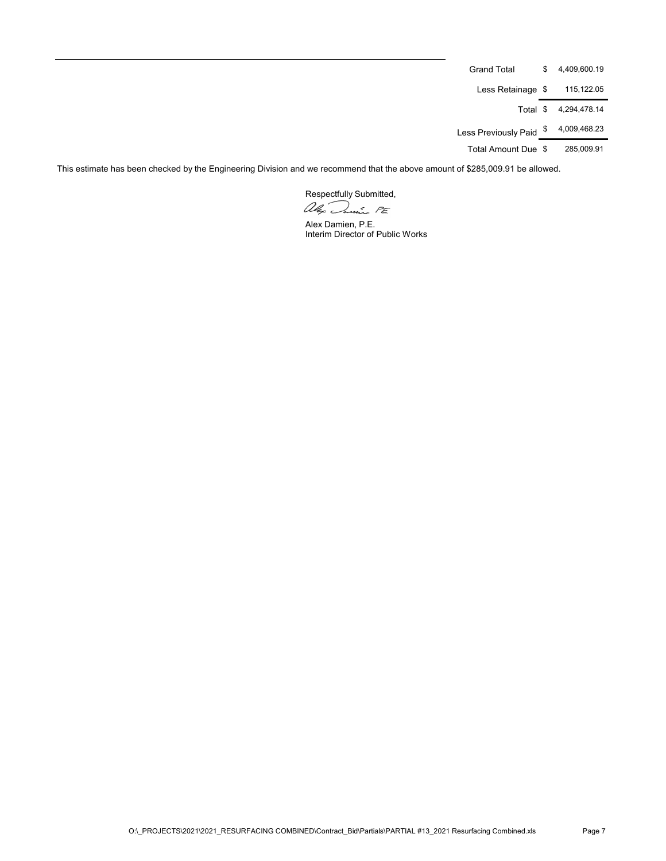| Grand Total          | \$<br>4.409.600.19 |
|----------------------|--------------------|
| Less Retainage \$    | 115,122.05         |
| Total \$             | 4.294.478.14       |
| Less Previously Paid | \$<br>4,009,468.23 |
| Total Amount Due \$  | 285.009.91         |

This estimate has been checked by the Engineering Division and we recommend that the above amount of \$285,009.91 be allowed.

Respectfully Submitted,<br>allex Danis PE

Alex Damien, P.E. Interim Director of Public Works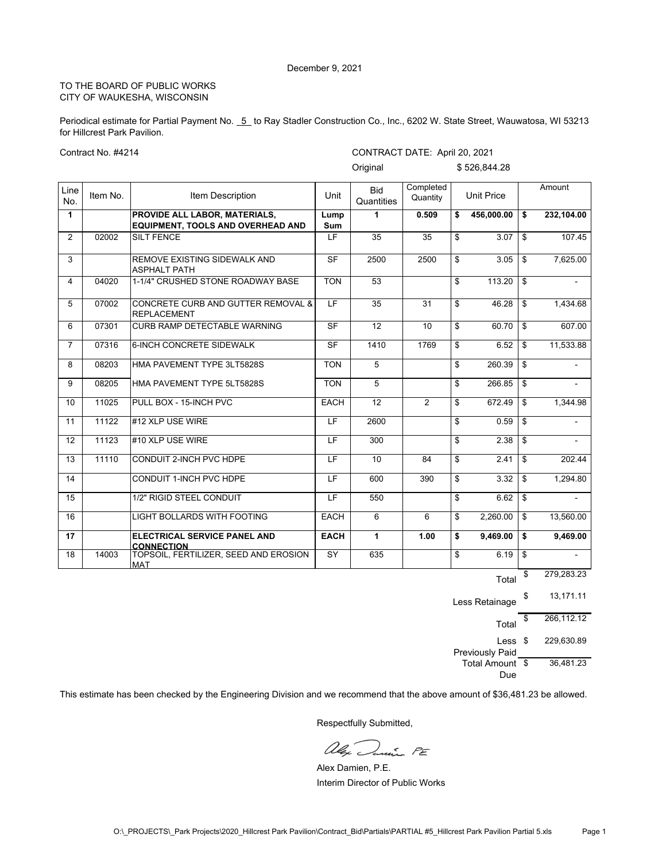Periodical estimate for Partial Payment No. 5 to Ray Stadler Construction Co., Inc., 6202 W. State Street, Wauwatosa, WI 53213 for Hillcrest Park Pavilion.

Contract No. #4214

CONTRACT DATE: April 20, 2021

|                |          |                                                                           |                          | Original                 |                       | \$526,844.28      |                      |
|----------------|----------|---------------------------------------------------------------------------|--------------------------|--------------------------|-----------------------|-------------------|----------------------|
| Line<br>No.    | Item No. | <b>Item Description</b>                                                   | Unit                     | <b>Bid</b><br>Quantities | Completed<br>Quantity | <b>Unit Price</b> | Amount               |
| $\mathbf{1}$   |          | <b>PROVIDE ALL LABOR. MATERIALS.</b><br>EQUIPMENT, TOOLS AND OVERHEAD AND | Lump<br>Sum              | 1                        | 0.509                 | \$<br>456,000.00  | \$<br>232.104.00     |
| $\overline{2}$ | 02002    | <b>SILT FENCE</b>                                                         | $\overline{\mathsf{LF}}$ | 35                       | $\overline{35}$       | \$<br>3.07        | \$<br>107.45         |
| 3              |          | REMOVE EXISTING SIDEWALK AND<br><b>ASPHALT PATH</b>                       | $\overline{\mathsf{SF}}$ | 2500                     | 2500                  | \$<br>3.05        | \$<br>7,625.00       |
| 4              | 04020    | 1-1/4" CRUSHED STONE ROADWAY BASE                                         | <b>TON</b>               | $\overline{53}$          |                       | \$<br>113.20      | \$<br>$\blacksquare$ |
| 5              | 07002    | CONCRETE CURB AND GUTTER REMOVAL &<br><b>REPLACEMENT</b>                  | $\overline{\mathsf{LF}}$ | $\overline{35}$          | $\overline{31}$       | \$<br>46.28       | \$<br>1,434.68       |
| 6              | 07301    | <b>CURB RAMP DETECTABLE WARNING</b>                                       | $\overline{\mathsf{SF}}$ | $\overline{12}$          | 10                    | \$<br>60.70       | \$<br>607.00         |
| $\overline{7}$ | 07316    | 6-INCH CONCRETE SIDEWALK                                                  | <b>SF</b>                | 1410                     | 1769                  | \$<br>6.52        | \$<br>11,533.88      |
| 8              | 08203    | HMA PAVEMENT TYPE 3LT5828S                                                | <b>TON</b>               | 5                        |                       | \$<br>260.39      | \$                   |
| 9              | 08205    | HMA PAVEMENT TYPE 5LT5828S                                                | <b>TON</b>               | 5                        |                       | \$<br>266.85      | \$                   |
| 10             | 11025    | PULL BOX - 15-INCH PVC                                                    | <b>EACH</b>              | $\overline{12}$          | 2                     | \$<br>672.49      | \$<br>1,344.98       |
| 11             | 11122    | #12 XLP USE WIRE                                                          | LF                       | 2600                     |                       | \$<br>0.59        | \$                   |
| 12             | 11123    | #10 XLP USE WIRE                                                          | LF                       | 300                      |                       | \$<br>2.38        | \$                   |
| 13             | 11110    | CONDUIT 2-INCH PVC HDPE                                                   | $\overline{\mathsf{LF}}$ | 10                       | 84                    | \$<br>2.41        | \$<br>202.44         |
| 14             |          | <b>CONDUIT 1-INCH PVC HDPE</b>                                            | LF                       | 600                      | 390                   | \$<br>3.32        | \$<br>1,294.80       |
| 15             |          | 1/2" RIGID STEEL CONDUIT                                                  | LF                       | 550                      |                       | \$<br>6.62        | \$<br>$\blacksquare$ |
| 16             |          | LIGHT BOLLARDS WITH FOOTING                                               | <b>EACH</b>              | 6                        | 6                     | \$<br>2,260.00    | \$<br>13,560.00      |
| 17             |          | ELECTRICAL SERVICE PANEL AND<br><b>CONNECTION</b>                         | <b>EACH</b>              | $\mathbf{1}$             | 1.00                  | \$<br>9.469.00    | \$<br>9.469.00       |
| 18             | 14003    | TOPSOIL, FERTILIZER, SEED AND EROSION<br><b>MAT</b>                       | $\overline{SY}$          | 635                      |                       | \$<br>6.19        | \$<br>$\overline{a}$ |
|                |          |                                                                           |                          |                          |                       | Total             | \$<br>279,283.23     |

Less Retainage \$ 13,171.11 Total \$ 266,112.12 Less \$ Previously Paid \$ 229,630.89 Total Amount \$ Due \$ 36,481.23

This estimate has been checked by the Engineering Division and we recommend that the above amount of \$36,481.23 be allowed.

alex Danie PE

Alex Damien, P.E. Interim Director of Public Works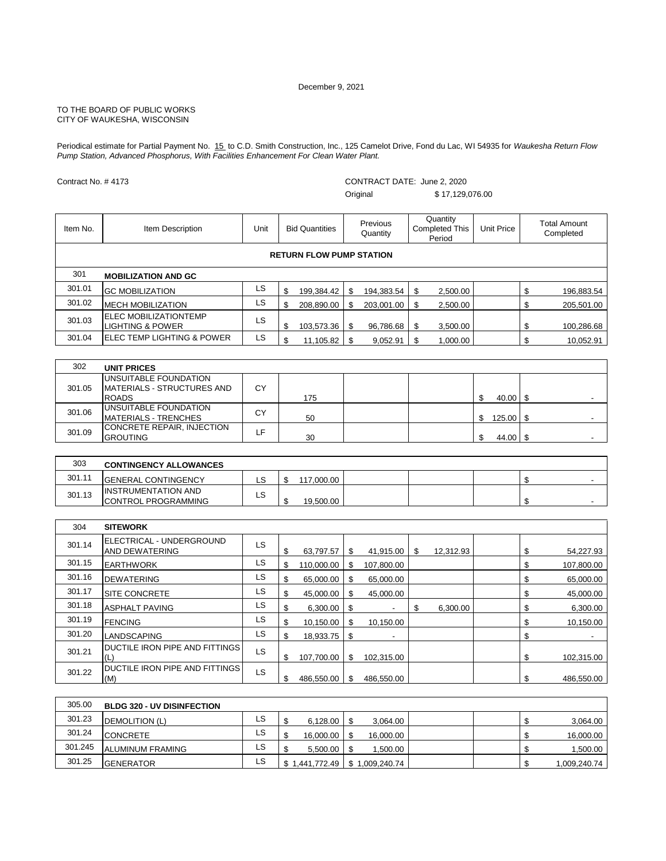Periodical estimate for Partial Payment No. 15 to C.D. Smith Construction, Inc., 125 Camelot Drive, Fond du Lac, WI 54935 for *Waukesha Return Flow Pump Station, Advanced Phosphorus, With Facilities Enhancement For Clean Water Plant.*

Contract No. # 4173

CONTRACT DATE: June 2, 2020 Original \$ 17,129,076.00

| Item No. | Item Description                                                            | Unit | <b>Bid Quantities</b>           | <b>Previous</b><br>Quantity | Quantity<br><b>Completed This</b><br>Period | Unit Price           | <b>Total Amount</b><br>Completed |
|----------|-----------------------------------------------------------------------------|------|---------------------------------|-----------------------------|---------------------------------------------|----------------------|----------------------------------|
|          |                                                                             |      | <b>RETURN FLOW PUMP STATION</b> |                             |                                             |                      |                                  |
| 301      | <b>MOBILIZATION AND GC</b>                                                  |      |                                 |                             |                                             |                      |                                  |
| 301.01   | <b>GC MOBILIZATION</b>                                                      | LS.  | \$<br>199,384.42                | \$<br>194,383.54            | 2,500.00<br>\$                              |                      | \$<br>196,883.54                 |
| 301.02   | <b>MECH MOBILIZATION</b>                                                    | LS   | \$<br>208,890.00                | \$<br>203,001.00            | 2,500.00<br>\$                              |                      | \$<br>205,501.00                 |
| 301.03   | ELEC MOBILIZATIONTEMP<br><b>LIGHTING &amp; POWER</b>                        | LS   | \$<br>103,573.36                | \$<br>96,786.68             | 3,500.00<br>\$                              |                      | \$<br>100,286.68                 |
| 301.04   | <b>ELEC TEMP LIGHTING &amp; POWER</b>                                       | LS   | \$<br>11,105.82                 | \$<br>9,052.91              | 1,000.00<br>\$                              |                      | \$<br>10,052.91                  |
|          |                                                                             |      |                                 |                             |                                             |                      |                                  |
| 302      | <b>UNIT PRICES</b>                                                          |      |                                 |                             |                                             |                      |                                  |
| 301.05   | UNSUITABLE FOUNDATION<br><b>IMATERIALS - STRUCTURES AND</b><br><b>ROADS</b> | CY   | 175                             |                             |                                             | \$<br>$40.00$ \ \$   |                                  |
| 301.06   | UNSUITABLE FOUNDATION<br>MATFDIAIO. TDFIIOIIFO                              | CY   | $\sqrt{2}$                      |                             |                                             | $\triangle$<br>10500 |                                  |

| 301.09 | CONCRETE REPAIR, INJECTION<br><b>GROUTING</b>      | LF. | 30         |  | 44.00 \$ |  |
|--------|----------------------------------------------------|-----|------------|--|----------|--|
|        |                                                    |     |            |  |          |  |
| 303    | <b>CONTINGENCY ALLOWANCES</b>                      |     |            |  |          |  |
| 301.11 | <b>IGENERAL CONTINGENCY</b>                        | LS  | 117,000.00 |  |          |  |
| 301.13 | <b>IINSTRUMENTATION AND</b><br>CONTROL PROGRAMMING | LS. | 19,500.00  |  |          |  |

MATERIALS - TRENCHES CY 50 \$ 125.00 \$ -

| 304    | <b>SITEWORK</b>                                   |           |    |            |     |                          |    |           |    |            |
|--------|---------------------------------------------------|-----------|----|------------|-----|--------------------------|----|-----------|----|------------|
| 301.14 | ELECTRICAL - UNDERGROUND<br><b>AND DEWATERING</b> | LS        | S  | 63,797.57  | \$. | 41,915.00                | -S | 12,312.93 | \$ | 54,227.93  |
| 301.15 | <b>EARTHWORK</b>                                  | LS        | \$ | 110,000.00 | \$  | 107,800.00               |    |           | \$ | 107,800.00 |
| 301.16 | <b>DEWATERING</b>                                 | LS        | \$ | 65,000.00  | \$  | 65,000.00                |    |           | S  | 65,000.00  |
| 301.17 | <b>SITE CONCRETE</b>                              | LS        | \$ | 45,000.00  | \$  | 45,000.00                |    |           | \$ | 45,000.00  |
| 301.18 | <b>ASPHALT PAVING</b>                             | LS        | \$ | 6,300.00   | S   |                          | \$ | 6,300.00  | \$ | 6,300.00   |
| 301.19 | <b>FENCING</b>                                    | LS        | \$ | 10,150.00  | \$  | 10.150.00                |    |           | \$ | 10,150.00  |
| 301.20 | <b>LANDSCAPING</b>                                | LS        | \$ | 18,933.75  | \$  | $\overline{\phantom{a}}$ |    |           | \$ |            |
| 301.21 | DUCTILE IRON PIPE AND FITTINGS<br>Œ               | LS        | \$ | 107,700.00 | \$  | 102,315.00               |    |           | \$ | 102,315.00 |
| 301.22 | <b>DUCTILE IRON PIPE AND FITTINGS</b><br>(M)      | <b>LS</b> | \$ | 486.550.00 | \$  | 486.550.00               |    |           | \$ | 486.550.00 |

| 305.00  | <b>BLDG 320 - UV DISINFECTION</b> |     |           |                             |  |               |
|---------|-----------------------------------|-----|-----------|-----------------------------|--|---------------|
| 301.23  | DEMOLITION (L)                    | LS  | 6.128.00  | 3.064.00                    |  | 3,064.00      |
| 301.24  | <b>CONCRETE</b>                   | LS. | 16,000.00 | 16,000.00                   |  | 16,000.00     |
| 301.245 | <b>ALUMINUM FRAMING</b>           | LS. | 5.500.00  | ,500.00                     |  | 1,500.00      |
| 301.25  | <b>GENERATOR</b>                  | LS  |           | 1,441,772.49 \$1,009,240.74 |  | ا 009,240.74. |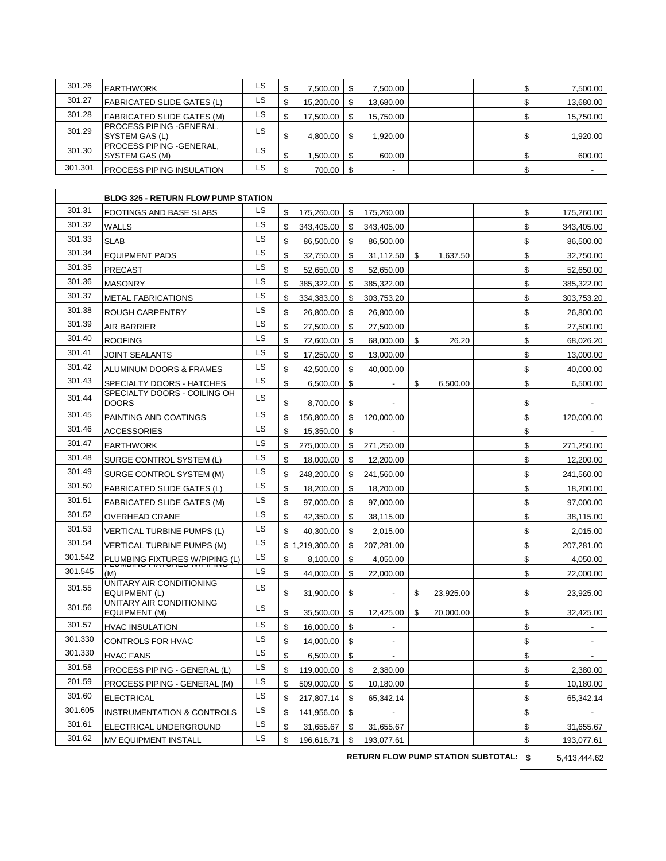| 301.26  | <b>EARTHWORK</b>                            | LS  | 7.500.00     | 7.500.00  |  |   | 7,500.00  |
|---------|---------------------------------------------|-----|--------------|-----------|--|---|-----------|
| 301.27  | <b>FABRICATED SLIDE GATES (L)</b>           | LS  | 15,200.00 \$ | 13,680.00 |  |   | 13,680.00 |
| 301.28  | <b>FABRICATED SLIDE GATES (M)</b>           | LS  | 17,500.00    | 15.750.00 |  |   | 15,750.00 |
| 301.29  | PROCESS PIPING - GENERAL,<br>SYSTEM GAS (L) | LS. | 4,800.00     | 1.920.00  |  | ጥ | 1,920.00  |
| 301.30  | PROCESS PIPING - GENERAL,<br>SYSTEM GAS (M) | LS. | 1,500.00 \$  | 600.00    |  |   | 600.00    |
| 301.301 | <b>PROCESS PIPING INSULATION</b>            | LS  | 700.00 \$    |           |  |   |           |

|         | <b>BLDG 325 - RETURN FLOW PUMP STATION</b>       |    |                |                |                |                |                 |    |            |
|---------|--------------------------------------------------|----|----------------|----------------|----------------|----------------|-----------------|----|------------|
| 301.31  | FOOTINGS AND BASE SLABS                          | LS | \$             | 175,260.00     | \$             | 175,260.00     |                 | \$ | 175,260.00 |
| 301.32  | WALLS                                            | LS | \$             | 343,405.00     | \$             | 343,405.00     |                 | \$ | 343,405.00 |
| 301.33  | <b>SLAB</b>                                      | LS | $\mathfrak{s}$ | 86,500.00      | \$             | 86,500.00      |                 | \$ | 86,500.00  |
| 301.34  | <b>EQUIPMENT PADS</b>                            | LS | \$             | 32,750.00      | \$             | 31,112.50      | \$<br>1,637.50  | \$ | 32,750.00  |
| 301.35  | PRECAST                                          | LS | \$             | 52,650.00      | \$             | 52,650.00      |                 | \$ | 52,650.00  |
| 301.36  | <b>MASONRY</b>                                   | LS | \$             | 385,322.00     | \$             | 385,322.00     |                 | \$ | 385,322.00 |
| 301.37  | <b>METAL FABRICATIONS</b>                        | LS | \$             | 334,383.00     | \$             | 303,753.20     |                 | \$ | 303,753.20 |
| 301.38  | ROUGH CARPENTRY                                  | LS | \$             | 26,800.00      | \$             | 26,800.00      |                 | \$ | 26,800.00  |
| 301.39  | AIR BARRIER                                      | LS | \$             | 27,500.00      | \$             | 27,500.00      |                 | \$ | 27,500.00  |
| 301.40  | <b>ROOFING</b>                                   | LS | \$             | 72,600.00      | \$             | 68,000.00      | \$<br>26.20     | \$ | 68,026.20  |
| 301.41  | JOINT SEALANTS                                   | LS | \$             | 17,250.00      | \$             | 13,000.00      |                 | \$ | 13,000.00  |
| 301.42  | ALUMINUM DOORS & FRAMES                          | LS | \$             | 42,500.00      | \$             | 40,000.00      |                 | \$ | 40,000.00  |
| 301.43  | SPECIALTY DOORS - HATCHES                        | LS | \$             | 6,500.00       | $$\mathbb{S}$$ |                | \$<br>6,500.00  | \$ | 6,500.00   |
| 301.44  | SPECIALTY DOORS - COILING OH<br><b>DOORS</b>     | LS | \$             | 8,700.00       | \$             |                |                 | \$ |            |
| 301.45  | PAINTING AND COATINGS                            | LS | \$             | 156,800.00     | \$             | 120,000.00     |                 | \$ | 120,000.00 |
| 301.46  | <b>ACCESSORIES</b>                               | LS | \$             | 15,350.00      | \$             |                |                 | \$ |            |
| 301.47  | <b>EARTHWORK</b>                                 | LS | \$             | 275,000.00     | \$             | 271,250.00     |                 | \$ | 271,250.00 |
| 301.48  | SURGE CONTROL SYSTEM (L)                         | LS | \$             | 18,000.00      | \$             | 12,200.00      |                 | \$ | 12,200.00  |
| 301.49  | SURGE CONTROL SYSTEM (M)                         | LS | \$             | 248,200.00     | \$             | 241,560.00     |                 | \$ | 241,560.00 |
| 301.50  | <b>FABRICATED SLIDE GATES (L)</b>                | LS | \$             | 18,200.00      | \$             | 18,200.00      |                 | \$ | 18,200.00  |
| 301.51  | <b>FABRICATED SLIDE GATES (M)</b>                | LS | \$             | 97,000.00      | \$             | 97,000.00      |                 | \$ | 97,000.00  |
| 301.52  | OVERHEAD CRANE                                   | LS | \$             | 42,350.00      | \$             | 38,115.00      |                 | \$ | 38,115.00  |
| 301.53  | VERTICAL TURBINE PUMPS (L)                       | LS | \$             | 40,300.00      | \$             | 2,015.00       |                 | \$ | 2,015.00   |
| 301.54  | VERTICAL TURBINE PUMPS (M)                       | LS |                | \$1,219,300.00 | \$             | 207,281.00     |                 | \$ | 207,281.00 |
| 301.542 | PLUMBING FIXTURES W/PIPING (L)                   | LS | \$             | 8,100.00       | \$             | 4,050.00       |                 | \$ | 4,050.00   |
| 301.545 | (M)                                              | LS | \$             | 44,000.00      | \$             | 22,000.00      |                 | \$ | 22,000.00  |
| 301.55  | UNITARY AIR CONDITIONING<br><b>EQUIPMENT (L)</b> | LS | \$             | 31,900.00      | \$             |                | \$<br>23,925.00 | \$ | 23,925.00  |
| 301.56  | UNITARY AIR CONDITIONING<br><b>EQUIPMENT (M)</b> | LS | \$             | 35,500.00      | \$             | 12,425.00      | \$<br>20.000.00 | \$ | 32,425.00  |
| 301.57  | <b>HVAC INSULATION</b>                           | LS | \$             | 16,000.00      | \$             | $\blacksquare$ |                 | \$ |            |
| 301.330 | CONTROLS FOR HVAC                                | LS | \$             | 14,000.00      | \$             |                |                 | \$ |            |
| 301.330 | <b>HVAC FANS</b>                                 | LS | \$             | 6,500.00       | \$             |                |                 | \$ |            |
| 301.58  | PROCESS PIPING - GENERAL (L)                     | LS | \$             | 119,000.00     | \$             | 2,380.00       |                 | \$ | 2,380.00   |
| 201.59  | PROCESS PIPING - GENERAL (M)                     | LS | \$.            | 509,000.00     | \$             | 10,180.00      |                 | \$ | 10,180.00  |
| 301.60  | <b>ELECTRICAL</b>                                | LS | \$             | 217,807.14     | \$             | 65,342.14      |                 | \$ | 65,342.14  |
| 301.605 | <b>INSTRUMENTATION &amp; CONTROLS</b>            | LS | \$             | 141,956.00     | \$             |                |                 | \$ |            |
| 301.61  | ELECTRICAL UNDERGROUND                           | LS | \$             | 31,655.67      | \$             | 31,655.67      |                 | \$ | 31,655.67  |
| 301.62  | MV EQUIPMENT INSTALL                             | LS | \$             | 196,616.71     | \$             | 193,077.61     |                 | \$ | 193,077.61 |

**RETURN FLOW PUMP STATION SUBTOTAL:** \$ 5,413,444.62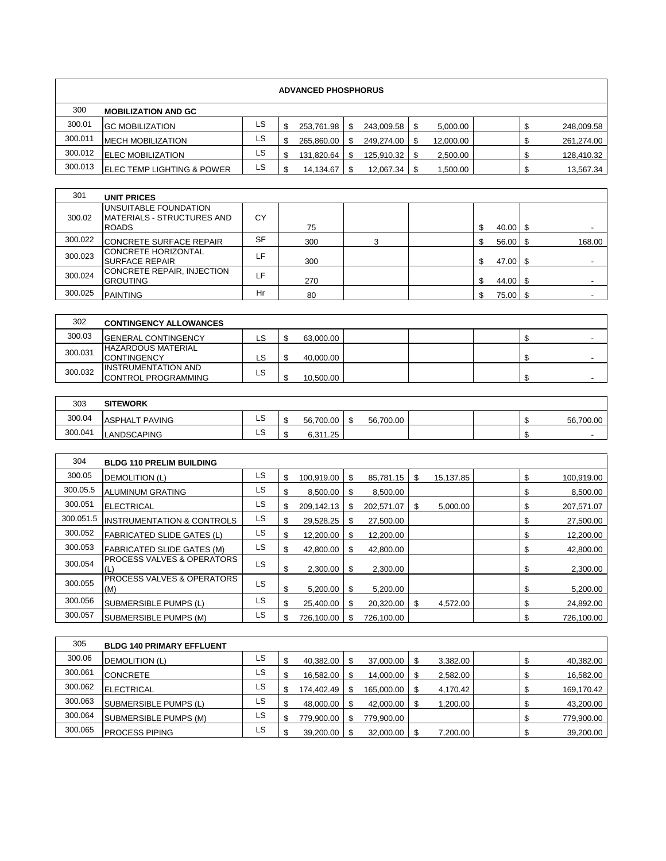| <b>ADVANCED PHOSPHORUS</b> |                                                                     |               |          |            |               |            |    |           |    |       |          |                          |  |
|----------------------------|---------------------------------------------------------------------|---------------|----------|------------|---------------|------------|----|-----------|----|-------|----------|--------------------------|--|
| 300                        | <b>MOBILIZATION AND GC</b>                                          |               |          |            |               |            |    |           |    |       |          |                          |  |
| 300.01                     | <b>GC MOBILIZATION</b>                                              | LS            | \$       | 253,761.98 | \$            | 243,009.58 | \$ | 5,000.00  |    |       | \$       | 248,009.58               |  |
| 300.011                    | <b>MECH MOBILIZATION</b>                                            | LS            | \$       | 265,860.00 | \$            | 249.274.00 | \$ | 12,000.00 |    |       | \$       | 261,274.00               |  |
| 300.012                    | <b>ELEC MOBILIZATION</b>                                            | LS            | \$       | 131,820.64 | \$            | 125,910.32 | \$ | 2,500.00  |    |       | \$       | 128,410.32               |  |
| 300.013                    | ELEC TEMP LIGHTING & POWER                                          | LS            | \$       | 14,134.67  | \$            | 12,067.34  | \$ | 1,500.00  |    |       | \$       | 13,567.34                |  |
|                            |                                                                     |               |          |            |               |            |    |           |    |       |          |                          |  |
| 301                        | <b>UNIT PRICES</b>                                                  |               |          |            |               |            |    |           |    |       |          |                          |  |
| 300.02                     | UNSUITABLE FOUNDATION<br>MATERIALS - STRUCTURES AND<br><b>ROADS</b> | <b>CY</b>     |          | 75         |               |            |    |           | \$ | 40.00 | -\$      |                          |  |
| 300.022                    | <b>CONCRETE SURFACE REPAIR</b>                                      | <b>SF</b>     |          | 300        |               | 3          |    |           | \$ | 56.00 | \$       | 168.00                   |  |
| 300.023                    | CONCRETE HORIZONTAL<br><b>SURFACE REPAIR</b>                        | LF            |          | 300        |               |            |    |           | \$ | 47.00 | \$       | $\overline{\phantom{a}}$ |  |
| 300.024                    | CONCRETE REPAIR, INJECTION<br><b>GROUTING</b>                       | LF            |          |            |               |            |    |           | \$ |       | \$       |                          |  |
| 300.025                    |                                                                     | Hr            |          | 270        |               |            |    |           | \$ | 44.00 | \$       | $\overline{\phantom{a}}$ |  |
|                            | <b>PAINTING</b>                                                     |               |          | 80         |               |            |    |           |    | 75.00 |          |                          |  |
| 302                        | <b>CONTINGENCY ALLOWANCES</b>                                       |               |          |            |               |            |    |           |    |       |          |                          |  |
| 300.03                     | <b>GENERAL CONTINGENCY</b>                                          | LS            | \$       | 63,000.00  |               |            |    |           |    |       | \$       | $\overline{\phantom{a}}$ |  |
| 300.031                    | <b>HAZARDOUS MATERIAL</b>                                           |               |          |            |               |            |    |           |    |       |          |                          |  |
| 300.032                    | <b>CONTINGENCY</b><br><b>INSTRUMENTATION AND</b>                    | LS<br>LS      | \$       | 40,000.00  |               |            |    |           |    |       | \$       | $\overline{\phantom{a}}$ |  |
|                            | <b>CONTROL PROGRAMMING</b>                                          |               | \$       | 10,500.00  |               |            |    |           |    |       | \$       |                          |  |
| 303                        | <b>SITEWORK</b>                                                     |               |          |            |               |            |    |           |    |       |          |                          |  |
| 300.04                     |                                                                     | LS            |          |            |               |            |    |           |    |       |          |                          |  |
| 300.041                    | <b>ASPHALT PAVING</b><br>LANDSCAPING                                | LS            | \$<br>\$ | 56,700.00  | \$            | 56,700.00  |    |           |    |       | \$<br>\$ | 56,700.00                |  |
|                            |                                                                     |               |          | 6,311.25   |               |            |    |           |    |       |          |                          |  |
| 304                        | <b>BLDG 110 PRELIM BUILDING</b>                                     |               |          |            |               |            |    |           |    |       |          |                          |  |
| 300.05                     | <b>DEMOLITION (L)</b>                                               | LS            | \$       | 100,919.00 | \$            | 85,781.15  | \$ | 15,137.85 |    |       | \$       | 100,919.00               |  |
| 300.05.5                   | ALUMINUM GRATING                                                    | LS            | \$       | 8,500.00   | \$            | 8,500.00   |    |           |    |       | \$       | 8,500.00                 |  |
| 300.051                    | <b>ELECTRICAL</b>                                                   | LS            | \$       | 209,142.13 | \$            | 202,571.07 | \$ | 5,000.00  |    |       | \$       | 207,571.07               |  |
| 300.051.5                  | <b>INSTRUMENTATION &amp; CONTROLS</b>                               | LS            | \$       | 29,528.25  | \$            | 27,500.00  |    |           |    |       | \$       | 27,500.00                |  |
| 300.052                    | <b>FABRICATED SLIDE GATES (L)</b>                                   | LS            | \$       | 12,200.00  | \$            | 12,200.00  |    |           |    |       | \$       | 12,200.00                |  |
| 300.053                    | <b>FABRICATED SLIDE GATES (M)</b>                                   | LS            | \$       | 42,800.00  | \$            | 42,800.00  |    |           |    |       | \$       | 42.800.00                |  |
| 300.054                    | PROCESS VALVES & OPERATORS                                          | LS            | \$       | 2,300.00   | \$            | 2,300.00   |    |           |    |       | \$       | 2,300.00                 |  |
| 300.055                    | PROCESS VALVES & OPERATORS<br>(M)                                   | <b>LS</b>     | \$       | 5,200.00   | \$            | 5,200.00   |    |           |    |       | \$       | 5,200.00                 |  |
| 300.056                    | SUBMERSIBLE PUMPS (L)                                               | LS            | \$       | 25,400.00  | \$            | 20,320.00  | \$ | 4,572.00  |    |       | \$       | 24,892.00                |  |
| 300.057                    | SUBMERSIBLE PUMPS (M)                                               | LS            | \$       | 726,100.00 | \$            | 726,100.00 |    |           |    |       | \$       | 726,100.00               |  |
|                            |                                                                     |               |          |            |               |            |    |           |    |       |          |                          |  |
| 305                        | <b>BLDG 140 PRIMARY EFFLUENT</b>                                    |               |          |            |               |            |    |           |    |       |          |                          |  |
| 300.06                     | DEMOLITION (L)                                                      | <b>LS</b>     | \$       | 40,382.00  | $\mathfrak s$ | 37,000.00  | \$ | 3,382.00  |    |       | \$       | 40,382.00                |  |
| 300.061                    | CONCRETE                                                            | LS            | \$       | 16,582.00  | \$            | 14,000.00  | \$ | 2,582.00  |    |       | \$       | 16,582.00                |  |
| 300.062                    | <b>ELECTRICAL</b>                                                   | $\mathsf{LS}$ | \$       | 174,402.49 | \$            | 165,000.00 | \$ | 4,170.42  |    |       | \$       | 169,170.42               |  |

300.063 SUBMERSIBLE PUMPS (L) LS \$ 48,000.00 \$ 42,000.00 \$ 1,200.00 \$ 43,200.00 300.064 SUBMERSIBLE PUMPS (M) LS \$ 779,900.00 \$ 779,900.00 \$ 779,900.00 300.065 PROCESS PIPING LS \$ 39,200.00 \$ 32,000.00 \$ 7,200.00 \$ 39,200.00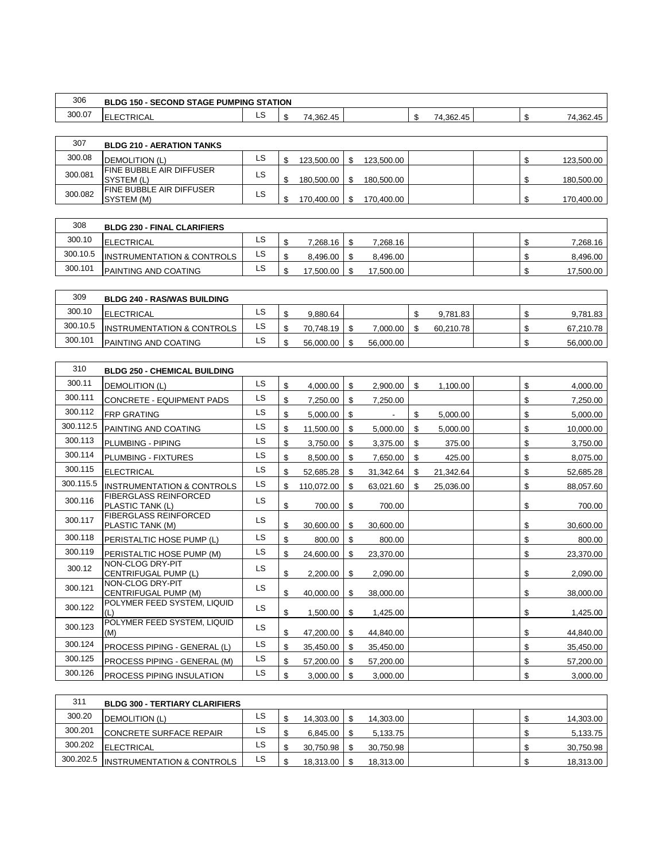| 306    | <b>SECOND STAGE PUMPING STATION</b><br><b>BLDG</b><br>150 |     |                                |  |                                              |  |                                                           |
|--------|-----------------------------------------------------------|-----|--------------------------------|--|----------------------------------------------|--|-----------------------------------------------------------|
| 300.07 | ≺IUAL<br>∵ ۳ ا ب_<br>ᄂᄂ                                   | نحا | 4.362.<br>$\overline{A}$<br>′4 |  | $\rightarrow$ $\rightarrow$<br>362.45.<br>΄4 |  | $\overline{\phantom{a}}$<br>$1.38^\circ$<br>2.45<br>4<br> |

| 307     | <b>BLDG 210 - AERATION TANKS</b>                |     |            |            |  |            |
|---------|-------------------------------------------------|-----|------------|------------|--|------------|
| 300.08  | <b>DEMOLITION (L)</b>                           | LS. | 123.500.00 | 123.500.00 |  | 123,500.00 |
| 300.081 | <b>IFINE BUBBLE AIR DIFFUSER</b><br>ISYSTEM (L) | LS. | 180.500.00 | 180.500.00 |  | 180,500.00 |
| 300.082 | <b>IFINE BUBBLE AIR DIFFUSER</b><br>ISYSTEM (M) | LS. | 170,400.00 | 170.400.00 |  | 170,400.00 |

| 308      | <b>BLDG 230 - FINAL CLARIFIERS</b>    |     |           |           |  |           |
|----------|---------------------------------------|-----|-----------|-----------|--|-----------|
| 300.10   | <b>ELECTRICAL</b>                     | ιS  | 7,268.16  | 7,268.16  |  | 7,268.16  |
| 300.10.5 | <b>INSTRUMENTATION &amp; CONTROLS</b> | LS. | 8.496.00  | 8.496.00  |  | 8,496.00  |
| 300.101  | <b>PAINTING AND COATING</b>           | LS. | 17.500.00 | 17.500.00 |  | 17,500.00 |

| 309      | <b>BLDG 240 - RAS/WAS BUILDING</b>    |    |           |           |           |  |           |
|----------|---------------------------------------|----|-----------|-----------|-----------|--|-----------|
| 300.10   | <b>ELECTRICAL</b>                     | LS | 9.880.64  |           | 9.781.83  |  | 9.781.83  |
| 300.10.5 | <b>INSTRUMENTATION &amp; CONTROLS</b> | LS | 70.748.19 | 7.000.00  | 60.210.78 |  | 67,210.78 |
| 300.101  | <b>PAINTING AND COATING</b>           | LS | 56.000.00 | 56.000.00 |           |  | 56,000.00 |

| 310       | <b>BLDG 250 - CHEMICAL BUILDING</b>              |           |                  |                 |    |           |    |           |
|-----------|--------------------------------------------------|-----------|------------------|-----------------|----|-----------|----|-----------|
| 300.11    | <b>DEMOLITION (L)</b>                            | <b>LS</b> | \$<br>4,000.00   | \$<br>2,900.00  | \$ | 1,100.00  | \$ | 4,000.00  |
| 300.111   | CONCRETE - EQUIPMENT PADS                        | LS        | \$<br>7,250.00   | \$<br>7,250.00  |    |           | \$ | 7,250.00  |
| 300.112   | <b>FRP GRATING</b>                               | LS        | \$<br>5,000.00   | \$              | \$ | 5,000.00  | \$ | 5,000.00  |
| 300.112.5 | PAINTING AND COATING                             | <b>LS</b> | \$<br>11,500.00  | \$<br>5,000.00  | \$ | 5,000.00  | \$ | 10,000.00 |
| 300.113   | PLUMBING - PIPING                                | LS        | \$<br>3,750.00   | \$<br>3,375.00  | \$ | 375.00    | \$ | 3,750.00  |
| 300.114   | PLUMBING - FIXTURES                              | <b>LS</b> | \$<br>8,500.00   | \$<br>7,650.00  | \$ | 425.00    | \$ | 8,075.00  |
| 300.115   | <b>ELECTRICAL</b>                                | <b>LS</b> | \$<br>52,685.28  | \$<br>31,342.64 | S  | 21,342.64 | \$ | 52,685.28 |
| 300.115.5 | <b>INSTRUMENTATION &amp; CONTROLS</b>            | LS        | \$<br>110,072.00 | \$<br>63,021.60 | \$ | 25,036.00 | \$ | 88,057.60 |
| 300.116   | <b>FIBERGLASS REINFORCED</b><br>PLASTIC TANK (L) | <b>LS</b> | \$<br>700.00     | \$<br>700.00    |    |           | \$ | 700.00    |
| 300.117   | <b>FIBERGLASS REINFORCED</b><br>PLASTIC TANK (M) | LS        | \$<br>30,600.00  | \$<br>30,600.00 |    |           | \$ | 30,600.00 |
| 300.118   | PERISTALTIC HOSE PUMP (L)                        | <b>LS</b> | \$<br>800.00     | \$<br>800.00    |    |           | \$ | 800.00    |
| 300.119   | PERISTALTIC HOSE PUMP (M)                        | LS        | \$<br>24,600.00  | \$<br>23,370.00 |    |           | \$ | 23,370.00 |
| 300.12    | NON-CLOG DRY-PIT<br>CENTRIFUGAL PUMP (L)         | <b>LS</b> | \$<br>2,200.00   | \$<br>2,090.00  |    |           | \$ | 2,090.00  |
| 300.121   | NON-CLOG DRY-PIT<br>CENTRIFUGAL PUMP (M)         | <b>LS</b> | \$<br>40,000.00  | \$<br>38,000.00 |    |           | \$ | 38,000.00 |
| 300.122   | POLYMER FEED SYSTEM. LIQUID                      | <b>LS</b> | \$<br>1,500.00   | \$<br>1,425.00  |    |           | \$ | 1,425.00  |
| 300.123   | POLYMER FEED SYSTEM, LIQUID<br>(M)               | LS        | \$<br>47,200.00  | \$<br>44,840.00 |    |           | \$ | 44,840.00 |
| 300.124   | PROCESS PIPING - GENERAL (L)                     | LS        | \$<br>35,450.00  | \$<br>35,450.00 |    |           | \$ | 35,450.00 |
| 300.125   | PROCESS PIPING - GENERAL (M)                     | <b>LS</b> | \$<br>57,200.00  | \$<br>57,200.00 |    |           | \$ | 57,200.00 |
| 300.126   | <b>PROCESS PIPING INSULATION</b>                 | <b>LS</b> | \$<br>3,000.00   | \$<br>3,000.00  |    |           | \$ | 3,000.00  |

| 311       | <b>BLDG 300 - TERTIARY CLARIFIERS</b> |     |           |           |  |           |
|-----------|---------------------------------------|-----|-----------|-----------|--|-----------|
| 300.20    | <b>DEMOLITION (L)</b>                 | LS. | 14.303.00 | 14.303.00 |  | 14,303.00 |
| 300.201   | <b>CONCRETE SURFACE REPAIR</b>        | LS. | 6.845.00  | 5.133.75  |  | 5,133.75  |
| 300.202   | ELECTRICAL                            | LS  | 30.750.98 | 30.750.98 |  | 30,750.98 |
| 300.202.5 | <b>INSTRUMENTATION &amp; CONTROLS</b> | LS  | 18.313.00 | 18.313.00 |  | 18,313.00 |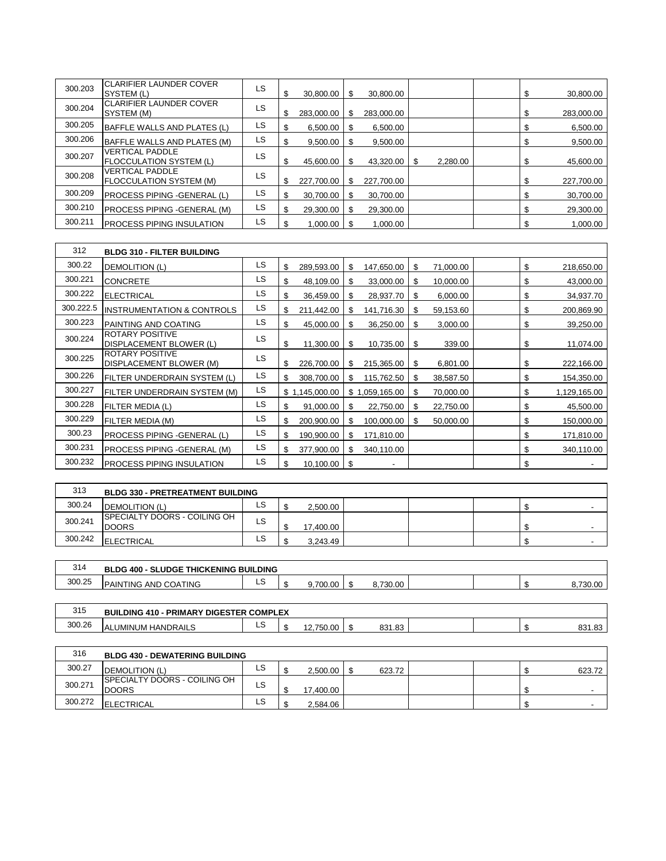| 300.203 | <b>CLARIFIER LAUNDER COVER</b><br>SYSTEM (L)             | LS | \$ | 30,800.00  | \$  | 30,800.00  |          | \$ | 30,800.00  |
|---------|----------------------------------------------------------|----|----|------------|-----|------------|----------|----|------------|
| 300.204 | <b>CLARIFIER LAUNDER COVER</b><br>SYSTEM (M)             | LS | \$ | 283,000.00 | \$  | 283,000.00 |          | \$ | 283,000.00 |
| 300.205 | BAFFLE WALLS AND PLATES (L)                              | LS | \$ | 6,500.00   |     | 6,500.00   |          | \$ | 6,500.00   |
| 300.206 | BAFFLE WALLS AND PLATES (M)                              | LS |    | 9,500.00   | S   | 9,500.00   |          | \$ | 9,500.00   |
| 300.207 | <b>VERTICAL PADDLE</b><br><b>FLOCCULATION SYSTEM (L)</b> | LS | \$ | 45,600.00  | \$. | 43,320.00  | 2,280.00 | \$ | 45,600.00  |
| 300.208 | <b>VERTICAL PADDLE</b><br><b>FLOCCULATION SYSTEM (M)</b> | LS | \$ | 227,700.00 | \$  | 227,700.00 |          | \$ | 227,700.00 |
| 300.209 | PROCESS PIPING - GENERAL (L)                             | LS | S  | 30,700.00  | S   | 30.700.00  |          | S  | 30,700.00  |
| 300.210 | PROCESS PIPING - GENERAL (M)                             | LS | \$ | 29,300.00  | \$. | 29,300.00  |          | \$ | 29,300.00  |
| 300.211 | <b>IPROCESS PIPING INSULATION</b>                        | LS |    | 1,000.00   |     | 1,000.00   |          | \$ | 1,000.00   |

| 312       | <b>BLDG 310 - FILTER BUILDING</b>                 |     |                  |             |             |    |           |    |              |
|-----------|---------------------------------------------------|-----|------------------|-------------|-------------|----|-----------|----|--------------|
| 300.22    | <b>DEMOLITION (L)</b>                             | LS. | \$<br>289,593.00 | \$          | 147,650.00  | \$ | 71,000.00 | \$ | 218,650.00   |
| 300.221   | <b>CONCRETE</b>                                   | LS  | \$<br>48,109.00  | - \$        | 33,000.00   | \$ | 10,000.00 | \$ | 43,000.00    |
| 300.222   | <b>ELECTRICAL</b>                                 | LS  | \$<br>36,459.00  | \$          | 28,937.70   | S  | 6,000.00  | \$ | 34,937.70    |
| 300.222.5 | <b>INSTRUMENTATION &amp; CONTROLS</b>             | LS  | \$<br>211,442.00 | S           | 141,716.30  | \$ | 59,153.60 | \$ | 200,869.90   |
| 300.223   | PAINTING AND COATING                              | LS  | \$<br>45,000.00  | S           | 36,250.00   | \$ | 3,000.00  | \$ | 39,250.00    |
| 300.224   | <b>ROTARY POSITIVE</b><br>DISPLACEMENT BLOWER (L) | LS  | \$<br>11,300.00  | S           | 10,735.00   | \$ | 339.00    | \$ | 11,074.00    |
| 300.225   | <b>ROTARY POSITIVE</b><br>DISPLACEMENT BLOWER (M) | LS  | \$<br>226,700.00 | S           | 215,365.00  | \$ | 6,801.00  | \$ | 222,166.00   |
| 300.226   | FILTER UNDERDRAIN SYSTEM (L)                      | LS  | \$<br>308,700.00 | S           | 115,762.50  | S  | 38,587.50 | \$ | 154,350.00   |
| 300.227   | FILTER UNDERDRAIN SYSTEM (M)                      | LS  | \$1,145,000.00   | $$^{\rm 1}$ | ,059,165.00 | S  | 70,000.00 | \$ | 1,129,165.00 |
| 300.228   | FILTER MEDIA (L)                                  | LS  | \$<br>91,000.00  | S           | 22,750.00   | S  | 22,750.00 | \$ | 45,500.00    |
| 300.229   | FILTER MEDIA (M)                                  | LS. | \$<br>200,900.00 | \$          | 100,000.00  | S  | 50,000.00 | \$ | 150,000.00   |
| 300.23    | PROCESS PIPING - GENERAL (L)                      | LS  | \$<br>190,900.00 | S           | 171,810.00  |    |           | \$ | 171,810.00   |
| 300.231   | PROCESS PIPING - GENERAL (M)                      | LS  | \$<br>377,900.00 | S           | 340,110.00  |    |           | \$ | 340,110.00   |
| 300.232   | <b>PROCESS PIPING INSULATION</b>                  | LS  | \$<br>10,100.00  | \$          |             |    |           | \$ |              |

| 313     | <b>BLDG 330 - PRETREATMENT BUILDING</b>              |     |   |           |  |  |  |
|---------|------------------------------------------------------|-----|---|-----------|--|--|--|
| 300.24  | <b>DEMOLITION (L)</b>                                | LS. |   | 2.500.00  |  |  |  |
| 300.241 | <b>ISPECIALTY DOORS - COILING OH</b><br><b>DOORS</b> | LS  | æ | 17,400.00 |  |  |  |
| 300.242 | <b>ELECTRICAL</b>                                    | LS. |   | 3.243.49  |  |  |  |

| 314    | <b>BLDG 400 - SLUDGE THICKENING BUILDING</b> |    |                            |              |  |        |
|--------|----------------------------------------------|----|----------------------------|--------------|--|--------|
| 300.25 | <b>PAINTING AND COATING</b>                  | ∟ວ | 700<br>$\sim$<br>9.7 VV.VV | 730<br>ov.vu |  | $\sim$ |

| 315    | LDING 410 - PRIMARY DIGESTER COMPLEX<br>BUIL |    |                             |        |  |                |                       |
|--------|----------------------------------------------|----|-----------------------------|--------|--|----------------|-----------------------|
| 300.26 | UMINUM HANDRAILS.<br>$\Lambda$<br>HL.        | -- | $- - -$<br>$\sim$<br>,<br>▵ | 831.83 |  | $\blacksquare$ | 0.24<br>ററ<br>00.1.00 |

| 316     | <b>BLDG 430 - DEWATERING BUILDING</b>         |           |           |        |  |        |
|---------|-----------------------------------------------|-----------|-----------|--------|--|--------|
| 300.27  | <b>DEMOLITION (L)</b>                         | LS        | 2.500.00  | 623.72 |  | 623.72 |
| 300.271 | ISPECIALTY DOORS - COILING OH<br><b>DOORS</b> | LS        | 17.400.00 |        |  |        |
| 300.272 | <b>ELECTRICAL</b>                             | <b>LS</b> | 2,584.06  |        |  |        |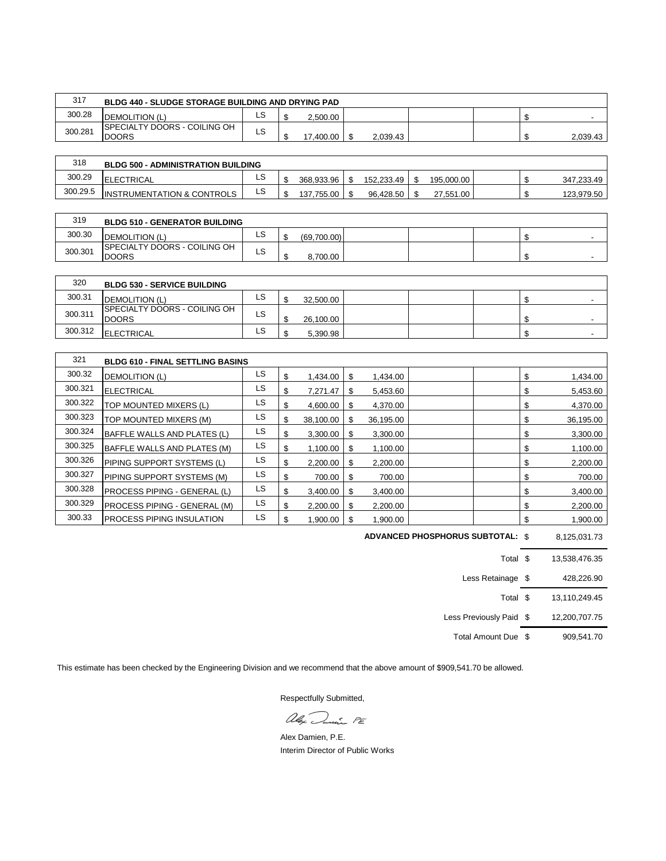| 317     | <b>BLDG 440 - SLUDGE STORAGE BUILDING AND DRYING PAD</b> |              |           |          |  |          |
|---------|----------------------------------------------------------|--------------|-----------|----------|--|----------|
| 300.28  | DEMOLITION (L)                                           | LS           | 2,500.00  |          |  |          |
| 300.281 | <b>SPECIALTY DOORS - COILING OH</b><br><b>DOORS</b>      | $\sim$<br>LS | 17.400.00 | 2.039.43 |  | 2,039.43 |

| 318      | <b>BLDG 500 - ADMINISTRATION BUILDING</b> |    |            |            |            |    |            |
|----------|-------------------------------------------|----|------------|------------|------------|----|------------|
| 300.29   | <b>ELECTRICAL</b>                         | LS | 368.933.96 | 152.233.49 | 195.000.00 |    | 347,233.49 |
| 300.29.5 | <b>INSTRUMENTATION &amp; CONTROLS</b>     | LS | 137.755.00 | 96.428.50  | 27,551.00  | мD | 123,979.50 |

| 319     | <b>BLDG 510 - GENERATOR BUILDING</b>                 |              |             |  |  |  |
|---------|------------------------------------------------------|--------------|-------------|--|--|--|
| 300.30  | <b>IDEMOLITION (L)</b>                               | $\sim$<br>ᇆ  | (69,700.00) |  |  |  |
| 300.301 | <b>ISPECIALTY DOORS - COILING OH</b><br><b>DOORS</b> | $\sim$<br>∟ວ | 8.700.00    |  |  |  |

| 320     | <b>BLDG 530 - SERVICE BUILDING</b>                   |     |   |           |  |  |  |
|---------|------------------------------------------------------|-----|---|-----------|--|--|--|
| 300.31  | <b>DEMOLITION (L)</b>                                | LS. |   | 32,500.00 |  |  |  |
| 300.311 | <b>ISPECIALTY DOORS - COILING OH</b><br><b>DOORS</b> | LS. | ₼ | 26,100.00 |  |  |  |
| 300.312 | <b>ELECTRICAL</b>                                    | LS. |   | 5.390.98  |  |  |  |

| 321     | <b>BLDG 610 - FINAL SETTLING BASINS</b> |    |                 |     |           |  |                 |
|---------|-----------------------------------------|----|-----------------|-----|-----------|--|-----------------|
| 300.32  | <b>DEMOLITION (L)</b>                   | LS | \$<br>1,434.00  | S   | 1,434.00  |  | \$<br>1,434.00  |
| 300.321 | <b>ELECTRICAL</b>                       | LS | \$<br>7.271.47  | S   | 5.453.60  |  | \$<br>5,453.60  |
| 300.322 | TOP MOUNTED MIXERS (L)                  | LS | \$<br>4.600.00  | S   | 4.370.00  |  | \$<br>4,370.00  |
| 300.323 | TOP MOUNTED MIXERS (M)                  | LS | \$<br>38,100.00 | \$. | 36,195.00 |  | \$<br>36,195.00 |
| 300.324 | BAFFLE WALLS AND PLATES (L)             | LS | \$<br>3,300.00  | S   | 3,300.00  |  | \$<br>3,300.00  |
| 300.325 | BAFFLE WALLS AND PLATES (M)             | LS | \$<br>1,100.00  | S   | 1,100.00  |  | \$<br>1,100.00  |
| 300.326 | PIPING SUPPORT SYSTEMS (L)              | LS | \$<br>2,200.00  | S   | 2,200.00  |  | \$<br>2,200.00  |
| 300.327 | PIPING SUPPORT SYSTEMS (M)              | LS | \$<br>700.00    | S   | 700.00    |  | \$<br>700.00    |
| 300.328 | <b>IPROCESS PIPING - GENERAL (L)</b>    | LS | \$<br>3,400.00  | S   | 3,400.00  |  | \$<br>3,400.00  |
| 300.329 | PROCESS PIPING - GENERAL (M)            | LS | \$<br>2,200.00  | S   | 2,200.00  |  | \$<br>2,200.00  |
| 300.33  | <b>IPROCESS PIPING INSULATION</b>       | LS | 1,900.00        | S   | 1,900.00  |  | \$<br>1,900.00  |

\$ 8,125,031.73 **ADVANCED PHOSPHORUS SUBTOTAL:**

| Total \$                |      | 13.538.476.35 |
|-------------------------|------|---------------|
| Less Retainage          | - \$ | 428,226.90    |
| Total \$                |      | 13,110,249.45 |
| Less Previously Paid \$ |      | 12,200,707.75 |
| Total Amount Due \$     |      | 909.541.70    |

This estimate has been checked by the Engineering Division and we recommend that the above amount of \$909,541.70 be allowed.

aly Dunie PE

Alex Damien, P.E. Interim Director of Public Works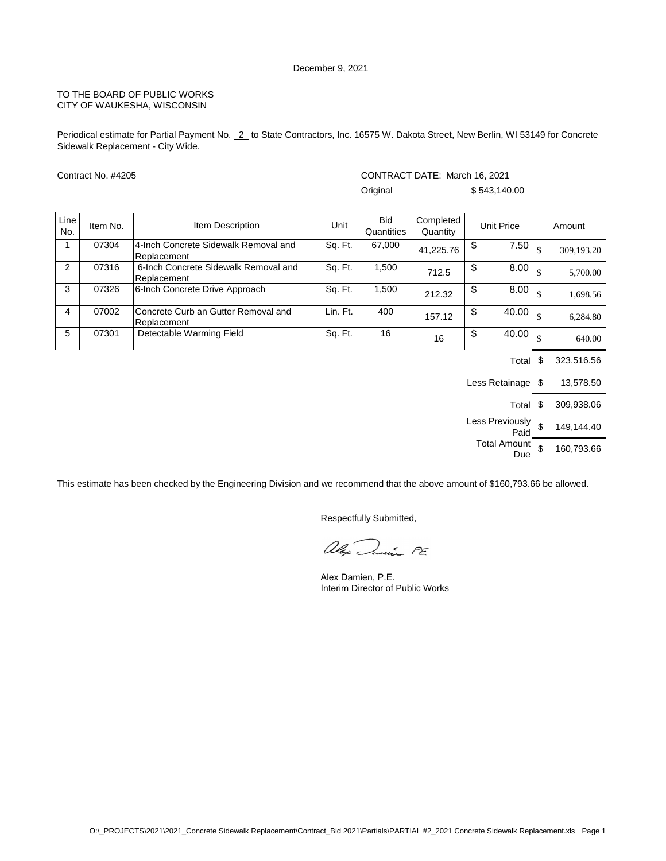Periodical estimate for Partial Payment No. 2 to State Contractors, Inc. 16575 W. Dakota Street, New Berlin, WI 53149 for Concrete Sidewalk Replacement - City Wide.

|             | Contract No. #4205 |                                                     |          | CONTRACT DATE: March 16, 2021 |                       |               |              |    |            |
|-------------|--------------------|-----------------------------------------------------|----------|-------------------------------|-----------------------|---------------|--------------|----|------------|
|             |                    |                                                     |          | Original                      |                       |               | \$543,140.00 |    |            |
| Line<br>No. | Item No.           | Item Description                                    | Unit     | <b>Bid</b><br>Quantities      | Completed<br>Quantity |               | Unit Price   |    | Amount     |
|             | 07304              | 4-Inch Concrete Sidewalk Removal and<br>Replacement | Sq. Ft.  | 67,000                        | 41,225.76             | \$            | 7.50         |    | 309,193.20 |
| 2           | 07316              | 6-Inch Concrete Sidewalk Removal and<br>Replacement | Sq. Ft.  | 1,500                         | 712.5                 | $\frac{1}{2}$ | 8.00         |    | 5,700.00   |
| 3           | 07326              | 6-Inch Concrete Drive Approach                      | Sq. Ft.  | 1,500                         | 212.32                | \$            | 8.00         |    | 1,698.56   |
| 4           | 07002              | Concrete Curb an Gutter Removal and<br>Replacement  | Lin. Ft. | 400                           | 157.12                | \$            | 40.00        | \$ | 6.284.80   |
| 5           | 07301              | Detectable Warming Field                            | Sq. Ft.  | 16                            | 16                    | \$            | 40.00        |    | 640.00     |

Total \$ 323,516.56 Less Retainage \$ 13,578.50 Total \$ 309,938.06 Less Previously \$  $\frac{0.00819}{\text{Paid}}$  \$ 149,144.40 Total Amount  $$ 160,793.66$ 

This estimate has been checked by the Engineering Division and we recommend that the above amount of \$160,793.66 be allowed.

alex Danie PE

Alex Damien, P.E. Interim Director of Public Works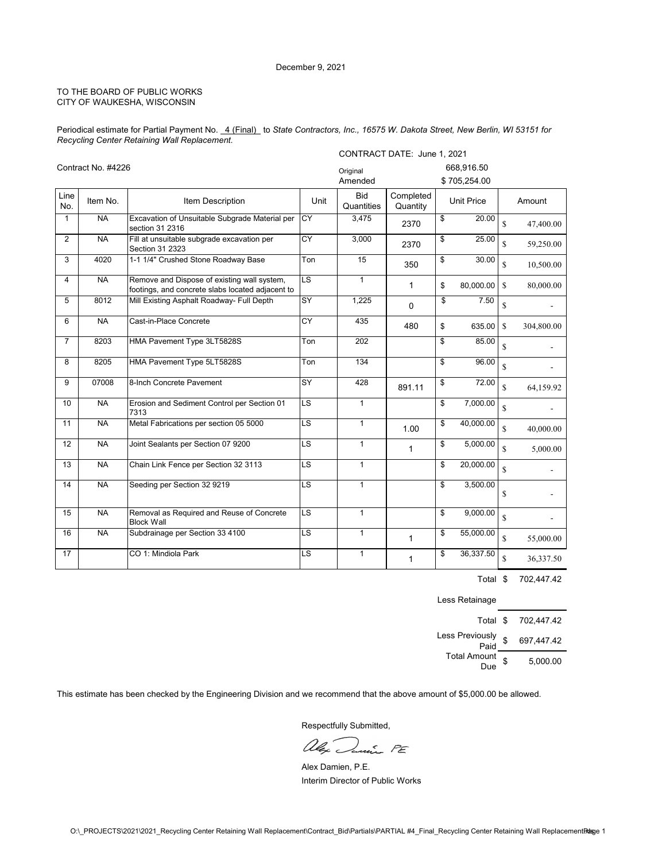Periodical estimate for Partial Payment No. 4 (Final) to State Contractors, Inc., 16575 W. Dakota Street, New Berlin, WI 53151 for *Recycling Center Retaining Wall Replacement.*

|                |                    |                                                                                                 |                                   | CONTRACT DATE: June 1, 2021 |                       |    |                   |                    |            |
|----------------|--------------------|-------------------------------------------------------------------------------------------------|-----------------------------------|-----------------------------|-----------------------|----|-------------------|--------------------|------------|
|                | Contract No. #4226 |                                                                                                 |                                   | Original                    |                       |    | 668,916.50        |                    |            |
|                |                    |                                                                                                 |                                   | Amended                     |                       |    | \$705,254.00      |                    |            |
| Line<br>No.    | Item No.           | Item Description                                                                                | Unit                              | <b>Bid</b><br>Quantities    | Completed<br>Quantity |    | <b>Unit Price</b> |                    | Amount     |
| $\mathbf 1$    | <b>NA</b>          | Excavation of Unsuitable Subgrade Material per<br>section 31 2316                               | CY                                | 3,475                       | 2370                  | \$ | 20.00             | $\mathsf{\$}$      | 47,400.00  |
| $\overline{2}$ | N <sub>A</sub>     | Fill at unsuitable subgrade excavation per<br>Section 31 2323                                   | CY                                | 3,000                       | 2370                  | \$ | 25.00             | \$                 | 59,250.00  |
| 3              | 4020               | 1-1 1/4" Crushed Stone Roadway Base                                                             | Ton                               | 15                          | 350                   | \$ | 30.00             | \$                 | 10,500.00  |
| 4              | <b>NA</b>          | Remove and Dispose of existing wall system,<br>footings, and concrete slabs located adjacent to | $\overline{\mathsf{LS}}$          | $\mathbf{1}$                | 1                     | \$ | 80,000.00         | $\mathbf{s}$       | 80,000.00  |
| 5              | 8012               | Mill Existing Asphalt Roadway- Full Depth                                                       | SY                                | 1,225                       | $\Omega$              | \$ | 7.50              | \$                 |            |
| 6              | <b>NA</b>          | Cast-in-Place Concrete                                                                          | CY                                | 435                         | 480                   | \$ | 635.00            | $\mathbf S$        | 304,800.00 |
| $\overline{7}$ | 8203               | HMA Pavement Type 3LT5828S                                                                      | Ton                               | 202                         |                       | \$ | 85.00             | $\mathbb S$        |            |
| 8              | 8205               | HMA Pavement Type 5LT5828S                                                                      | Ton                               | 134                         |                       | \$ | 96.00             | $\mathbf S$        |            |
| 9              | 07008              | 8-Inch Concrete Pavement                                                                        | <b>SY</b>                         | 428                         | 891.11                | \$ | 72.00             | $\mathbf S$        | 64,159.92  |
| 10             | <b>NA</b>          | Erosion and Sediment Control per Section 01<br>7313                                             | $\overline{\mathsf{LS}}$          | $\mathbf{1}$                |                       | \$ | 7,000.00          | $\mathbb S$        |            |
| 11             | N <sub>A</sub>     | Metal Fabrications per section 05 5000                                                          | LS                                | $\mathbf{1}$                | 1.00                  | \$ | 40,000.00         | $\mathbf S$        | 40,000.00  |
| 12             | <b>NA</b>          | Joint Sealants per Section 07 9200                                                              | LS                                | $\mathbf{1}$                | 1                     | \$ | 5,000.00          | \$                 | 5,000.00   |
| 13             | <b>NA</b>          | Chain Link Fence per Section 32 3113                                                            | $\overline{\text{LS}}$            | $\mathbf{1}$                |                       | \$ | 20,000.00         | \$                 |            |
| 14             | <b>NA</b>          | Seeding per Section 32 9219                                                                     | LS                                | $\mathbf{1}$                |                       | \$ | 3,500.00          | \$                 |            |
| 15             | <b>NA</b>          | Removal as Required and Reuse of Concrete<br><b>Block Wall</b>                                  | $\overline{\mathsf{L}\mathsf{S}}$ | $\mathbf{1}$                |                       | \$ | 9,000.00          | $\mathbf{\hat{S}}$ |            |
| 16             | <b>NA</b>          | Subdrainage per Section 33 4100                                                                 | $\overline{\mathsf{LS}}$          | $\mathbf{1}$                | $\mathbf{1}$          | \$ | 55,000.00         | \$                 | 55,000.00  |
| 17             |                    | CO 1: Mindiola Park                                                                             | LS                                | $\mathbf{1}$                | $\mathbf{1}$          | \$ | 36,337.50         | \$                 | 36,337.50  |

Total \$ 702,447.42

Less Retainage

| Total \$                   | 702,447.42       |
|----------------------------|------------------|
| Less Previously<br>Paid    | \$<br>697,447.42 |
| <b>Total Amount</b><br>Due | 5.000.00         |

This estimate has been checked by the Engineering Division and we recommend that the above amount of \$5,000.00 be allowed.

alex Danie PE

Alex Damien, P.E. Interim Director of Public Works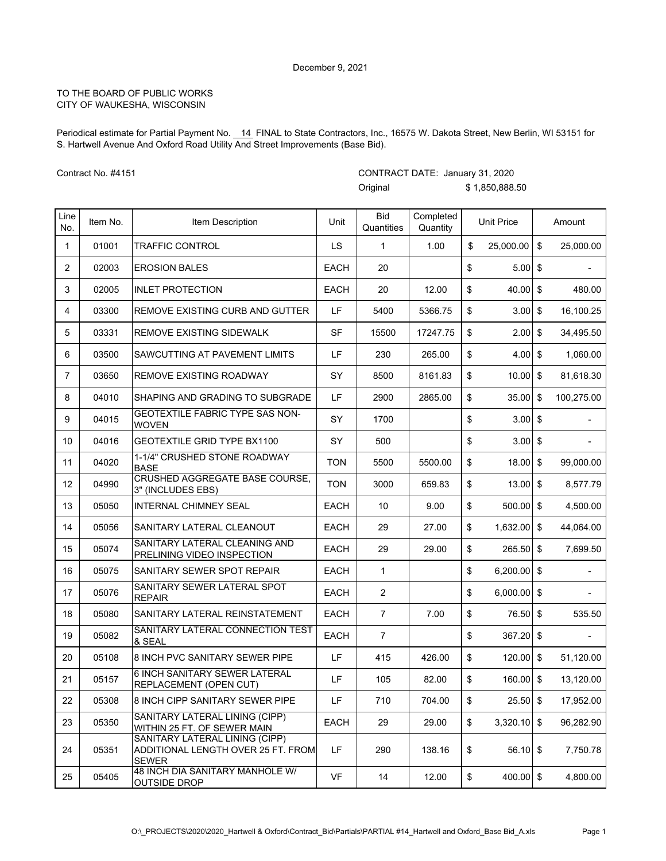Periodical estimate for Partial Payment No. \_14\_FINAL to State Contractors, Inc., 16575 W. Dakota Street, New Berlin, WI 53151 for S. Hartwell Avenue And Oxford Road Utility And Street Improvements (Base Bid).

CONTRACT DATE: January 31, 2020

Contract No. #4151

|             |          |                                                                                      |             | Original                 |                       | \$1,850,888.50      |                  |
|-------------|----------|--------------------------------------------------------------------------------------|-------------|--------------------------|-----------------------|---------------------|------------------|
| Line<br>No. | Item No. | Item Description                                                                     | Unit        | <b>Bid</b><br>Quantities | Completed<br>Quantity | <b>Unit Price</b>   | Amount           |
| 1           | 01001    | TRAFFIC CONTROL                                                                      | LS          | $\mathbf{1}$             | 1.00                  | \$<br>25,000.00     | \$<br>25,000.00  |
| 2           | 02003    | <b>EROSION BALES</b>                                                                 | <b>EACH</b> | 20                       |                       | \$<br>$5.00$ \$     |                  |
| 3           | 02005    | <b>INLET PROTECTION</b>                                                              | <b>EACH</b> | 20                       | 12.00                 | \$<br>40.00         | \$<br>480.00     |
| 4           | 03300    | REMOVE EXISTING CURB AND GUTTER                                                      | LF          | 5400                     | 5366.75               | \$<br>$3.00$ \$     | 16,100.25        |
| 5           | 03331    | <b>REMOVE EXISTING SIDEWALK</b>                                                      | SF          | 15500                    | 17247.75              | \$<br>2.00          | \$<br>34,495.50  |
| 6           | 03500    | SAWCUTTING AT PAVEMENT LIMITS                                                        | LF          | 230                      | 265.00                | \$<br>$4.00$ \$     | 1,060.00         |
| 7           | 03650    | <b>REMOVE EXISTING ROADWAY</b>                                                       | SY          | 8500                     | 8161.83               | \$<br>$10.00$ \$    | 81,618.30        |
| 8           | 04010    | SHAPING AND GRADING TO SUBGRADE                                                      | LF          | 2900                     | 2865.00               | \$<br>35.00         | \$<br>100,275.00 |
| 9           | 04015    | GEOTEXTILE FABRIC TYPE SAS NON-<br><b>WOVEN</b>                                      | SY          | 1700                     |                       | \$<br>$3.00$ \$     |                  |
| 10          | 04016    | <b>GEOTEXTILE GRID TYPE BX1100</b>                                                   | SY          | 500                      |                       | \$<br>$3.00$ \$     |                  |
| 11          | 04020    | 1-1/4" CRUSHED STONE ROADWAY<br><b>BASE</b>                                          | <b>TON</b>  | 5500                     | 5500.00               | \$<br>18.00         | \$<br>99,000.00  |
| 12          | 04990    | <b>CRUSHED AGGREGATE BASE COURSE.</b><br>3" (INCLUDES EBS)                           | <b>TON</b>  | 3000                     | 659.83                | \$<br>$13.00$ \$    | 8,577.79         |
| 13          | 05050    | <b>INTERNAL CHIMNEY SEAL</b>                                                         | <b>EACH</b> | 10                       | 9.00                  | \$<br>$500.00$ \$   | 4,500.00         |
| 14          | 05056    | SANITARY LATERAL CLEANOUT                                                            | EACH        | 29                       | 27.00                 | \$<br>1,632.00      | \$<br>44,064.00  |
| 15          | 05074    | SANITARY LATERAL CLEANING AND<br>PRELINING VIDEO INSPECTION                          | <b>EACH</b> | 29                       | 29.00                 | \$<br>$265.50$ \$   | 7,699.50         |
| 16          | 05075    | SANITARY SEWER SPOT REPAIR                                                           | EACH        | 1                        |                       | \$<br>6,200.00 \$   |                  |
| 17          | 05076    | SANITARY SEWER LATERAL SPOT<br><b>REPAIR</b>                                         | EACH        | $\overline{2}$           |                       | \$<br>6,000.00      | \$               |
| 18          | 05080    | SANITARY LATERAL REINSTATEMENT                                                       | <b>EACH</b> | $\overline{7}$           | 7.00                  | \$<br>76.50 \$      | 535.50           |
| 19          | 05082    | SANITARY LATERAL CONNECTION TEST<br>& SEAL                                           | <b>EACH</b> | $\overline{7}$           |                       | \$<br>$367.20$ \$   | -                |
| 20          | 05108    | 8 INCH PVC SANITARY SEWER PIPE                                                       | LF          | 415                      | 426.00                | \$<br>$120.00$ \$   | 51,120.00        |
| 21          | 05157    | <b>6 INCH SANITARY SEWER LATERAL</b><br>REPLACEMENT (OPEN CUT)                       | LF          | 105                      | 82.00                 | \$<br>$160.00$ \$   | 13,120.00        |
| 22          | 05308    | 8 INCH CIPP SANITARY SEWER PIPE                                                      | LF.         | 710                      | 704.00                | \$<br>$25.50$ \$    | 17,952.00        |
| 23          | 05350    | SANITARY LATERAL LINING (CIPP)<br>WITHIN 25 FT. OF SEWER MAIN                        | <b>EACH</b> | 29                       | 29.00                 | \$<br>$3.320.10$ \$ | 96.282.90        |
| 24          | 05351    | SANITARY LATERAL LINING (CIPP)<br>ADDITIONAL LENGTH OVER 25 FT. FROM<br><b>SEWER</b> | LF          | 290                      | 138.16                | \$<br>$56.10$ \$    | 7,750.78         |
| 25          | 05405    | 48 INCH DIA SANITARY MANHOLE W/<br><b>OUTSIDE DROP</b>                               | VF          | 14                       | 12.00                 | \$<br>$400.00$ \$   | 4,800.00         |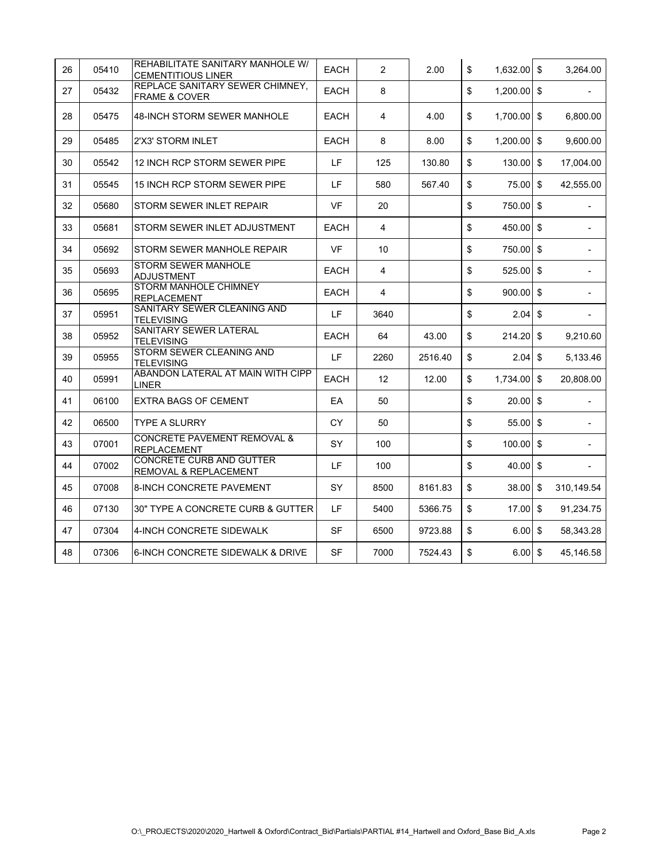| 26 | 05410 | REHABILITATE SANITARY MANHOLE W/<br><b>CEMENTITIOUS LINER</b> | EACH        | $\overline{2}$ | 2.00    | \$<br>$1,632.00$ \$ |                         | 3,264.00                     |
|----|-------|---------------------------------------------------------------|-------------|----------------|---------|---------------------|-------------------------|------------------------------|
| 27 | 05432 | REPLACE SANITARY SEWER CHIMNEY.<br><b>FRAME &amp; COVER</b>   | <b>EACH</b> | 8              |         | \$<br>$1,200.00$ \$ |                         |                              |
| 28 | 05475 | <b>48-INCH STORM SEWER MANHOLE</b>                            | EACH        | 4              | 4.00    | \$<br>$1.700.00$ \$ |                         | 6,800.00                     |
| 29 | 05485 | 2'X3' STORM INLET                                             | EACH        | 8              | 8.00    | \$<br>1,200.00      | $\mathfrak{S}$          | 9,600.00                     |
| 30 | 05542 | 12 INCH RCP STORM SEWER PIPE                                  | LF          | 125            | 130.80  | \$<br>130.00        | \$                      | 17,004.00                    |
| 31 | 05545 | 15 INCH RCP STORM SEWER PIPE                                  | LF.         | 580            | 567.40  | \$<br>75.00         | \$                      | 42,555.00                    |
| 32 | 05680 | STORM SEWER INLET REPAIR                                      | <b>VF</b>   | 20             |         | \$<br>750.00        | $\sqrt[6]{\frac{1}{2}}$ |                              |
| 33 | 05681 | STORM SEWER INLET ADJUSTMENT                                  | <b>EACH</b> | 4              |         | \$<br>450.00 \$     |                         |                              |
| 34 | 05692 | STORM SEWER MANHOLE REPAIR                                    | <b>VF</b>   | 10             |         | \$<br>750.00 \$     |                         | $\overline{\phantom{0}}$     |
| 35 | 05693 | <b>STORM SEWER MANHOLE</b><br><b>ADJUSTMENT</b>               | <b>EACH</b> | 4              |         | \$<br>525.00        | $\sqrt[6]{\frac{1}{2}}$ |                              |
| 36 | 05695 | <b>STORM MANHOLE CHIMNEY</b><br><b>REPLACEMENT</b>            | <b>EACH</b> | 4              |         | \$<br>900.00        | \$                      | $\qquad \qquad \blacksquare$ |
| 37 | 05951 | SANITARY SEWER CLEANING AND<br><b>TELEVISING</b>              | LF          | 3640           |         | \$<br>$2.04$ \$     |                         |                              |
| 38 | 05952 | SANITARY SEWER LATERAL<br><b>TELEVISING</b>                   | EACH        | 64             | 43.00   | \$<br>214.20        | \$                      | 9,210.60                     |
| 39 | 05955 | STORM SEWER CLEANING AND<br><b>TELEVISING</b>                 | LF          | 2260           | 2516.40 | \$<br>$2.04$ \$     |                         | 5,133.46                     |
| 40 | 05991 | ABANDON LATERAL AT MAIN WITH CIPP<br>LINER                    | <b>EACH</b> | 12             | 12.00   | \$<br>1,734.00      | \$                      | 20,808.00                    |
| 41 | 06100 | <b>EXTRA BAGS OF CEMENT</b>                                   | EA          | 50             |         | \$<br>20.00         | \$                      | $\overline{\phantom{a}}$     |
| 42 | 06500 | TYPE A SLURRY                                                 | <b>CY</b>   | 50             |         | \$<br>55.00 \$      |                         |                              |
| 43 | 07001 | <b>CONCRETE PAVEMENT REMOVAL &amp;</b><br><b>REPLACEMENT</b>  | SY          | 100            |         | \$<br>$100.00$ \$   |                         |                              |
| 44 | 07002 | <b>CONCRETE CURB AND GUTTER</b><br>REMOVAL & REPLACEMENT      | LF.         | 100            |         | \$<br>$40.00$ \$    |                         |                              |
| 45 | 07008 | 8-INCH CONCRETE PAVEMENT                                      | SY          | 8500           | 8161.83 | \$<br>38.00         | \$                      | 310,149.54                   |
| 46 | 07130 | 30" TYPE A CONCRETE CURB & GUTTER                             | LF.         | 5400           | 5366.75 | \$<br>17.00         | \$                      | 91,234.75                    |
| 47 | 07304 | 4-INCH CONCRETE SIDEWALK                                      | SF          | 6500           | 9723.88 | \$<br>6.00          | $\sqrt[6]{3}$           | 58,343.28                    |
| 48 | 07306 | 6-INCH CONCRETE SIDEWALK & DRIVE                              | <b>SF</b>   | 7000           | 7524.43 | \$<br>$6.00$ \$     |                         | 45,146.58                    |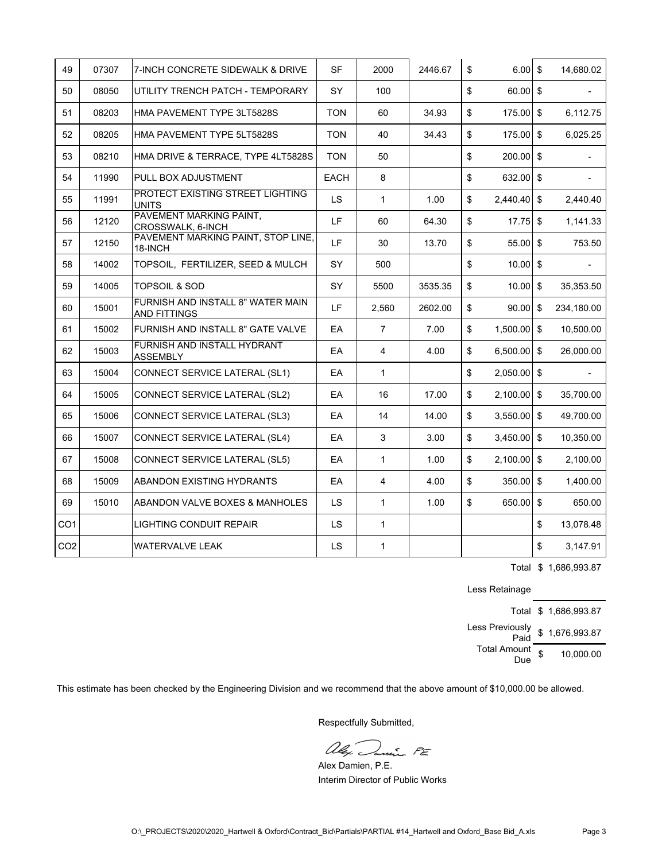| 49              | 07307 | 7-INCH CONCRETE SIDEWALK & DRIVE                         | <b>SF</b>   | 2000           | 2446.67 | \$                      | $6.00$ \$     |                         | 14.680.02  |
|-----------------|-------|----------------------------------------------------------|-------------|----------------|---------|-------------------------|---------------|-------------------------|------------|
| 50              | 08050 | UTILITY TRENCH PATCH - TEMPORARY                         | SY          | 100            |         | \$                      | 60.00 \$      |                         |            |
| 51              | 08203 | HMA PAVEMENT TYPE 3LT5828S                               | <b>TON</b>  | 60             | 34.93   | $\mathfrak s$           | 175.00        | $\mathfrak{S}$          | 6.112.75   |
| 52              | 08205 | HMA PAVEMENT TYPE 5LT5828S                               | <b>TON</b>  | 40             | 34.43   | $\sqrt[6]{\frac{1}{2}}$ | 175.00        | $\mathfrak s$           | 6,025.25   |
| 53              | 08210 | HMA DRIVE & TERRACE, TYPE 4LT5828S                       | <b>TON</b>  | 50             |         | \$                      | 200.00        | $$\mathbb{S}$$          |            |
| 54              | 11990 | PULL BOX ADJUSTMENT                                      | <b>EACH</b> | 8              |         | \$                      | $632.00$ \$   |                         |            |
| 55              | 11991 | PROTECT EXISTING STREET LIGHTING<br><b>UNITS</b>         | LS.         | $\mathbf{1}$   | 1.00    | \$                      | 2,440.40      | $\sqrt[6]{\frac{1}{2}}$ | 2,440.40   |
| 56              | 12120 | PAVEMENT MARKING PAINT,<br>CROSSWALK, 6-INCH             | LF          | 60             | 64.30   | \$                      | 17.75         | \$                      | 1,141.33   |
| 57              | 12150 | PAVEMENT MARKING PAINT, STOP LINE,<br>18-INCH            | LF          | 30             | 13.70   | $\mathfrak s$           | 55.00         | $\mathfrak s$           | 753.50     |
| 58              | 14002 | TOPSOIL, FERTILIZER, SEED & MULCH                        | SY          | 500            |         | \$                      | $10.00$ \$    |                         |            |
| 59              | 14005 | <b>TOPSOIL &amp; SOD</b>                                 | SY          | 5500           | 3535.35 | $\mathfrak s$           | 10.00         | $\mathfrak s$           | 35,353.50  |
| 60              | 15001 | FURNISH AND INSTALL 8" WATER MAIN<br><b>AND FITTINGS</b> | LF          | 2,560          | 2602.00 | \$                      | 90.00         | \$                      | 234,180.00 |
| 61              | 15002 | FURNISH AND INSTALL 8" GATE VALVE                        | EA          | $\overline{7}$ | 7.00    | \$                      | $1,500.00$ \$ |                         | 10.500.00  |
| 62              | 15003 | FURNISH AND INSTALL HYDRANT<br><b>ASSEMBLY</b>           | EA          | 4              | 4.00    | \$                      | $6,500.00$ \$ |                         | 26.000.00  |
| 63              | 15004 | CONNECT SERVICE LATERAL (SL1)                            | EA          | 1              |         | \$                      | $2,050.00$ \$ |                         |            |
| 64              | 15005 | CONNECT SERVICE LATERAL (SL2)                            | EA          | 16             | 17.00   | \$                      | $2,100.00$ \$ |                         | 35,700.00  |
| 65              | 15006 | CONNECT SERVICE LATERAL (SL3)                            | EA          | 14             | 14.00   | \$                      | 3,550.00      | $\sqrt[6]{\frac{1}{2}}$ | 49,700.00  |
| 66              | 15007 | CONNECT SERVICE LATERAL (SL4)                            | EA          | 3              | 3.00    | \$                      | $3,450.00$ \$ |                         | 10,350.00  |
| 67              | 15008 | CONNECT SERVICE LATERAL (SL5)                            | EA          | $\mathbf{1}$   | 1.00    | \$                      | 2,100.00      | $\mathfrak s$           | 2,100.00   |
| 68              | 15009 | ABANDON EXISTING HYDRANTS                                | EA          | 4              | 4.00    | \$                      | 350.00        | \$                      | 1,400.00   |
| 69              | 15010 | ABANDON VALVE BOXES & MANHOLES                           | <b>LS</b>   | $\mathbf{1}$   | 1.00    | \$                      | 650.00        | $\sqrt[6]{\frac{1}{2}}$ | 650.00     |
| CO <sub>1</sub> |       | LIGHTING CONDUIT REPAIR                                  | <b>LS</b>   | $\mathbf{1}$   |         |                         |               | \$                      | 13,078.48  |
| CO <sub>2</sub> |       | WATERVALVE LEAK                                          | <b>LS</b>   | $\mathbf{1}$   |         |                         |               | \$                      | 3,147.91   |

Total \$ 1,686,993.87

Less Retainage

Total \$ 1,686,993.87 Less Previously<br>\_ Paid \$ 1,676,993.87 Total Amount

ount \$ 10,000.00

This estimate has been checked by the Engineering Division and we recommend that the above amount of \$10,000.00 be allowed.

alex Durine PE

Alex Damien, P.E. Interim Director of Public Works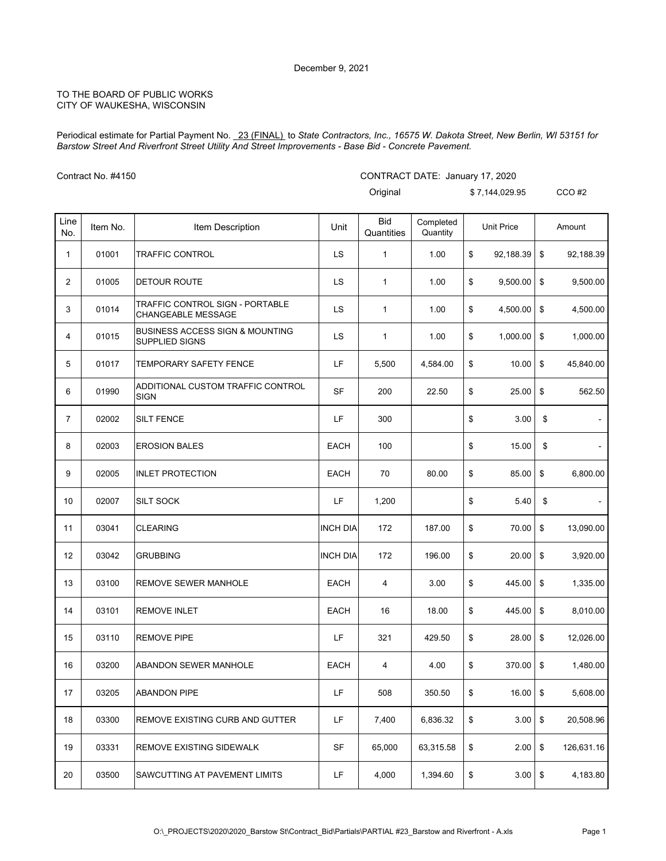Periodical estimate for Partial Payment No. 23 (FINAL) to *State Contractors, Inc., 16575 W. Dakota Street, New Berlin, WI 53151 for Barstow Street And Riverfront Street Utility And Street Improvements - Base Bid - Concrete Pavement.*

Contract No. #4150

### CONTRACT DATE: January 17, 2020

|                |          |                                                                     |                 | Original                 |                       | \$7,144,029.95    |      | $CCO$ #2       |
|----------------|----------|---------------------------------------------------------------------|-----------------|--------------------------|-----------------------|-------------------|------|----------------|
| Line<br>No.    | Item No. | Item Description                                                    | Unit            | <b>Bid</b><br>Quantities | Completed<br>Quantity | <b>Unit Price</b> |      | Amount         |
| 1              | 01001    | <b>TRAFFIC CONTROL</b>                                              | LS              | 1                        | 1.00                  | \$<br>92,188.39   | \$   | 92,188.39      |
| $\overline{2}$ | 01005    | <b>DETOUR ROUTE</b>                                                 | LS              | $\mathbf{1}$             | 1.00                  | \$<br>9,500.00    | \$   | 9,500.00       |
| 3              | 01014    | TRAFFIC CONTROL SIGN - PORTABLE<br><b>CHANGEABLE MESSAGE</b>        | LS              | 1                        | 1.00                  | \$<br>4,500.00    | \$   | 4,500.00       |
| 4              | 01015    | <b>BUSINESS ACCESS SIGN &amp; MOUNTING</b><br><b>SUPPLIED SIGNS</b> | LS              | 1                        | 1.00                  | \$<br>1,000.00    | \$   | 1,000.00       |
| 5              | 01017    | TEMPORARY SAFETY FENCE                                              | LF              | 5,500                    | 4,584.00              | \$<br>10.00       | \$   | 45,840.00      |
| 6              | 01990    | ADDITIONAL CUSTOM TRAFFIC CONTROL<br><b>SIGN</b>                    | <b>SF</b>       | 200                      | 22.50                 | \$<br>25.00       | \$   | 562.50         |
| 7              | 02002    | <b>SILT FENCE</b>                                                   | LF              | 300                      |                       | \$<br>3.00        | \$   |                |
| 8              | 02003    | <b>EROSION BALES</b>                                                | <b>EACH</b>     | 100                      |                       | \$<br>15.00       | \$   |                |
| 9              | 02005    | <b>INLET PROTECTION</b>                                             | <b>EACH</b>     | 70                       | 80.00                 | \$<br>85.00       | \$   | 6,800.00       |
| 10             | 02007    | <b>SILT SOCK</b>                                                    | LF              | 1,200                    |                       | \$<br>5.40        | \$   | $\blacksquare$ |
| 11             | 03041    | <b>CLEARING</b>                                                     | <b>INCH DIA</b> | 172                      | 187.00                | \$<br>70.00       | \$   | 13,090.00      |
| 12             | 03042    | <b>GRUBBING</b>                                                     | <b>INCH DIA</b> | 172                      | 196.00                | \$<br>20.00       | \$   | 3,920.00       |
| 13             | 03100    | REMOVE SEWER MANHOLE                                                | <b>EACH</b>     | 4                        | 3.00                  | \$<br>445.00      | \$   | 1,335.00       |
| 14             | 03101    | <b>REMOVE INLET</b>                                                 | EACH            | 16                       | 18.00                 | \$<br>445.00      | \$   | 8,010.00       |
| 15             | 03110    | <b>REMOVE PIPE</b>                                                  | LF              | 321                      | 429.50                | \$<br>28.00       | \$   | 12,026.00      |
| 16             | 03200    | <b>ABANDON SEWER MANHOLE</b>                                        | <b>EACH</b>     | 4                        | 4.00                  | \$<br>370.00      | \$   | 1,480.00       |
| 17             | 03205    | ABANDON PIPE                                                        | LF              | 508                      | 350.50                | \$<br>16.00       | \$   | 5,608.00       |
| 18             | 03300    | <b>REMOVE EXISTING CURB AND GUTTER</b>                              | LF              | 7,400                    | 6,836.32              | \$<br>3.00        | $\,$ | 20,508.96      |
| 19             | 03331    | REMOVE EXISTING SIDEWALK                                            | SF              | 65,000                   | 63,315.58             | \$<br>2.00        | \$   | 126,631.16     |
| 20             | 03500    | SAWCUTTING AT PAVEMENT LIMITS                                       | LF.             | 4,000                    | 1,394.60              | \$<br>3.00        | \$   | 4,183.80       |
|                |          |                                                                     |                 |                          |                       |                   |      |                |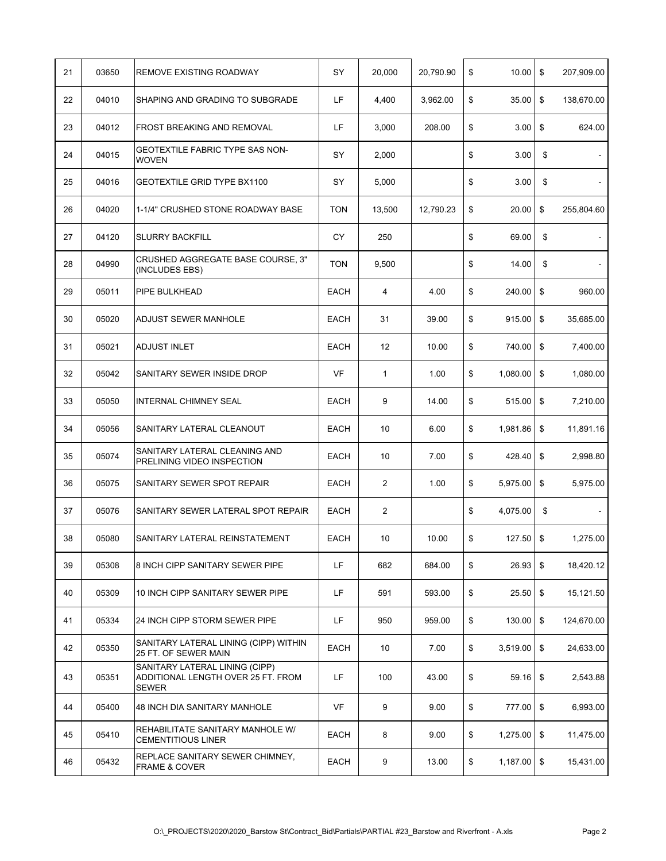| 21 | 03650 | <b>REMOVE EXISTING ROADWAY</b>                                                       | SY          | 20,000         | 20,790.90 | \$<br>10.00         | \$<br>207,909.00     |
|----|-------|--------------------------------------------------------------------------------------|-------------|----------------|-----------|---------------------|----------------------|
| 22 | 04010 | SHAPING AND GRADING TO SUBGRADE                                                      | LF          | 4,400          | 3,962.00  | \$<br>35.00         | \$<br>138,670.00     |
| 23 | 04012 | <b>FROST BREAKING AND REMOVAL</b>                                                    | LF          | 3,000          | 208.00    | \$<br>3.00          | \$<br>624.00         |
| 24 | 04015 | GEOTEXTILE FABRIC TYPE SAS NON-<br><b>WOVEN</b>                                      | SY          | 2,000          |           | \$<br>3.00          | \$                   |
| 25 | 04016 | GEOTEXTILE GRID TYPE BX1100                                                          | SY          | 5,000          |           | \$<br>3.00          | \$                   |
| 26 | 04020 | 1-1/4" CRUSHED STONE ROADWAY BASE                                                    | <b>TON</b>  | 13,500         | 12,790.23 | \$<br>20.00         | \$<br>255,804.60     |
| 27 | 04120 | <b>SLURRY BACKFILL</b>                                                               | CY          | 250            |           | \$<br>69.00         | \$<br>$\blacksquare$ |
| 28 | 04990 | CRUSHED AGGREGATE BASE COURSE, 3"<br>(INCLUDES EBS)                                  | <b>TON</b>  | 9,500          |           | \$<br>14.00         | \$                   |
| 29 | 05011 | <b>PIPE BULKHEAD</b>                                                                 | <b>EACH</b> | $\overline{4}$ | 4.00      | \$<br>240.00        | \$<br>960.00         |
| 30 | 05020 | ADJUST SEWER MANHOLE                                                                 | <b>EACH</b> | 31             | 39.00     | \$<br>915.00        | \$<br>35,685.00      |
| 31 | 05021 | ADJUST INLET                                                                         | EACH        | 12             | 10.00     | \$<br>740.00        | \$<br>7,400.00       |
| 32 | 05042 | SANITARY SEWER INSIDE DROP                                                           | VF          | 1              | 1.00      | \$<br>1,080.00      | \$<br>1,080.00       |
| 33 | 05050 | <b>INTERNAL CHIMNEY SEAL</b>                                                         | <b>EACH</b> | 9              | 14.00     | \$<br>515.00        | \$<br>7,210.00       |
| 34 | 05056 | SANITARY LATERAL CLEANOUT                                                            | <b>EACH</b> | 10             | 6.00      | \$<br>$1,981.86$ \$ | 11,891.16            |
| 35 | 05074 | SANITARY LATERAL CLEANING AND<br>PRELINING VIDEO INSPECTION                          | <b>EACH</b> | 10             | 7.00      | \$<br>428.40        | \$<br>2,998.80       |
| 36 | 05075 | SANITARY SEWER SPOT REPAIR                                                           | EACH        | $\overline{2}$ | 1.00      | \$<br>5,975.00      | \$<br>5,975.00       |
| 37 | 05076 | SANITARY SEWER LATERAL SPOT REPAIR                                                   | <b>EACH</b> | $\overline{2}$ |           | \$<br>4,075.00      | \$<br>$\blacksquare$ |
| 38 | 05080 | SANITARY LATERAL REINSTATEMENT                                                       | <b>EACH</b> | 10             | 10.00     | \$<br>127.50        | \$<br>1,275.00       |
| 39 | 05308 | 8 INCH CIPP SANITARY SEWER PIPE                                                      | LF          | 682            | 684.00    | \$<br>$26.93$ \$    | 18,420.12            |
| 40 | 05309 | 10 INCH CIPP SANITARY SEWER PIPE                                                     | LF          | 591            | 593.00    | \$<br>$25.50$ \$    | 15,121.50            |
| 41 | 05334 | 24 INCH CIPP STORM SEWER PIPE                                                        | LF          | 950            | 959.00    | \$<br>130.00        | \$<br>124,670.00     |
| 42 | 05350 | SANITARY LATERAL LINING (CIPP) WITHIN<br>25 FT. OF SEWER MAIN                        | EACH        | 10             | 7.00      | \$<br>3,519.00      | \$<br>24,633.00      |
| 43 | 05351 | SANITARY LATERAL LINING (CIPP)<br>ADDITIONAL LENGTH OVER 25 FT. FROM<br><b>SEWER</b> | LF          | 100            | 43.00     | \$<br>59.16         | \$<br>2,543.88       |
| 44 | 05400 | 48 INCH DIA SANITARY MANHOLE                                                         | <b>VF</b>   | 9              | 9.00      | \$<br>777.00 \$     | 6,993.00             |
| 45 | 05410 | REHABILITATE SANITARY MANHOLE W/<br><b>CEMENTITIOUS LINER</b>                        | EACH        | 8              | 9.00      | \$<br>$1,275.00$ \$ | 11,475.00            |
| 46 | 05432 | REPLACE SANITARY SEWER CHIMNEY,<br><b>FRAME &amp; COVER</b>                          | EACH        | 9              | 13.00     | \$<br>$1,187.00$ \$ | 15,431.00            |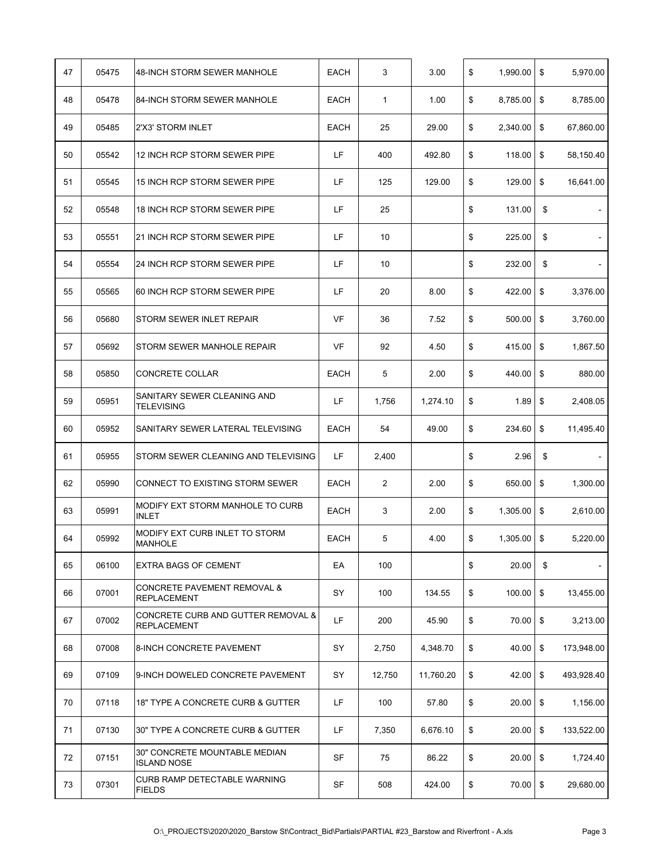| 47 | 05475 | 48-INCH STORM SEWER MANHOLE                                  | <b>EACH</b> | 3              | 3.00      | \$<br>1,990.00    | \$<br>5,970.00   |
|----|-------|--------------------------------------------------------------|-------------|----------------|-----------|-------------------|------------------|
| 48 | 05478 | 84-INCH STORM SEWER MANHOLE                                  | <b>EACH</b> | $\mathbf{1}$   | 1.00      | \$<br>8,785.00    | \$<br>8,785.00   |
| 49 | 05485 | 2'X3' STORM INLET                                            | EACH        | 25             | 29.00     | \$<br>2,340.00    | \$<br>67,860.00  |
| 50 | 05542 | 12 INCH RCP STORM SEWER PIPE                                 | LF          | 400            | 492.80    | \$<br>118.00      | \$<br>58,150.40  |
| 51 | 05545 | 15 INCH RCP STORM SEWER PIPE                                 | LF          | 125            | 129.00    | \$<br>129.00      | \$<br>16,641.00  |
| 52 | 05548 | 18 INCH RCP STORM SEWER PIPE                                 | LF.         | 25             |           | \$<br>131.00      | \$               |
| 53 | 05551 | 21 INCH RCP STORM SEWER PIPE                                 | LF          | 10             |           | \$<br>225.00      | \$               |
| 54 | 05554 | 24 INCH RCP STORM SEWER PIPE                                 | LF          | 10             |           | \$<br>232.00      | \$               |
| 55 | 05565 | 60 INCH RCP STORM SEWER PIPE                                 | LF          | 20             | 8.00      | \$<br>422.00      | \$<br>3,376.00   |
| 56 | 05680 | STORM SEWER INLET REPAIR                                     | VF          | 36             | 7.52      | \$<br>500.00      | \$<br>3.760.00   |
| 57 | 05692 | STORM SEWER MANHOLE REPAIR                                   | VF          | 92             | 4.50      | \$<br>415.00      | \$<br>1,867.50   |
| 58 | 05850 | CONCRETE COLLAR                                              | <b>EACH</b> | 5              | 2.00      | \$<br>440.00      | \$<br>880.00     |
| 59 | 05951 | SANITARY SEWER CLEANING AND<br><b>TELEVISING</b>             | LF          | 1,756          | 1,274.10  | \$<br>1.89        | \$<br>2,408.05   |
| 60 | 05952 | SANITARY SEWER LATERAL TELEVISING                            | <b>EACH</b> | 54             | 49.00     | \$<br>234.60      | \$<br>11,495.40  |
| 61 | 05955 | STORM SEWER CLEANING AND TELEVISING                          | LF          | 2,400          |           | \$<br>2.96        | \$               |
| 62 | 05990 | CONNECT TO EXISTING STORM SEWER                              | <b>EACH</b> | $\overline{2}$ | 2.00      | \$<br>650.00      | \$<br>1,300.00   |
| 63 | 05991 | MODIFY EXT STORM MANHOLE TO CURB<br><b>INLET</b>             | <b>EACH</b> | 3              | 2.00      | \$<br>1,305.00    | \$<br>2,610.00   |
| 64 | 05992 | MODIFY EXT CURB INLET TO STORM<br><b>MANHOLE</b>             | <b>EACH</b> | 5              | 4.00      | \$<br>1,305.00    | \$<br>5,220.00   |
| 65 | 06100 | <b>EXTRA BAGS OF CEMENT</b>                                  | EA          | 100            |           | \$<br>20.00       | \$               |
| 66 | 07001 | <b>CONCRETE PAVEMENT REMOVAL &amp;</b><br><b>REPLACEMENT</b> | SY          | 100            | 134.55    | \$<br>$100.00$ \$ | 13,455.00        |
| 67 | 07002 | CONCRETE CURB AND GUTTER REMOVAL &<br><b>REPLACEMENT</b>     | LF          | 200            | 45.90     | \$<br>70.00       | \$<br>3,213.00   |
| 68 | 07008 | <b>8-INCH CONCRETE PAVEMENT</b>                              | SY          | 2,750          | 4,348.70  | \$<br>40.00       | \$<br>173,948.00 |
| 69 | 07109 | 9-INCH DOWELED CONCRETE PAVEMENT                             | SY          | 12,750         | 11,760.20 | \$<br>42.00       | \$<br>493,928.40 |
| 70 | 07118 | 18" TYPE A CONCRETE CURB & GUTTER                            | LF          | 100            | 57.80     | \$<br>$20.00$ \$  | 1,156.00         |
| 71 | 07130 | 30" TYPE A CONCRETE CURB & GUTTER                            | LF          | 7,350          | 6,676.10  | \$<br>20.00       | \$<br>133,522.00 |
| 72 | 07151 | 30" CONCRETE MOUNTABLE MEDIAN<br><b>ISLAND NOSE</b>          | SF          | 75             | 86.22     | \$<br>20.00       | \$<br>1,724.40   |
| 73 | 07301 | CURB RAMP DETECTABLE WARNING<br><b>FIELDS</b>                | SF          | 508            | 424.00    | \$<br>70.00 \$    | 29,680.00        |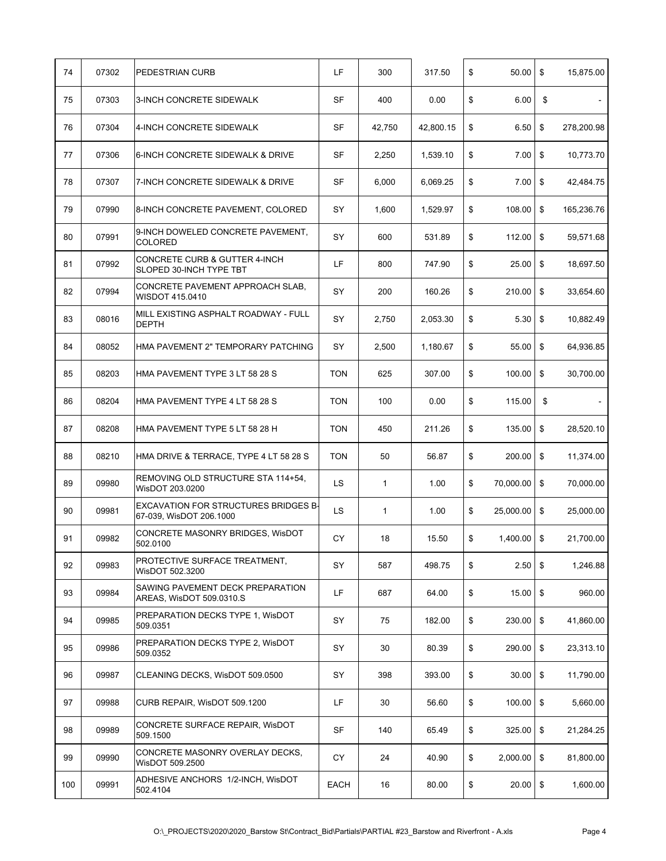| 74  | 07302 | PEDESTRIAN CURB                                                        | LF         | 300          | 317.50    | \$<br>50.00         | \$<br>15,875.00  |
|-----|-------|------------------------------------------------------------------------|------------|--------------|-----------|---------------------|------------------|
| 75  | 07303 | <b>3-INCH CONCRETE SIDEWALK</b>                                        | SF         | 400          | 0.00      | \$<br>6.00          | \$               |
| 76  | 07304 | 4-INCH CONCRETE SIDEWALK                                               | SF         | 42,750       | 42,800.15 | \$<br>6.50          | \$<br>278,200.98 |
| 77  | 07306 | 6-INCH CONCRETE SIDEWALK & DRIVE                                       | SF         | 2,250        | 1,539.10  | \$<br>7.00          | \$<br>10,773.70  |
| 78  | 07307 | 7-INCH CONCRETE SIDEWALK & DRIVE                                       | SF         | 6,000        | 6,069.25  | \$<br>7.00          | \$<br>42,484.75  |
| 79  | 07990 | 8-INCH CONCRETE PAVEMENT, COLORED                                      | SY         | 1,600        | 1,529.97  | \$<br>108.00        | \$<br>165,236.76 |
| 80  | 07991 | 9-INCH DOWELED CONCRETE PAVEMENT,<br>COLORED                           | SY         | 600          | 531.89    | \$<br>112.00        | \$<br>59,571.68  |
| 81  | 07992 | CONCRETE CURB & GUTTER 4-INCH<br>SLOPED 30-INCH TYPE TBT               | LF         | 800          | 747.90    | \$<br>25.00         | \$<br>18,697.50  |
| 82  | 07994 | CONCRETE PAVEMENT APPROACH SLAB,<br>WISDOT 415.0410                    | SY         | 200          | 160.26    | \$<br>210.00        | \$<br>33,654.60  |
| 83  | 08016 | MILL EXISTING ASPHALT ROADWAY - FULL<br><b>DEPTH</b>                   | SY         | 2,750        | 2,053.30  | \$<br>5.30          | \$<br>10,882.49  |
| 84  | 08052 | HMA PAVEMENT 2" TEMPORARY PATCHING                                     | SY         | 2,500        | 1,180.67  | \$<br>55.00         | \$<br>64,936.85  |
| 85  | 08203 | HMA PAVEMENT TYPE 3 LT 58 28 S                                         | <b>TON</b> | 625          | 307.00    | \$<br>100.00        | \$<br>30,700.00  |
| 86  | 08204 | HMA PAVEMENT TYPE 4 LT 58 28 S                                         | <b>TON</b> | 100          | 0.00      | \$<br>115.00        | \$               |
| 87  | 08208 | HMA PAVEMENT TYPE 5 LT 58 28 H                                         | <b>TON</b> | 450          | 211.26    | \$<br>135.00        | \$<br>28,520.10  |
| 88  | 08210 | HMA DRIVE & TERRACE, TYPE 4 LT 58 28 S                                 | <b>TON</b> | 50           | 56.87     | \$<br>200.00        | \$<br>11,374.00  |
| 89  | 09980 | REMOVING OLD STRUCTURE STA 114+54,<br>WisDOT 203.0200                  | LS         | $\mathbf{1}$ | 1.00      | \$<br>70,000.00     | \$<br>70,000.00  |
| 90  | 09981 | <b>EXCAVATION FOR STRUCTURES BRIDGES B-</b><br>67-039, WisDOT 206.1000 | LS         | $\mathbf{1}$ | 1.00      | \$<br>25,000.00     | \$<br>25,000.00  |
| 91  | 09982 | CONCRETE MASONRY BRIDGES, WisDOT<br>502.0100                           | CY         | 18           | 15.50     | \$<br>$1,400.00$ \$ | 21,700.00        |
| 92  | 09983 | PROTECTIVE SURFACE TREATMENT,<br>WisDOT 502.3200                       | SY         | 587          | 498.75    | \$<br>2.50          | \$<br>1,246.88   |
| 93  | 09984 | SAWING PAVEMENT DECK PREPARATION<br>AREAS, WisDOT 509.0310.S           | LF         | 687          | 64.00     | \$<br>15.00         | \$<br>960.00     |
| 94  | 09985 | PREPARATION DECKS TYPE 1. WISDOT<br>509.0351                           | SY         | 75           | 182.00    | \$<br>230.00        | \$<br>41,860.00  |
| 95  | 09986 | PREPARATION DECKS TYPE 2, WisDOT<br>509.0352                           | SY         | 30           | 80.39     | \$<br>$290.00$ \$   | 23,313.10        |
| 96  | 09987 | CLEANING DECKS, WisDOT 509.0500                                        | SY         | 398          | 393.00    | \$<br>30.00         | \$<br>11,790.00  |
| 97  | 09988 | CURB REPAIR, WisDOT 509.1200                                           | LF         | 30           | 56.60     | \$<br>100.00        | \$<br>5,660.00   |
| 98  | 09989 | CONCRETE SURFACE REPAIR, WisDOT<br>509.1500                            | SF         | 140          | 65.49     | \$<br>325.00        | \$<br>21,284.25  |
| 99  | 09990 | CONCRETE MASONRY OVERLAY DECKS,<br>WisDOT 509.2500                     | CY         | 24           | 40.90     | \$<br>2,000.00      | \$<br>81,800.00  |
| 100 | 09991 | ADHESIVE ANCHORS 1/2-INCH, WisDOT<br>502.4104                          | EACH       | 16           | 80.00     | \$<br>$20.00$ \$    | 1,600.00         |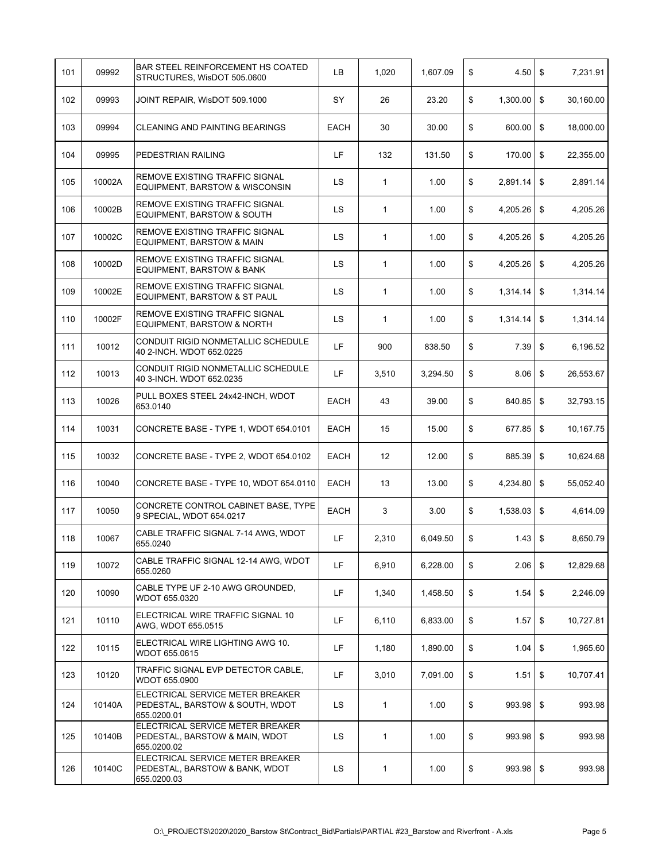| 101 | 09992  | <b>BAR STEEL REINFORCEMENT HS COATED</b><br>STRUCTURES, WisDOT 505.0600            | LB          | 1,020        | 1,607.09 | \$<br>4.50      | \$            | 7,231.91  |
|-----|--------|------------------------------------------------------------------------------------|-------------|--------------|----------|-----------------|---------------|-----------|
| 102 | 09993  | JOINT REPAIR, WisDOT 509.1000                                                      | SY          | 26           | 23.20    | \$<br>1,300.00  | \$            | 30,160.00 |
| 103 | 09994  | CLEANING AND PAINTING BEARINGS                                                     | <b>EACH</b> | 30           | 30.00    | \$<br>600.00    | \$            | 18,000.00 |
| 104 | 09995  | <b>PEDESTRIAN RAILING</b>                                                          | LF          | 132          | 131.50   | \$<br>170.00    | \$            | 22,355.00 |
| 105 | 10002A | <b>REMOVE EXISTING TRAFFIC SIGNAL</b><br>EQUIPMENT, BARSTOW & WISCONSIN            | <b>LS</b>   | $\mathbf{1}$ | 1.00     | \$<br>2,891.14  | \$            | 2,891.14  |
| 106 | 10002B | REMOVE EXISTING TRAFFIC SIGNAL<br>EQUIPMENT, BARSTOW & SOUTH                       | <b>LS</b>   | 1            | 1.00     | \$<br>4,205.26  | \$            | 4,205.26  |
| 107 | 10002C | REMOVE EXISTING TRAFFIC SIGNAL<br>EQUIPMENT, BARSTOW & MAIN                        | LS          | 1            | 1.00     | \$<br>4,205.26  | \$            | 4,205.26  |
| 108 | 10002D | REMOVE EXISTING TRAFFIC SIGNAL<br>EQUIPMENT, BARSTOW & BANK                        | LS          | 1            | 1.00     | \$<br>4,205.26  | \$            | 4,205.26  |
| 109 | 10002E | <b>REMOVE EXISTING TRAFFIC SIGNAL</b><br>EQUIPMENT, BARSTOW & ST PAUL              | LS          | 1            | 1.00     | \$<br>1,314.14  | \$            | 1,314.14  |
| 110 | 10002F | REMOVE EXISTING TRAFFIC SIGNAL<br>EQUIPMENT, BARSTOW & NORTH                       | LS.         | 1            | 1.00     | \$<br>1,314.14  | \$            | 1,314.14  |
| 111 | 10012  | CONDUIT RIGID NONMETALLIC SCHEDULE<br>40 2-INCH. WDOT 652.0225                     | LF          | 900          | 838.50   | \$<br>7.39      | \$            | 6,196.52  |
| 112 | 10013  | CONDUIT RIGID NONMETALLIC SCHEDULE<br>40 3-INCH. WDOT 652.0235                     | LF          | 3,510        | 3,294.50 | \$<br>8.06      | \$            | 26,553.67 |
| 113 | 10026  | PULL BOXES STEEL 24x42-INCH, WDOT<br>653.0140                                      | <b>EACH</b> | 43           | 39.00    | \$<br>840.85    | \$            | 32,793.15 |
| 114 | 10031  | CONCRETE BASE - TYPE 1, WDOT 654.0101                                              | <b>EACH</b> | 15           | 15.00    | \$<br>677.85    | \$            | 10,167.75 |
| 115 | 10032  | CONCRETE BASE - TYPE 2, WDOT 654.0102                                              | <b>EACH</b> | 12           | 12.00    | \$<br>885.39    | \$            | 10,624.68 |
| 116 | 10040  | CONCRETE BASE - TYPE 10, WDOT 654.0110                                             | EACH        | 13           | 13.00    | \$<br>4,234.80  | \$            | 55,052.40 |
| 117 | 10050  | CONCRETE CONTROL CABINET BASE, TYPE<br>9 SPECIAL, WDOT 654.0217                    | EACH        | 3            | 3.00     | \$<br>1,538.03  | \$            | 4,614.09  |
| 118 | 10067  | CABLE TRAFFIC SIGNAL 7-14 AWG, WDOT<br>655.0240                                    | LF          | 2,310        | 6,049.50 | \$<br>$1.43$ \$ |               | 8,650.79  |
| 119 | 10072  | CABLE TRAFFIC SIGNAL 12-14 AWG, WDOT<br>655.0260                                   | LF          | 6,910        | 6,228.00 | \$<br>2.06      | $\mathfrak s$ | 12,829.68 |
| 120 | 10090  | CABLE TYPE UF 2-10 AWG GROUNDED.<br>WDOT 655.0320                                  | LF          | 1,340        | 1,458.50 | \$<br>1.54      | \$            | 2,246.09  |
| 121 | 10110  | ELECTRICAL WIRE TRAFFIC SIGNAL 10<br>AWG, WDOT 655.0515                            | LF          | 6,110        | 6,833.00 | \$<br>1.57      | \$            | 10,727.81 |
| 122 | 10115  | ELECTRICAL WIRE LIGHTING AWG 10.<br>WDOT 655.0615                                  | LF          | 1,180        | 1,890.00 | \$<br>1.04      | \$            | 1,965.60  |
| 123 | 10120  | TRAFFIC SIGNAL EVP DETECTOR CABLE,<br>WDOT 655.0900                                | LF          | 3,010        | 7,091.00 | \$<br>1.51      | \$            | 10,707.41 |
| 124 | 10140A | ELECTRICAL SERVICE METER BREAKER<br>PEDESTAL, BARSTOW & SOUTH, WDOT<br>655.0200.01 | LS          | $\mathbf{1}$ | 1.00     | \$<br>993.98    | \$            | 993.98    |
| 125 | 10140B | ELECTRICAL SERVICE METER BREAKER<br>PEDESTAL, BARSTOW & MAIN, WDOT<br>655.0200.02  | LS          | $\mathbf{1}$ | 1.00     | \$<br>993.98    | \$            | 993.98    |
| 126 | 10140C | ELECTRICAL SERVICE METER BREAKER<br>PEDESTAL, BARSTOW & BANK, WDOT<br>655.0200.03  | LS.         | 1            | 1.00     | \$<br>993.98    | \$            | 993.98    |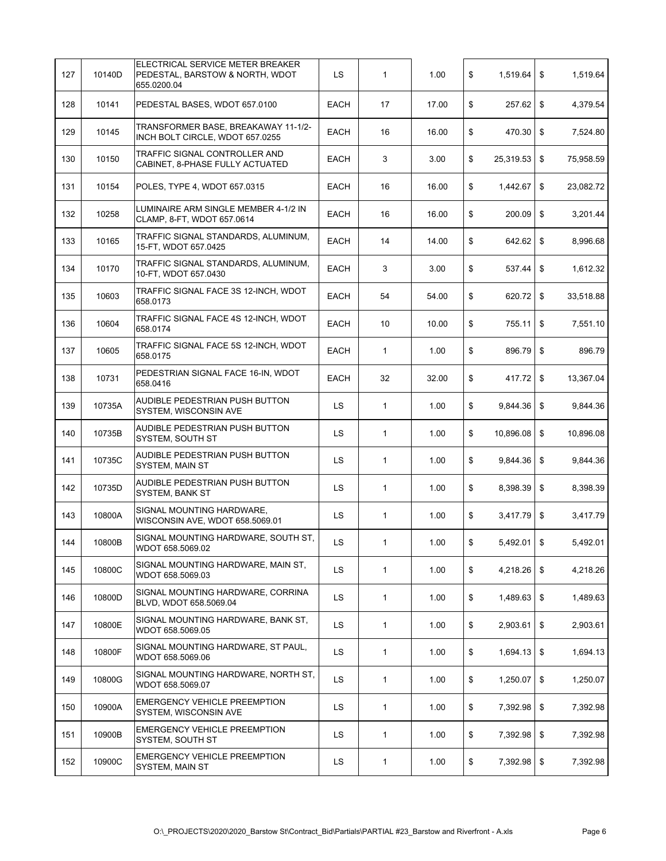| 127 | 10140D | ELECTRICAL SERVICE METER BREAKER<br>PEDESTAL, BARSTOW & NORTH, WDOT<br>655.0200.04 | LS.         | $\mathbf{1}$ | 1.00  | \$<br>1,519.64      | \$<br>1,519.64  |
|-----|--------|------------------------------------------------------------------------------------|-------------|--------------|-------|---------------------|-----------------|
| 128 | 10141  | PEDESTAL BASES, WDOT 657.0100                                                      | EACH        | 17           | 17.00 | \$<br>257.62        | \$<br>4,379.54  |
| 129 | 10145  | TRANSFORMER BASE, BREAKAWAY 11-1/2-<br>INCH BOLT CIRCLE, WDOT 657.0255             | <b>EACH</b> | 16           | 16.00 | \$<br>470.30        | \$<br>7,524.80  |
| 130 | 10150  | TRAFFIC SIGNAL CONTROLLER AND<br>CABINET, 8-PHASE FULLY ACTUATED                   | <b>EACH</b> | 3            | 3.00  | \$<br>25,319.53     | \$<br>75,958.59 |
| 131 | 10154  | POLES, TYPE 4, WDOT 657.0315                                                       | <b>EACH</b> | 16           | 16.00 | \$<br>1,442.67      | \$<br>23,082.72 |
| 132 | 10258  | LUMINAIRE ARM SINGLE MEMBER 4-1/2 IN<br>CLAMP, 8-FT, WDOT 657.0614                 | <b>EACH</b> | 16           | 16.00 | \$<br>200.09        | \$<br>3,201.44  |
| 133 | 10165  | TRAFFIC SIGNAL STANDARDS, ALUMINUM,<br>15-FT, WDOT 657.0425                        | EACH        | 14           | 14.00 | \$<br>642.62        | \$<br>8,996.68  |
| 134 | 10170  | TRAFFIC SIGNAL STANDARDS, ALUMINUM,<br>10-FT, WDOT 657.0430                        | <b>EACH</b> | 3            | 3.00  | \$<br>537.44        | \$<br>1,612.32  |
| 135 | 10603  | TRAFFIC SIGNAL FACE 3S 12-INCH, WDOT<br>658.0173                                   | <b>EACH</b> | 54           | 54.00 | \$<br>620.72        | \$<br>33,518.88 |
| 136 | 10604  | TRAFFIC SIGNAL FACE 4S 12-INCH, WDOT<br>658.0174                                   | <b>EACH</b> | 10           | 10.00 | \$<br>755.11        | \$<br>7,551.10  |
| 137 | 10605  | TRAFFIC SIGNAL FACE 5S 12-INCH, WDOT<br>658.0175                                   | EACH        | $\mathbf{1}$ | 1.00  | \$<br>896.79        | \$<br>896.79    |
| 138 | 10731  | PEDESTRIAN SIGNAL FACE 16-IN, WDOT<br>658.0416                                     | EACH        | 32           | 32.00 | \$<br>417.72        | \$<br>13,367.04 |
| 139 | 10735A | AUDIBLE PEDESTRIAN PUSH BUTTON<br>SYSTEM, WISCONSIN AVE                            | LS          | 1            | 1.00  | \$<br>9,844.36      | \$<br>9,844.36  |
| 140 | 10735B | AUDIBLE PEDESTRIAN PUSH BUTTON<br><b>SYSTEM, SOUTH ST</b>                          | LS          | 1            | 1.00  | \$<br>10,896.08     | \$<br>10,896.08 |
| 141 | 10735C | AUDIBLE PEDESTRIAN PUSH BUTTON<br><b>SYSTEM, MAIN ST</b>                           | LS          | 1            | 1.00  | \$<br>9,844.36      | \$<br>9,844.36  |
| 142 | 10735D | AUDIBLE PEDESTRIAN PUSH BUTTON<br><b>SYSTEM, BANK ST</b>                           | LS.         | 1            | 1.00  | \$<br>8,398.39      | \$<br>8,398.39  |
| 143 | 10800A | SIGNAL MOUNTING HARDWARE,<br>WISCONSIN AVE, WDOT 658.5069.01                       | <b>LS</b>   | $\mathbf{1}$ | 1.00  | \$<br>3,417.79      | \$<br>3,417.79  |
| 144 | 10800B | SIGNAL MOUNTING HARDWARE, SOUTH ST,<br>WDOT 658.5069.02                            | LS          | 1            | 1.00  | \$<br>$5,492.01$ \$ | 5,492.01        |
| 145 | 10800C | SIGNAL MOUNTING HARDWARE, MAIN ST,<br>WDOT 658.5069.03                             | LS          | 1            | 1.00  | \$<br>4,218.26      | \$<br>4,218.26  |
| 146 | 10800D | SIGNAL MOUNTING HARDWARE, CORRINA<br>BLVD. WDOT 658.5069.04                        | LS          | 1            | 1.00  | \$<br>1,489.63      | \$<br>1,489.63  |
| 147 | 10800E | SIGNAL MOUNTING HARDWARE, BANK ST,<br>WDOT 658.5069.05                             | LS          | 1            | 1.00  | \$<br>2,903.61      | \$<br>2,903.61  |
| 148 | 10800F | SIGNAL MOUNTING HARDWARE, ST PAUL,<br>WDOT 658.5069.06                             | LS          | 1            | 1.00  | \$<br>1,694.13      | \$<br>1,694.13  |
| 149 | 10800G | SIGNAL MOUNTING HARDWARE, NORTH ST,<br>WDOT 658.5069.07                            | LS          | 1            | 1.00  | \$<br>1,250.07      | \$<br>1,250.07  |
| 150 | 10900A | <b>EMERGENCY VEHICLE PREEMPTION</b><br>SYSTEM, WISCONSIN AVE                       | LS          | 1            | 1.00  | \$<br>7,392.98      | \$<br>7,392.98  |
| 151 | 10900B | <b>EMERGENCY VEHICLE PREEMPTION</b><br>SYSTEM, SOUTH ST                            | LS          | 1            | 1.00  | \$<br>7,392.98      | \$<br>7,392.98  |
| 152 | 10900C | <b>EMERGENCY VEHICLE PREEMPTION</b><br>SYSTEM, MAIN ST                             | LS.         | 1            | 1.00  | \$<br>7,392.98      | \$<br>7,392.98  |
|     |        |                                                                                    |             |              |       |                     |                 |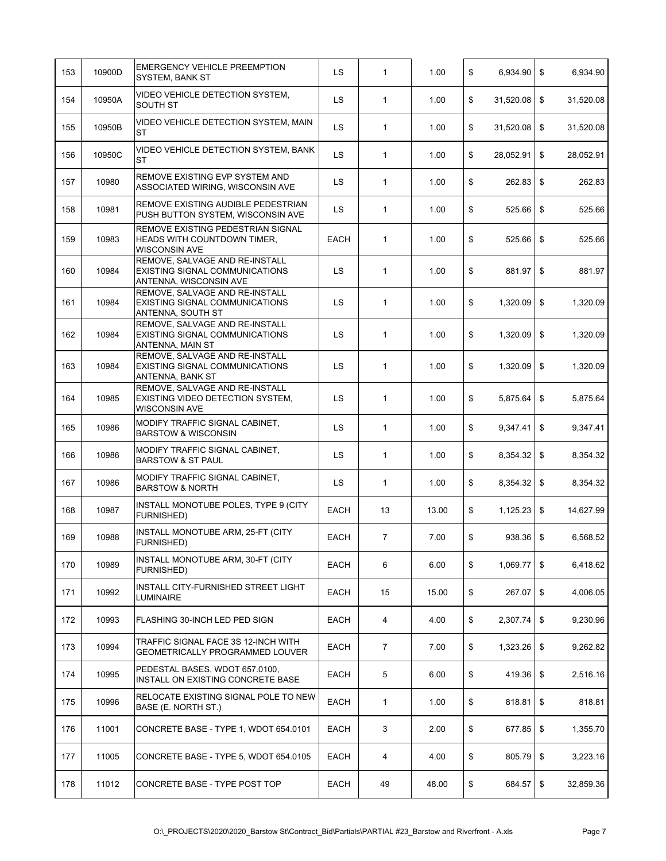| 153 | 10900D | <b>EMERGENCY VEHICLE PREEMPTION</b><br><b>SYSTEM, BANK ST</b>                               | <b>LS</b>   | $\mathbf{1}$   | 1.00  | \$<br>6,934.90  | \$             | 6,934.90  |
|-----|--------|---------------------------------------------------------------------------------------------|-------------|----------------|-------|-----------------|----------------|-----------|
| 154 | 10950A | VIDEO VEHICLE DETECTION SYSTEM,<br>SOUTH ST                                                 | <b>LS</b>   | $\mathbf{1}$   | 1.00  | \$<br>31,520.08 | \$             | 31,520.08 |
| 155 | 10950B | VIDEO VEHICLE DETECTION SYSTEM, MAIN<br>ST                                                  | LS          | $\mathbf{1}$   | 1.00  | \$<br>31,520.08 | \$             | 31,520.08 |
| 156 | 10950C | VIDEO VEHICLE DETECTION SYSTEM, BANK<br>ST                                                  | LS          | $\mathbf{1}$   | 1.00  | \$<br>28,052.91 | \$             | 28,052.91 |
| 157 | 10980  | REMOVE EXISTING EVP SYSTEM AND<br>ASSOCIATED WIRING, WISCONSIN AVE                          | <b>LS</b>   | $\mathbf{1}$   | 1.00  | \$<br>262.83    | \$             | 262.83    |
| 158 | 10981  | REMOVE EXISTING AUDIBLE PEDESTRIAN<br>PUSH BUTTON SYSTEM, WISCONSIN AVE                     | <b>LS</b>   | $\mathbf{1}$   | 1.00  | \$<br>525.66    | \$             | 525.66    |
| 159 | 10983  | REMOVE EXISTING PEDESTRIAN SIGNAL<br>HEADS WITH COUNTDOWN TIMER,<br><b>WISCONSIN AVE</b>    | <b>EACH</b> | $\mathbf{1}$   | 1.00  | \$<br>525.66    | \$             | 525.66    |
| 160 | 10984  | REMOVE, SALVAGE AND RE-INSTALL<br>EXISTING SIGNAL COMMUNICATIONS<br>ANTENNA, WISCONSIN AVE  | LS          | $\mathbf{1}$   | 1.00  | \$<br>881.97    | \$             | 881.97    |
| 161 | 10984  | REMOVE. SALVAGE AND RE-INSTALL<br>EXISTING SIGNAL COMMUNICATIONS<br>ANTENNA, SOUTH ST       | <b>LS</b>   | 1              | 1.00  | \$<br>1,320.09  | $\mathfrak{S}$ | 1,320.09  |
| 162 | 10984  | REMOVE, SALVAGE AND RE-INSTALL<br><b>EXISTING SIGNAL COMMUNICATIONS</b><br>ANTENNA, MAIN ST | LS          | $\mathbf{1}$   | 1.00  | \$<br>1,320.09  | \$             | 1,320.09  |
| 163 | 10984  | REMOVE. SALVAGE AND RE-INSTALL<br>EXISTING SIGNAL COMMUNICATIONS<br>ANTENNA, BANK ST        | LS          | $\mathbf{1}$   | 1.00  | \$<br>1,320.09  | \$             | 1,320.09  |
| 164 | 10985  | REMOVE, SALVAGE AND RE-INSTALL<br>EXISTING VIDEO DETECTION SYSTEM,<br><b>WISCONSIN AVE</b>  | <b>LS</b>   | 1              | 1.00  | \$<br>5,875.64  | \$             | 5,875.64  |
| 165 | 10986  | MODIFY TRAFFIC SIGNAL CABINET,<br><b>BARSTOW &amp; WISCONSIN</b>                            | LS          | $\mathbf{1}$   | 1.00  | \$<br>9,347.41  | \$             | 9,347.41  |
| 166 | 10986  | MODIFY TRAFFIC SIGNAL CABINET,<br><b>BARSTOW &amp; ST PAUL</b>                              | LS.         | $\mathbf{1}$   | 1.00  | \$<br>8,354.32  | \$             | 8,354.32  |
| 167 | 10986  | MODIFY TRAFFIC SIGNAL CABINET,<br><b>BARSTOW &amp; NORTH</b>                                | <b>LS</b>   | $\mathbf{1}$   | 1.00  | \$<br>8,354.32  | \$             | 8,354.32  |
| 168 | 10987  | INSTALL MONOTUBE POLES, TYPE 9 (CITY<br>FURNISHED)                                          | <b>EACH</b> | 13             | 13.00 | \$<br>1,125.23  | \$             | 14,627.99 |
| 169 | 10988  | INSTALL MONOTUBE ARM, 25-FT (CITY<br>FURNISHED)                                             | EACH        | $\overline{7}$ | 7.00  | \$<br>938.36    | \$             | 6,568.52  |
| 170 | 10989  | INSTALL MONOTUBE ARM, 30-FT (CITY<br><b>FURNISHED)</b>                                      | EACH        | 6              | 6.00  | \$<br>1,069.77  | \$             | 6,418.62  |
| 171 | 10992  | INSTALL CITY-FURNISHED STREET LIGHT<br><b>LUMINAIRE</b>                                     | <b>EACH</b> | 15             | 15.00 | \$<br>267.07    | \$             | 4.006.05  |
| 172 | 10993  | FLASHING 30-INCH LED PED SIGN                                                               | EACH        | 4              | 4.00  | \$<br>2,307.74  | \$             | 9,230.96  |
| 173 | 10994  | TRAFFIC SIGNAL FACE 3S 12-INCH WITH<br>GEOMETRICALLY PROGRAMMED LOUVER                      | EACH        | $\overline{7}$ | 7.00  | \$<br>1,323.26  | \$             | 9,262.82  |
| 174 | 10995  | PEDESTAL BASES, WDOT 657.0100,<br>INSTALL ON EXISTING CONCRETE BASE                         | EACH        | 5              | 6.00  | \$<br>419.36    | \$             | 2,516.16  |
| 175 | 10996  | RELOCATE EXISTING SIGNAL POLE TO NEW<br>BASE (E. NORTH ST.)                                 | EACH        | 1              | 1.00  | \$<br>818.81    | \$             | 818.81    |
| 176 | 11001  | CONCRETE BASE - TYPE 1, WDOT 654.0101                                                       | EACH        | 3              | 2.00  | \$<br>677.85    | \$             | 1,355.70  |
| 177 | 11005  | CONCRETE BASE - TYPE 5, WDOT 654.0105                                                       | EACH        | 4              | 4.00  | \$<br>805.79    | \$             | 3,223.16  |
| 178 | 11012  | CONCRETE BASE - TYPE POST TOP                                                               | EACH        | 49             | 48.00 | \$<br>684.57    | \$             | 32,859.36 |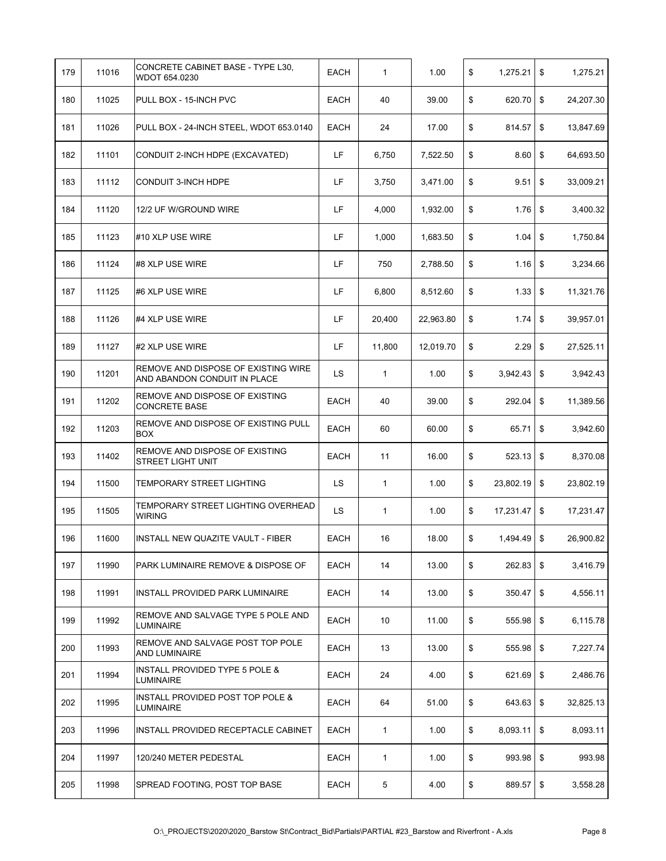| 179 | 11016 | CONCRETE CABINET BASE - TYPE L30,<br>WDOT 654.0230                  | EACH        | $\mathbf{1}$ | 1.00      | \$<br>1,275.21      | \$<br>1,275.21  |
|-----|-------|---------------------------------------------------------------------|-------------|--------------|-----------|---------------------|-----------------|
| 180 | 11025 | PULL BOX - 15-INCH PVC                                              | <b>EACH</b> | 40           | 39.00     | \$<br>620.70        | \$<br>24,207.30 |
| 181 | 11026 | PULL BOX - 24-INCH STEEL, WDOT 653.0140                             | <b>EACH</b> | 24           | 17.00     | \$<br>814.57        | \$<br>13,847.69 |
| 182 | 11101 | CONDUIT 2-INCH HDPE (EXCAVATED)                                     | LF          | 6,750        | 7,522.50  | \$<br>$8.60$ \$     | 64,693.50       |
| 183 | 11112 | CONDUIT 3-INCH HDPE                                                 | LF          | 3,750        | 3,471.00  | \$<br>9.51          | \$<br>33,009.21 |
| 184 | 11120 | 12/2 UF W/GROUND WIRE                                               | LF          | 4,000        | 1,932.00  | \$<br>1.76          | \$<br>3,400.32  |
| 185 | 11123 | #10 XLP USE WIRE                                                    | LF          | 1,000        | 1,683.50  | \$<br>1.04          | \$<br>1,750.84  |
| 186 | 11124 | #8 XLP USE WIRE                                                     | LF          | 750          | 2,788.50  | \$<br>1.16          | \$<br>3,234.66  |
| 187 | 11125 | #6 XLP USE WIRE                                                     | LF          | 6,800        | 8,512.60  | \$<br>1.33          | \$<br>11,321.76 |
| 188 | 11126 | #4 XLP USE WIRE                                                     | LF          | 20,400       | 22,963.80 | \$<br>1.74          | \$<br>39,957.01 |
| 189 | 11127 | #2 XLP USE WIRE                                                     | LF          | 11,800       | 12,019.70 | \$<br>2.29          | \$<br>27,525.11 |
| 190 | 11201 | REMOVE AND DISPOSE OF EXISTING WIRE<br>AND ABANDON CONDUIT IN PLACE | LS          | $\mathbf{1}$ | 1.00      | \$<br>$3,942.43$ \$ | 3,942.43        |
| 191 | 11202 | REMOVE AND DISPOSE OF EXISTING<br><b>CONCRETE BASE</b>              | <b>EACH</b> | 40           | 39.00     | \$<br>292.04        | \$<br>11,389.56 |
| 192 | 11203 | REMOVE AND DISPOSE OF EXISTING PULL<br><b>BOX</b>                   | EACH        | 60           | 60.00     | \$<br>65.71         | \$<br>3,942.60  |
| 193 | 11402 | REMOVE AND DISPOSE OF EXISTING<br>STREET LIGHT UNIT                 | EACH        | 11           | 16.00     | \$<br>523.13        | \$<br>8,370.08  |
| 194 | 11500 | TEMPORARY STREET LIGHTING                                           | LS          | $\mathbf{1}$ | 1.00      | \$<br>23,802.19     | \$<br>23,802.19 |
| 195 | 11505 | TEMPORARY STREET LIGHTING OVERHEAD<br><b>WIRING</b>                 | <b>LS</b>   | $\mathbf{1}$ | 1.00      | \$<br>17,231.47     | \$<br>17,231.47 |
| 196 | 11600 | INSTALL NEW QUAZITE VAULT - FIBER                                   | <b>EACH</b> | 16           | 18.00     | \$<br>1,494.49 \$   | 26,900.82       |
| 197 | 11990 | PARK LUMINAIRE REMOVE & DISPOSE OF                                  | EACH        | 14           | 13.00     | \$<br>262.83        | \$<br>3,416.79  |
| 198 | 11991 | INSTALL PROVIDED PARK LUMINAIRE                                     | EACH        | 14           | 13.00     | \$<br>350.47        | \$<br>4,556.11  |
| 199 | 11992 | REMOVE AND SALVAGE TYPE 5 POLE AND<br>LUMINAIRE                     | EACH        | 10           | 11.00     | \$<br>555.98        | \$<br>6,115.78  |
| 200 | 11993 | REMOVE AND SALVAGE POST TOP POLE<br><b>AND LUMINAIRE</b>            | EACH        | 13           | 13.00     | \$<br>555.98        | \$<br>7,227.74  |
| 201 | 11994 | INSTALL PROVIDED TYPE 5 POLE &<br><b>LUMINAIRE</b>                  | EACH        | 24           | 4.00      | \$<br>621.69        | \$<br>2,486.76  |
| 202 | 11995 | INSTALL PROVIDED POST TOP POLE &<br>LUMINAIRE                       | EACH        | 64           | 51.00     | \$<br>643.63        | \$<br>32,825.13 |
| 203 | 11996 | INSTALL PROVIDED RECEPTACLE CABINET                                 | EACH        | $\mathbf{1}$ | 1.00      | \$<br>8,093.11      | \$<br>8,093.11  |
| 204 | 11997 | 120/240 METER PEDESTAL                                              | EACH        | $\mathbf{1}$ | 1.00      | \$<br>993.98        | \$<br>993.98    |
| 205 | 11998 | SPREAD FOOTING, POST TOP BASE                                       | EACH        | 5            | 4.00      | \$<br>$889.57$ \$   | 3,558.28        |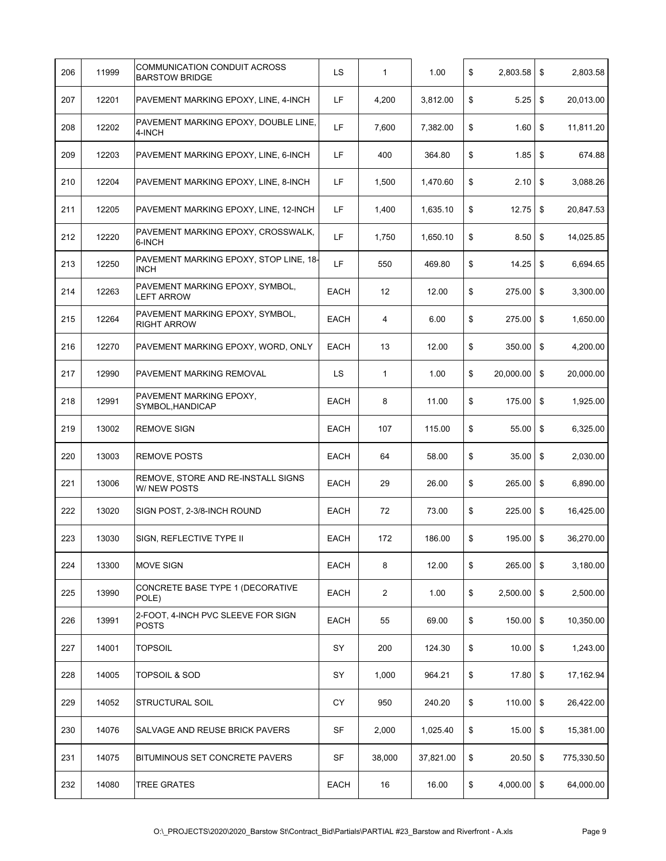| 206 | 11999 | COMMUNICATION CONDUIT ACROSS<br><b>BARSTOW BRIDGE</b> | LS          | $\mathbf{1}$   | 1.00      | \$<br>2,803.58      | \$<br>2,803.58   |
|-----|-------|-------------------------------------------------------|-------------|----------------|-----------|---------------------|------------------|
| 207 | 12201 | PAVEMENT MARKING EPOXY, LINE, 4-INCH                  | LF          | 4,200          | 3,812.00  | \$<br>5.25          | \$<br>20,013.00  |
| 208 | 12202 | PAVEMENT MARKING EPOXY, DOUBLE LINE,<br>4-INCH        | LF          | 7,600          | 7,382.00  | \$<br>1.60          | \$<br>11,811.20  |
| 209 | 12203 | PAVEMENT MARKING EPOXY, LINE, 6-INCH                  | LF          | 400            | 364.80    | \$<br>1.85          | \$<br>674.88     |
| 210 | 12204 | PAVEMENT MARKING EPOXY, LINE, 8-INCH                  | LF          | 1,500          | 1,470.60  | \$<br>2.10          | \$<br>3,088.26   |
| 211 | 12205 | PAVEMENT MARKING EPOXY, LINE, 12-INCH                 | LF          | 1,400          | 1,635.10  | \$<br>12.75         | \$<br>20,847.53  |
| 212 | 12220 | PAVEMENT MARKING EPOXY, CROSSWALK,<br>6-INCH          | LF          | 1,750          | 1,650.10  | \$<br>8.50          | \$<br>14,025.85  |
| 213 | 12250 | PAVEMENT MARKING EPOXY, STOP LINE, 18-<br><b>INCH</b> | LF          | 550            | 469.80    | \$<br>14.25         | \$<br>6,694.65   |
| 214 | 12263 | PAVEMENT MARKING EPOXY, SYMBOL,<br><b>LEFT ARROW</b>  | EACH        | 12             | 12.00     | \$<br>275.00        | \$<br>3,300.00   |
| 215 | 12264 | PAVEMENT MARKING EPOXY, SYMBOL,<br><b>RIGHT ARROW</b> | <b>EACH</b> | 4              | 6.00      | \$<br>275.00        | \$<br>1,650.00   |
| 216 | 12270 | PAVEMENT MARKING EPOXY, WORD, ONLY                    | EACH        | 13             | 12.00     | \$<br>350.00        | \$<br>4,200.00   |
| 217 | 12990 | PAVEMENT MARKING REMOVAL                              | LS          | 1              | 1.00      | \$<br>20,000.00     | \$<br>20,000.00  |
| 218 | 12991 | PAVEMENT MARKING EPOXY,<br>SYMBOL, HANDICAP           | EACH        | 8              | 11.00     | \$<br>175.00        | \$<br>1,925.00   |
| 219 | 13002 | <b>REMOVE SIGN</b>                                    | <b>EACH</b> | 107            | 115.00    | \$<br>55.00         | \$<br>6,325.00   |
| 220 | 13003 | <b>REMOVE POSTS</b>                                   | <b>EACH</b> | 64             | 58.00     | \$<br>35.00         | \$<br>2,030.00   |
| 221 | 13006 | REMOVE, STORE AND RE-INSTALL SIGNS<br>W/ NEW POSTS    | EACH        | 29             | 26.00     | \$<br>265.00        | \$<br>6,890.00   |
| 222 | 13020 | SIGN POST, 2-3/8-INCH ROUND                           | EACH        | 72             | 73.00     | \$<br>225.00        | \$<br>16,425.00  |
| 223 | 13030 | SIGN, REFLECTIVE TYPE II                              | EACH        | 172            | 186.00    | \$<br>195.00        | \$<br>36,270.00  |
| 224 | 13300 | <b>MOVE SIGN</b>                                      | <b>EACH</b> | 8              | 12.00     | \$<br>265.00        | \$<br>3.180.00   |
| 225 | 13990 | CONCRETE BASE TYPE 1 (DECORATIVE<br>POLE)             | <b>EACH</b> | $\overline{2}$ | 1.00      | \$<br>2,500.00      | \$<br>2,500.00   |
| 226 | 13991 | 2-FOOT, 4-INCH PVC SLEEVE FOR SIGN<br>POSTS           | EACH        | 55             | 69.00     | \$<br>150.00        | \$<br>10,350.00  |
| 227 | 14001 | <b>TOPSOIL</b>                                        | SY          | 200            | 124.30    | \$<br>10.00         | \$<br>1,243.00   |
| 228 | 14005 | <b>TOPSOIL &amp; SOD</b>                              | SY          | 1,000          | 964.21    | \$<br>17.80         | \$<br>17,162.94  |
| 229 | 14052 | <b>STRUCTURAL SOIL</b>                                | CY          | 950            | 240.20    | \$<br>110.00        | \$<br>26,422.00  |
| 230 | 14076 | SALVAGE AND REUSE BRICK PAVERS                        | <b>SF</b>   | 2,000          | 1,025.40  | \$<br>15.00         | \$<br>15,381.00  |
| 231 | 14075 | <b>BITUMINOUS SET CONCRETE PAVERS</b>                 | SF          | 38,000         | 37,821.00 | \$<br>20.50         | \$<br>775,330.50 |
| 232 | 14080 | <b>TREE GRATES</b>                                    | EACH        | 16             | 16.00     | \$<br>$4,000.00$ \$ | 64,000.00        |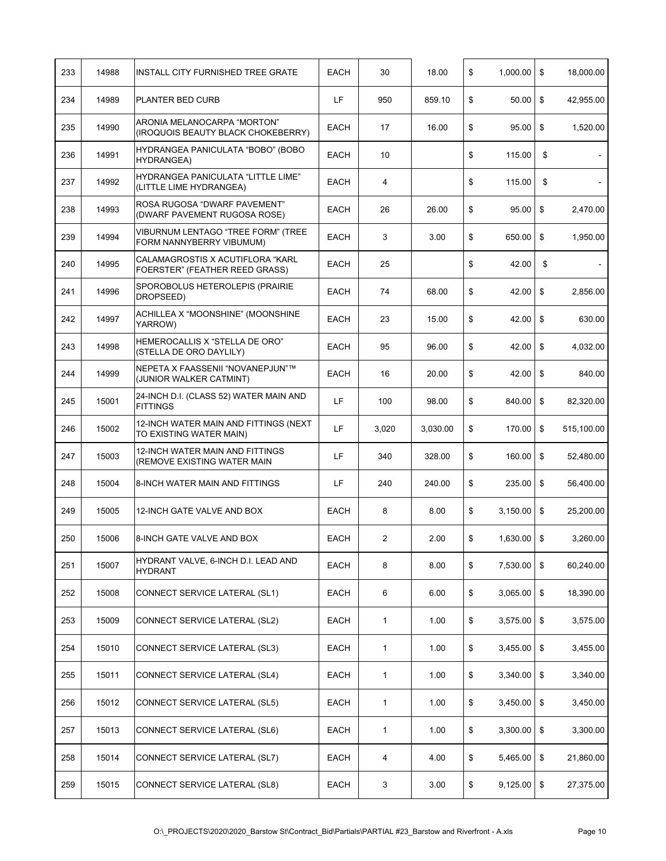| 233 | 14988 | INSTALL CITY FURNISHED TREE GRATE                                  | <b>EACH</b> | 30           | 18.00    | \$<br>1,000.00      | \$             | 18,000.00  |
|-----|-------|--------------------------------------------------------------------|-------------|--------------|----------|---------------------|----------------|------------|
| 234 | 14989 | PLANTER BED CURB                                                   | LF          | 950          | 859.10   | \$<br>50.00         | \$             | 42,955.00  |
| 235 | 14990 | ARONIA MELANOCARPA "MORTON"<br>(IROQUOIS BEAUTY BLACK CHOKEBERRY)  | <b>EACH</b> | 17           | 16.00    | \$<br>95.00         | \$             | 1,520.00   |
| 236 | 14991 | HYDRANGEA PANICULATA "BOBO" (BOBO<br><b>HYDRANGEA)</b>             | <b>EACH</b> | 10           |          | \$<br>115.00        | \$             |            |
| 237 | 14992 | HYDRANGEA PANICULATA "LITTLE LIME"<br>(LITTLE LIME HYDRANGEA)      | <b>EACH</b> | 4            |          | \$<br>115.00        | \$             |            |
| 238 | 14993 | ROSA RUGOSA "DWARF PAVEMENT"<br>(DWARF PAVEMENT RUGOSA ROSE)       | EACH        | 26           | 26.00    | \$<br>95.00         | \$             | 2,470.00   |
| 239 | 14994 | VIBURNUM LENTAGO "TREE FORM" (TREE<br>FORM NANNYBERRY VIBUMUM)     | <b>EACH</b> | 3            | 3.00     | \$<br>650.00        | $\mathfrak{S}$ | 1,950.00   |
| 240 | 14995 | CALAMAGROSTIS X ACUTIFLORA "KARL<br>FOERSTER" (FEATHER REED GRASS) | EACH        | 25           |          | \$<br>42.00         | \$             | $\sim$     |
| 241 | 14996 | SPOROBOLUS HETEROLEPIS (PRAIRIE<br>DROPSEED)                       | <b>EACH</b> | 74           | 68.00    | \$<br>42.00         | $\mathfrak{S}$ | 2,856.00   |
| 242 | 14997 | ACHILLEA X "MOONSHINE" (MOONSHINE<br>YARROW)                       | <b>EACH</b> | 23           | 15.00    | \$<br>42.00         | $\mathfrak{S}$ | 630.00     |
| 243 | 14998 | HEMEROCALLIS X "STELLA DE ORO"<br>(STELLA DE ORO DAYLILY)          | EACH        | 95           | 96.00    | \$<br>42.00         | \$             | 4,032.00   |
| 244 | 14999 | NEPETA X FAASSENII "NOVANEPJUN"™<br>(JUNIOR WALKER CATMINT)        | <b>EACH</b> | 16           | 20.00    | \$<br>42.00         | \$             | 840.00     |
| 245 | 15001 | 24-INCH D.I. (CLASS 52) WATER MAIN AND<br><b>FITTINGS</b>          | LF          | 100          | 98.00    | \$<br>840.00        | \$             | 82,320.00  |
| 246 | 15002 | 12-INCH WATER MAIN AND FITTINGS (NEXT<br>TO EXISTING WATER MAIN)   | LF          | 3,020        | 3,030.00 | \$<br>170.00        | \$             | 515,100.00 |
| 247 | 15003 | 12-INCH WATER MAIN AND FITTINGS<br>(REMOVE EXISTING WATER MAIN     | LF          | 340          | 328.00   | \$<br>160.00        | \$             | 52,480.00  |
| 248 | 15004 | 8-INCH WATER MAIN AND FITTINGS                                     | LF          | 240          | 240.00   | \$<br>235.00        | \$             | 56,400.00  |
| 249 | 15005 | 12-INCH GATE VALVE AND BOX                                         | <b>EACH</b> | 8            | 8.00     | \$<br>3,150.00      | \$             | 25,200.00  |
| 250 | 15006 | 8-INCH GATE VALVE AND BOX                                          | <b>EACH</b> | 2            | 2.00     | \$<br>1,630.00      | \$             | 3,260.00   |
| 251 | 15007 | HYDRANT VALVE, 6-INCH D.I. LEAD AND<br><b>HYDRANT</b>              | EACH        | 8            | 8.00     | \$<br>7,530.00      | \$             | 60,240.00  |
| 252 | 15008 | CONNECT SERVICE LATERAL (SL1)                                      | EACH        | 6            | 6.00     | \$<br>3,065.00      | \$             | 18,390.00  |
| 253 | 15009 | CONNECT SERVICE LATERAL (SL2)                                      | EACH        | $\mathbf{1}$ | 1.00     | \$<br>3,575.00      | \$             | 3,575.00   |
| 254 | 15010 | CONNECT SERVICE LATERAL (SL3)                                      | EACH        | $\mathbf{1}$ | 1.00     | \$<br>3,455.00      | \$             | 3,455.00   |
| 255 | 15011 | CONNECT SERVICE LATERAL (SL4)                                      | EACH        | 1            | 1.00     | \$<br>3,340.00      | \$             | 3,340.00   |
| 256 | 15012 | CONNECT SERVICE LATERAL (SL5)                                      | EACH        | 1            | 1.00     | \$<br>3,450.00      | \$             | 3,450.00   |
| 257 | 15013 | CONNECT SERVICE LATERAL (SL6)                                      | EACH        | $\mathbf{1}$ | 1.00     | \$<br>3,300.00      | \$             | 3,300.00   |
| 258 | 15014 | CONNECT SERVICE LATERAL (SL7)                                      | EACH        | 4            | 4.00     | \$<br>5,465.00      | \$             | 21,860.00  |
| 259 | 15015 | CONNECT SERVICE LATERAL (SL8)                                      | EACH        | 3            | 3.00     | \$<br>$9,125.00$ \$ |                | 27,375.00  |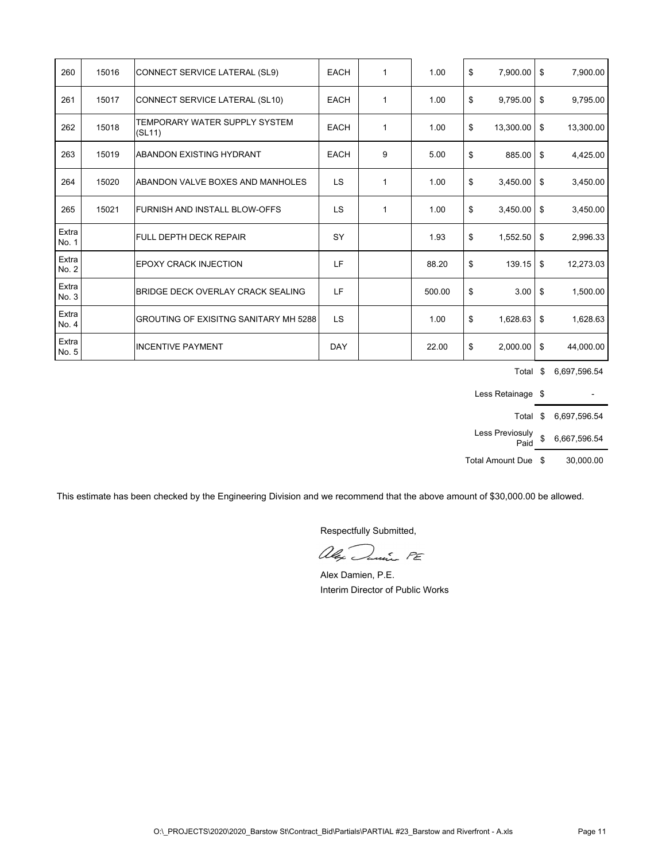| 260            | 15016 | CONNECT SERVICE LATERAL (SL9)                | <b>EACH</b> | 1            | 1.00   | \$<br>7,900.00    | \$<br>7,900.00  |
|----------------|-------|----------------------------------------------|-------------|--------------|--------|-------------------|-----------------|
| 261            | 15017 | CONNECT SERVICE LATERAL (SL10)               | <b>EACH</b> | $\mathbf{1}$ | 1.00   | \$<br>9,795.00    | \$<br>9,795.00  |
| 262            | 15018 | TEMPORARY WATER SUPPLY SYSTEM<br>(SL11)      | <b>EACH</b> | $\mathbf{1}$ | 1.00   | \$<br>13,300.00   | \$<br>13,300.00 |
| 263            | 15019 | <b>ABANDON EXISTING HYDRANT</b>              | <b>EACH</b> | 9            | 5.00   | \$<br>$885.00$ \$ | 4,425.00        |
| 264            | 15020 | ABANDON VALVE BOXES AND MANHOLES             | <b>LS</b>   | $\mathbf{1}$ | 1.00   | \$<br>3,450.00    | \$<br>3,450.00  |
| 265            | 15021 | IFURNISH AND INSTALL BLOW-OFFS               | <b>LS</b>   | 1            | 1.00   | \$<br>3,450.00    | \$<br>3,450.00  |
| Extra<br>No. 1 |       | <b>FULL DEPTH DECK REPAIR</b>                | SY          |              | 1.93   | \$<br>1,552.50    | \$<br>2,996.33  |
| Extra<br>No. 2 |       | <b>EPOXY CRACK INJECTION</b>                 | LF          |              | 88.20  | \$<br>139.15      | \$<br>12,273.03 |
| Extra<br>No. 3 |       | BRIDGE DECK OVERLAY CRACK SEALING            | LF          |              | 500.00 | \$<br>3.00        | \$<br>1,500.00  |
| Extra<br>No. 4 |       | <b>GROUTING OF EXISITNG SANITARY MH 5288</b> | LS          |              | 1.00   | \$<br>1,628.63    | \$<br>1,628.63  |
| Extra<br>No. 5 |       | <b>INCENTIVE PAYMENT</b>                     | DAY         |              | 22.00  | \$<br>2,000.00    | \$<br>44,000.00 |

Total \$ 6,697,596.54

Less Retainage  $\quad$  -

Total \$ 6,697,596.54

Less Previosuly Paid \$ 6,667,596.54

Total Amount Due  $$30,000.00$ 

This estimate has been checked by the Engineering Division and we recommend that the above amount of \$30,000.00 be allowed.

alex Danie PE

Alex Damien, P.E. Interim Director of Public Works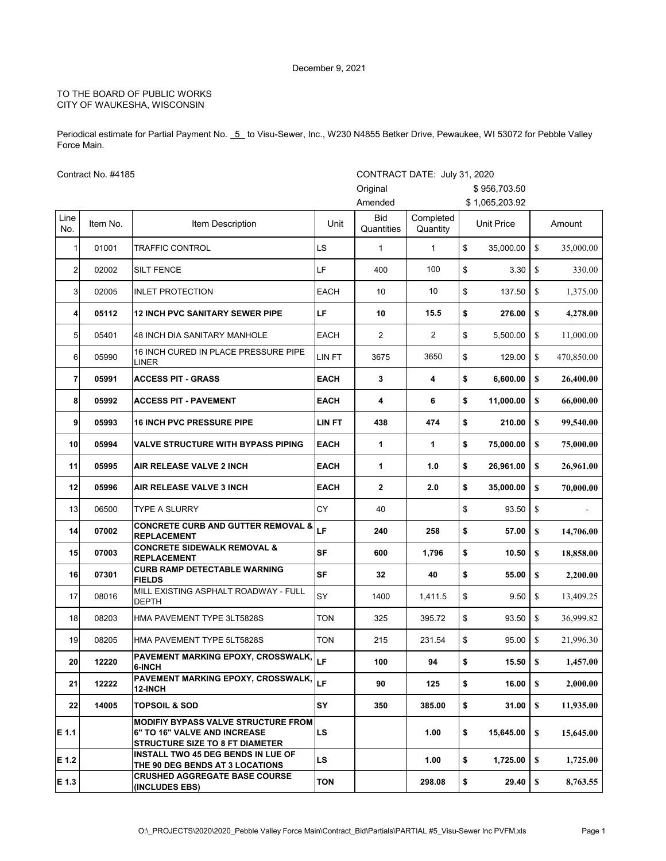Periodical estimate for Partial Payment No. 6 to Visu-Sewer, Inc., W230 N4855 Betker Drive, Pewaukee, WI 53072 for Pebble Valley Force Main.

Contract No. #4185

|                | Contract No. #4185 |                                                                                                               |             | CONTRACT DATE: July 31, 2020 |                       |                   |               |            |
|----------------|--------------------|---------------------------------------------------------------------------------------------------------------|-------------|------------------------------|-----------------------|-------------------|---------------|------------|
|                |                    |                                                                                                               |             | Original                     |                       | \$956,703.50      |               |            |
|                |                    |                                                                                                               |             | Amended                      |                       | \$1,065,203.92    |               |            |
| Line<br>No.    | Item No.           | Item Description                                                                                              | Unit        | <b>Bid</b><br>Quantities     | Completed<br>Quantity | <b>Unit Price</b> |               | Amount     |
| 1              | 01001              | <b>TRAFFIC CONTROL</b>                                                                                        | LS          | 1                            | $\mathbf{1}$          | \$<br>35.000.00   | <sup>\$</sup> | 35,000.00  |
| $\overline{c}$ | 02002              | <b>SILT FENCE</b>                                                                                             | LF          | 400                          | 100                   | \$<br>3.30        | \$            | 330.00     |
| 3              | 02005              | <b>INLET PROTECTION</b>                                                                                       | <b>EACH</b> | 10                           | 10                    | \$<br>137.50      | \$            | 1,375.00   |
| 4              | 05112              | <b>12 INCH PVC SANITARY SEWER PIPE</b>                                                                        | LF          | 10                           | 15.5                  | \$<br>276.00      | S             | 4,278.00   |
| 5              | 05401              | <b>48 INCH DIA SANITARY MANHOLE</b>                                                                           | <b>EACH</b> | $\overline{2}$               | $\overline{2}$        | \$<br>5,500.00    | \$            | 11,000.00  |
| 6              | 05990              | 16 INCH CURED IN PLACE PRESSURE PIPE<br>LINER                                                                 | LIN FT      | 3675                         | 3650                  | \$<br>129.00      | \$            | 470,850.00 |
| $\overline{7}$ | 05991              | <b>ACCESS PIT - GRASS</b>                                                                                     | <b>EACH</b> | 3                            | 4                     | \$<br>6,600.00    | S             | 26,400.00  |
| 8              | 05992              | <b>ACCESS PIT - PAVEMENT</b>                                                                                  | <b>EACH</b> | 4                            | 6                     | \$<br>11,000.00   | S             | 66,000.00  |
| 9              | 05993              | <b>16 INCH PVC PRESSURE PIPE</b>                                                                              | LIN FT      | 438                          | 474                   | \$<br>210.00      | S             | 99,540.00  |
| 10             | 05994              | <b>VALVE STRUCTURE WITH BYPASS PIPING</b>                                                                     | <b>EACH</b> | 1                            | 1                     | \$<br>75,000.00   | S             | 75,000.00  |
| 11             | 05995              | <b>AIR RELEASE VALVE 2 INCH</b>                                                                               | <b>EACH</b> | 1                            | 1.0                   | \$<br>26,961.00   | S             | 26,961.00  |
| 12             | 05996              | AIR RELEASE VALVE 3 INCH                                                                                      | <b>EACH</b> | $\mathbf{2}$                 | 2.0                   | \$<br>35,000.00   | S             | 70,000.00  |
| 13             | 06500              | <b>TYPE A SLURRY</b>                                                                                          | CY          | 40                           |                       | \$<br>93.50       | \$            |            |
| 14             | 07002              | <b>CONCRETE CURB AND GUTTER REMOVAL &amp;</b><br><b>REPLACEMENT</b>                                           | LF          | 240                          | 258                   | \$<br>57.00       | $\mathbf{s}$  | 14,706.00  |
| 15             | 07003              | <b>CONCRETE SIDEWALK REMOVAL &amp;</b><br><b>REPLACEMENT</b>                                                  | <b>SF</b>   | 600                          | 1,796                 | \$<br>10.50       | S             | 18,858.00  |
| 16             | 07301              | <b>CURB RAMP DETECTABLE WARNING</b><br><b>FIELDS</b>                                                          | SF          | 32                           | 40                    | \$<br>55.00       | S             | 2,200.00   |
| 17             | 08016              | MILL EXISTING ASPHALT ROADWAY - FULL<br><b>DEPTH</b>                                                          | SY          | 1400                         | 1,411.5               | \$<br>9.50        | $\mathbb{S}$  | 13,409.25  |
| 18             | 08203              | HMA PAVEMENT TYPE 3LT5828S                                                                                    | TON         | 325                          | 395.72                | \$<br>93.50       | \$            | 36,999.82  |
| 19             | 08205              | HMA PAVEMENT TYPE 5LT5828S                                                                                    | <b>TON</b>  | 215                          | 231.54                | \$<br>95.00       | \$            | 21,996.30  |
| 20             | 12220              | <b>PAVEMENT MARKING EPOXY, CROSSWALK, LF</b><br>6-INCH                                                        |             | 100                          | 94                    | \$<br>15.50       | $\mathbf S$   | 1,457.00   |
| 21             | 12222              | PAVEMENT MARKING EPOXY, CROSSWALK,<br>12-INCH                                                                 | LF          | 90                           | 125                   | \$<br>16.00       | S             | 2,000.00   |
| 22             | 14005              | <b>TOPSOIL &amp; SOD</b>                                                                                      | SY          | 350                          | 385.00                | \$<br>31.00       | S             | 11,935.00  |
| $E$ 1.1        |                    | <b>MODIFIY BYPASS VALVE STRUCTURE FROM</b><br>6" TO 16" VALVE AND INCREASE<br>STRUCTURE SIZE TO 8 FT DIAMETER | <b>LS</b>   |                              | 1.00                  | \$<br>15,645.00   | S             | 15,645.00  |
| $E$ 1.2        |                    | <b>INSTALL TWO 45 DEG BENDS IN LUE OF</b><br>THE 90 DEG BENDS AT 3 LOCATIONS                                  | <b>LS</b>   |                              | 1.00                  | \$<br>1,725.00    | S             | 1,725.00   |
| E 1.3          |                    | <b>CRUSHED AGGREGATE BASE COURSE</b><br>(INCLUDES EBS)                                                        | <b>TON</b>  |                              | 298.08                | \$<br>29.40       | S             | 8,763.55   |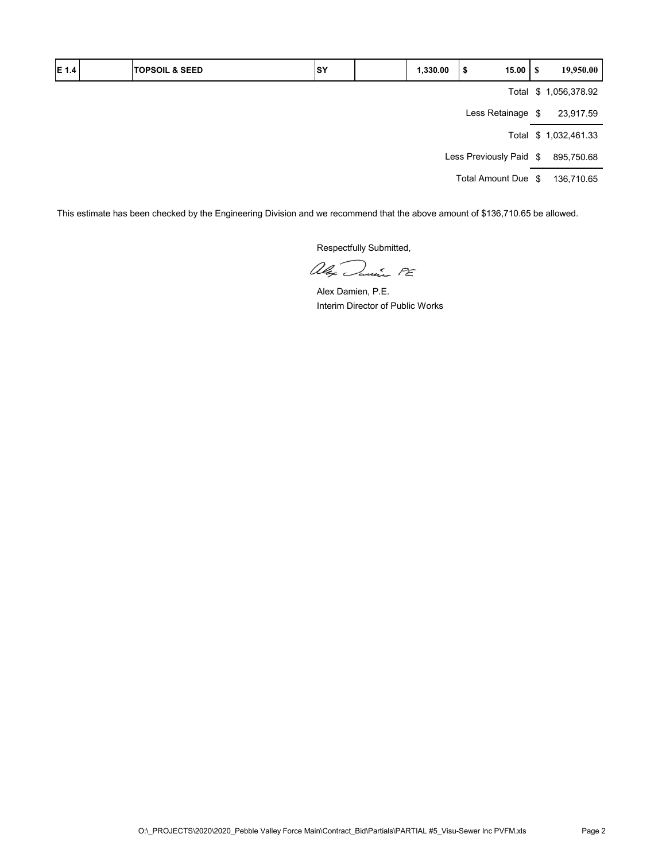| E 1.4 | <b>TOPSOIL &amp; SEED</b> | SY | 1,330.00 | \$                      | 15.00 $\mid$ \$   | 19,950.00             |
|-------|---------------------------|----|----------|-------------------------|-------------------|-----------------------|
|       |                           |    |          |                         |                   | Total \$ 1,056,378.92 |
|       |                           |    |          |                         | Less Retainage \$ | 23,917.59             |
|       |                           |    |          |                         |                   | Total \$ 1,032,461.33 |
|       |                           |    |          | Less Previously Paid \$ |                   | 895,750.68            |
|       |                           |    |          | Total Amount Due \$     |                   | 136,710.65            |

This estimate has been checked by the Engineering Division and we recommend that the above amount of \$136,710.65 be allowed.

alex Junie PE

Alex Damien, P.E. Interim Director of Public Works